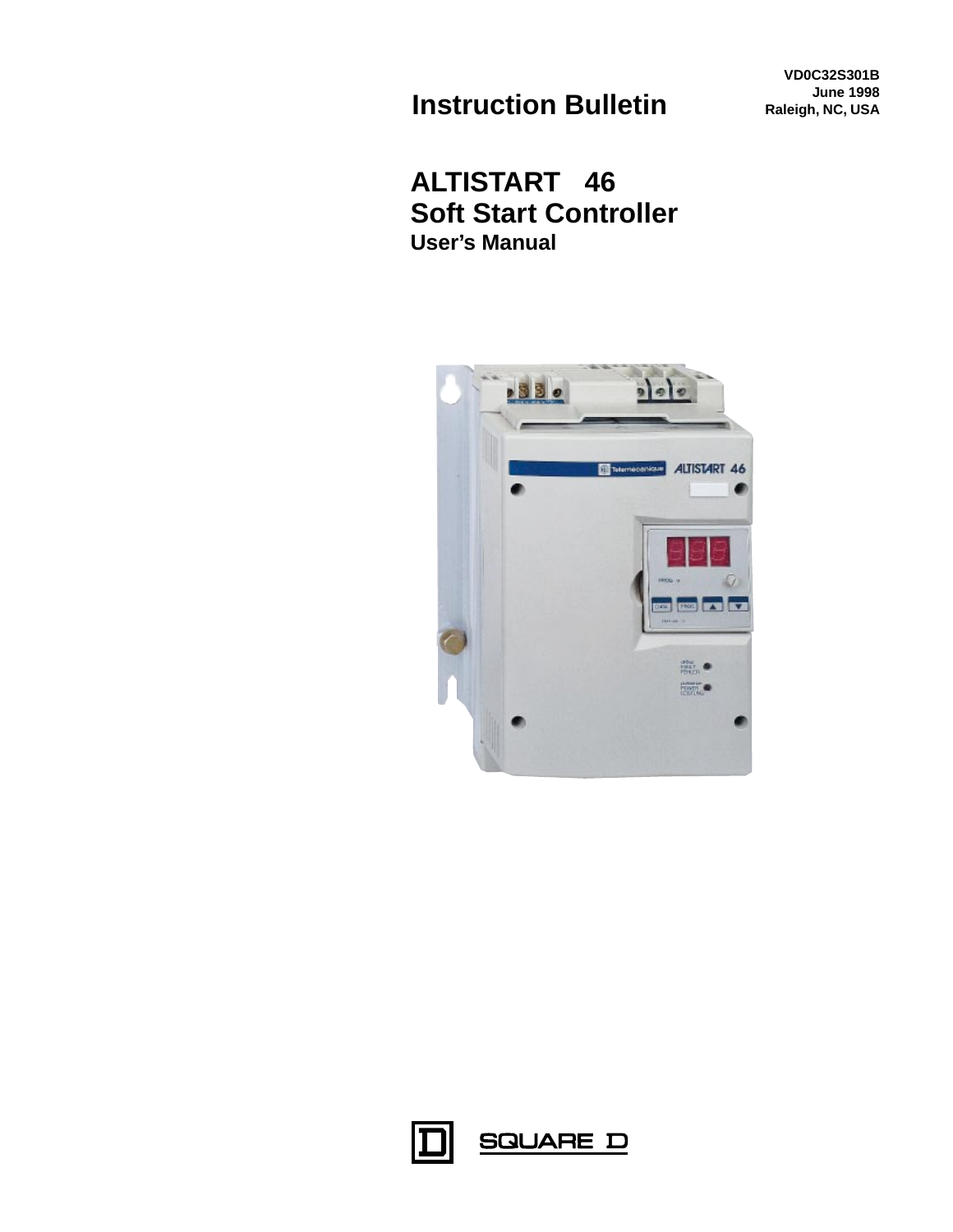**Instruction Bulletin**

**VD0C32S301B June 1998 Raleigh, NC, USA**

# **ALTISTART 46 Soft Start Controller User's Manual**





**SQUARE D**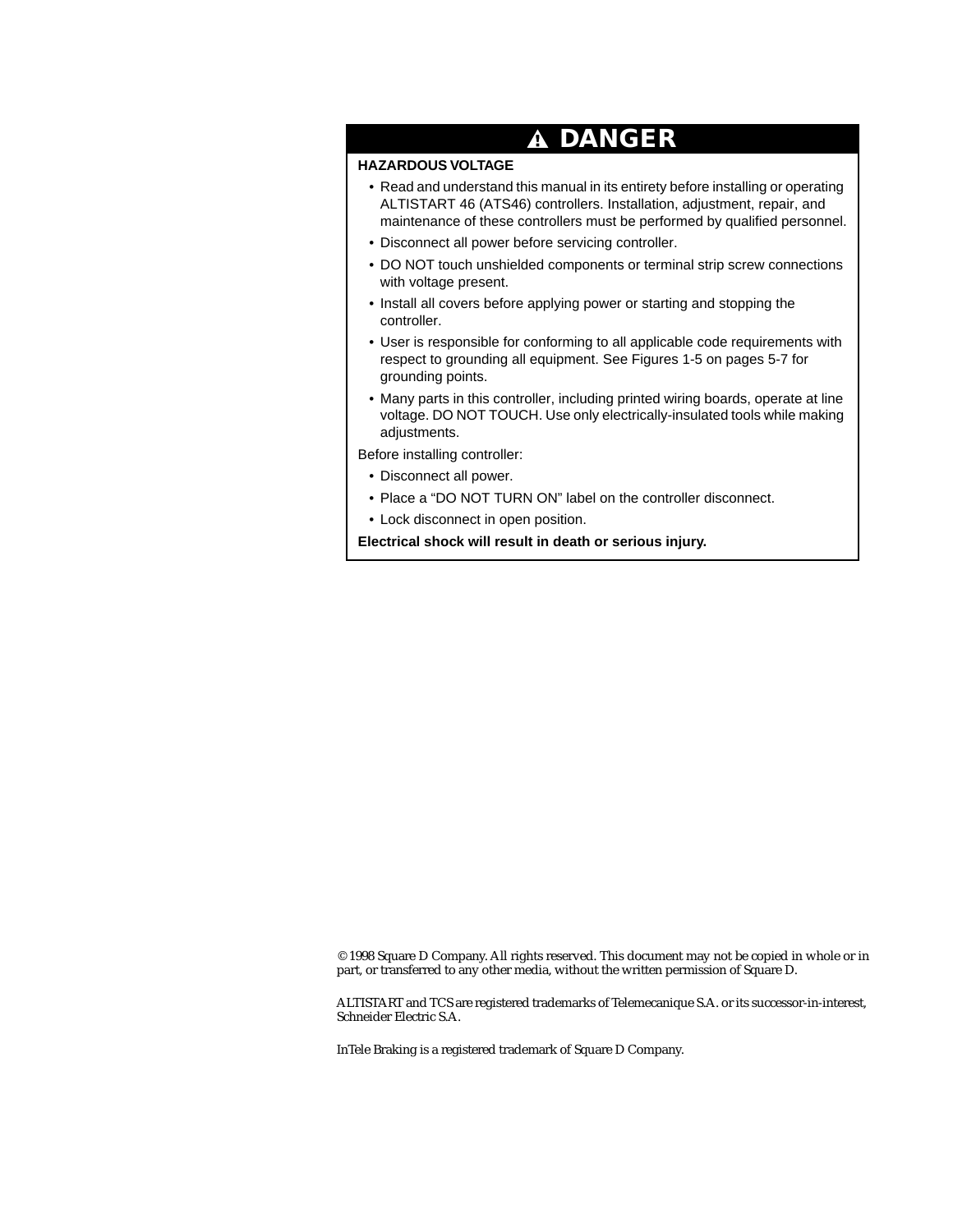# **DANGER**

### **HAZARDOUS VOLTAGE**

- Read and understand this manual in its entirety before installing or operating ALTISTART 46 (ATS46) controllers. Installation, adjustment, repair, and maintenance of these controllers must be performed by qualified personnel.
- Disconnect all power before servicing controller.
- DO NOT touch unshielded components or terminal strip screw connections with voltage present.
- Install all covers before applying power or starting and stopping the controller.
- User is responsible for conforming to all applicable code requirements with respect to grounding all equipment. See Figures 1-5 on pages 5-7 for grounding points.
- Many parts in this controller, including printed wiring boards, operate at line voltage. DO NOT TOUCH. Use only electrically-insulated tools while making adjustments.

Before installing controller:

- Disconnect all power.
- Place a "DO NOT TURN ON" label on the controller disconnect.
- Lock disconnect in open position.

**Electrical shock will result in death or serious injury.**

© 1998 Square D Company. All rights reserved. This document may not be copied in whole or in part, or transferred to any other media, without the written permission of Square D.

ALTISTART and TCS are registered trademarks of Telemecanique S.A. or its successor-in-interest, Schneider Electric S.A.

InTele Braking is a registered trademark of Square D Company.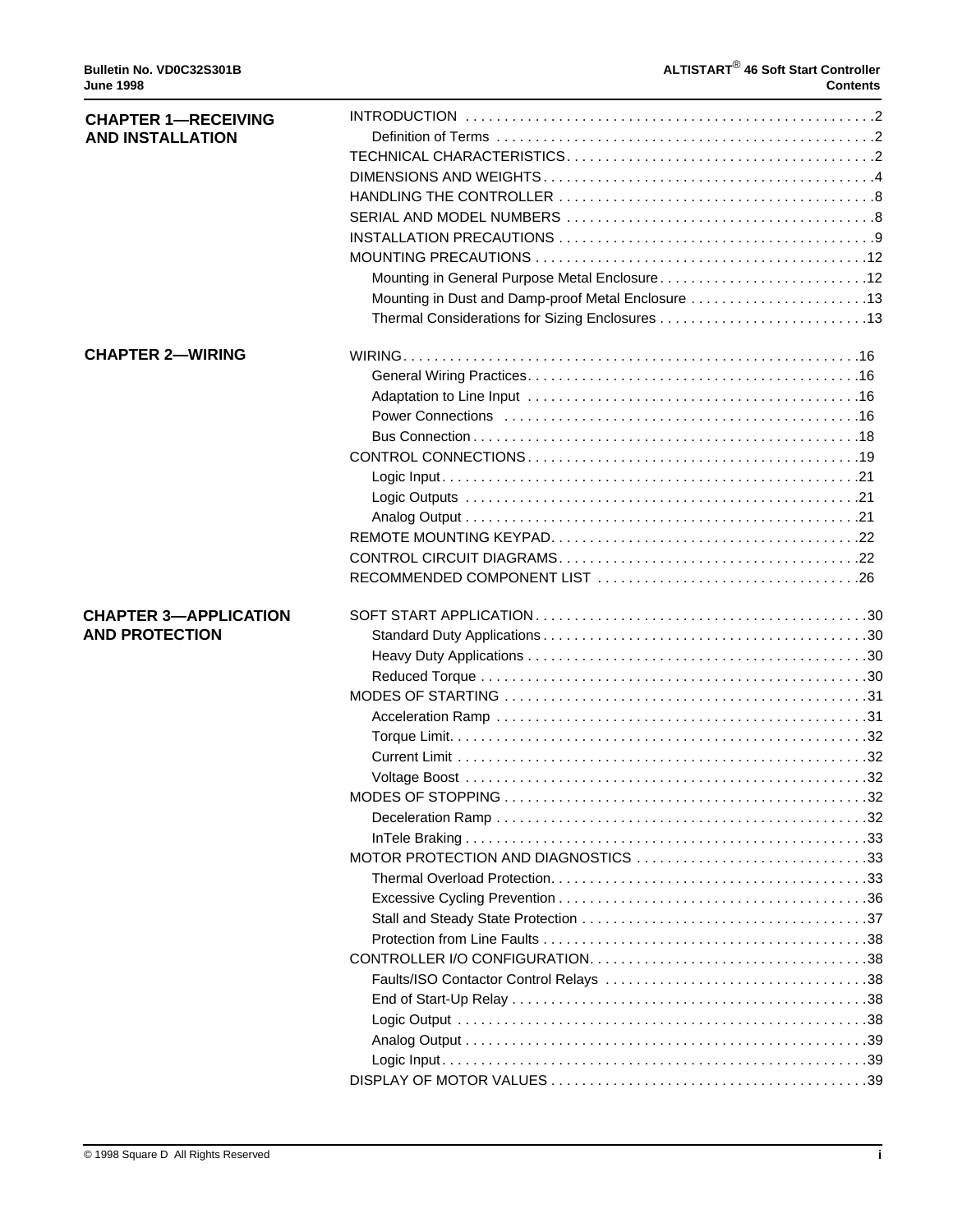| <b>CHAPTER 1-RECEIVING</b><br><b>AND INSTALLATION</b> |                                                    |    |  |  |  |
|-------------------------------------------------------|----------------------------------------------------|----|--|--|--|
|                                                       |                                                    |    |  |  |  |
|                                                       |                                                    |    |  |  |  |
|                                                       |                                                    |    |  |  |  |
|                                                       |                                                    |    |  |  |  |
|                                                       |                                                    |    |  |  |  |
|                                                       |                                                    |    |  |  |  |
|                                                       | Mounting in General Purpose Metal Enclosure12      |    |  |  |  |
|                                                       | Mounting in Dust and Damp-proof Metal Enclosure 13 |    |  |  |  |
|                                                       |                                                    |    |  |  |  |
|                                                       |                                                    |    |  |  |  |
| <b>CHAPTER 2-WIRING</b>                               |                                                    |    |  |  |  |
|                                                       |                                                    |    |  |  |  |
|                                                       |                                                    |    |  |  |  |
|                                                       |                                                    |    |  |  |  |
|                                                       |                                                    |    |  |  |  |
|                                                       |                                                    |    |  |  |  |
|                                                       |                                                    |    |  |  |  |
|                                                       |                                                    |    |  |  |  |
|                                                       |                                                    |    |  |  |  |
|                                                       |                                                    |    |  |  |  |
|                                                       |                                                    |    |  |  |  |
|                                                       |                                                    |    |  |  |  |
| <b>CHAPTER 3-APPLICATION</b>                          |                                                    |    |  |  |  |
|                                                       |                                                    |    |  |  |  |
| <b>AND PROTECTION</b>                                 |                                                    |    |  |  |  |
|                                                       |                                                    |    |  |  |  |
|                                                       |                                                    |    |  |  |  |
|                                                       |                                                    |    |  |  |  |
|                                                       |                                                    |    |  |  |  |
|                                                       |                                                    |    |  |  |  |
|                                                       |                                                    |    |  |  |  |
|                                                       |                                                    |    |  |  |  |
|                                                       | MODES OF STOPPING                                  | 32 |  |  |  |
|                                                       |                                                    |    |  |  |  |
|                                                       |                                                    |    |  |  |  |
|                                                       | MOTOR PROTECTION AND DIAGNOSTICS 33                |    |  |  |  |
|                                                       |                                                    |    |  |  |  |
|                                                       |                                                    |    |  |  |  |
|                                                       |                                                    |    |  |  |  |
|                                                       |                                                    |    |  |  |  |
|                                                       |                                                    |    |  |  |  |
|                                                       |                                                    |    |  |  |  |
|                                                       |                                                    |    |  |  |  |
|                                                       |                                                    |    |  |  |  |
|                                                       |                                                    |    |  |  |  |
|                                                       |                                                    |    |  |  |  |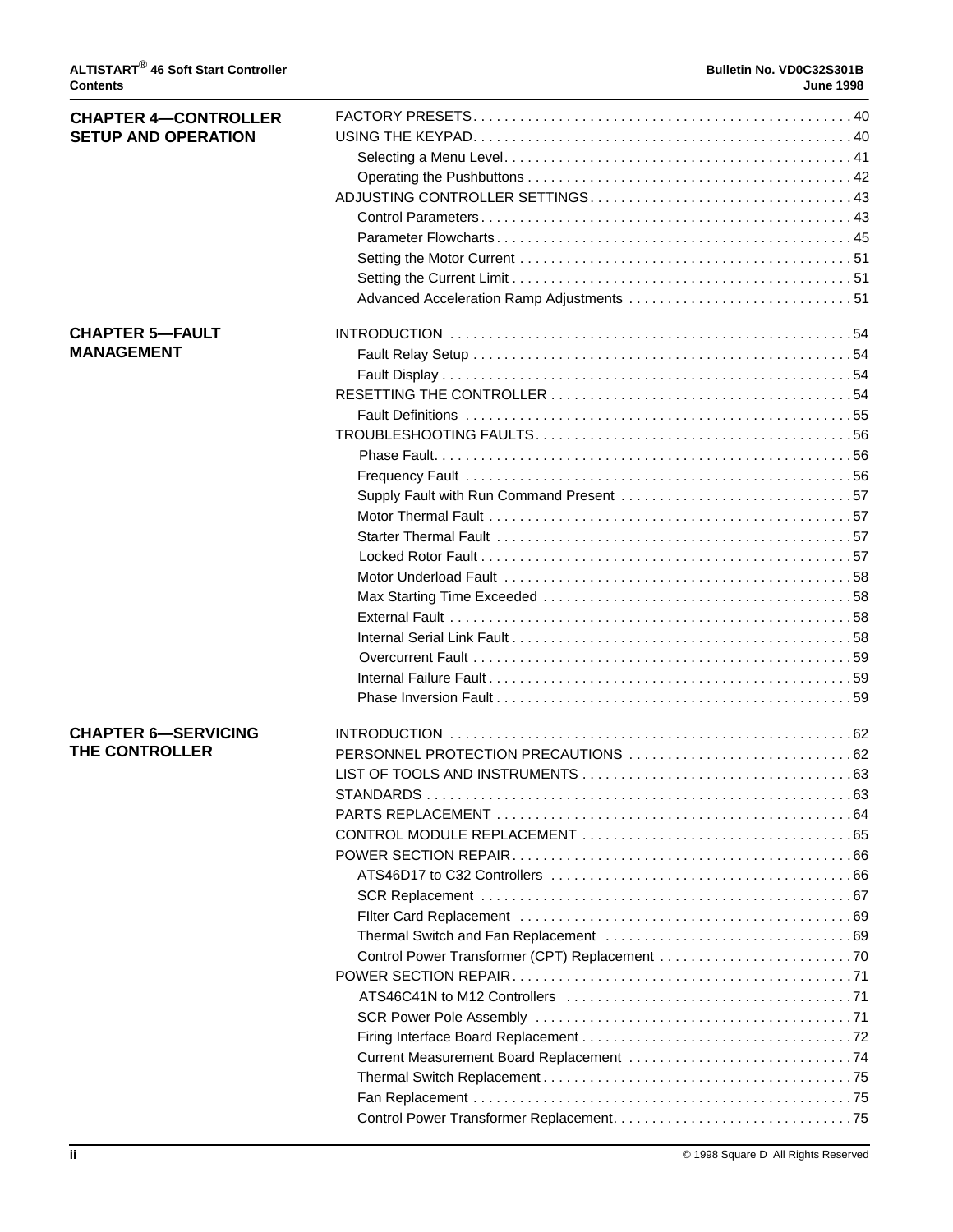| <b>CHAPTER 4-CONTROLLER</b> |                                          |  |
|-----------------------------|------------------------------------------|--|
| <b>SETUP AND OPERATION</b>  |                                          |  |
|                             |                                          |  |
|                             |                                          |  |
|                             |                                          |  |
|                             |                                          |  |
|                             |                                          |  |
|                             |                                          |  |
|                             |                                          |  |
|                             |                                          |  |
| <b>CHAPTER 5-FAULT</b>      |                                          |  |
| <b>MANAGEMENT</b>           |                                          |  |
|                             |                                          |  |
|                             |                                          |  |
|                             |                                          |  |
|                             |                                          |  |
|                             |                                          |  |
|                             |                                          |  |
|                             | Supply Fault with Run Command Present 57 |  |
|                             |                                          |  |
|                             |                                          |  |
|                             |                                          |  |
|                             |                                          |  |
|                             |                                          |  |
|                             |                                          |  |
|                             |                                          |  |
|                             |                                          |  |
|                             |                                          |  |
|                             |                                          |  |
|                             |                                          |  |
| <b>CHAPTER 6-SERVICING</b>  |                                          |  |
| THE CONTROLLER              |                                          |  |
|                             |                                          |  |
|                             |                                          |  |
|                             |                                          |  |
|                             |                                          |  |
|                             |                                          |  |
|                             |                                          |  |
|                             |                                          |  |
|                             |                                          |  |
|                             |                                          |  |
|                             |                                          |  |
|                             |                                          |  |
|                             |                                          |  |
|                             |                                          |  |
|                             |                                          |  |
|                             |                                          |  |
|                             |                                          |  |
|                             |                                          |  |
|                             |                                          |  |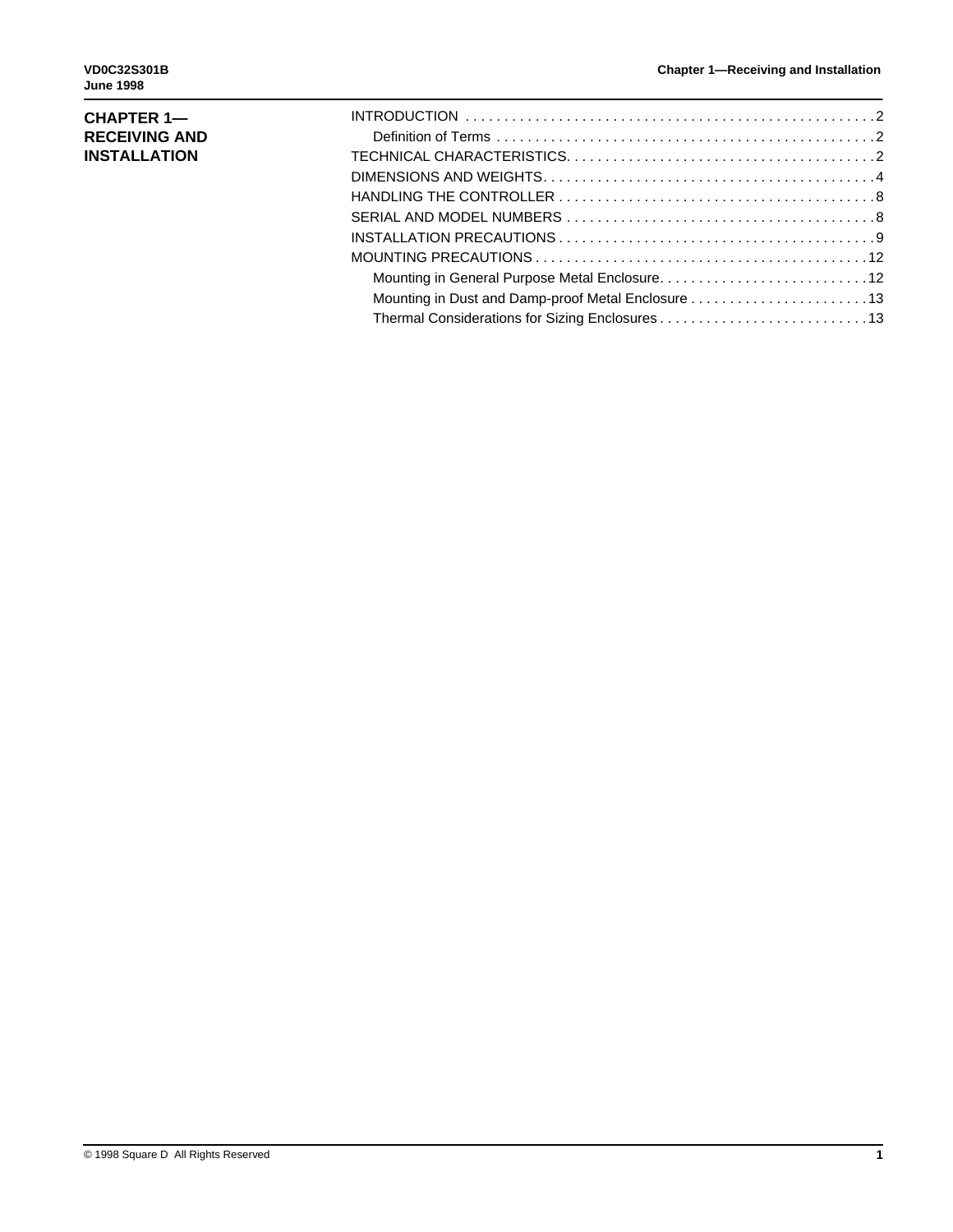## **CHAPTER 1— RECEIVING AND INSTALLATION**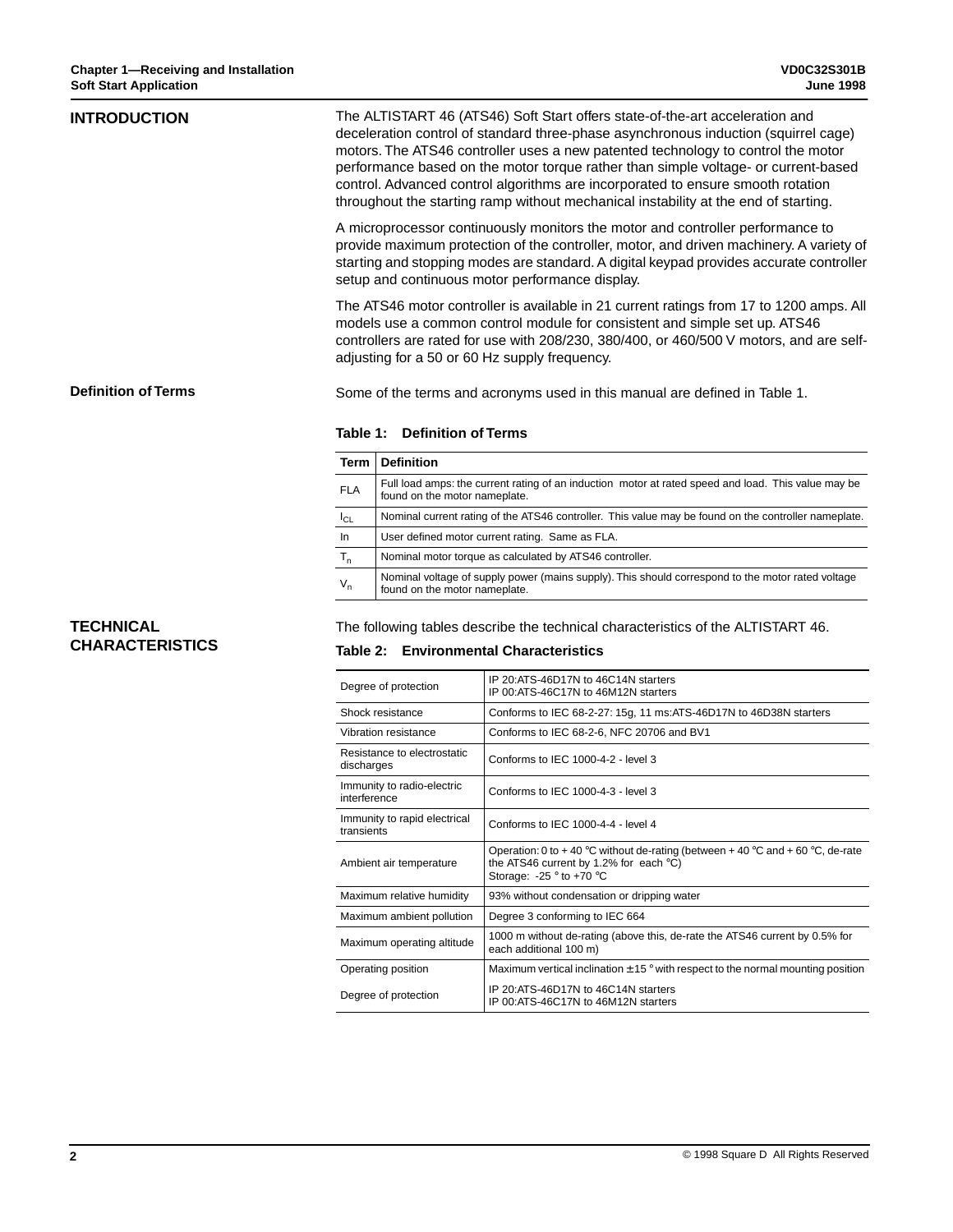| <b>INTRODUCTION</b>        |                                                                                                                                                                                                                                                                                                                   | The ALTISTART 46 (ATS46) Soft Start offers state-of-the-art acceleration and<br>deceleration control of standard three-phase asynchronous induction (squirrel cage)<br>motors. The ATS46 controller uses a new patented technology to control the motor<br>performance based on the motor torque rather than simple voltage- or current-based<br>control. Advanced control algorithms are incorporated to ensure smooth rotation<br>throughout the starting ramp without mechanical instability at the end of starting. |  |  |  |  |  |  |  |  |
|----------------------------|-------------------------------------------------------------------------------------------------------------------------------------------------------------------------------------------------------------------------------------------------------------------------------------------------------------------|-------------------------------------------------------------------------------------------------------------------------------------------------------------------------------------------------------------------------------------------------------------------------------------------------------------------------------------------------------------------------------------------------------------------------------------------------------------------------------------------------------------------------|--|--|--|--|--|--|--|--|
|                            |                                                                                                                                                                                                                                                                                                                   | A microprocessor continuously monitors the motor and controller performance to<br>provide maximum protection of the controller, motor, and driven machinery. A variety of<br>starting and stopping modes are standard. A digital keypad provides accurate controller<br>setup and continuous motor performance display.                                                                                                                                                                                                 |  |  |  |  |  |  |  |  |
|                            | The ATS46 motor controller is available in 21 current ratings from 17 to 1200 amps. All<br>models use a common control module for consistent and simple set up. ATS46<br>controllers are rated for use with 208/230, 380/400, or 460/500 V motors, and are self-<br>adjusting for a 50 or 60 Hz supply frequency. |                                                                                                                                                                                                                                                                                                                                                                                                                                                                                                                         |  |  |  |  |  |  |  |  |
| <b>Definition of Terms</b> |                                                                                                                                                                                                                                                                                                                   | Some of the terms and acronyms used in this manual are defined in Table 1.                                                                                                                                                                                                                                                                                                                                                                                                                                              |  |  |  |  |  |  |  |  |
|                            |                                                                                                                                                                                                                                                                                                                   | Table 1: Definition of Terms                                                                                                                                                                                                                                                                                                                                                                                                                                                                                            |  |  |  |  |  |  |  |  |
|                            | <b>Term</b>                                                                                                                                                                                                                                                                                                       | <b>Definition</b>                                                                                                                                                                                                                                                                                                                                                                                                                                                                                                       |  |  |  |  |  |  |  |  |
|                            | <b>FLA</b>                                                                                                                                                                                                                                                                                                        | Full load amps: the current rating of an induction motor at rated speed and load. This value may be<br>found on the motor nameplate.                                                                                                                                                                                                                                                                                                                                                                                    |  |  |  |  |  |  |  |  |
|                            | $I_{CL}$                                                                                                                                                                                                                                                                                                          | Nominal current rating of the ATS46 controller. This value may be found on the controller nameplate.                                                                                                                                                                                                                                                                                                                                                                                                                    |  |  |  |  |  |  |  |  |
|                            | In                                                                                                                                                                                                                                                                                                                | User defined motor current rating. Same as FLA.                                                                                                                                                                                                                                                                                                                                                                                                                                                                         |  |  |  |  |  |  |  |  |
|                            | $T_{n}$                                                                                                                                                                                                                                                                                                           | Nominal motor torque as calculated by ATS46 controller.                                                                                                                                                                                                                                                                                                                                                                                                                                                                 |  |  |  |  |  |  |  |  |
|                            | Nominal voltage of supply power (mains supply). This should correspond to the motor rated voltage<br>$V_{n}$<br>found on the motor nameplate.                                                                                                                                                                     |                                                                                                                                                                                                                                                                                                                                                                                                                                                                                                                         |  |  |  |  |  |  |  |  |

## **TECHNICAL CHARACTERISTICS**

The following tables describe the technical characteristics of the ALTISTART 46.

# **Table 2: Environmental Characteristics**

| Degree of protection                       | IP 20: ATS-46D17N to 46C14N starters<br>IP 00:ATS-46C17N to 46M12N starters                                                                                                |
|--------------------------------------------|----------------------------------------------------------------------------------------------------------------------------------------------------------------------------|
| Shock resistance                           | Conforms to IEC 68-2-27: 15g, 11 ms:ATS-46D17N to 46D38N starters                                                                                                          |
| Vibration resistance                       | Conforms to IEC 68-2-6, NFC 20706 and BV1                                                                                                                                  |
| Resistance to electrostatic<br>discharges  | Conforms to IEC 1000-4-2 - level 3                                                                                                                                         |
| Immunity to radio-electric<br>interference | Conforms to IEC 1000-4-3 - level 3                                                                                                                                         |
| Immunity to rapid electrical<br>transients | Conforms to IEC 1000-4-4 - level 4                                                                                                                                         |
| Ambient air temperature                    | Operation: 0 to +40 °C without de-rating (between +40 °C and +60 °C, de-rate<br>the ATS46 current by 1.2% for each $°C$ )<br>Storage: $-25$ $\degree$ to $+70$ $\degree$ C |
| Maximum relative humidity                  | 93% without condensation or dripping water                                                                                                                                 |
| Maximum ambient pollution                  | Degree 3 conforming to IEC 664                                                                                                                                             |
| Maximum operating altitude                 | 1000 m without de-rating (above this, de-rate the ATS46 current by 0.5% for<br>each additional 100 m)                                                                      |
| Operating position                         | Maximum vertical inclination $\pm$ 15 $\degree$ with respect to the normal mounting position                                                                               |
| Degree of protection                       | IP 20:ATS-46D17N to 46C14N starters<br>IP 00:ATS-46C17N to 46M12N starters                                                                                                 |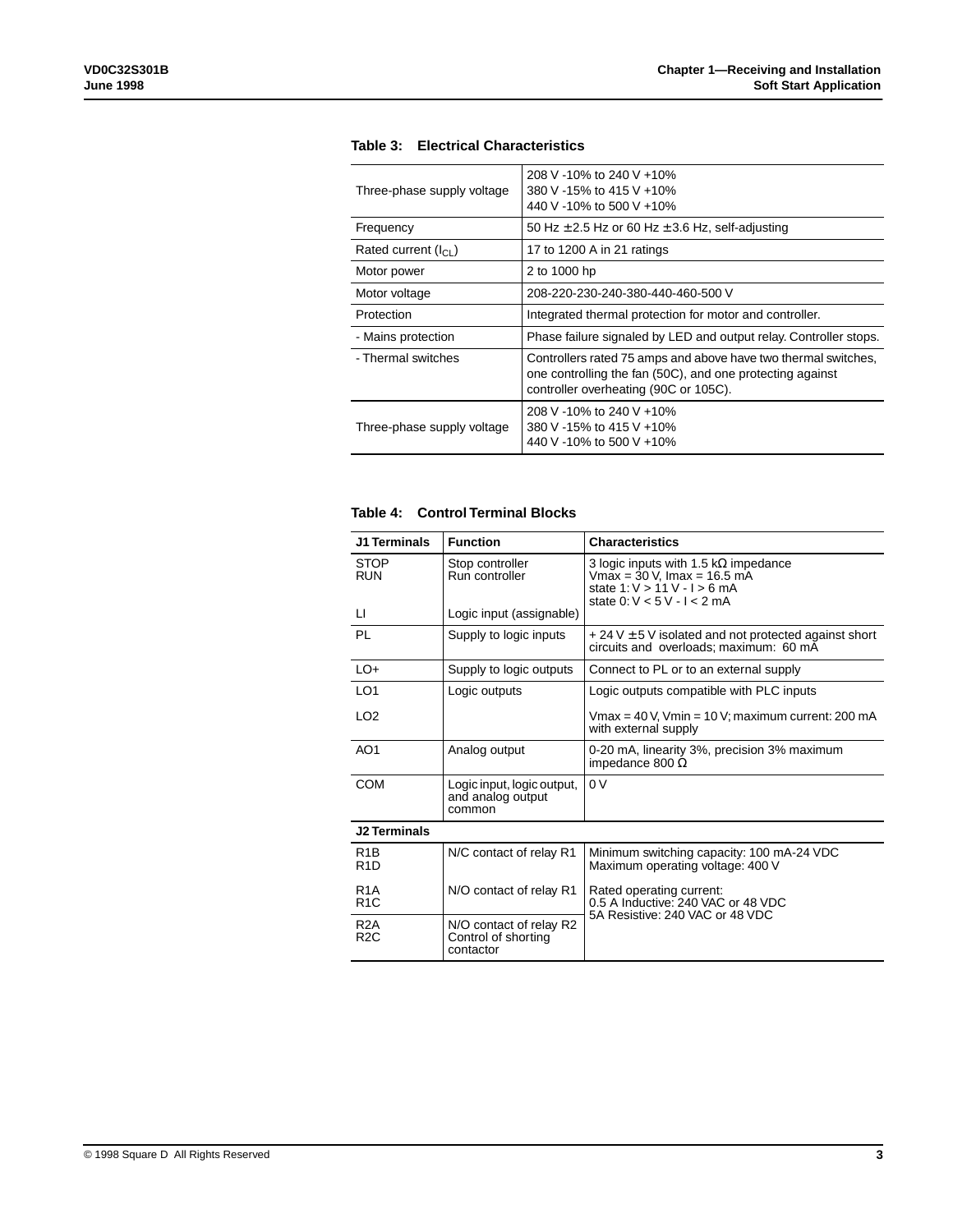| Three-phase supply voltage | 208 V -10% to 240 V +10%<br>380 V -15% to 415 V +10%<br>440 V -10% to 500 V +10%                                                                                     |
|----------------------------|----------------------------------------------------------------------------------------------------------------------------------------------------------------------|
| Frequency                  | 50 Hz $\pm$ 2.5 Hz or 60 Hz $\pm$ 3.6 Hz, self-adjusting                                                                                                             |
| Rated current $(I_{Cl})$   | 17 to 1200 A in 21 ratings                                                                                                                                           |
| Motor power                | 2 to 1000 hp                                                                                                                                                         |
| Motor voltage              | 208-220-230-240-380-440-460-500 V                                                                                                                                    |
| Protection                 | Integrated thermal protection for motor and controller.                                                                                                              |
| - Mains protection         | Phase failure signaled by LED and output relay. Controller stops.                                                                                                    |
| - Thermal switches         | Controllers rated 75 amps and above have two thermal switches,<br>one controlling the fan (50C), and one protecting against<br>controller overheating (90C or 105C). |
| Three-phase supply voltage | 208 V -10% to 240 V +10%<br>380 V -15% to 415 V +10%<br>440 V -10% to 500 V +10%                                                                                     |

## **Table 3: Electrical Characteristics**

### **Table 4: Control Terminal Blocks**

| <b>J1 Terminals</b>                  | <b>Function</b>                                             | <b>Characteristics</b>                                                                                                                         |
|--------------------------------------|-------------------------------------------------------------|------------------------------------------------------------------------------------------------------------------------------------------------|
| <b>STOP</b><br><b>RUN</b>            | Stop controller<br>Run controller                           | 3 logic inputs with 1.5 k $\Omega$ impedance<br>$Vmax = 30 V$ , Imax = 16.5 mA<br>state $1:V > 11 V - I > 6 mA$<br>state $0: V < 5V - I < 2mA$ |
| LI.                                  | Logic input (assignable)                                    |                                                                                                                                                |
| PL                                   | Supply to logic inputs                                      | $+24$ V $\pm$ 5 V isolated and not protected against short<br>circuits and overloads; maximum: 60 mA                                           |
| $LO+$                                | Supply to logic outputs                                     | Connect to PL or to an external supply                                                                                                         |
| LO <sub>1</sub>                      | Logic outputs                                               | Logic outputs compatible with PLC inputs                                                                                                       |
| LO <sub>2</sub>                      |                                                             | Vmax = $40$ V, Vmin = $10$ V; maximum current: 200 mA<br>with external supply                                                                  |
| AO <sub>1</sub>                      | Analog output                                               | 0-20 mA, linearity 3%, precision 3% maximum<br>impedance 800 $\Omega$                                                                          |
| <b>COM</b>                           | Logic input, logic output,<br>and analog output<br>common   | 0 <sup>V</sup>                                                                                                                                 |
| <b>J2 Terminals</b>                  |                                                             |                                                                                                                                                |
| R <sub>1</sub> B<br>R <sub>1</sub> D | N/C contact of relay R1                                     | Minimum switching capacity: 100 mA-24 VDC<br>Maximum operating voltage: 400 V                                                                  |
| R <sub>1</sub> A<br>R <sub>1</sub> C | N/O contact of relay R1                                     | Rated operating current:<br>0.5 A Inductive: 240 VAC or 48 VDC                                                                                 |
| R <sub>2</sub> A<br>R <sub>2</sub> C | N/O contact of relay R2<br>Control of shorting<br>contactor | 5A Resistive: 240 VAC or 48 VDC                                                                                                                |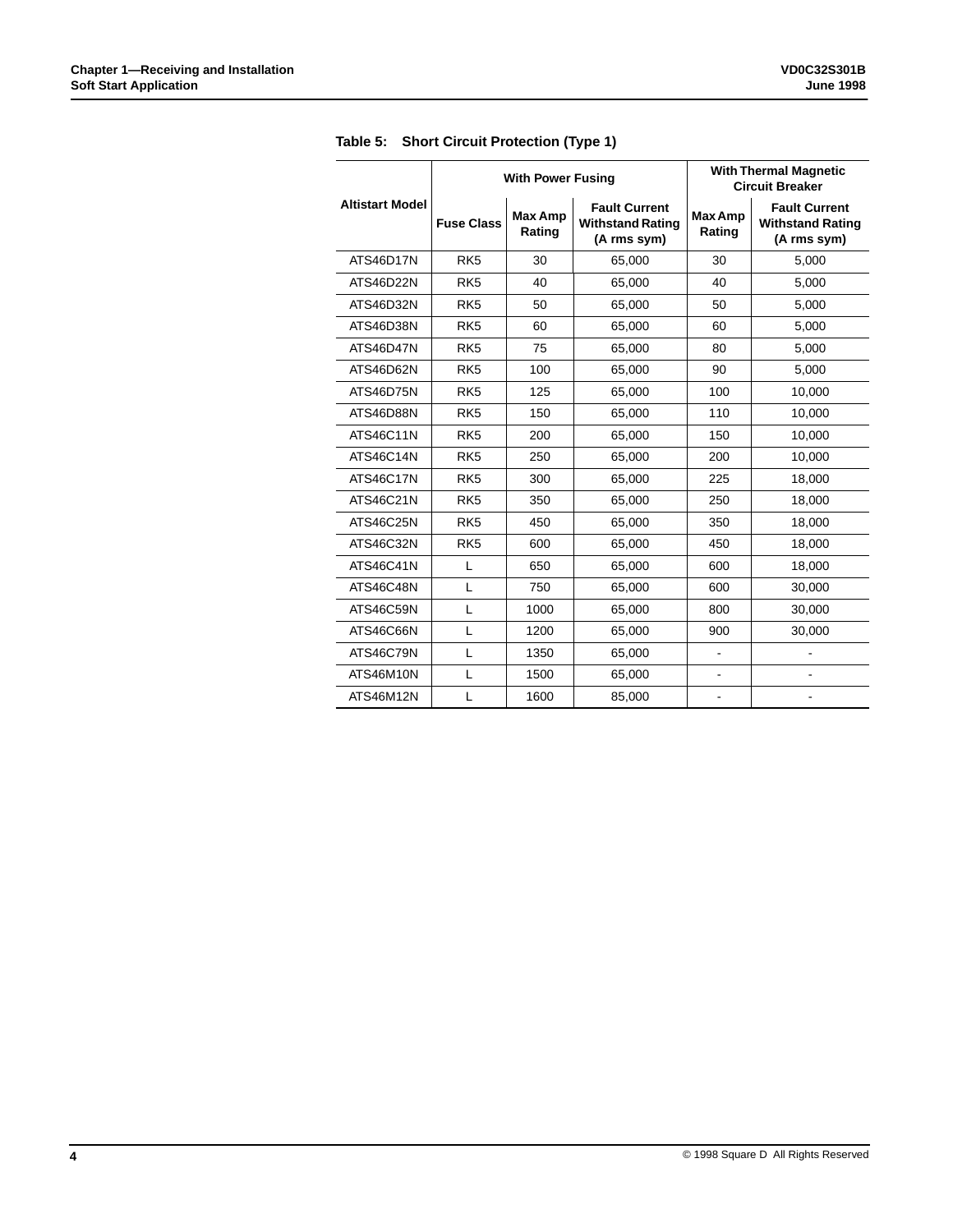|                        |                   | <b>With Power Fusing</b> |                                                                | <b>With Thermal Magnetic</b><br><b>Circuit Breaker</b> |                                                                |  |  |
|------------------------|-------------------|--------------------------|----------------------------------------------------------------|--------------------------------------------------------|----------------------------------------------------------------|--|--|
| <b>Altistart Model</b> | <b>Fuse Class</b> | <b>Max Amp</b><br>Rating | <b>Fault Current</b><br><b>Withstand Rating</b><br>(A rms sym) | <b>Max Amp</b><br>Rating                               | <b>Fault Current</b><br><b>Withstand Rating</b><br>(A rms sym) |  |  |
| ATS46D17N              | RK <sub>5</sub>   | 30                       | 65,000                                                         | 30                                                     | 5,000                                                          |  |  |
| ATS46D22N              | RK <sub>5</sub>   | 40                       | 65,000                                                         | 40                                                     | 5,000                                                          |  |  |
| ATS46D32N              | RK <sub>5</sub>   | 50                       | 65,000                                                         | 50                                                     | 5,000                                                          |  |  |
| ATS46D38N              | RK <sub>5</sub>   | 60                       | 65,000                                                         | 60                                                     | 5,000                                                          |  |  |
| ATS46D47N              | RK <sub>5</sub>   | 75                       | 65,000                                                         | 80                                                     | 5,000                                                          |  |  |
| ATS46D62N              | RK <sub>5</sub>   | 100                      | 65,000                                                         | 90                                                     | 5,000                                                          |  |  |
| <b>ATS46D75N</b>       | RK <sub>5</sub>   | 125                      | 65,000                                                         | 100                                                    | 10,000                                                         |  |  |
| ATS46D88N              | RK <sub>5</sub>   | 150                      | 65,000                                                         | 110                                                    | 10,000                                                         |  |  |
| <b>ATS46C11N</b>       | RK <sub>5</sub>   | 200                      | 65,000                                                         | 150                                                    | 10,000                                                         |  |  |
| ATS46C14N              | RK <sub>5</sub>   | 250                      | 65,000                                                         | 200                                                    | 10,000                                                         |  |  |
| <b>ATS46C17N</b>       | RK <sub>5</sub>   | 300                      | 65,000                                                         | 225                                                    | 18,000                                                         |  |  |
| ATS46C21N              | RK <sub>5</sub>   | 350                      | 65,000                                                         | 250                                                    | 18,000                                                         |  |  |
| <b>ATS46C25N</b>       | RK <sub>5</sub>   | 450                      | 65,000                                                         | 350                                                    | 18,000                                                         |  |  |
| ATS46C32N              | RK <sub>5</sub>   | 600                      | 65,000                                                         | 450                                                    | 18,000                                                         |  |  |
| <b>ATS46C41N</b>       | L                 | 650                      | 65,000                                                         | 600                                                    | 18,000                                                         |  |  |
| <b>ATS46C48N</b>       | L                 | 750                      | 65,000                                                         | 600                                                    | 30,000                                                         |  |  |
| ATS46C59N              | L                 | 1000                     | 65,000                                                         | 800                                                    | 30,000                                                         |  |  |
| ATS46C66N              | L                 | 1200                     | 65,000                                                         | 900                                                    | 30,000                                                         |  |  |
| ATS46C79N              | L                 | 1350                     | 65,000                                                         | ä,                                                     |                                                                |  |  |
| ATS46M10N              | L                 | 1500                     | 65,000                                                         |                                                        |                                                                |  |  |
| ATS46M12N              | L                 | 1600                     | 85,000                                                         | $\overline{\phantom{0}}$                               |                                                                |  |  |

**Table 5: Short Circuit Protection (Type 1)**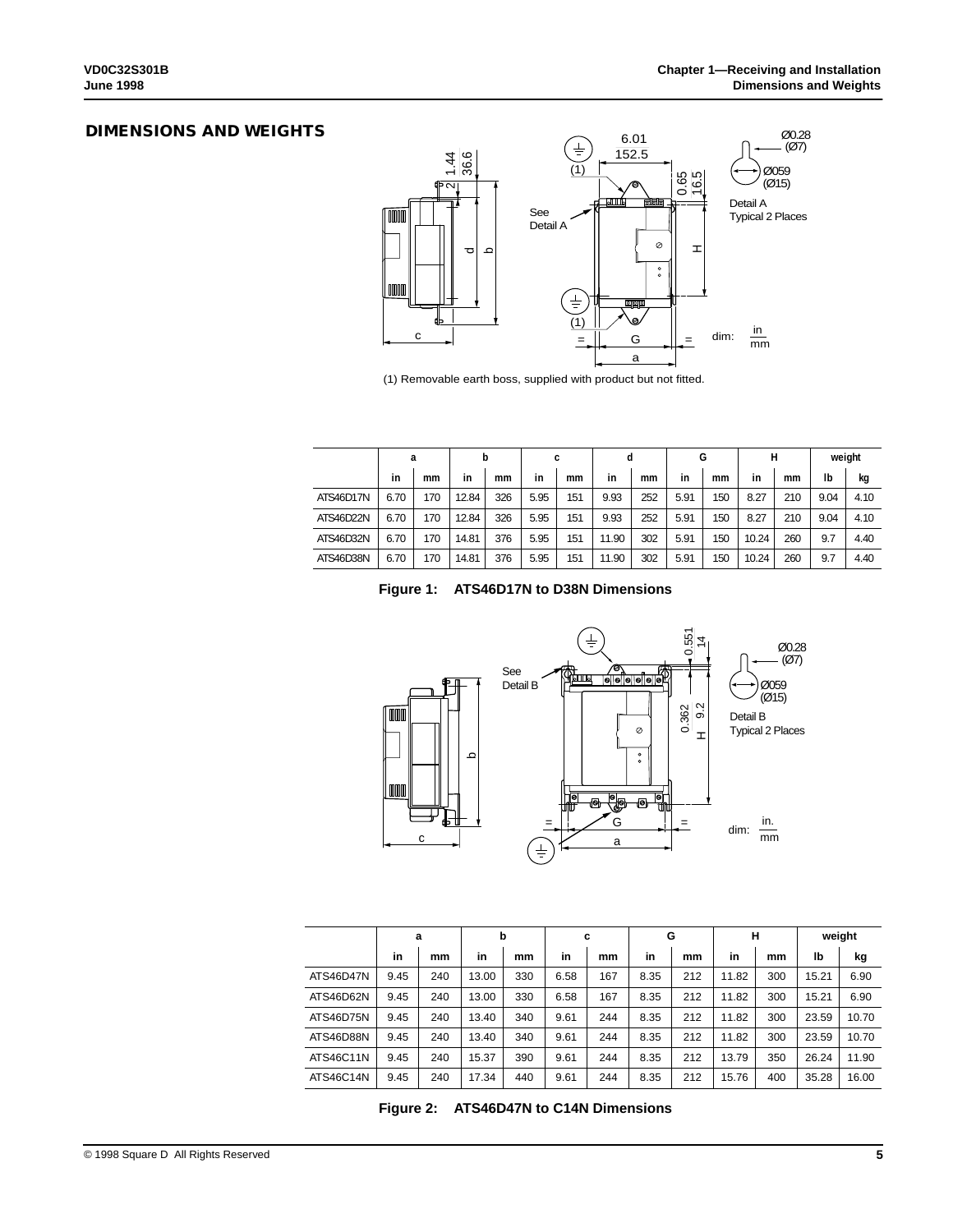### **DIMENSIONS AND WEIGHTS**



(1) Removable earth boss, supplied with product but not fitted.

|           | a    |     | b     |     |      | c   |       | d   |      | G   |       | н   |      | weight |
|-----------|------|-----|-------|-----|------|-----|-------|-----|------|-----|-------|-----|------|--------|
|           | in   | mm  | in    | mm  | in   | mm  | in    | mm  | in   | mm  | in    | mm  | Ib   | kg     |
| ATS46D17N | 6.70 | 170 | 12.84 | 326 | 5.95 | 151 | 9.93  | 252 | 5.91 | 150 | 8.27  | 210 | 9.04 | 4.10   |
| ATS46D22N | 6.70 | 170 | 12.84 | 326 | 5.95 | 151 | 9.93  | 252 | 5.91 | 150 | 8.27  | 210 | 9.04 | 4.10   |
| ATS46D32N | 6.70 | 170 | 14.81 | 376 | 5.95 | 151 | 11.90 | 302 | 5.91 | 150 | 10.24 | 260 | 9.7  | 4.40   |
| ATS46D38N | 6.70 | 170 | 14.81 | 376 | 5.95 | 151 | 11.90 | 302 | 5.91 | 150 | 10.24 | 260 | 9.7  | 4.40   |





|           | a    |     | b     |     |      | c   |      | G   |       | н   |       | weight |  |
|-----------|------|-----|-------|-----|------|-----|------|-----|-------|-----|-------|--------|--|
|           | in   | mm  | in    | mm  | in   | mm  | in   | mm  | in    | mm  | lb    | kg     |  |
| ATS46D47N | 9.45 | 240 | 13.00 | 330 | 6.58 | 167 | 8.35 | 212 | 11.82 | 300 | 15.21 | 6.90   |  |
| ATS46D62N | 9.45 | 240 | 13.00 | 330 | 6.58 | 167 | 8.35 | 212 | 11.82 | 300 | 15.21 | 6.90   |  |
| ATS46D75N | 9.45 | 240 | 13.40 | 340 | 9.61 | 244 | 8.35 | 212 | 11.82 | 300 | 23.59 | 10.70  |  |
| ATS46D88N | 9.45 | 240 | 13.40 | 340 | 9.61 | 244 | 8.35 | 212 | 11.82 | 300 | 23.59 | 10.70  |  |
| ATS46C11N | 9.45 | 240 | 15.37 | 390 | 9.61 | 244 | 8.35 | 212 | 13.79 | 350 | 26.24 | 11.90  |  |
| ATS46C14N | 9.45 | 240 | 17.34 | 440 | 9.61 | 244 | 8.35 | 212 | 15.76 | 400 | 35.28 | 16.00  |  |

**Figure 2: ATS46D47N to C14N Dimensions**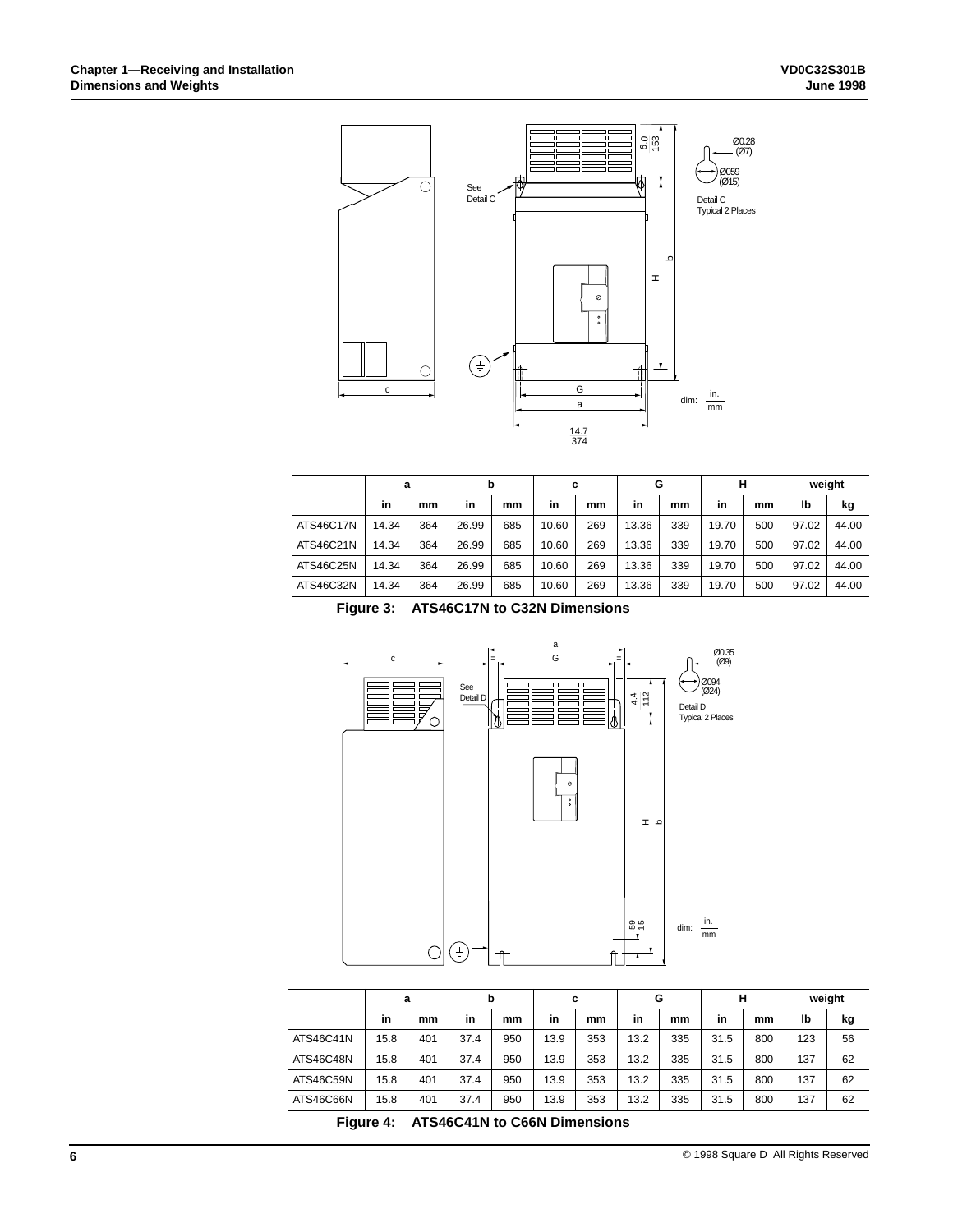

|           | a     |     | b                      |     | c             |     | G     |     | н     |     | weight |       |
|-----------|-------|-----|------------------------|-----|---------------|-----|-------|-----|-------|-----|--------|-------|
|           | in    | mm  | in                     | mm  | in            | mm  | in    | mm  | in    | mm  | lb     | kg    |
| ATS46C17N | 14.34 | 364 | 26.99                  | 685 | 10.60         | 269 | 13.36 | 339 | 19.70 | 500 | 97.02  | 44.00 |
| ATS46C21N | 14.34 | 364 | 26.99                  | 685 | 10.60         | 269 | 13.36 | 339 | 19.70 | 500 | 97.02  | 44.00 |
| ATS46C25N | 14.34 | 364 | 26.99                  | 685 | 10.60         | 269 | 13.36 | 339 | 19.70 | 500 | 97.02  | 44.00 |
| ATS46C32N | 14.34 | 364 | 26.99                  | 685 | 10.60         | 269 | 13.36 | 339 | 19.70 | 500 | 97.02  | 44.00 |
| --        |       |     | . — -   .  -   .  .  . |     | - - - - - - - |     |       |     |       |     |        |       |

**Figure 3: ATS46C17N to C32N Dimensions**



|           | a    |     | b    |     | c    |     | G    |     | н    |     | weight |    |
|-----------|------|-----|------|-----|------|-----|------|-----|------|-----|--------|----|
|           | in   | mm  | in   | mm  | in   | mm  | in   | mm  | in   | mm  | lb     | kg |
| ATS46C41N | 15.8 | 401 | 37.4 | 950 | 13.9 | 353 | 13.2 | 335 | 31.5 | 800 | 123    | 56 |
| ATS46C48N | 15.8 | 401 | 37.4 | 950 | 13.9 | 353 | 13.2 | 335 | 31.5 | 800 | 137    | 62 |
| ATS46C59N | 15.8 | 401 | 37.4 | 950 | 13.9 | 353 | 13.2 | 335 | 31.5 | 800 | 137    | 62 |
| ATS46C66N | 15.8 | 401 | 37.4 | 950 | 13.9 | 353 | 13.2 | 335 | 31.5 | 800 | 137    | 62 |

**Figure 4: ATS46C41N to C66N Dimensions**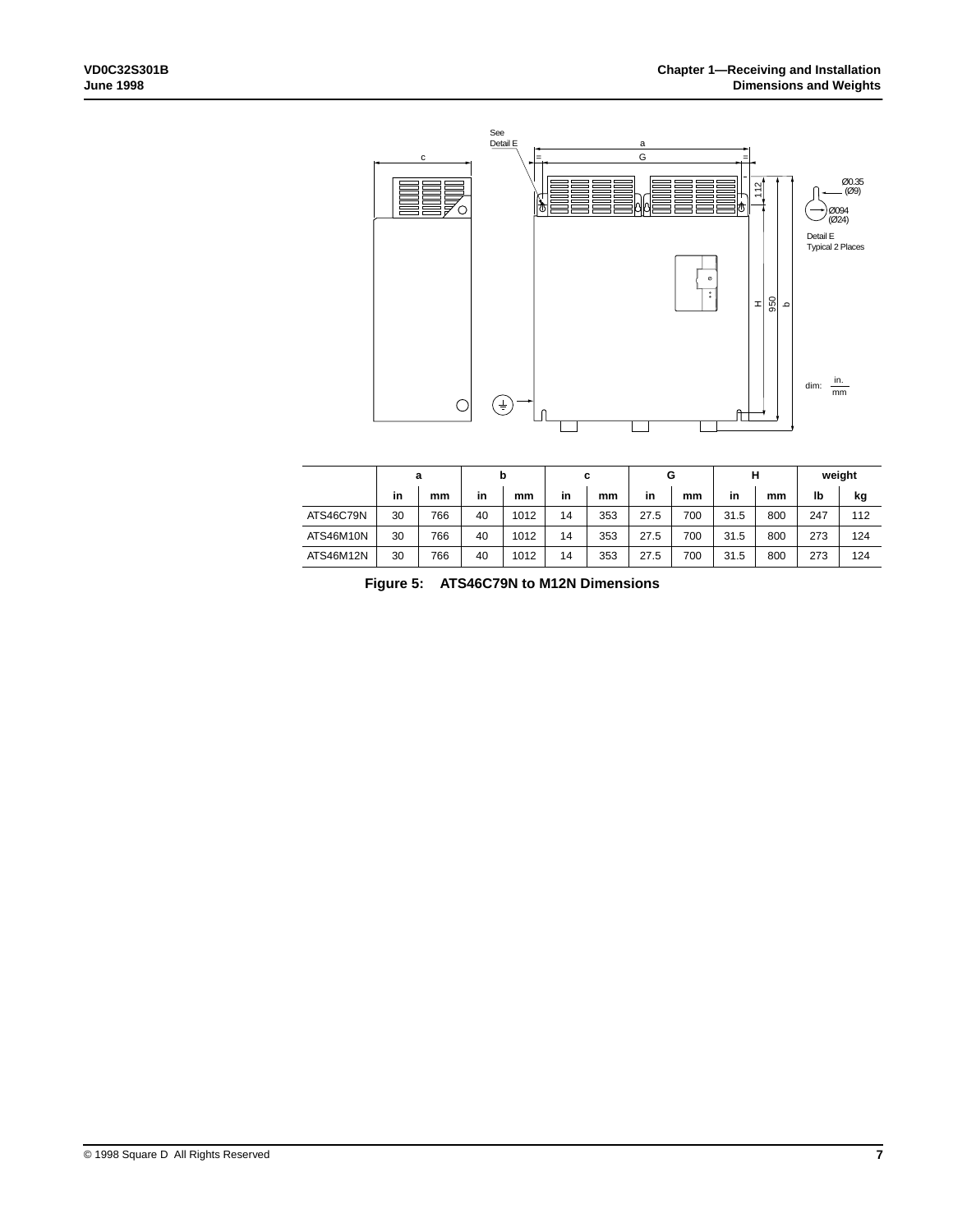

|                  | а  |     | b  |      | с  |     | G    |     | н    |     | weight |     |
|------------------|----|-----|----|------|----|-----|------|-----|------|-----|--------|-----|
|                  | in | mm  | in | mm   | in | mm  | in   | mm  | in   | mm  | lb     | kg  |
| <b>ATS46C79N</b> | 30 | 766 | 40 | 1012 | 14 | 353 | 27.5 | 700 | 31.5 | 800 | 247    | 112 |
| ATS46M10N        | 30 | 766 | 40 | 1012 | 14 | 353 | 27.5 | 700 | 31.5 | 800 | 273    | 124 |
| ATS46M12N        | 30 | 766 | 40 | 1012 | 14 | 353 | 27.5 | 700 | 31.5 | 800 | 273    | 124 |

**Figure 5: ATS46C79N to M12N Dimensions**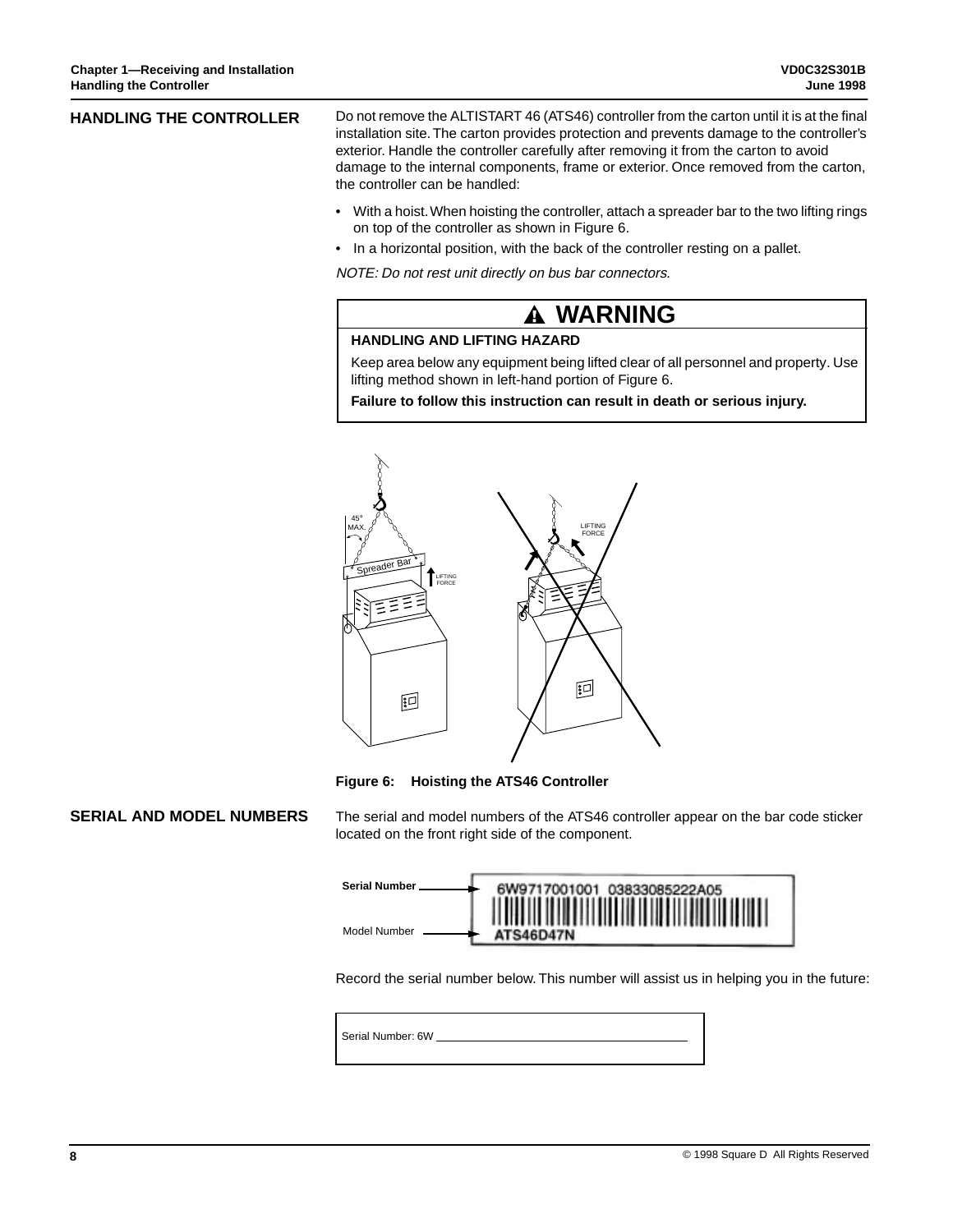| <b>HANDLING THE CONTROLLER</b> | Do not remove the ALTISTART 46 (ATS46) controller from the carton until it is at the final<br>installation site. The carton provides protection and prevents damage to the controller's                       |
|--------------------------------|---------------------------------------------------------------------------------------------------------------------------------------------------------------------------------------------------------------|
|                                | exterior. Handle the controller carefully after removing it from the carton to avoid<br>damage to the internal components, frame or exterior. Once removed from the carton,<br>the controller can be handled: |
|                                |                                                                                                                                                                                                               |

- With a hoist. When hoisting the controller, attach a spreader bar to the two lifting rings on top of the controller as shown in Figure 6.
- In a horizontal position, with the back of the controller resting on a pallet.

NOTE: Do not rest unit directly on bus bar connectors.

# **WARNING**

### **HANDLING AND LIFTING HAZARD**

Keep area below any equipment being lifted clear of all personnel and property. Use lifting method shown in left-hand portion of Figure 6.

**Failure to follow this instruction can result in death or serious injury.**



**Figure 6: Hoisting the ATS46 Controller**

# **SERIAL AND MODEL NUMBERS**

The serial and model numbers of the ATS46 controller appear on the bar code sticker located on the front right side of the component.



Record the serial number below. This number will assist us in helping you in the future:

Serial Number: 6W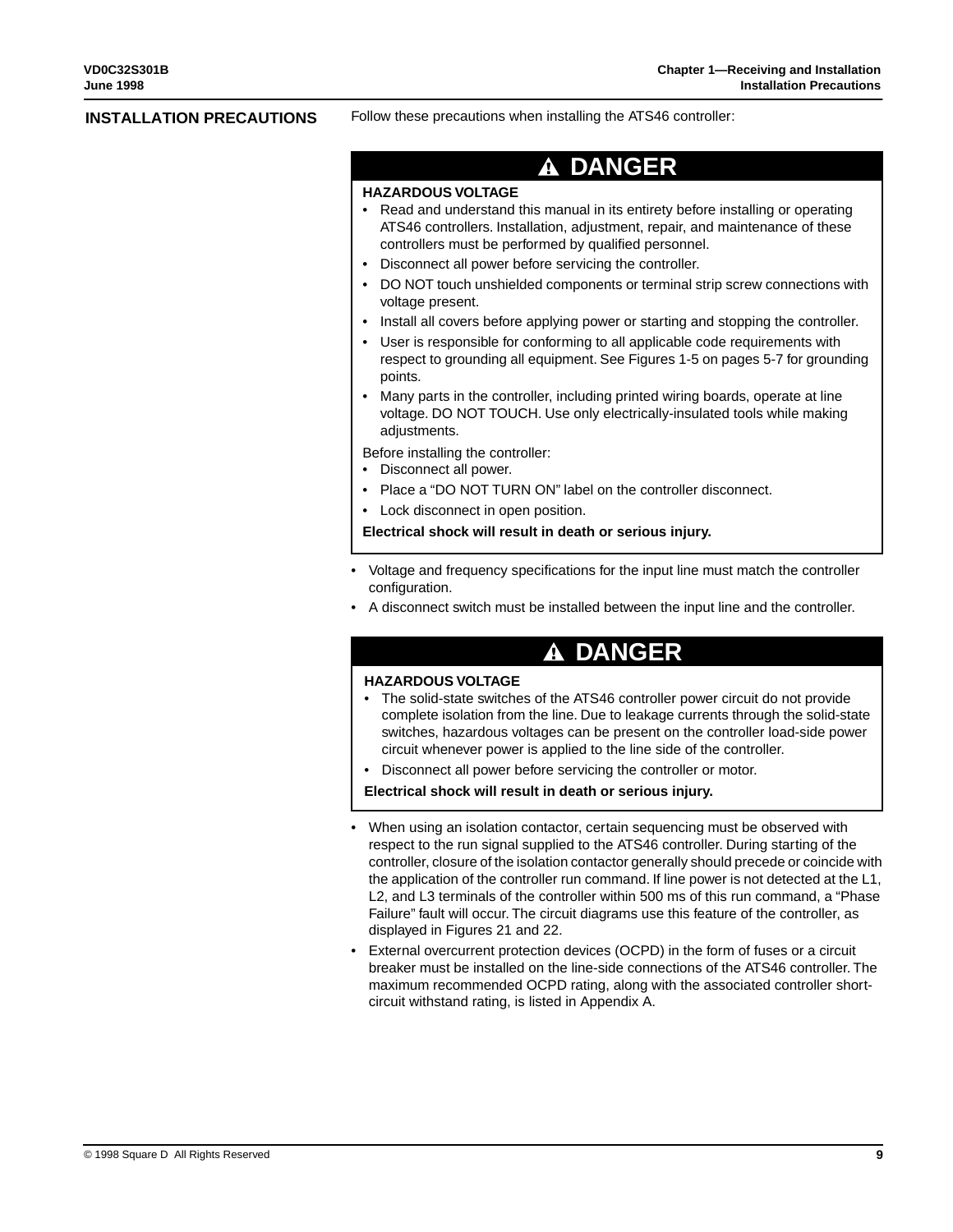#### **INSTALLATION PRECAUTIONS**

Follow these precautions when installing the ATS46 controller:

#### **DANGER** А

#### **HAZARDOUS VOLTAGE**

- Read and understand this manual in its entirety before installing or operating ATS46 controllers. Installation, adjustment, repair, and maintenance of these controllers must be performed by qualified personnel.
- Disconnect all power before servicing the controller.
- DO NOT touch unshielded components or terminal strip screw connections with voltage present.
- Install all covers before applying power or starting and stopping the controller.
- User is responsible for conforming to all applicable code requirements with respect to grounding all equipment. See Figures 1-5 on pages 5-7 for grounding points.
- Many parts in the controller, including printed wiring boards, operate at line voltage. DO NOT TOUCH. Use only electrically-insulated tools while making adjustments.

Before installing the controller:

- Disconnect all power.
- Place a "DO NOT TURN ON" label on the controller disconnect.
- Lock disconnect in open position.

**Electrical shock will result in death or serious injury.**

- Voltage and frequency specifications for the input line must match the controller configuration.
- A disconnect switch must be installed between the input line and the controller.

# **DANGER**

#### **HAZARDOUS VOLTAGE**

- The solid-state switches of the ATS46 controller power circuit do not provide complete isolation from the line. Due to leakage currents through the solid-state switches, hazardous voltages can be present on the controller load-side power circuit whenever power is applied to the line side of the controller.
- Disconnect all power before servicing the controller or motor.

**Electrical shock will result in death or serious injury.**

- When using an isolation contactor, certain sequencing must be observed with respect to the run signal supplied to the ATS46 controller. During starting of the controller, closure of the isolation contactor generally should precede or coincide with the application of the controller run command. If line power is not detected at the L1, L2, and L3 terminals of the controller within 500 ms of this run command, a "Phase Failure" fault will occur. The circuit diagrams use this feature of the controller, as displayed in Figures 21 and 22.
- External overcurrent protection devices (OCPD) in the form of fuses or a circuit breaker must be installed on the line-side connections of the ATS46 controller. The maximum recommended OCPD rating, along with the associated controller shortcircuit withstand rating, is listed in Appendix A.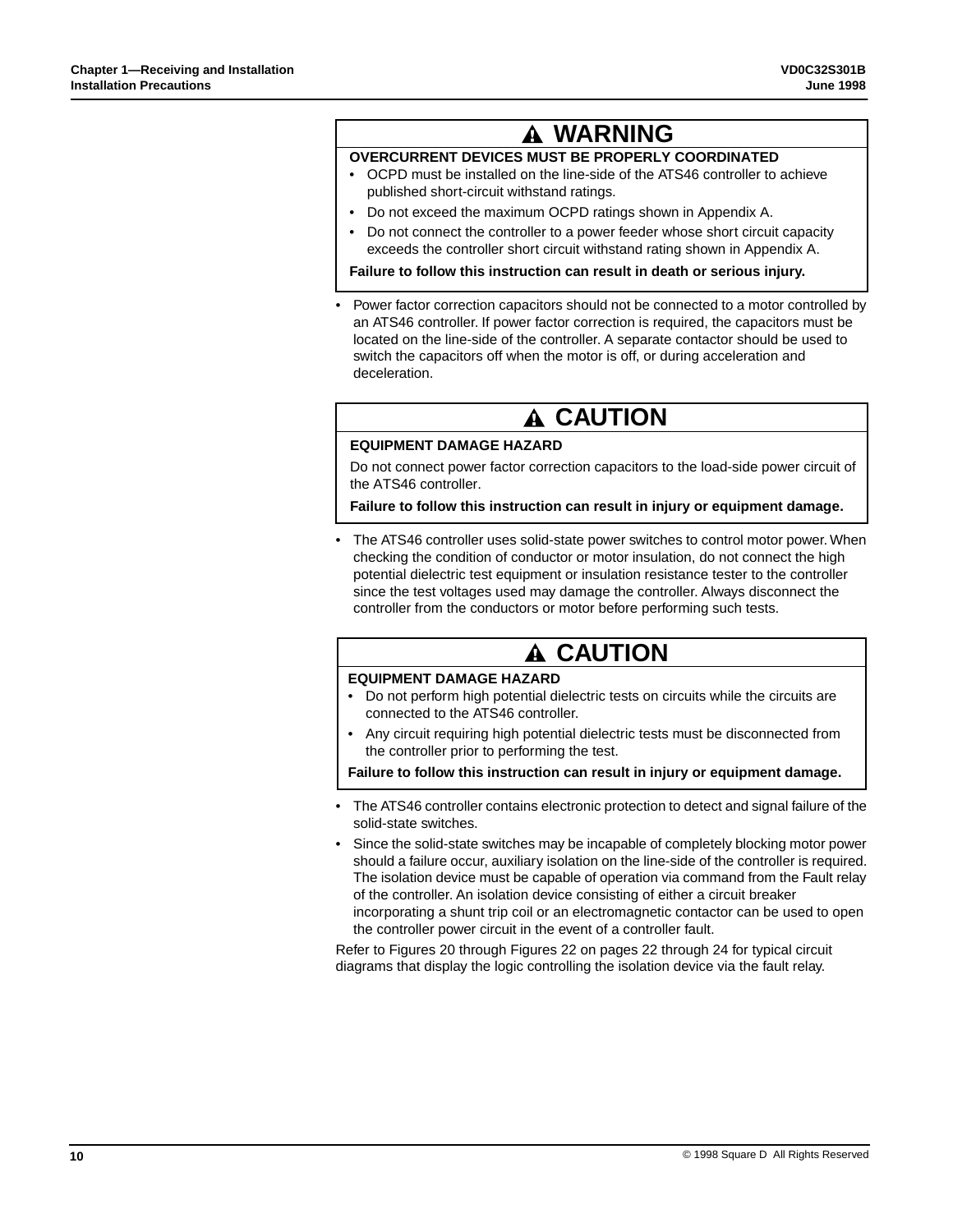# **WARNING**

# **OVERCURRENT DEVICES MUST BE PROPERLY COORDINATED**

- OCPD must be installed on the line-side of the ATS46 controller to achieve published short-circuit withstand ratings.
- Do not exceed the maximum OCPD ratings shown in Appendix A.
- Do not connect the controller to a power feeder whose short circuit capacity exceeds the controller short circuit withstand rating shown in Appendix A.

**Failure to follow this instruction can result in death or serious injury.**

• Power factor correction capacitors should not be connected to a motor controlled by an ATS46 controller. If power factor correction is required, the capacitors must be located on the line-side of the controller. A separate contactor should be used to switch the capacitors off when the motor is off, or during acceleration and deceleration.

# **A CAUTION**

### **EQUIPMENT DAMAGE HAZARD**

Do not connect power factor correction capacitors to the load-side power circuit of the ATS46 controller.

**Failure to follow this instruction can result in injury or equipment damage.**

The ATS46 controller uses solid-state power switches to control motor power. When checking the condition of conductor or motor insulation, do not connect the high potential dielectric test equipment or insulation resistance tester to the controller since the test voltages used may damage the controller. Always disconnect the controller from the conductors or motor before performing such tests.

# **A CAUTION**

### **EQUIPMENT DAMAGE HAZARD**

- Do not perform high potential dielectric tests on circuits while the circuits are connected to the ATS46 controller.
- Any circuit requiring high potential dielectric tests must be disconnected from the controller prior to performing the test.

**Failure to follow this instruction can result in injury or equipment damage.**

- The ATS46 controller contains electronic protection to detect and signal failure of the solid-state switches.
- Since the solid-state switches may be incapable of completely blocking motor power should a failure occur, auxiliary isolation on the line-side of the controller is required. The isolation device must be capable of operation via command from the Fault relay of the controller. An isolation device consisting of either a circuit breaker incorporating a shunt trip coil or an electromagnetic contactor can be used to open the controller power circuit in the event of a controller fault.

Refer to Figures 20 through Figures 22 on pages 22 through 24 for typical circuit diagrams that display the logic controlling the isolation device via the fault relay.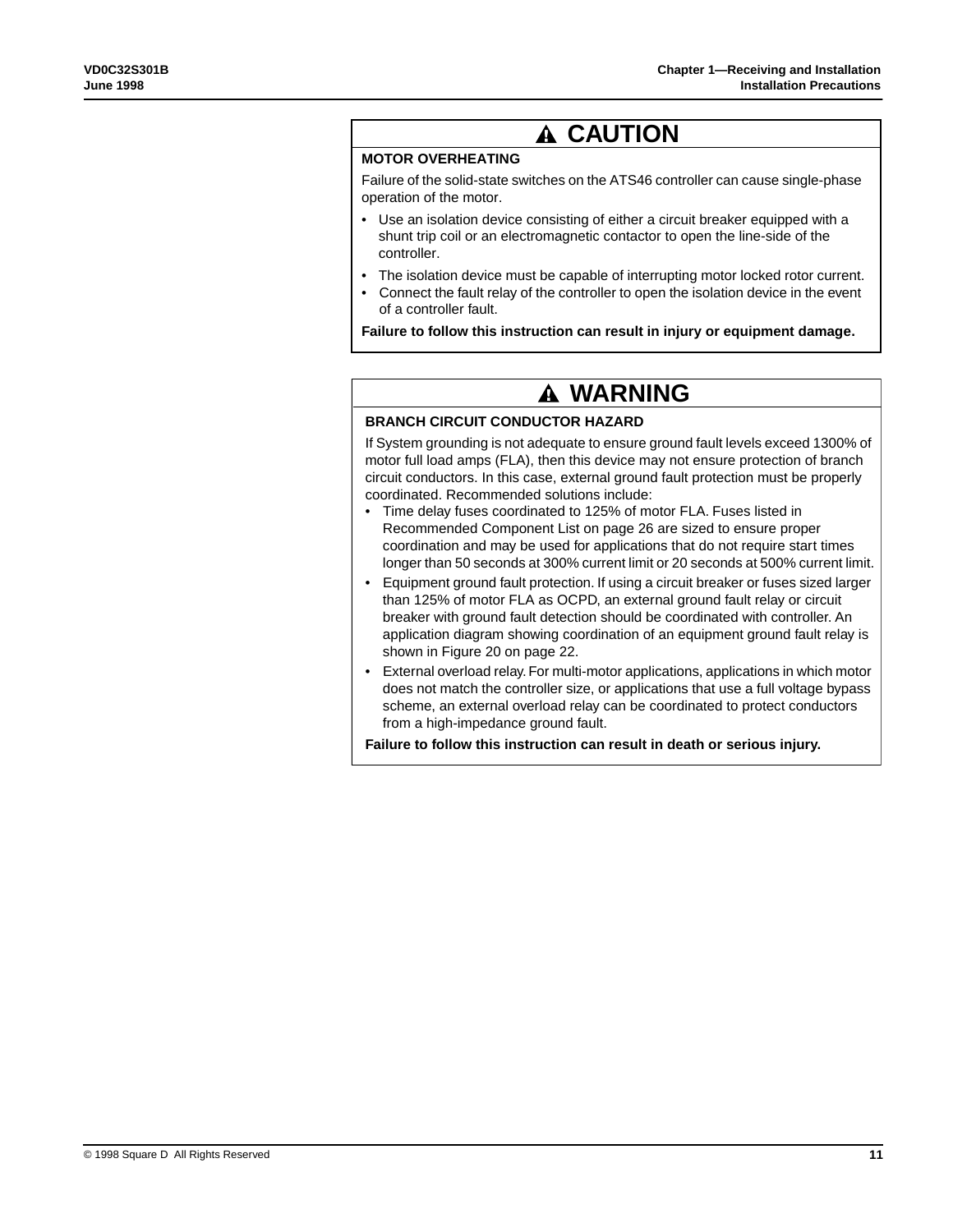# **A CAUTION**

# **MOTOR OVERHEATING**

Failure of the solid-state switches on the ATS46 controller can cause single-phase operation of the motor.

- Use an isolation device consisting of either a circuit breaker equipped with a shunt trip coil or an electromagnetic contactor to open the line-side of the controller.
- The isolation device must be capable of interrupting motor locked rotor current.
- Connect the fault relay of the controller to open the isolation device in the event of a controller fault.

**Failure to follow this instruction can result in injury or equipment damage.**

# **WARNING**

### **BRANCH CIRCUIT CONDUCTOR HAZARD**

If System grounding is not adequate to ensure ground fault levels exceed 1300% of motor full load amps (FLA), then this device may not ensure protection of branch circuit conductors. In this case, external ground fault protection must be properly coordinated. Recommended solutions include:

- Time delay fuses coordinated to 125% of motor FLA. Fuses listed in Recommended Component List on page 26 are sized to ensure proper coordination and may be used for applications that do not require start times longer than 50 seconds at 300% current limit or 20 seconds at 500% current limit.
- Equipment ground fault protection. If using a circuit breaker or fuses sized larger than 125% of motor FLA as OCPD, an external ground fault relay or circuit breaker with ground fault detection should be coordinated with controller. An application diagram showing coordination of an equipment ground fault relay is shown in Figure 20 on page 22.
- External overload relay. For multi-motor applications, applications in which motor does not match the controller size, or applications that use a full voltage bypass scheme, an external overload relay can be coordinated to protect conductors from a high-impedance ground fault.

**Failure to follow this instruction can result in death or serious injury.**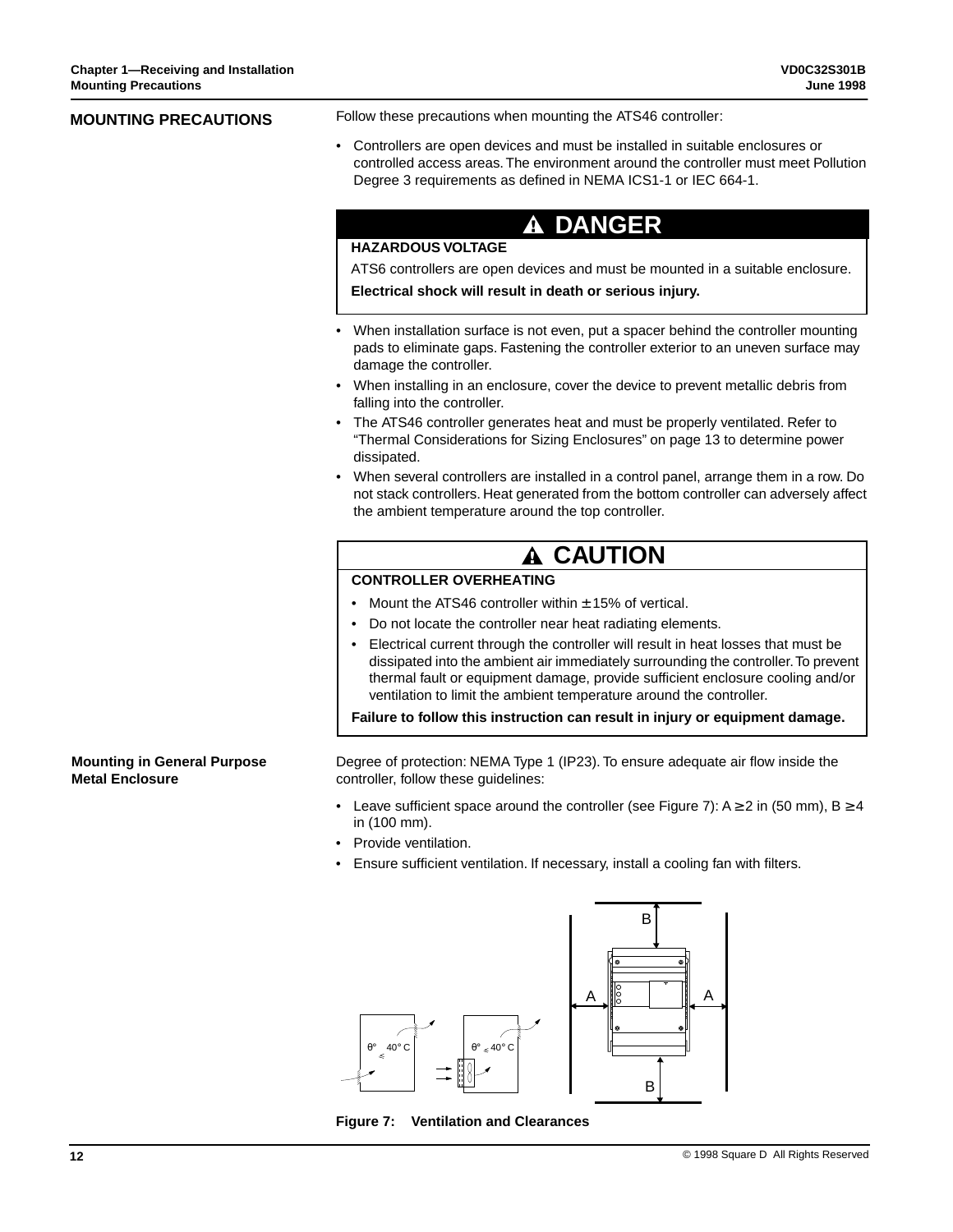| <b>MOUNTING PRECAUTIONS</b>                                  | Follow these precautions when mounting the ATS46 controller:                                                                                                                                                                                                                                                                     |
|--------------------------------------------------------------|----------------------------------------------------------------------------------------------------------------------------------------------------------------------------------------------------------------------------------------------------------------------------------------------------------------------------------|
|                                                              | • Controllers are open devices and must be installed in suitable enclosures or<br>controlled access areas. The environment around the controller must meet Pollution<br>Degree 3 requirements as defined in NEMA ICS1-1 or IEC 664-1.                                                                                            |
|                                                              | <b>A DANGER</b>                                                                                                                                                                                                                                                                                                                  |
|                                                              | <b>HAZARDOUS VOLTAGE</b>                                                                                                                                                                                                                                                                                                         |
|                                                              | ATS6 controllers are open devices and must be mounted in a suitable enclosure.                                                                                                                                                                                                                                                   |
|                                                              | Electrical shock will result in death or serious injury.                                                                                                                                                                                                                                                                         |
|                                                              | • When installation surface is not even, put a spacer behind the controller mounting<br>pads to eliminate gaps. Fastening the controller exterior to an uneven surface may<br>damage the controller.                                                                                                                             |
|                                                              | • When installing in an enclosure, cover the device to prevent metallic debris from<br>falling into the controller.                                                                                                                                                                                                              |
|                                                              | The ATS46 controller generates heat and must be properly ventilated. Refer to<br>"Thermal Considerations for Sizing Enclosures" on page 13 to determine power<br>dissipated.                                                                                                                                                     |
|                                                              | When several controllers are installed in a control panel, arrange them in a row. Do<br>not stack controllers. Heat generated from the bottom controller can adversely affect<br>the ambient temperature around the top controller.                                                                                              |
|                                                              | <b>A CAUTION</b>                                                                                                                                                                                                                                                                                                                 |
|                                                              | <b>CONTROLLER OVERHEATING</b>                                                                                                                                                                                                                                                                                                    |
|                                                              | Mount the ATS46 controller within $\pm$ 15% of vertical.                                                                                                                                                                                                                                                                         |
|                                                              | Do not locate the controller near heat radiating elements.                                                                                                                                                                                                                                                                       |
|                                                              | Electrical current through the controller will result in heat losses that must be<br>dissipated into the ambient air immediately surrounding the controller. To prevent<br>thermal fault or equipment damage, provide sufficient enclosure cooling and/or<br>ventilation to limit the ambient temperature around the controller. |
|                                                              | Failure to follow this instruction can result in injury or equipment damage.                                                                                                                                                                                                                                                     |
| <b>Mounting in General Purpose</b><br><b>Metal Enclosure</b> | Degree of protection: NEMA Type 1 (IP23). To ensure adequate air flow inside the<br>controller, follow these guidelines:                                                                                                                                                                                                         |
|                                                              | • Leave sufficient space around the controller (see Figure 7): $A \ge 2$ in (50 mm), $B \ge 4$<br>in (100 mm).                                                                                                                                                                                                                   |
|                                                              | • Provide ventilation.                                                                                                                                                                                                                                                                                                           |

• Ensure sufficient ventilation. If necessary, install a cooling fan with filters.



**Figure 7: Ventilation and Clearances**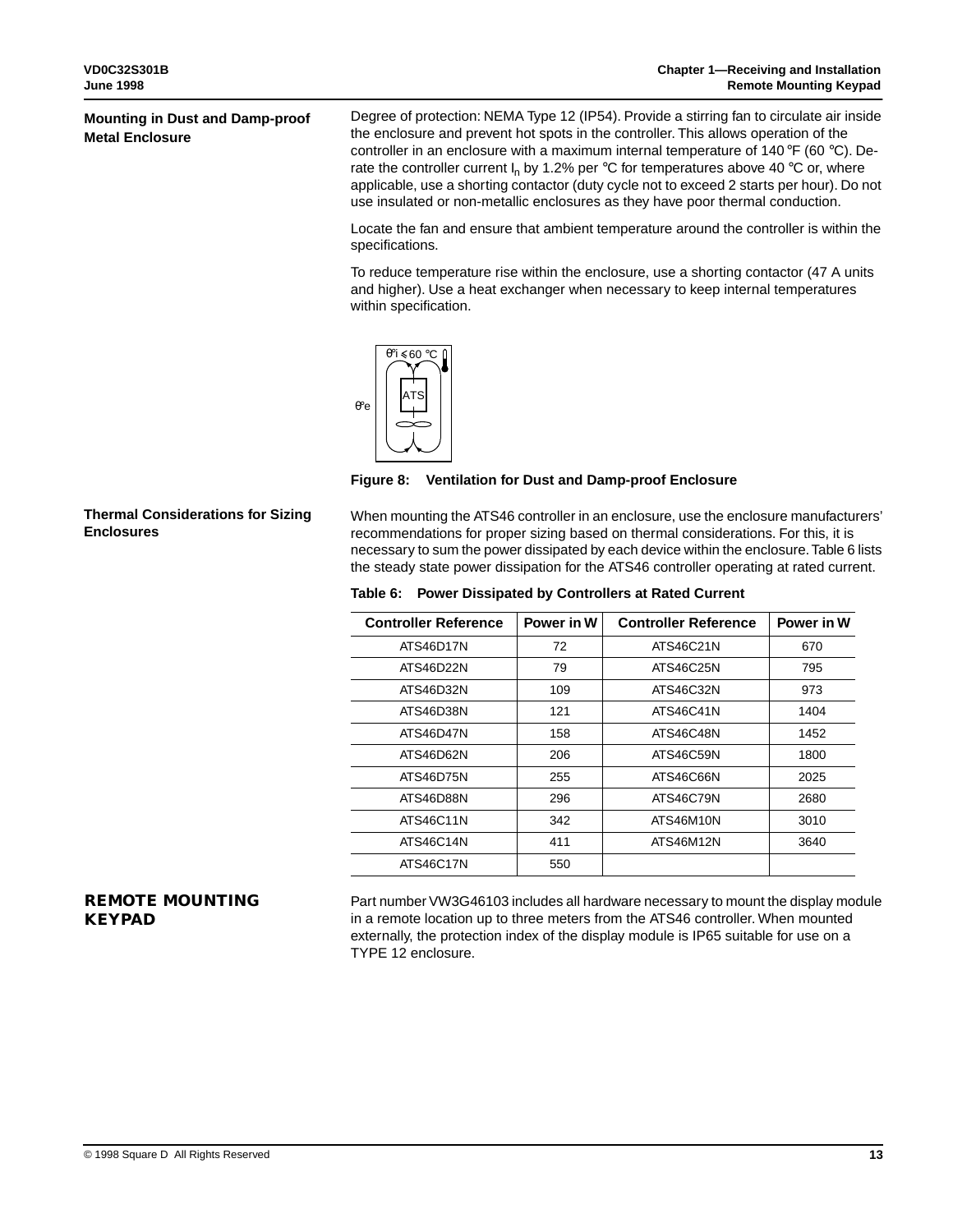### **Mounting in Dust and Damp-proof Metal Enclosure**

Degree of protection: NEMA Type 12 (IP54). Provide a stirring fan to circulate air inside the enclosure and prevent hot spots in the controller. This allows operation of the controller in an enclosure with a maximum internal temperature of 140 °F (60 °C). Derate the controller current  $I_n$  by 1.2% per °C for temperatures above 40 °C or, where applicable, use a shorting contactor (duty cycle not to exceed 2 starts per hour). Do not use insulated or non-metallic enclosures as they have poor thermal conduction.

Locate the fan and ensure that ambient temperature around the controller is within the specifications.

To reduce temperature rise within the enclosure, use a shorting contactor (47 A units and higher). Use a heat exchanger when necessary to keep internal temperatures within specification.



**Figure 8: Ventilation for Dust and Damp-proof Enclosure**

When mounting the ATS46 controller in an enclosure, use the enclosure manufacturers' recommendations for proper sizing based on thermal considerations. For this, it is necessary to sum the power dissipated by each device within the enclosure. Table 6 lists the steady state power dissipation for the ATS46 controller operating at rated current.

**Table 6: Power Dissipated by Controllers at Rated Current**

| <b>Controller Reference</b> | Power in W | <b>Controller Reference</b> | Power in W |
|-----------------------------|------------|-----------------------------|------------|
| ATS46D17N                   | 72         | ATS46C21N                   | 670        |
| ATS46D22N                   | 79         | ATS46C25N                   | 795        |
| ATS46D32N                   | 109        | ATS46C32N                   | 973        |
| ATS46D38N                   | 121        | ATS46C41N                   | 1404       |
| ATS46D47N                   | 158        | ATS46C48N                   | 1452       |
| ATS46D62N                   | 206        | ATS46C59N                   | 1800       |
| ATS46D75N                   | 255        | ATS46C66N                   | 2025       |
| ATS46D88N                   | 296        | ATS46C79N                   | 2680       |
| ATS46C11N                   | 342        | ATS46M10N                   | 3010       |
| ATS46C14N                   | 411        | ATS46M12N                   | 3640       |
| ATS46C17N                   | 550        |                             |            |

# **REMOTE MOUNTING KEYPAD**

Part number VW3G46103 includes all hardware necessary to mount the display module in a remote location up to three meters from the ATS46 controller. When mounted externally, the protection index of the display module is IP65 suitable for use on a TYPE 12 enclosure.

**Thermal Considerations for Sizing** 

**Enclosures**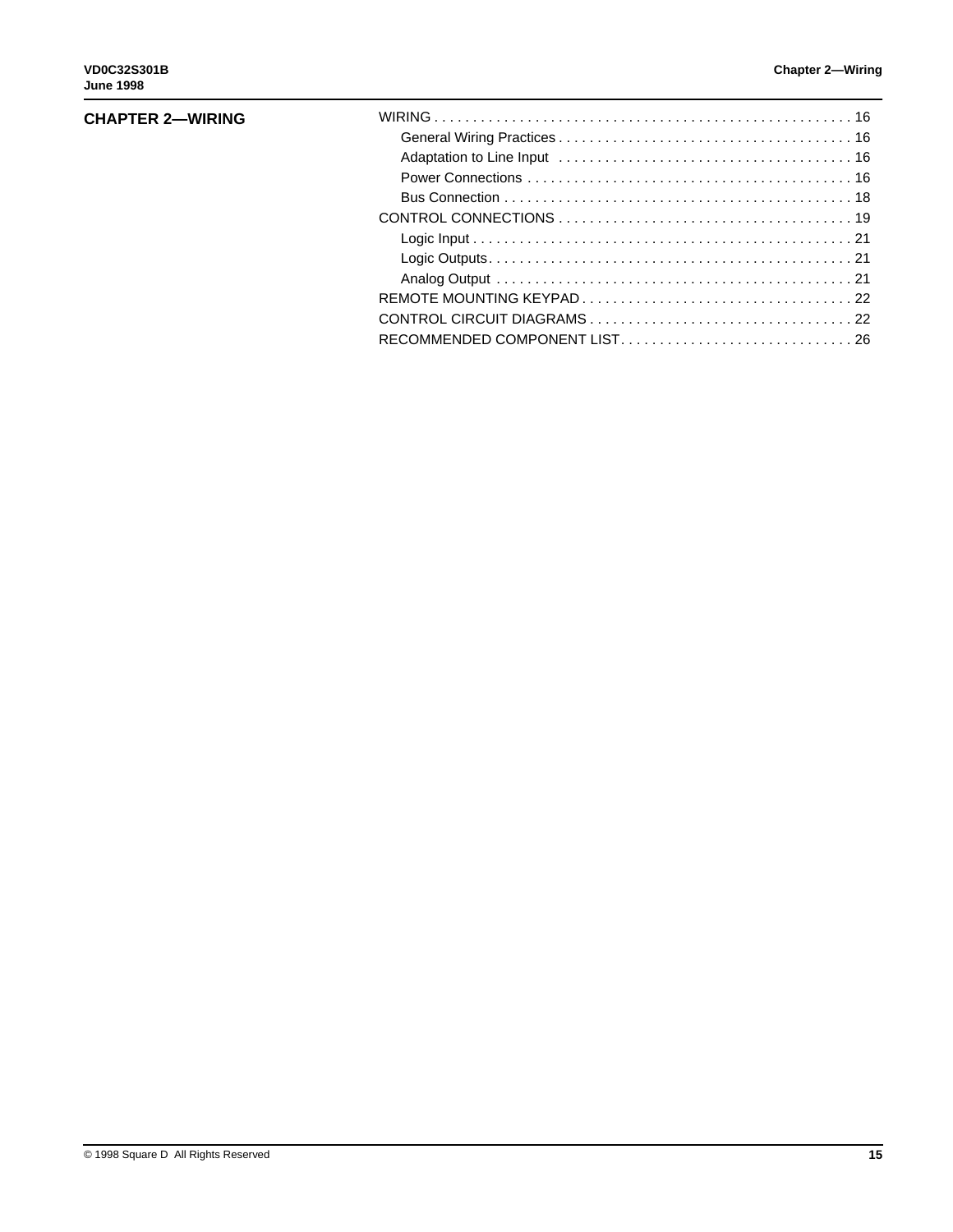### **CHAPTER 2—WIRING**

| RECOMMENDED COMPONENT LIST26 |  |
|------------------------------|--|
|                              |  |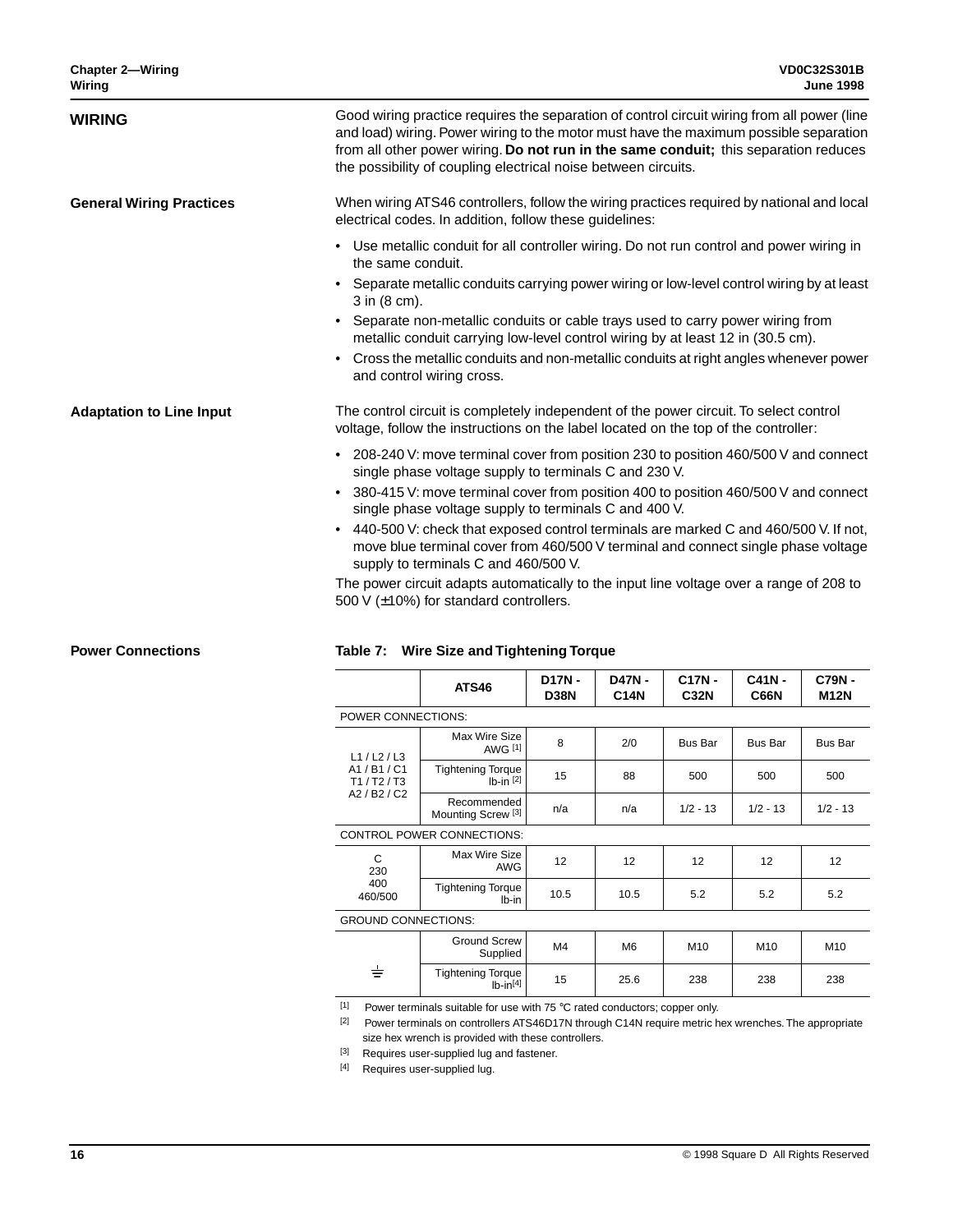| <b>WIRING</b>                   | Good wiring practice requires the separation of control circuit wiring from all power (line<br>and load) wiring. Power wiring to the motor must have the maximum possible separation<br>from all other power wiring. Do not run in the same conduit; this separation reduces<br>the possibility of coupling electrical noise between circuits. |
|---------------------------------|------------------------------------------------------------------------------------------------------------------------------------------------------------------------------------------------------------------------------------------------------------------------------------------------------------------------------------------------|
| <b>General Wiring Practices</b> | When wiring ATS46 controllers, follow the wiring practices required by national and local<br>electrical codes. In addition, follow these guidelines:                                                                                                                                                                                           |
|                                 | • Use metallic conduit for all controller wiring. Do not run control and power wiring in<br>the same conduit.                                                                                                                                                                                                                                  |
|                                 | Separate metallic conduits carrying power wiring or low-level control wiring by at least<br>3 in (8 cm).                                                                                                                                                                                                                                       |
|                                 | • Separate non-metallic conduits or cable trays used to carry power wiring from<br>metallic conduit carrying low-level control wiring by at least 12 in (30.5 cm).                                                                                                                                                                             |
|                                 | Cross the metallic conduits and non-metallic conduits at right angles whenever power<br>$\bullet$<br>and control wiring cross.                                                                                                                                                                                                                 |
| <b>Adaptation to Line Input</b> | The control circuit is completely independent of the power circuit. To select control<br>voltage, follow the instructions on the label located on the top of the controller:                                                                                                                                                                   |
|                                 | • 208-240 V: move terminal cover from position 230 to position 460/500 V and connect<br>single phase voltage supply to terminals C and 230 V.                                                                                                                                                                                                  |
|                                 | 380-415 V: move terminal cover from position 400 to position 460/500 V and connect<br>$\bullet$<br>single phase voltage supply to terminals C and 400 V.                                                                                                                                                                                       |
|                                 | • 440-500 V: check that exposed control terminals are marked C and 460/500 V. If not,<br>move blue terminal cover from 460/500 V terminal and connect single phase voltage<br>supply to terminals C and 460/500 V.                                                                                                                             |
|                                 | The power circuit adapts automatically to the input line voltage over a range of 208 to                                                                                                                                                                                                                                                        |

The power circuit adapts automatically to the input line voltage over a range of 208 to 500 V (±10%) for standard controllers.

### **Power Connections**

### **Table 7: Wire Size and Tightening Torque**

|                            | <b>ATS46</b>                                 | D17N-<br><b>D38N</b> | <b>D47N-</b><br><b>C14N</b> | C17N-<br><b>C32N</b> | $C41N -$<br><b>C66N</b> | C79N-<br><b>M12N</b> |
|----------------------------|----------------------------------------------|----------------------|-----------------------------|----------------------|-------------------------|----------------------|
| POWER CONNECTIONS:         |                                              |                      |                             |                      |                         |                      |
| L1/L2/L3                   | Max Wire Size<br><b>AWG [1]</b>              | 8                    | 2/0                         | <b>Bus Bar</b>       | <b>Bus Bar</b>          | <b>Bus Bar</b>       |
| A1/B1/C1<br>T1/ T2/T3      | <b>Tightening Torque</b><br>$Ib-in$ [2]      | 15                   | 88                          | 500                  | 500                     | 500                  |
| A2 / B2 / C2               | Recommended<br>Mounting Screw <sup>[3]</sup> | n/a                  | n/a                         | $1/2 - 13$           | $1/2 - 13$              | $1/2 - 13$           |
|                            | <b>CONTROL POWER CONNECTIONS:</b>            |                      |                             |                      |                         |                      |
| C<br>230<br>400<br>460/500 | Max Wire Size<br><b>AWG</b>                  | 12                   | 12                          | 12                   | 12                      | 12                   |
|                            | <b>Tightening Torque</b><br>Ib-in            | 10.5                 | 10.5                        | 5.2                  | 5.2                     | 5.2                  |
| <b>GROUND CONNECTIONS:</b> |                                              |                      |                             |                      |                         |                      |
|                            | <b>Ground Screw</b><br>Supplied              | M4                   | M <sub>6</sub>              | M <sub>10</sub>      | M10                     | M10                  |
| ᇂ                          | <b>Tightening Torque</b><br>$Ib-in[4]$       | 15                   | 25.6                        | 238                  | 238                     | 238                  |

 $\overline{11}$  Power terminals suitable for use with 75 °C rated conductors; copper only.

[2] Power terminals on controllers ATS46D17N through C14N require metric hex wrenches. The appropriate size hex wrench is provided with these controllers.

[3] Requires user-supplied lug and fastener.

[4] Requires user-supplied lug.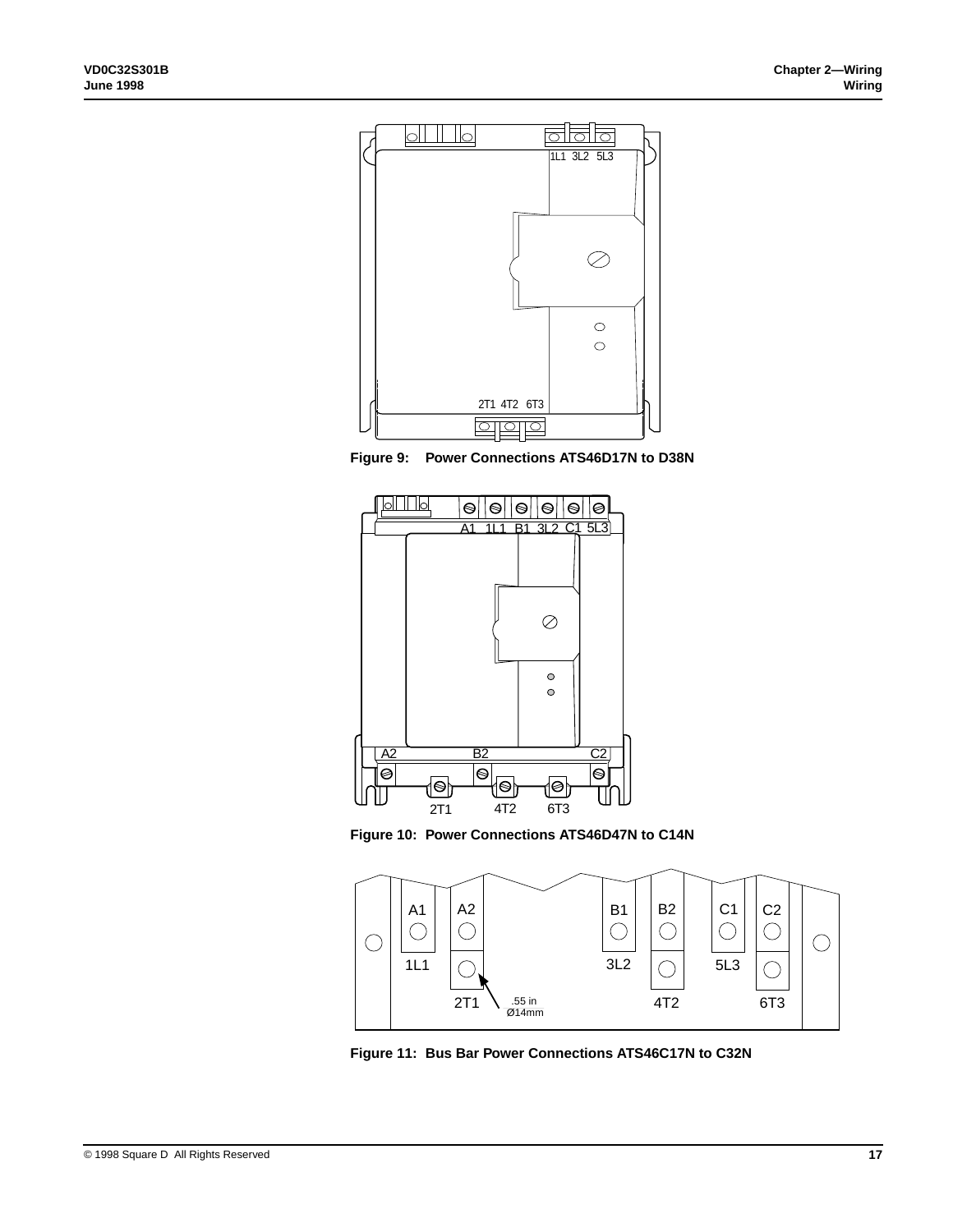





**Figure 10: Power Connections ATS46D47N to C14N**



**Figure 11: Bus Bar Power Connections ATS46C17N to C32N**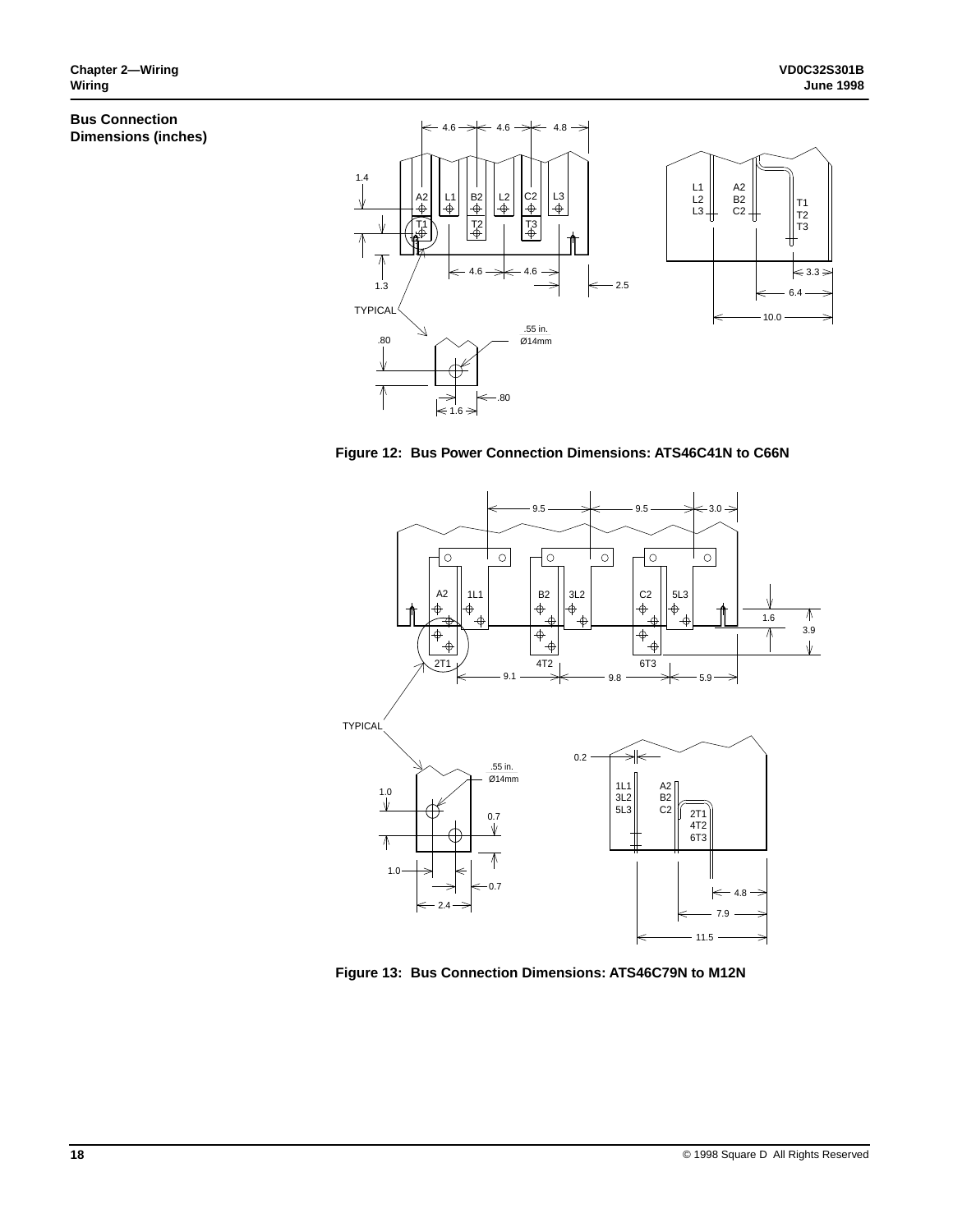### **Bus Connection Dimensions (inches)**



**Figure 12: Bus Power Connection Dimensions: ATS46C41N to C66N**



**Figure 13: Bus Connection Dimensions: ATS46C79N to M12N**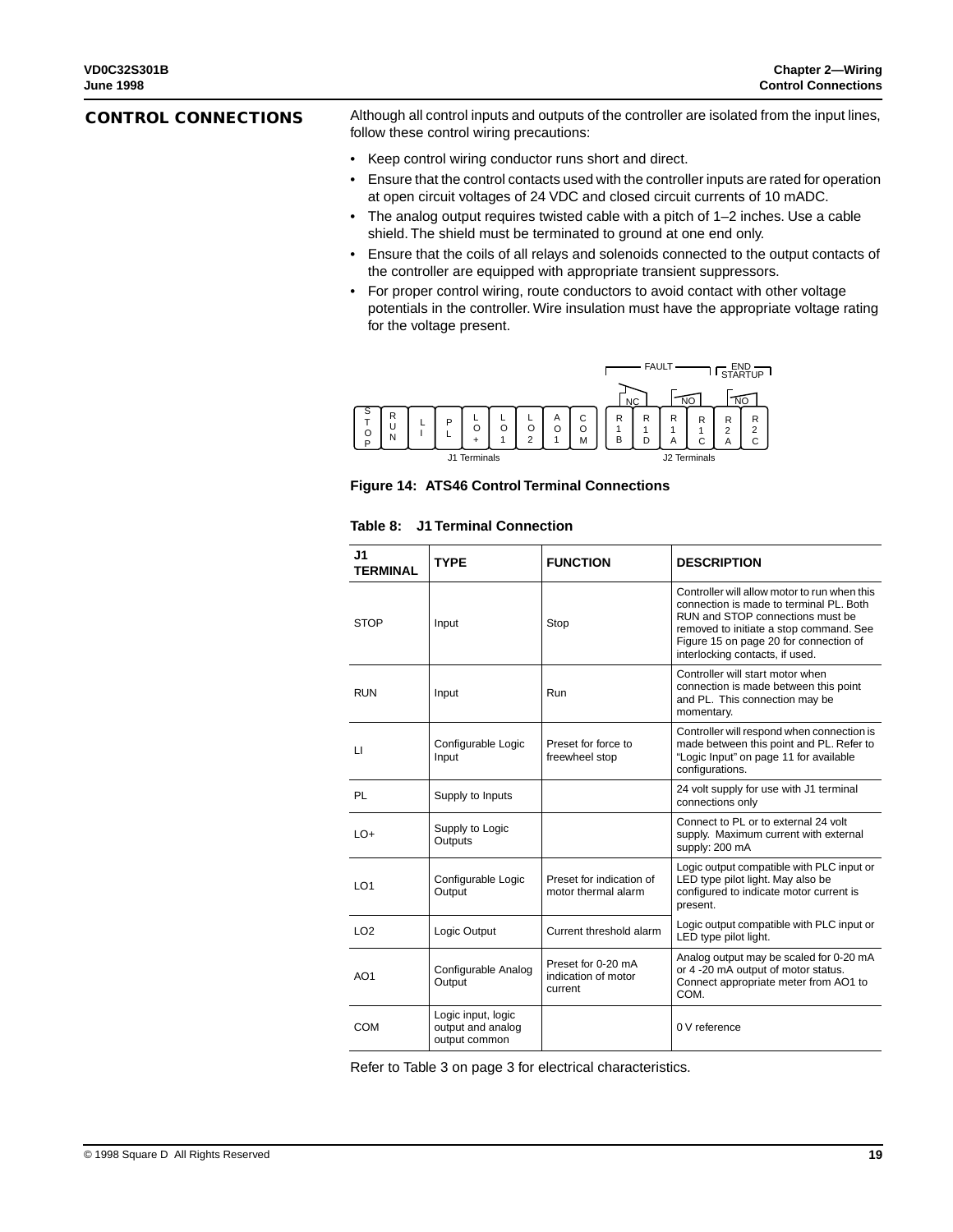### **CONTROL CONNECTIONS**

Although all control inputs and outputs of the controller are isolated from the input lines, follow these control wiring precautions:

- Keep control wiring conductor runs short and direct.
- Ensure that the control contacts used with the controller inputs are rated for operation at open circuit voltages of 24 VDC and closed circuit currents of 10 mADC.
- The analog output requires twisted cable with a pitch of 1–2 inches. Use a cable shield. The shield must be terminated to ground at one end only.
- Ensure that the coils of all relays and solenoids connected to the output contacts of the controller are equipped with appropriate transient suppressors.
- For proper control wiring, route conductors to avoid contact with other voltage potentials in the controller. Wire insulation must have the appropriate voltage rating for the voltage present.



**Figure 14: ATS46 Control Terminal Connections**

| J1<br><b>TERMINAL</b> | <b>TYPE</b>                                              | <b>FUNCTION</b>                                      | <b>DESCRIPTION</b>                                                                                                                                                                                                                                  |  |  |
|-----------------------|----------------------------------------------------------|------------------------------------------------------|-----------------------------------------------------------------------------------------------------------------------------------------------------------------------------------------------------------------------------------------------------|--|--|
| <b>STOP</b>           | Input                                                    | Stop                                                 | Controller will allow motor to run when this<br>connection is made to terminal PL. Both<br>RUN and STOP connections must be<br>removed to initiate a stop command. See<br>Figure 15 on page 20 for connection of<br>interlocking contacts, if used. |  |  |
| <b>RUN</b>            | Input                                                    | Run                                                  | Controller will start motor when<br>connection is made between this point<br>and PL. This connection may be<br>momentary.                                                                                                                           |  |  |
| $\mathsf{L}$          | Configurable Logic<br>Input                              | Preset for force to<br>freewheel stop                | Controller will respond when connection is<br>made between this point and PL. Refer to<br>"Logic Input" on page 11 for available<br>configurations.                                                                                                 |  |  |
| PL                    | Supply to Inputs                                         |                                                      | 24 volt supply for use with J1 terminal<br>connections only                                                                                                                                                                                         |  |  |
| $LO+$                 | Supply to Logic<br>Outputs                               |                                                      | Connect to PL or to external 24 volt<br>supply. Maximum current with external<br>supply: 200 mA                                                                                                                                                     |  |  |
| LO <sub>1</sub>       | Configurable Logic<br>Output                             | Preset for indication of<br>motor thermal alarm      | Logic output compatible with PLC input or<br>LED type pilot light. May also be<br>configured to indicate motor current is<br>present.                                                                                                               |  |  |
| LO <sub>2</sub>       | Logic Output                                             | Current threshold alarm                              | Logic output compatible with PLC input or<br>LED type pilot light.                                                                                                                                                                                  |  |  |
| AO <sub>1</sub>       | Configurable Analog<br>Output                            | Preset for 0-20 mA<br>indication of motor<br>current | Analog output may be scaled for 0-20 mA<br>or 4 -20 mA output of motor status.<br>Connect appropriate meter from AO1 to<br>COM.                                                                                                                     |  |  |
| COM                   | Logic input, logic<br>output and analog<br>output common |                                                      | 0 V reference                                                                                                                                                                                                                                       |  |  |

#### **Table 8: J1 Terminal Connection**

Refer to Table 3 on page 3 for electrical characteristics.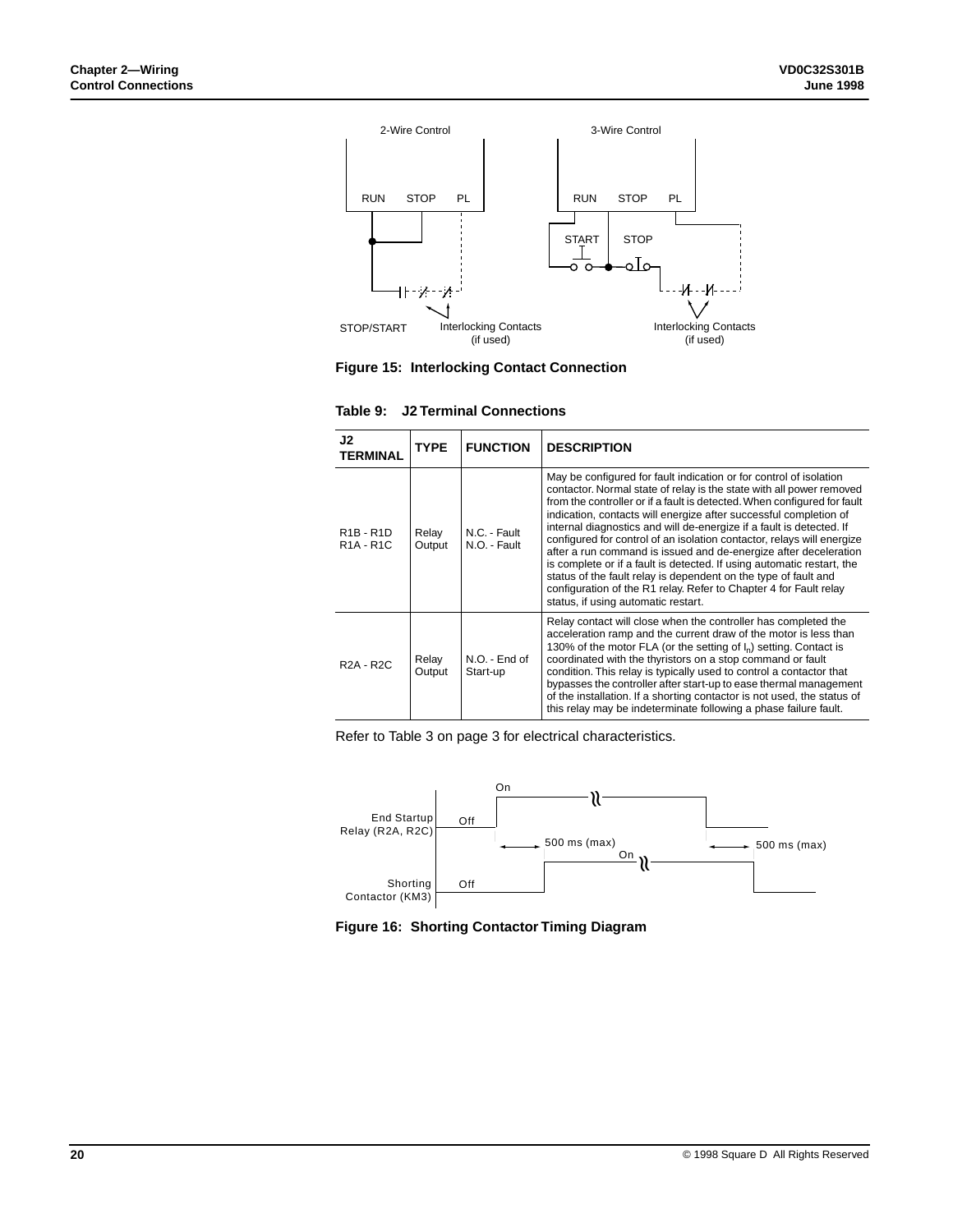

**Figure 15: Interlocking Contact Connection**

| J2<br><b>TERMINAL</b>                                                      | <b>TYPE</b>     | <b>FUNCTION</b>              | <b>DESCRIPTION</b>                                                                                                                                                                                                                                                                                                                                                                                                                                                                                                                                                                                                                                                                                                                                                         |
|----------------------------------------------------------------------------|-----------------|------------------------------|----------------------------------------------------------------------------------------------------------------------------------------------------------------------------------------------------------------------------------------------------------------------------------------------------------------------------------------------------------------------------------------------------------------------------------------------------------------------------------------------------------------------------------------------------------------------------------------------------------------------------------------------------------------------------------------------------------------------------------------------------------------------------|
| R <sub>1</sub> B - R <sub>1</sub> D<br>R <sub>1</sub> A - R <sub>1</sub> C | Relay<br>Output | N.C. - Fault<br>N.O. - Fault | May be configured for fault indication or for control of isolation<br>contactor. Normal state of relay is the state with all power removed<br>from the controller or if a fault is detected. When configured for fault<br>indication, contacts will energize after successful completion of<br>internal diagnostics and will de-energize if a fault is detected. If<br>configured for control of an isolation contactor, relays will energize<br>after a run command is issued and de-energize after deceleration<br>is complete or if a fault is detected. If using automatic restart, the<br>status of the fault relay is dependent on the type of fault and<br>configuration of the R1 relay. Refer to Chapter 4 for Fault relay<br>status, if using automatic restart. |
| <b>R2A - R2C</b>                                                           | Relay<br>Output | N.O. - End of<br>Start-up    | Relay contact will close when the controller has completed the<br>acceleration ramp and the current draw of the motor is less than<br>130% of the motor FLA (or the setting of $I_n$ ) setting. Contact is<br>coordinated with the thyristors on a stop command or fault<br>condition. This relay is typically used to control a contactor that<br>bypasses the controller after start-up to ease thermal management<br>of the installation. If a shorting contactor is not used, the status of<br>this relay may be indeterminate following a phase failure fault.                                                                                                                                                                                                        |

**Table 9: J2 Terminal Connections**

Refer to Table 3 on page 3 for electrical characteristics.



**Figure 16: Shorting Contactor Timing Diagram**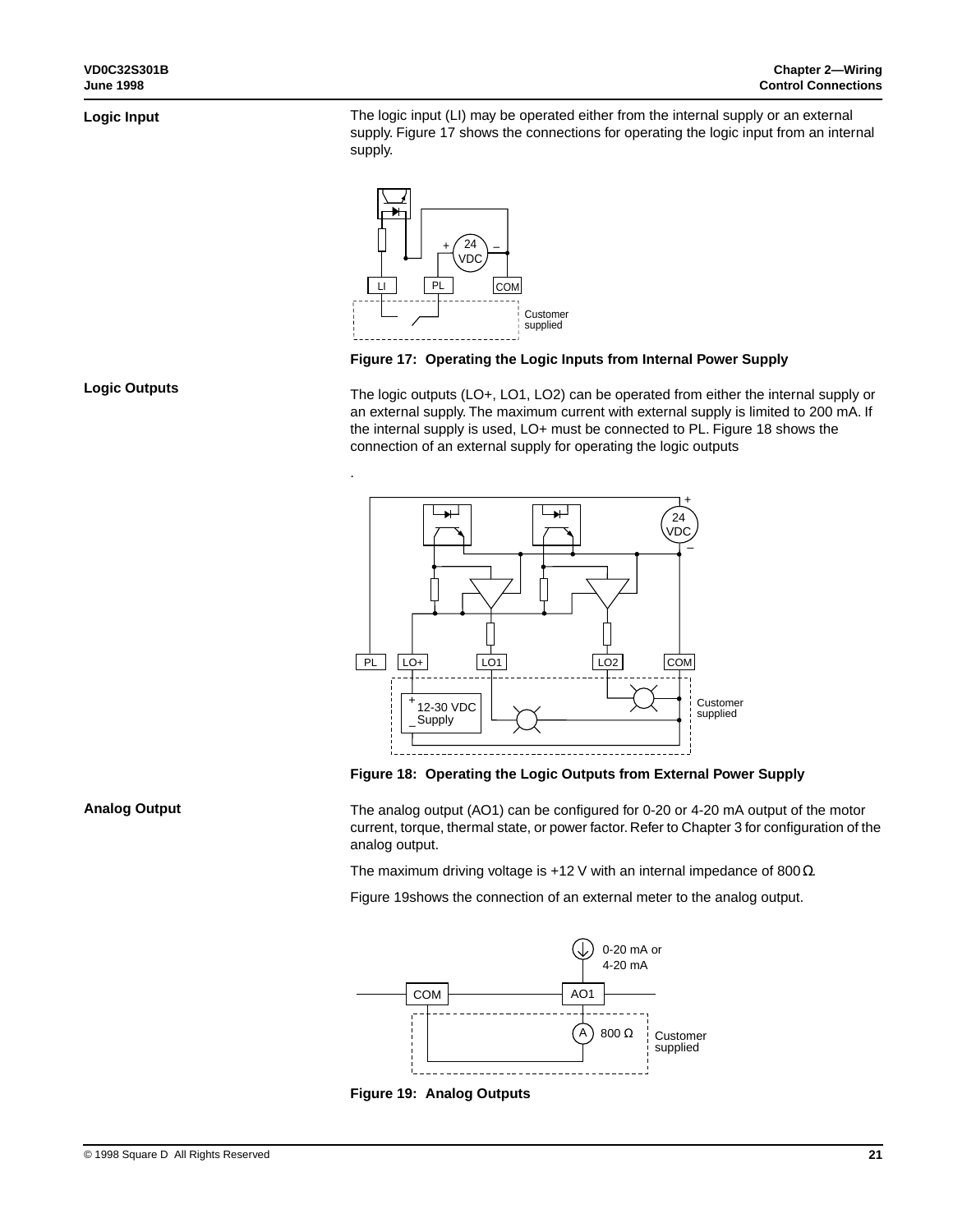### **Logic Input**

**Logic Outputs**

The logic input (LI) may be operated either from the internal supply or an external supply. Figure 17 shows the connections for operating the logic input from an internal supply.



.

### **Figure 17: Operating the Logic Inputs from Internal Power Supply**

The logic outputs (LO+, LO1, LO2) can be operated from either the internal supply or an external supply. The maximum current with external supply is limited to 200 mA. If the internal supply is used, LO+ must be connected to PL. Figure 18 shows the connection of an external supply for operating the logic outputs



**Figure 18: Operating the Logic Outputs from External Power Supply**

#### **Analog Output**

The analog output (AO1) can be configured for 0-20 or 4-20 mA output of the motor current, torque, thermal state, or power factor. Refer to Chapter 3 for configuration of the analog output.

The maximum driving voltage is +12 V with an internal impedance of 800 Ω.

Figure 19shows the connection of an external meter to the analog output.



**Figure 19: Analog Outputs**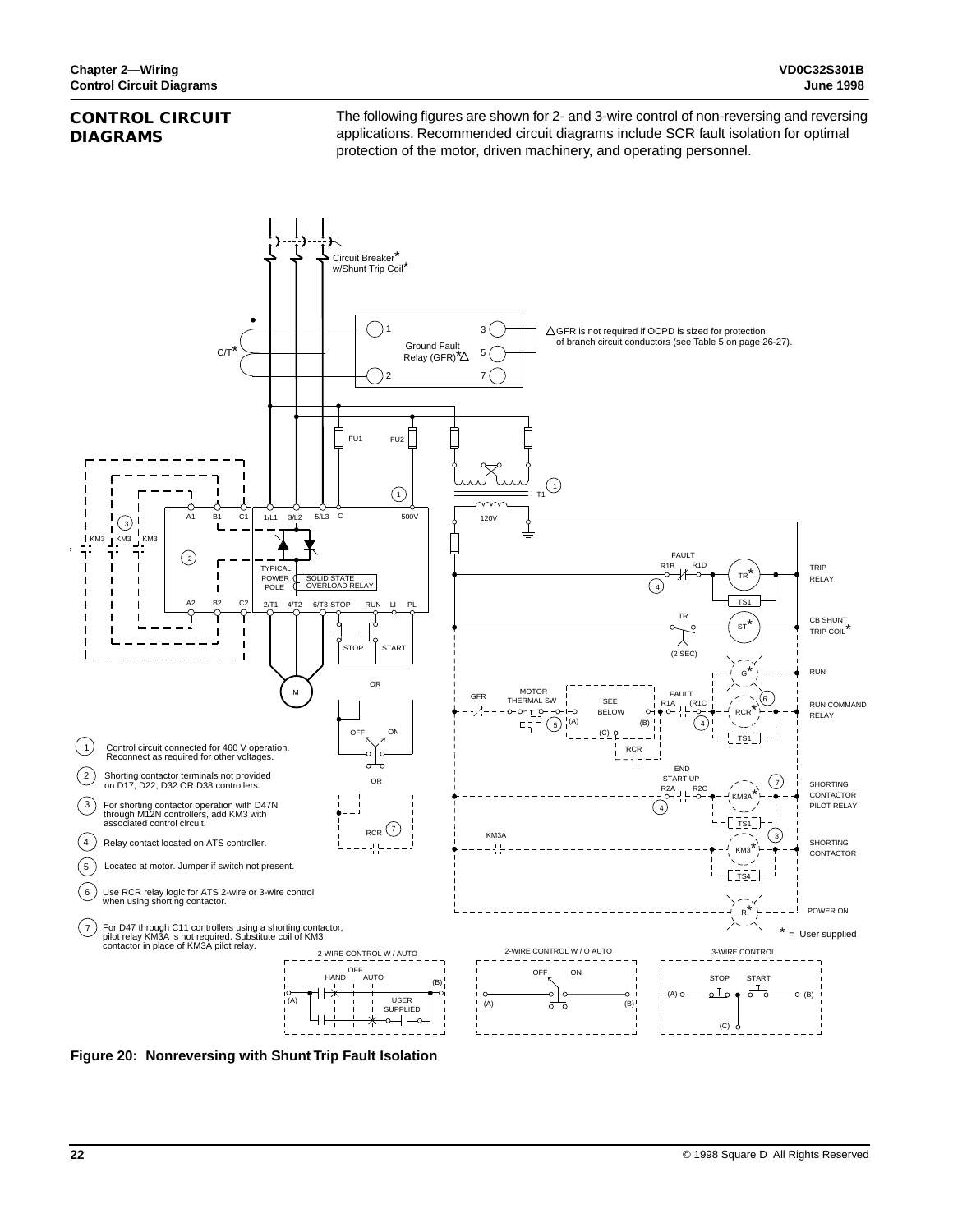### **CONTROL CIRCUIT DIAGRAMS**

The following figures are shown for 2- and 3-wire control of non-reversing and reversing applications. Recommended circuit diagrams include SCR fault isolation for optimal protection of the motor, driven machinery, and operating personnel.



**Figure 20: Nonreversing with Shunt Trip Fault Isolation**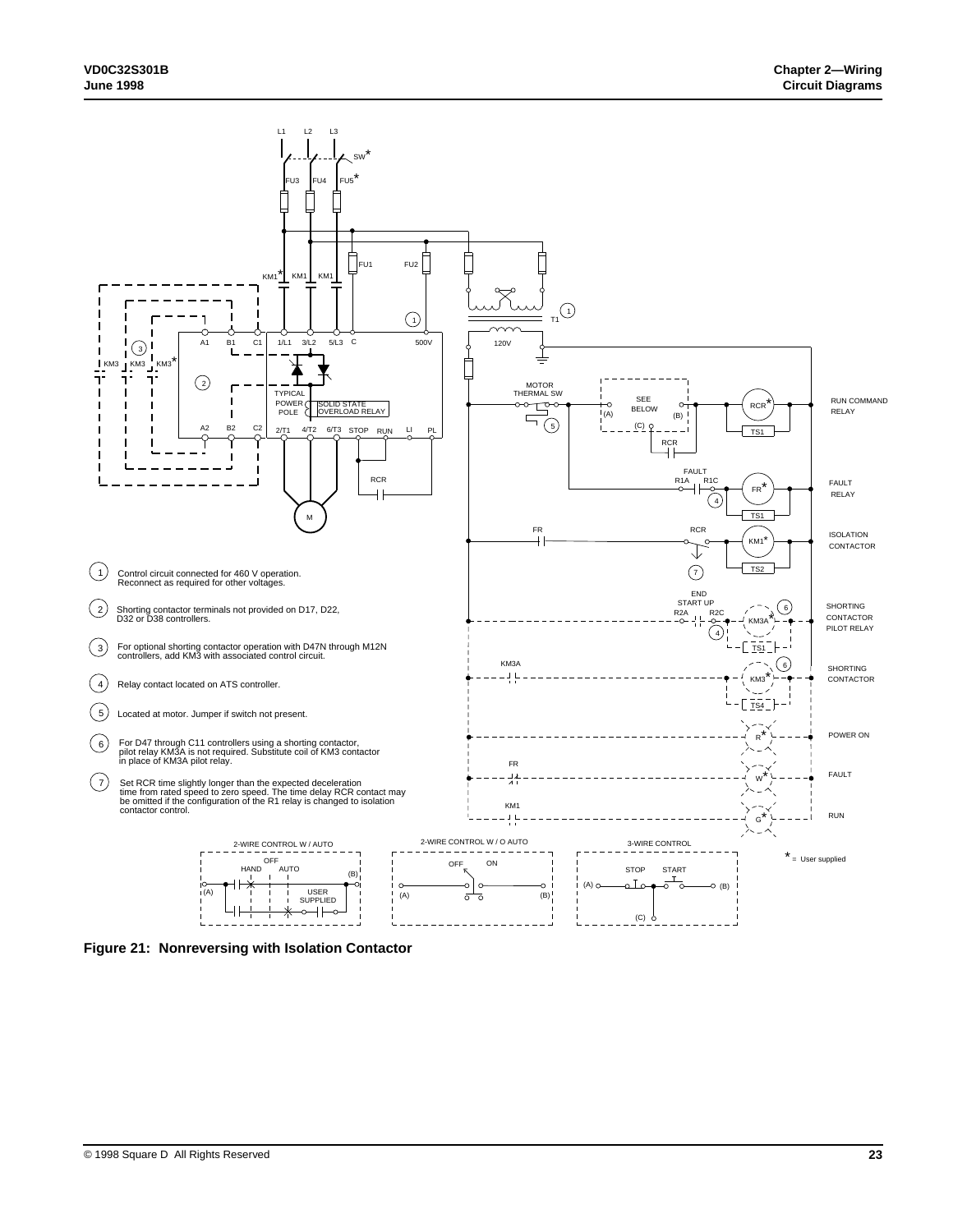

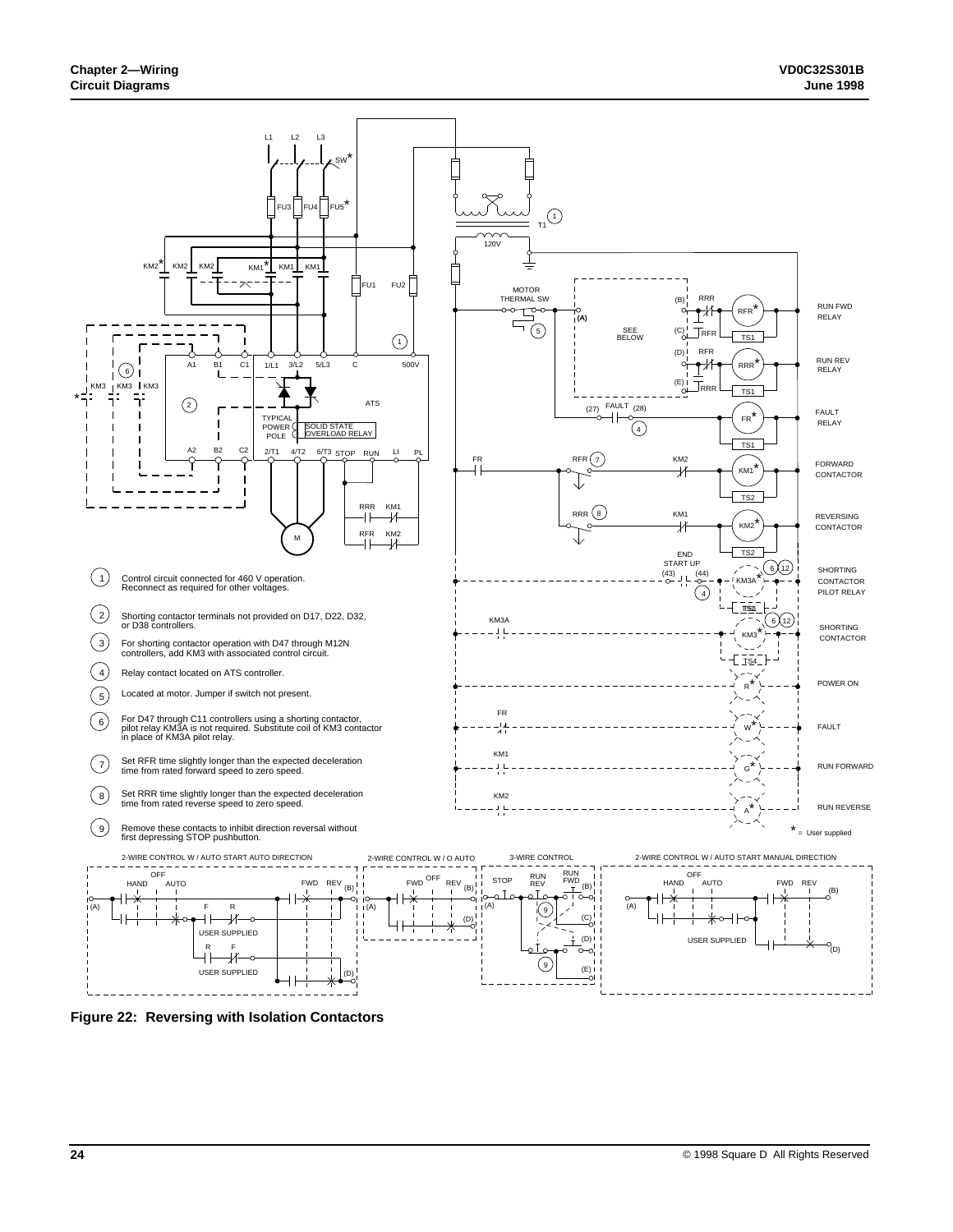

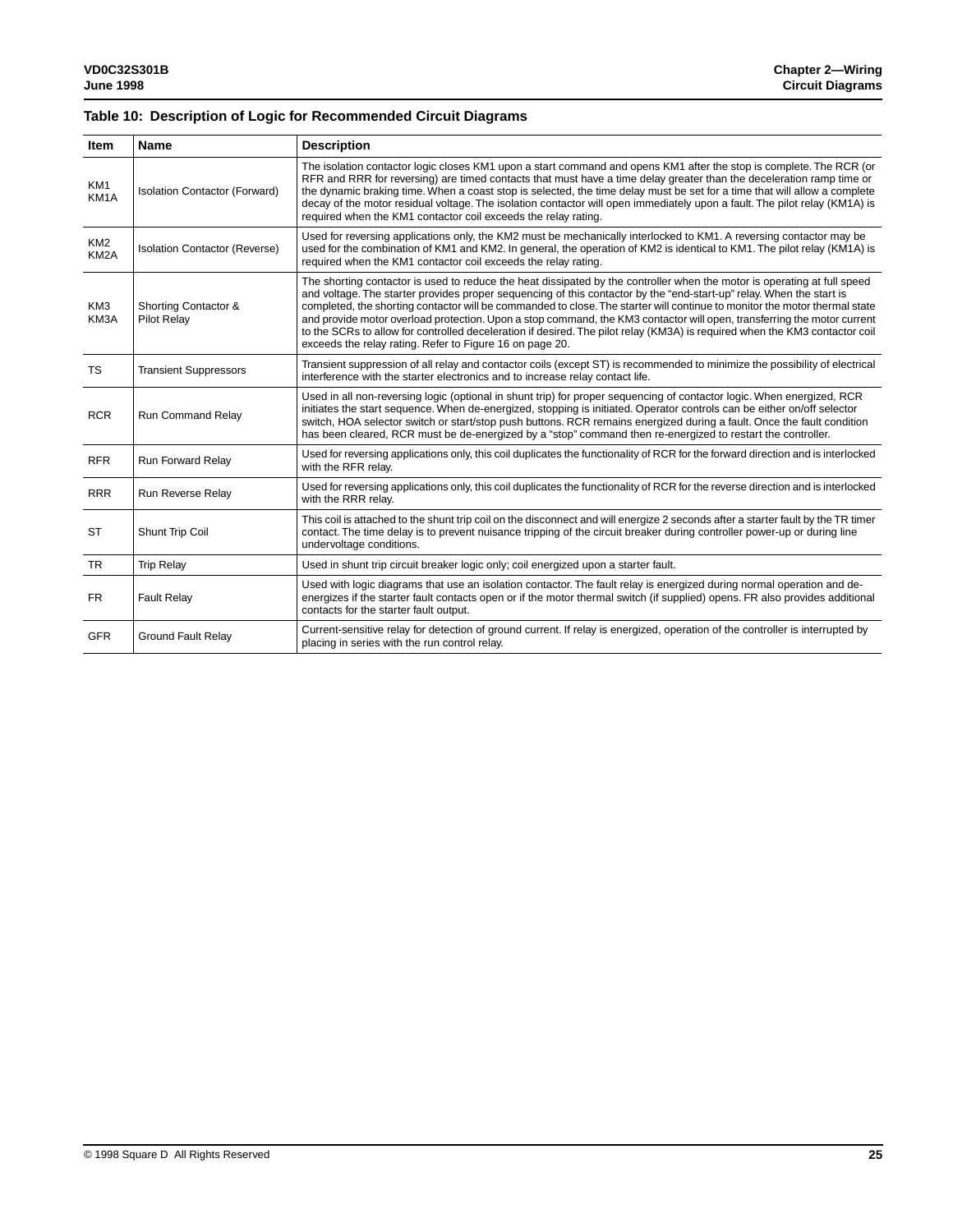### **Table 10: Description of Logic for Recommended Circuit Diagrams**

| Item                                 | Name                                       | <b>Description</b>                                                                                                                                                                                                                                                                                                                                                                                                                                                                                                                                                                                                                                                                                   |
|--------------------------------------|--------------------------------------------|------------------------------------------------------------------------------------------------------------------------------------------------------------------------------------------------------------------------------------------------------------------------------------------------------------------------------------------------------------------------------------------------------------------------------------------------------------------------------------------------------------------------------------------------------------------------------------------------------------------------------------------------------------------------------------------------------|
| KM1<br>KM <sub>1</sub> A             | <b>Isolation Contactor (Forward)</b>       | The isolation contactor logic closes KM1 upon a start command and opens KM1 after the stop is complete. The RCR (or<br>RFR and RRR for reversing) are timed contacts that must have a time delay greater than the deceleration ramp time or<br>the dynamic braking time. When a coast stop is selected, the time delay must be set for a time that will allow a complete<br>decay of the motor residual voltage. The isolation contactor will open immediately upon a fault. The pilot relay (KM1A) is<br>required when the KM1 contactor coil exceeds the relay rating.                                                                                                                             |
| KM <sub>2</sub><br>KM <sub>2</sub> A | <b>Isolation Contactor (Reverse)</b>       | Used for reversing applications only, the KM2 must be mechanically interlocked to KM1. A reversing contactor may be<br>used for the combination of KM1 and KM2. In general, the operation of KM2 is identical to KM1. The pilot relay (KM1A) is<br>required when the KM1 contactor coil exceeds the relay rating.                                                                                                                                                                                                                                                                                                                                                                                    |
| KM3<br>KM3A                          | Shorting Contactor &<br><b>Pilot Relay</b> | The shorting contactor is used to reduce the heat dissipated by the controller when the motor is operating at full speed<br>and voltage. The starter provides proper sequencing of this contactor by the "end-start-up" relay. When the start is<br>completed, the shorting contactor will be commanded to close. The starter will continue to monitor the motor thermal state<br>and provide motor overload protection. Upon a stop command, the KM3 contactor will open, transferring the motor current<br>to the SCRs to allow for controlled deceleration if desired. The pilot relay (KM3A) is required when the KM3 contactor coil<br>exceeds the relay rating. Refer to Figure 16 on page 20. |
| <b>TS</b>                            | <b>Transient Suppressors</b>               | Transient suppression of all relay and contactor coils (except ST) is recommended to minimize the possibility of electrical<br>interference with the starter electronics and to increase relay contact life.                                                                                                                                                                                                                                                                                                                                                                                                                                                                                         |
| <b>RCR</b>                           | Run Command Relay                          | Used in all non-reversing logic (optional in shunt trip) for proper sequencing of contactor logic. When energized, RCR<br>initiates the start sequence. When de-energized, stopping is initiated. Operator controls can be either on/off selector<br>switch, HOA selector switch or start/stop push buttons. RCR remains energized during a fault. Once the fault condition<br>has been cleared, RCR must be de-energized by a "stop" command then re-energized to restart the controller.                                                                                                                                                                                                           |
| <b>RFR</b>                           | Run Forward Relay                          | Used for reversing applications only, this coil duplicates the functionality of RCR for the forward direction and is interlocked<br>with the RFR relav.                                                                                                                                                                                                                                                                                                                                                                                                                                                                                                                                              |
| <b>RRR</b>                           | Run Reverse Relay                          | Used for reversing applications only, this coil duplicates the functionality of RCR for the reverse direction and is interlocked<br>with the RRR relay.                                                                                                                                                                                                                                                                                                                                                                                                                                                                                                                                              |
| <b>ST</b>                            | Shunt Trip Coil                            | This coil is attached to the shunt trip coil on the disconnect and will energize 2 seconds after a starter fault by the TR timer<br>contact. The time delay is to prevent nuisance tripping of the circuit breaker during controller power-up or during line<br>undervoltage conditions.                                                                                                                                                                                                                                                                                                                                                                                                             |
| <b>TR</b>                            | <b>Trip Relay</b>                          | Used in shunt trip circuit breaker logic only; coil energized upon a starter fault.                                                                                                                                                                                                                                                                                                                                                                                                                                                                                                                                                                                                                  |
| <b>FR</b>                            | <b>Fault Relay</b>                         | Used with logic diagrams that use an isolation contactor. The fault relay is energized during normal operation and de-<br>energizes if the starter fault contacts open or if the motor thermal switch (if supplied) opens. FR also provides additional<br>contacts for the starter fault output.                                                                                                                                                                                                                                                                                                                                                                                                     |
| <b>GFR</b>                           | <b>Ground Fault Relay</b>                  | Current-sensitive relay for detection of ground current. If relay is energized, operation of the controller is interrupted by<br>placing in series with the run control relay.                                                                                                                                                                                                                                                                                                                                                                                                                                                                                                                       |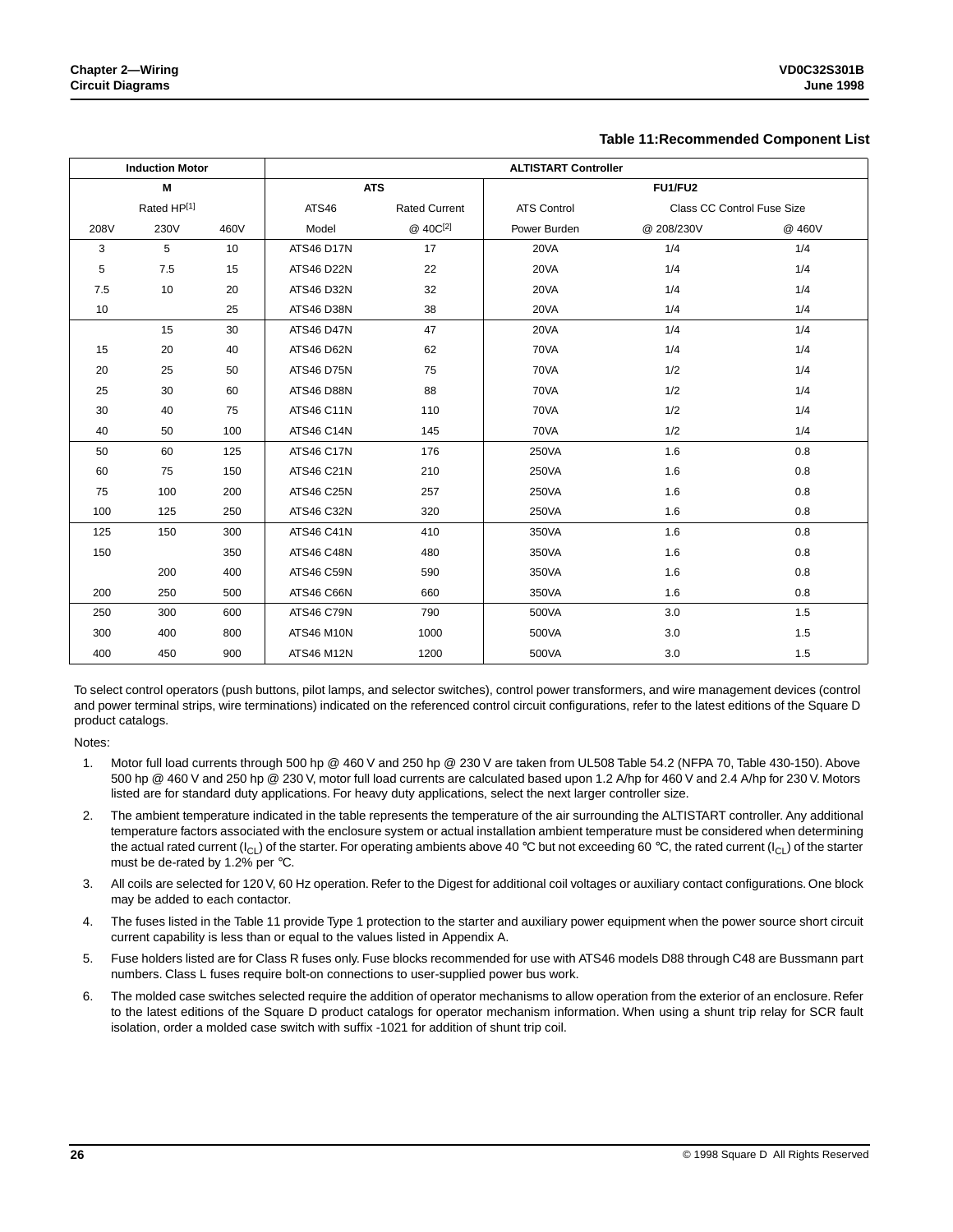#### **Table 11:Recommended Component List**

|      | <b>Induction Motor</b> |      | <b>ALTISTART Controller</b> |                      |                    |                            |        |  |
|------|------------------------|------|-----------------------------|----------------------|--------------------|----------------------------|--------|--|
|      | M                      |      | <b>ATS</b>                  |                      |                    | FU1/FU2                    |        |  |
|      | Rated HP[1]            |      | ATS46                       | <b>Rated Current</b> | <b>ATS Control</b> | Class CC Control Fuse Size |        |  |
| 208V | 230V                   | 460V | Model                       | @ 40C[2]             | Power Burden       | @ 208/230V                 | @ 460V |  |
| 3    | 5                      | 10   | <b>ATS46 D17N</b>           | 17                   | 20VA               | 1/4                        | 1/4    |  |
| 5    | 7.5                    | 15   | <b>ATS46 D22N</b>           | 22                   | 20VA               | 1/4                        | 1/4    |  |
| 7.5  | 10                     | 20   | <b>ATS46 D32N</b>           | 32                   | 20VA               | 1/4                        | 1/4    |  |
| 10   |                        | 25   | ATS46 D38N                  | 38                   | 20VA               | 1/4                        | 1/4    |  |
|      | 15                     | 30   | <b>ATS46 D47N</b>           | 47                   | 20VA               | 1/4                        | 1/4    |  |
| 15   | 20                     | 40   | <b>ATS46 D62N</b>           | 62                   | 70VA               | 1/4                        | 1/4    |  |
| 20   | 25                     | 50   | <b>ATS46 D75N</b>           | 75                   | 70VA               | 1/2                        | 1/4    |  |
| 25   | 30                     | 60   | <b>ATS46 D88N</b>           | 88                   | 70VA               | 1/2                        | 1/4    |  |
| 30   | 40                     | 75   | <b>ATS46 C11N</b>           | 110                  | 70VA               | 1/2                        | 1/4    |  |
| 40   | 50                     | 100  | ATS46 C14N                  | 145                  | 70VA               | 1/2                        | 1/4    |  |
| 50   | 60                     | 125  | <b>ATS46 C17N</b>           | 176                  | 250VA              | 1.6                        | 0.8    |  |
| 60   | 75                     | 150  | <b>ATS46 C21N</b>           | 210                  | 250VA              | 1.6                        | 0.8    |  |
| 75   | 100                    | 200  | <b>ATS46 C25N</b>           | 257                  | 250VA              | 1.6                        | 0.8    |  |
| 100  | 125                    | 250  | ATS46 C32N                  | 320                  | 250VA              | 1.6                        | 0.8    |  |
| 125  | 150                    | 300  | <b>ATS46 C41N</b>           | 410                  | 350VA              | 1.6                        | 0.8    |  |
| 150  |                        | 350  | <b>ATS46 C48N</b>           | 480                  | 350VA              | 1.6                        | 0.8    |  |
|      | 200                    | 400  | <b>ATS46 C59N</b>           | 590                  | 350VA              | 1.6                        | 0.8    |  |
| 200  | 250                    | 500  | <b>ATS46 C66N</b>           | 660                  | 350VA              | 1.6                        | 0.8    |  |
| 250  | 300                    | 600  | <b>ATS46 C79N</b>           | 790                  | 500VA              | 3.0                        | 1.5    |  |
| 300  | 400                    | 800  | <b>ATS46 M10N</b>           | 1000                 | 500VA              | 3.0                        | 1.5    |  |
| 400  | 450                    | 900  | <b>ATS46 M12N</b>           | 1200                 | 500VA              | 3.0                        | 1.5    |  |

To select control operators (push buttons, pilot lamps, and selector switches), control power transformers, and wire management devices (control and power terminal strips, wire terminations) indicated on the referenced control circuit configurations, refer to the latest editions of the Square D product catalogs.

Notes:

- 1. Motor full load currents through 500 hp @ 460 V and 250 hp @ 230 V are taken from UL508 Table 54.2 (NFPA 70, Table 430-150). Above 500 hp @ 460 V and 250 hp @ 230 V, motor full load currents are calculated based upon 1.2 A/hp for 460 V and 2.4 A/hp for 230 V. Motors listed are for standard duty applications. For heavy duty applications, select the next larger controller size.
- 2. The ambient temperature indicated in the table represents the temperature of the air surrounding the ALTISTART controller. Any additional temperature factors associated with the enclosure system or actual installation ambient temperature must be considered when determining the actual rated current (I<sub>CL</sub>) of the starter. For operating ambients above 40 °C but not exceeding 60 °C, the rated current (I<sub>CL</sub>) of the starter must be de-rated by 1.2% per °C.
- 3. All coils are selected for 120 V, 60 Hz operation. Refer to the Digest for additional coil voltages or auxiliary contact configurations. One block may be added to each contactor.
- 4. The fuses listed in the Table 11 provide Type 1 protection to the starter and auxiliary power equipment when the power source short circuit current capability is less than or equal to the values listed in Appendix A.
- 5. Fuse holders listed are for Class R fuses only. Fuse blocks recommended for use with ATS46 models D88 through C48 are Bussmann part numbers. Class L fuses require bolt-on connections to user-supplied power bus work.
- 6. The molded case switches selected require the addition of operator mechanisms to allow operation from the exterior of an enclosure. Refer to the latest editions of the Square D product catalogs for operator mechanism information. When using a shunt trip relay for SCR fault isolation, order a molded case switch with suffix -1021 for addition of shunt trip coil.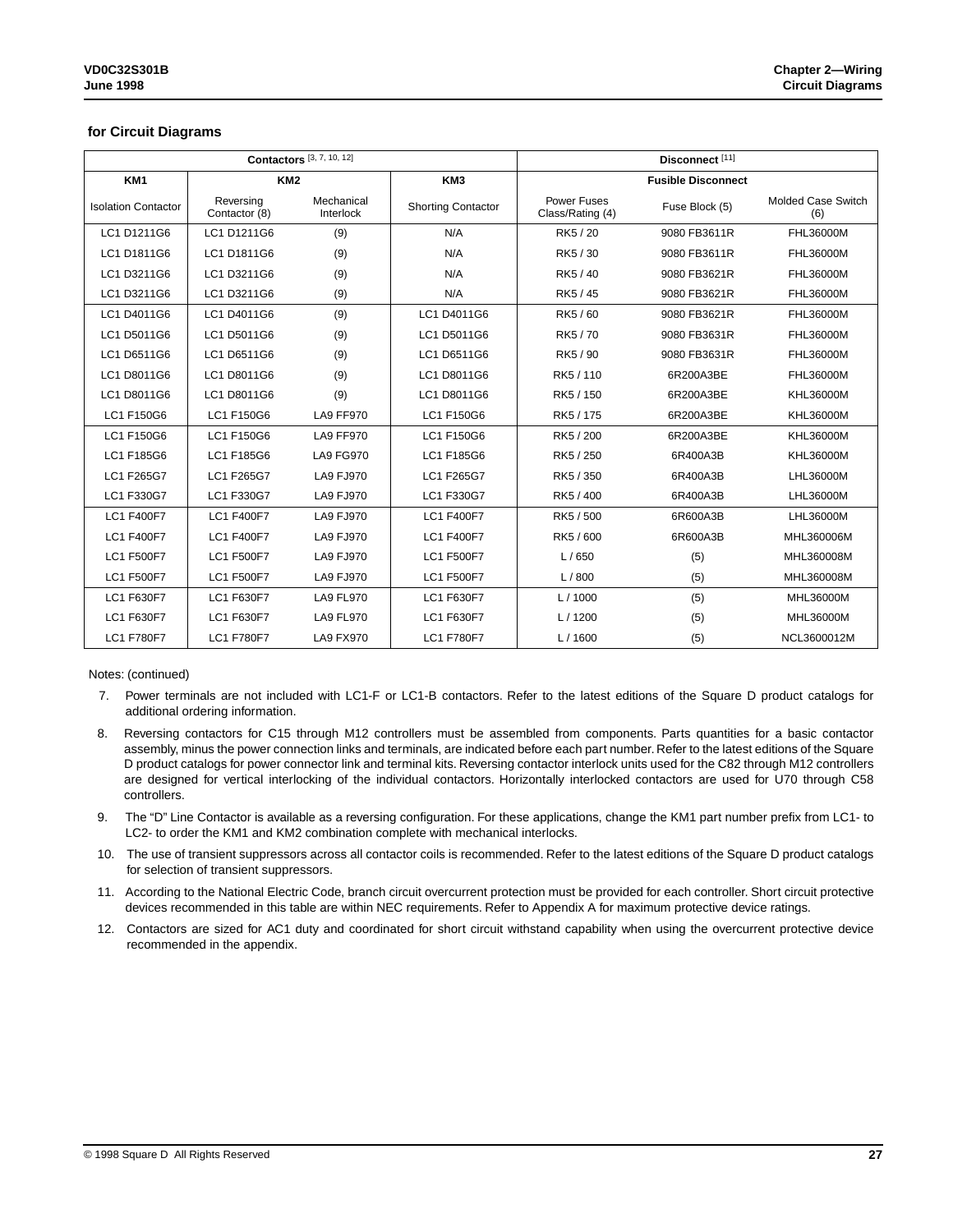#### **for Circuit Diagrams**

|                            |                            | <b>Contactors</b> [3, 7, 10, 12] | Disconnect <sup>[11]</sup> |                                 |                           |                                  |
|----------------------------|----------------------------|----------------------------------|----------------------------|---------------------------------|---------------------------|----------------------------------|
| KM <sub>1</sub>            | KM <sub>2</sub>            |                                  | KM <sub>3</sub>            |                                 | <b>Fusible Disconnect</b> |                                  |
| <b>Isolation Contactor</b> | Reversing<br>Contactor (8) | Mechanical<br>Interlock          | <b>Shorting Contactor</b>  | Power Fuses<br>Class/Rating (4) | Fuse Block (5)            | <b>Molded Case Switch</b><br>(6) |
| LC1 D1211G6                | LC1 D1211G6                | (9)                              | N/A                        | RK5/20                          | 9080 FB3611R              | FHL36000M                        |
| LC1 D1811G6                | LC1 D1811G6                | (9)                              | N/A                        | RK5/30                          | 9080 FB3611R              | FHL36000M                        |
| LC1 D3211G6                | LC1 D3211G6                | (9)                              | N/A                        | RK5/40                          | 9080 FB3621R              | FHL36000M                        |
| LC1 D3211G6                | LC1 D3211G6                | (9)                              | N/A                        | RK5/45                          | 9080 FB3621R              | FHL36000M                        |
| LC1 D4011G6                | LC1 D4011G6                | (9)                              | LC1 D4011G6                | RK5/60                          | 9080 FB3621R              | FHL36000M                        |
| LC1 D5011G6                | LC1 D5011G6                | (9)                              | LC1 D5011G6                | RK5/70                          | 9080 FB3631R              | FHL36000M                        |
| LC1 D6511G6                | LC1 D6511G6                | (9)                              | LC1 D6511G6                | RK5 / 90                        | 9080 FB3631R              | FHL36000M                        |
| LC1 D8011G6                | LC1 D8011G6                | (9)                              | LC1 D8011G6                | RK5 / 110                       | 6R200A3BE                 | FHL36000M                        |
| LC1 D8011G6                | LC1 D8011G6                | (9)                              | LC1 D8011G6                | RK5 / 150                       | 6R200A3BE                 | KHL36000M                        |
| LC1 F150G6                 | LC1 F150G6                 | <b>LA9 FF970</b>                 | LC1 F150G6                 | RK5 / 175                       | 6R200A3BE                 | <b>KHL36000M</b>                 |
| LC1 F150G6                 | LC1 F150G6                 | <b>LA9 FF970</b>                 | LC1 F150G6                 | RK5 / 200                       | 6R200A3BE                 | KHL36000M                        |
| LC1 F185G6                 | LC1 F185G6                 | <b>LA9 FG970</b>                 | LC1 F185G6                 | RK5 / 250                       | 6R400A3B                  | <b>KHL36000M</b>                 |
| LC1 F265G7                 | LC1 F265G7                 | <b>LA9 FJ970</b>                 | LC1 F265G7                 | RK5 / 350                       | 6R400A3B                  | LHL36000M                        |
| LC1 F330G7                 | LC1 F330G7                 | <b>LA9 FJ970</b>                 | LC1 F330G7                 | RK5 / 400                       | 6R400A3B                  | LHL36000M                        |
| <b>LC1 F400F7</b>          | <b>LC1 F400F7</b>          | <b>LA9 FJ970</b>                 | <b>LC1 F400F7</b>          | RK5 / 500                       | 6R600A3B                  | LHL36000M                        |
| <b>LC1 F400F7</b>          | <b>LC1 F400F7</b>          | <b>LA9 FJ970</b>                 | <b>LC1 F400F7</b>          | RK5 / 600                       | 6R600A3B                  | MHL360006M                       |
| <b>LC1 F500F7</b>          | <b>LC1 F500F7</b>          | <b>LA9 FJ970</b>                 | <b>LC1 F500F7</b>          | L/650                           | (5)                       | MHL360008M                       |
| <b>LC1 F500F7</b>          | <b>LC1 F500F7</b>          | <b>LA9 FJ970</b>                 | <b>LC1 F500F7</b>          | L/800                           | (5)                       | MHL360008M                       |
| LC1 F630F7                 | LC1 F630F7                 | <b>LA9 FL970</b>                 | LC1 F630F7                 | L/1000                          | (5)                       | MHL36000M                        |
| LC1 F630F7                 | LC1 F630F7                 | <b>LA9 FL970</b>                 | LC1 F630F7                 | L/1200                          | (5)                       | MHL36000M                        |
| <b>LC1 F780F7</b>          | <b>LC1 F780F7</b>          | <b>LA9 FX970</b>                 | <b>LC1 F780F7</b>          | L/1600                          | (5)                       | NCL3600012M                      |

Notes: (continued)

7. Power terminals are not included with LC1-F or LC1-B contactors. Refer to the latest editions of the Square D product catalogs for additional ordering information.

- 8. Reversing contactors for C15 through M12 controllers must be assembled from components. Parts quantities for a basic contactor assembly, minus the power connection links and terminals, are indicated before each part number. Refer to the latest editions of the Square D product catalogs for power connector link and terminal kits. Reversing contactor interlock units used for the C82 through M12 controllers are designed for vertical interlocking of the individual contactors. Horizontally interlocked contactors are used for U70 through C58 controllers.
- 9. The "D" Line Contactor is available as a reversing configuration. For these applications, change the KM1 part number prefix from LC1- to LC2- to order the KM1 and KM2 combination complete with mechanical interlocks.
- 10. The use of transient suppressors across all contactor coils is recommended. Refer to the latest editions of the Square D product catalogs for selection of transient suppressors.
- 11. According to the National Electric Code, branch circuit overcurrent protection must be provided for each controller. Short circuit protective devices recommended in this table are within NEC requirements. Refer to Appendix A for maximum protective device ratings.
- 12. Contactors are sized for AC1 duty and coordinated for short circuit withstand capability when using the overcurrent protective device recommended in the appendix.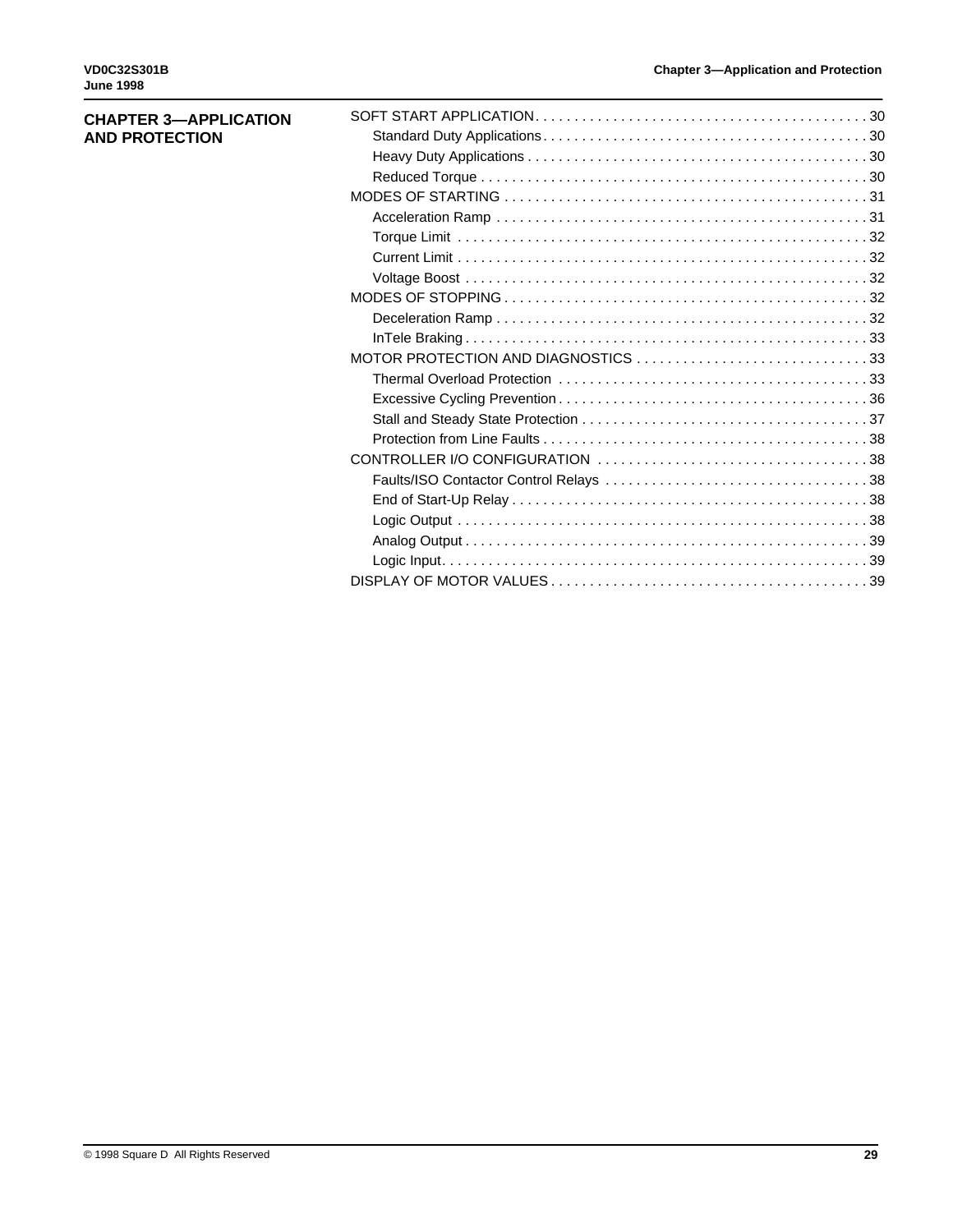| <b>CHAPTER 3-APPLICATION</b> |  |
|------------------------------|--|
| <b>AND PROTECTION</b>        |  |
|                              |  |
|                              |  |
|                              |  |
|                              |  |
|                              |  |
|                              |  |
|                              |  |
|                              |  |
|                              |  |
|                              |  |
|                              |  |
|                              |  |
|                              |  |
|                              |  |
|                              |  |
|                              |  |
|                              |  |
|                              |  |
|                              |  |
|                              |  |
|                              |  |
|                              |  |
|                              |  |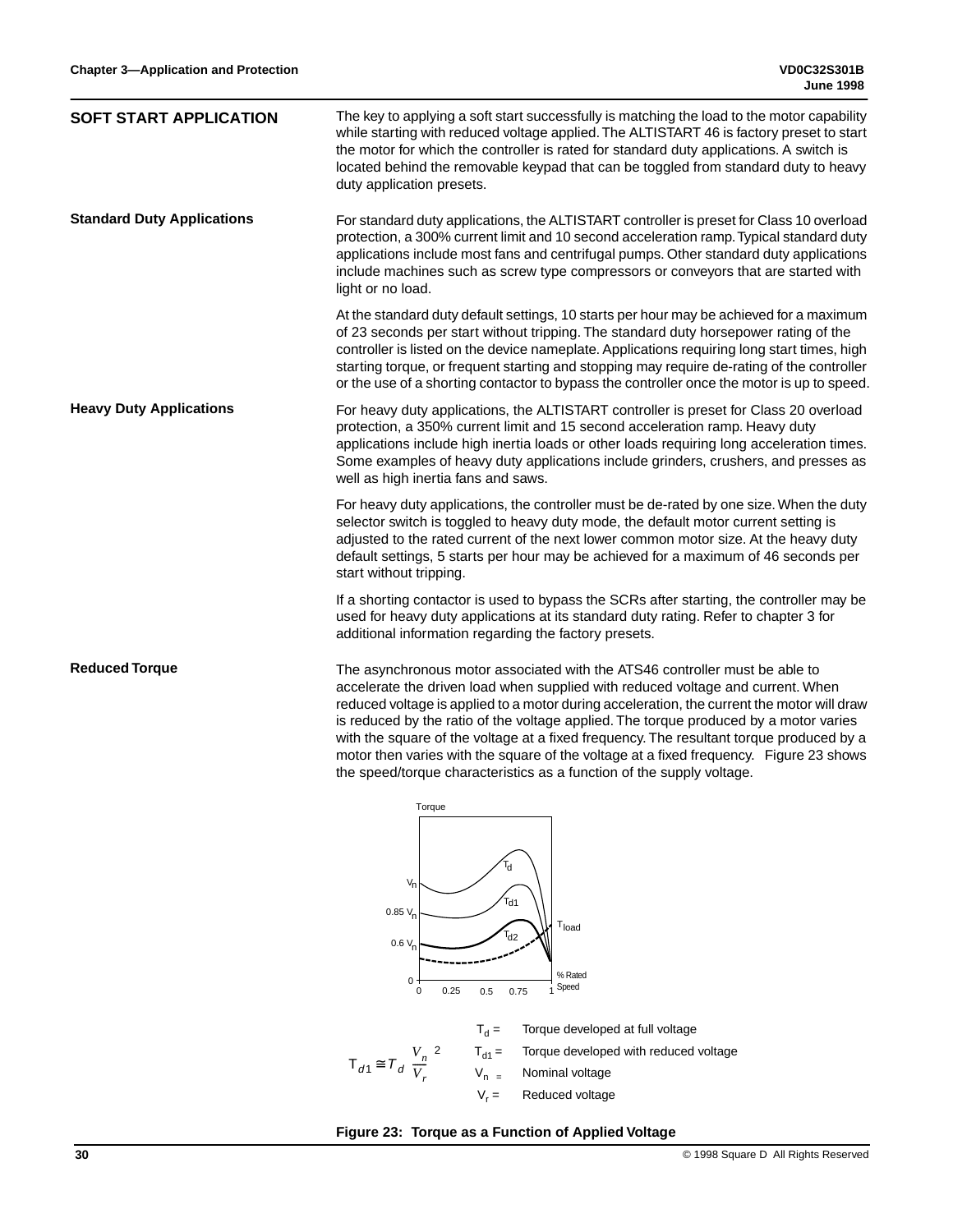| <b>SOFT START APPLICATION</b>     | The key to applying a soft start successfully is matching the load to the motor capability<br>while starting with reduced voltage applied. The ALTISTART 46 is factory preset to start<br>the motor for which the controller is rated for standard duty applications. A switch is<br>located behind the removable keypad that can be toggled from standard duty to heavy<br>duty application presets.                                                                                                                                                                                                               |
|-----------------------------------|---------------------------------------------------------------------------------------------------------------------------------------------------------------------------------------------------------------------------------------------------------------------------------------------------------------------------------------------------------------------------------------------------------------------------------------------------------------------------------------------------------------------------------------------------------------------------------------------------------------------|
| <b>Standard Duty Applications</b> | For standard duty applications, the ALTISTART controller is preset for Class 10 overload<br>protection, a 300% current limit and 10 second acceleration ramp. Typical standard duty<br>applications include most fans and centrifugal pumps. Other standard duty applications<br>include machines such as screw type compressors or conveyors that are started with<br>light or no load.                                                                                                                                                                                                                            |
|                                   | At the standard duty default settings, 10 starts per hour may be achieved for a maximum<br>of 23 seconds per start without tripping. The standard duty horsepower rating of the<br>controller is listed on the device nameplate. Applications requiring long start times, high<br>starting torque, or frequent starting and stopping may require de-rating of the controller<br>or the use of a shorting contactor to bypass the controller once the motor is up to speed.                                                                                                                                          |
| <b>Heavy Duty Applications</b>    | For heavy duty applications, the ALTISTART controller is preset for Class 20 overload<br>protection, a 350% current limit and 15 second acceleration ramp. Heavy duty<br>applications include high inertia loads or other loads requiring long acceleration times.<br>Some examples of heavy duty applications include grinders, crushers, and presses as<br>well as high inertia fans and saws.                                                                                                                                                                                                                    |
|                                   | For heavy duty applications, the controller must be de-rated by one size. When the duty<br>selector switch is toggled to heavy duty mode, the default motor current setting is<br>adjusted to the rated current of the next lower common motor size. At the heavy duty<br>default settings, 5 starts per hour may be achieved for a maximum of 46 seconds per<br>start without tripping.                                                                                                                                                                                                                            |
|                                   | If a shorting contactor is used to bypass the SCRs after starting, the controller may be<br>used for heavy duty applications at its standard duty rating. Refer to chapter 3 for<br>additional information regarding the factory presets.                                                                                                                                                                                                                                                                                                                                                                           |
| <b>Reduced Torque</b>             | The asynchronous motor associated with the ATS46 controller must be able to<br>accelerate the driven load when supplied with reduced voltage and current. When<br>reduced voltage is applied to a motor during acceleration, the current the motor will draw<br>is reduced by the ratio of the voltage applied. The torque produced by a motor varies<br>with the square of the voltage at a fixed frequency. The resultant torque produced by a<br>motor then varies with the square of the voltage at a fixed frequency. Figure 23 shows<br>the speed/torque characteristics as a function of the supply voltage. |
|                                   | Torque<br>$V_{n}$<br>Td1<br>$0.85 V_{p}$<br>$\mathsf{T}_{\mathsf{load}}$<br><sup>r</sup> d2<br>$0.6 V_{p}$<br>% Rated<br>$\mathbf 0$<br>Speed<br>0.25<br>0.75<br>0.5<br>0<br>1                                                                                                                                                                                                                                                                                                                                                                                                                                      |
|                                   | $T_d =$<br>Torque developed at full voltage<br>$T_{d1} =$<br>Torque developed with reduced voltage<br>$T_{d1} \cong T_d \left(\frac{V_n}{V}\right)$<br>$V_{n}$<br>Nominal voltage                                                                                                                                                                                                                                                                                                                                                                                                                                   |

**Figure 23: Torque as a Function of Applied Voltage**

 $V_r =$  Reduced voltage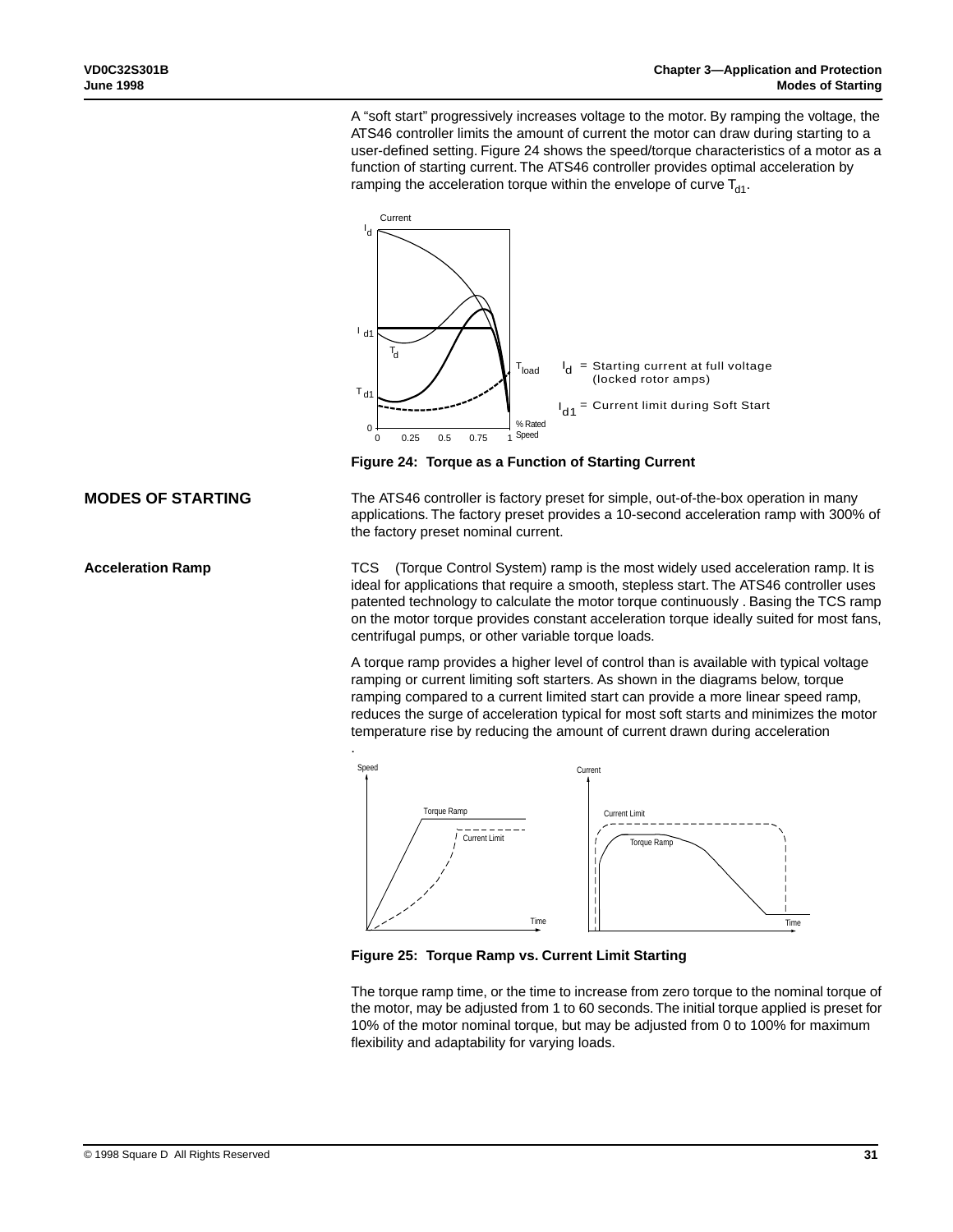A "soft start" progressively increases voltage to the motor. By ramping the voltage, the ATS46 controller limits the amount of current the motor can draw during starting to a user-defined setting. Figure 24 shows the speed/torque characteristics of a motor as a function of starting current. The ATS46 controller provides optimal acceleration by ramping the acceleration torque within the envelope of curve  $T_{d1}$ .



**Figure 24: Torque as a Function of Starting Current**

The ATS46 controller is factory preset for simple, out-of-the-box operation in many applications. The factory preset provides a 10-second acceleration ramp with 300% of the factory preset nominal current.

TCS™ (Torque Control System) ramp is the most widely used acceleration ramp. It is ideal for applications that require a smooth, stepless start. The ATS46 controller uses patented technology to calculate the motor torque continuously . Basing the TCS ramp on the motor torque provides constant acceleration torque ideally suited for most fans, centrifugal pumps, or other variable torque loads.

A torque ramp provides a higher level of control than is available with typical voltage ramping or current limiting soft starters. As shown in the diagrams below, torque ramping compared to a current limited start can provide a more linear speed ramp, reduces the surge of acceleration typical for most soft starts and minimizes the motor temperature rise by reducing the amount of current drawn during acceleration



**Figure 25: Torque Ramp vs. Current Limit Starting**

The torque ramp time, or the time to increase from zero torque to the nominal torque of the motor, may be adjusted from 1 to 60 seconds. The initial torque applied is preset for 10% of the motor nominal torque, but may be adjusted from 0 to 100% for maximum flexibility and adaptability for varying loads.

## **MODES OF STARTING**

**Acceleration Ramp**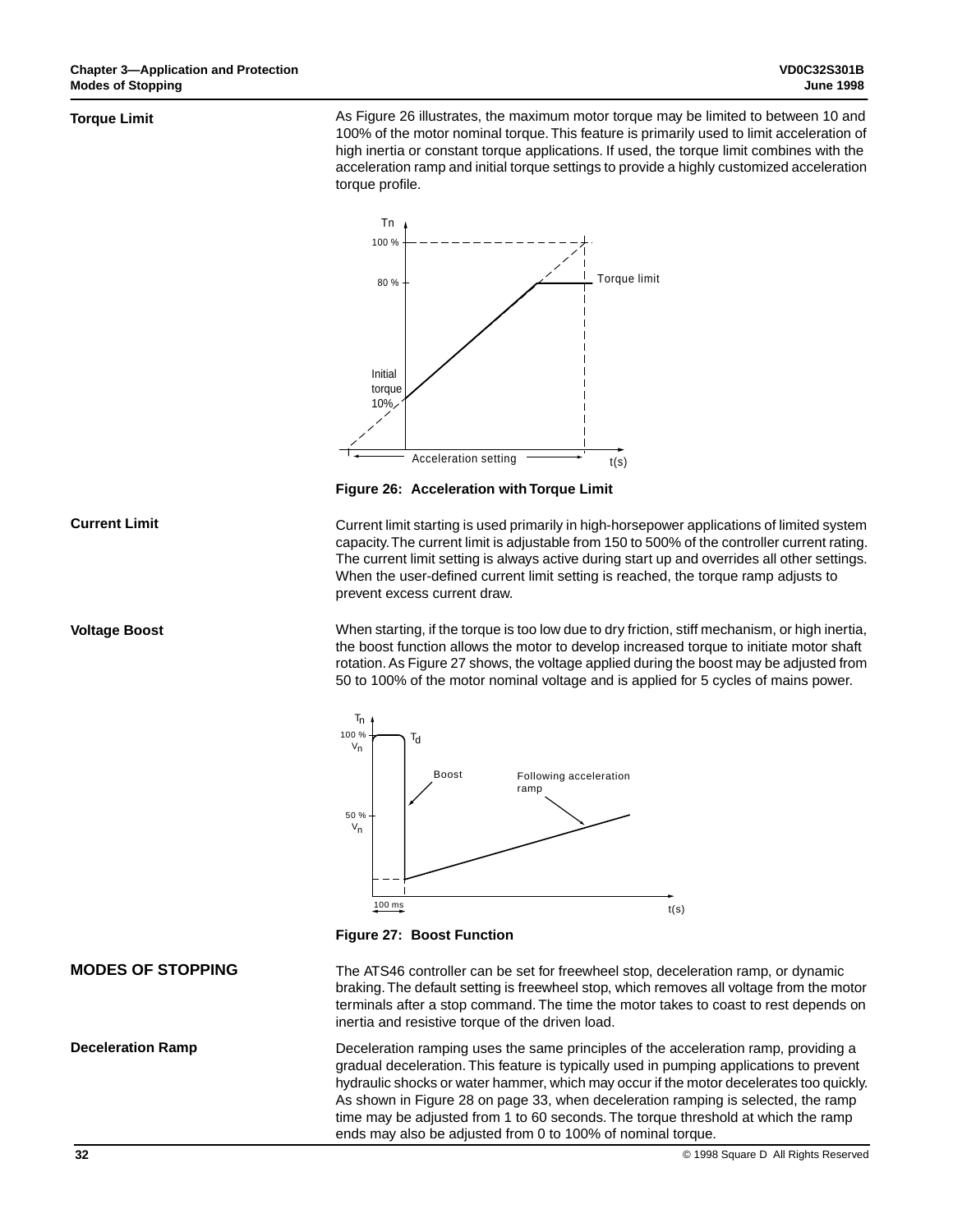#### **Torque Limit**

**Current Limit**

**Voltage Boost**

As Figure 26 illustrates, the maximum motor torque may be limited to between 10 and 100% of the motor nominal torque. This feature is primarily used to limit acceleration of high inertia or constant torque applications. If used, the torque limit combines with the acceleration ramp and initial torque settings to provide a highly customized acceleration torque profile.



**Figure 26: Acceleration with Torque Limit**

Current limit starting is used primarily in high-horsepower applications of limited system capacity. The current limit is adjustable from 150 to 500% of the controller current rating. The current limit setting is always active during start up and overrides all other settings. When the user-defined current limit setting is reached, the torque ramp adjusts to prevent excess current draw.

When starting, if the torque is too low due to dry friction, stiff mechanism, or high inertia, the boost function allows the motor to develop increased torque to initiate motor shaft rotation. As Figure 27 shows, the voltage applied during the boost may be adjusted from 50 to 100% of the motor nominal voltage and is applied for 5 cycles of mains power.



**Figure 27: Boost Function**

## **MODES OF STOPPING**

**Deceleration Ramp**

The ATS46 controller can be set for freewheel stop, deceleration ramp, or dynamic braking. The default setting is freewheel stop, which removes all voltage from the motor terminals after a stop command. The time the motor takes to coast to rest depends on inertia and resistive torque of the driven load.

Deceleration ramping uses the same principles of the acceleration ramp, providing a gradual deceleration. This feature is typically used in pumping applications to prevent hydraulic shocks or water hammer, which may occur if the motor decelerates too quickly. As shown in Figure 28 on page 33, when deceleration ramping is selected, the ramp time may be adjusted from 1 to 60 seconds. The torque threshold at which the ramp ends may also be adjusted from 0 to 100% of nominal torque.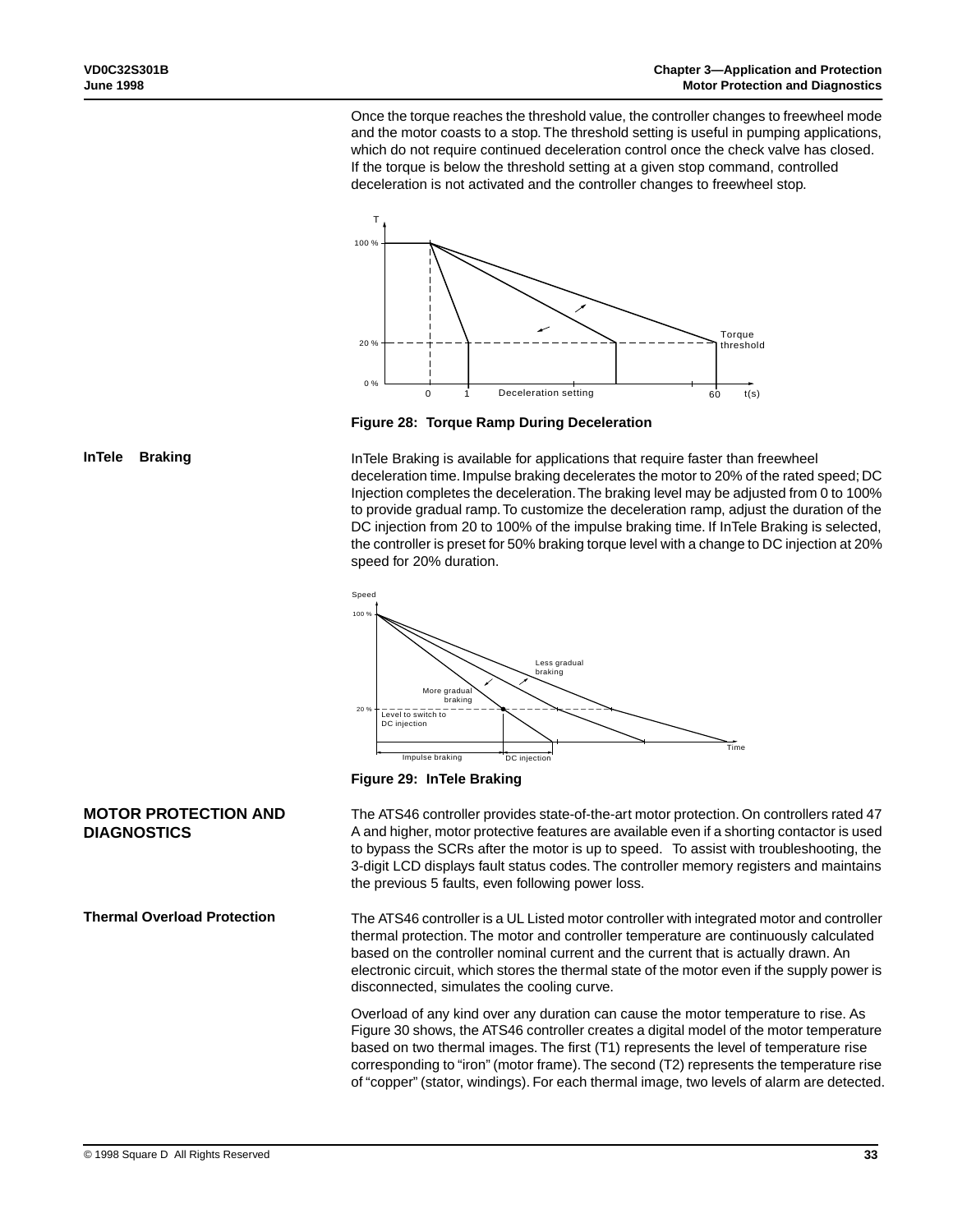Once the torque reaches the threshold value, the controller changes to freewheel mode and the motor coasts to a stop. The threshold setting is useful in pumping applications, which do not require continued deceleration control once the check valve has closed. If the torque is below the threshold setting at a given stop command, controlled deceleration is not activated and the controller changes to freewheel stop.



**Figure 28: Torque Ramp During Deceleration**

InTele Braking is available for applications that require faster than freewheel deceleration time. Impulse braking decelerates the motor to 20% of the rated speed; DC Injection completes the deceleration. The braking level may be adjusted from 0 to 100% to provide gradual ramp. To customize the deceleration ramp, adjust the duration of the DC injection from 20 to 100% of the impulse braking time. If InTele Braking is selected, the controller is preset for 50% braking torque level with a change to DC injection at 20% speed for 20% duration.





The ATS46 controller provides state-of-the-art motor protection. On controllers rated 47 A and higher, motor protective features are available even if a shorting contactor is used to bypass the SCRs after the motor is up to speed. To assist with troubleshooting, the 3-digit LCD displays fault status codes. The controller memory registers and maintains the previous 5 faults, even following power loss.

The ATS46 controller is a UL Listed motor controller with integrated motor and controller thermal protection. The motor and controller temperature are continuously calculated based on the controller nominal current and the current that is actually drawn. An electronic circuit, which stores the thermal state of the motor even if the supply power is disconnected, simulates the cooling curve.

Overload of any kind over any duration can cause the motor temperature to rise. As Figure 30 shows, the ATS46 controller creates a digital model of the motor temperature based on two thermal images. The first (T1) represents the level of temperature rise corresponding to "iron" (motor frame). The second (T2) represents the temperature rise of "copper" (stator, windings). For each thermal image, two levels of alarm are detected.

## **InTele<sup>™</sup> Braking**

# **MOTOR PROTECTION AND DIAGNOSTICS**

## **Thermal Overload Protection**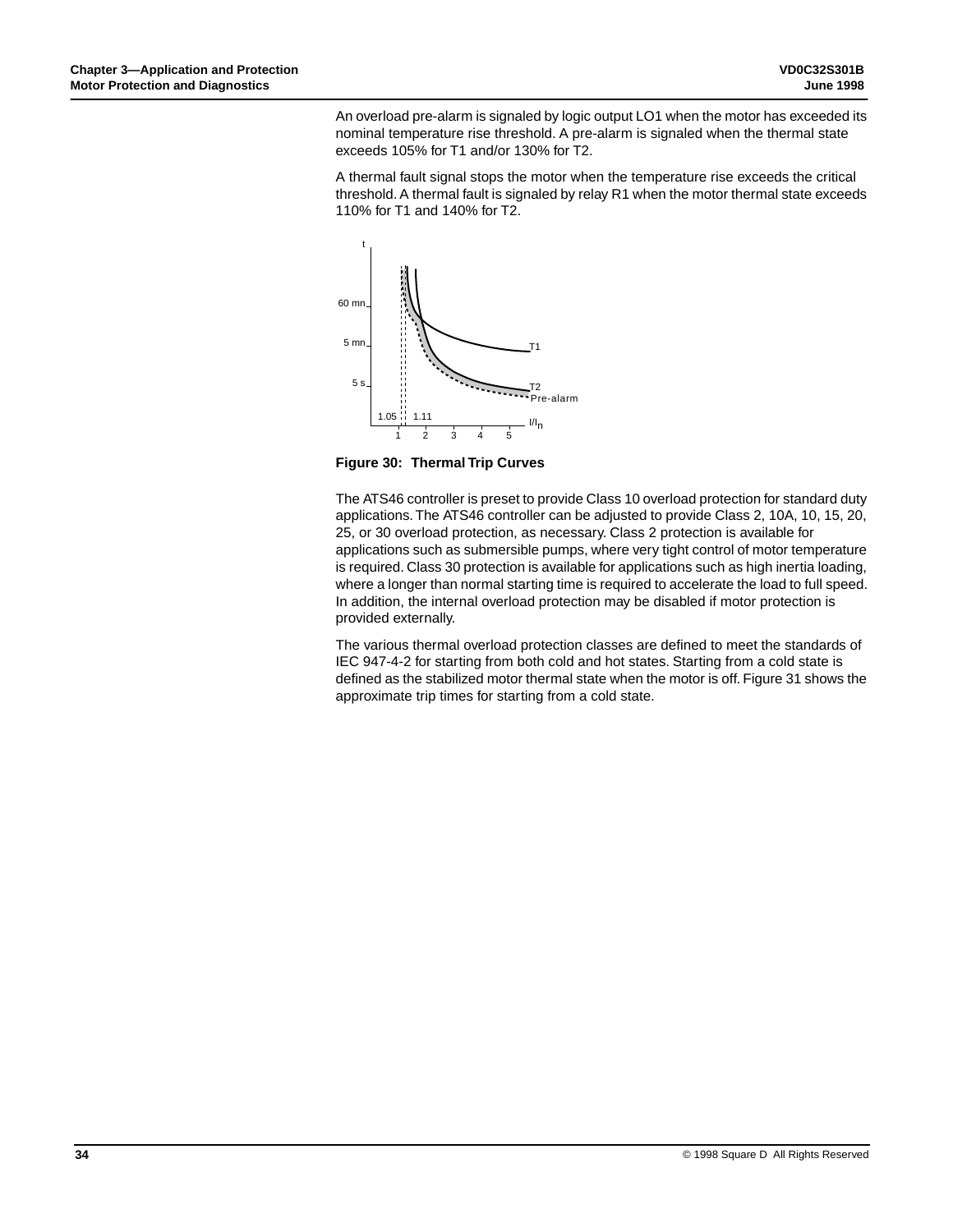An overload pre-alarm is signaled by logic output LO1 when the motor has exceeded its nominal temperature rise threshold. A pre-alarm is signaled when the thermal state exceeds 105% for T1 and/or 130% for T2.

A thermal fault signal stops the motor when the temperature rise exceeds the critical threshold. A thermal fault is signaled by relay R1 when the motor thermal state exceeds 110% for T1 and 140% for T2.



**Figure 30: Thermal Trip Curves**

The ATS46 controller is preset to provide Class 10 overload protection for standard duty applications. The ATS46 controller can be adjusted to provide Class 2, 10A, 10, 15, 20, 25, or 30 overload protection, as necessary. Class 2 protection is available for applications such as submersible pumps, where very tight control of motor temperature is required. Class 30 protection is available for applications such as high inertia loading, where a longer than normal starting time is required to accelerate the load to full speed. In addition, the internal overload protection may be disabled if motor protection is provided externally.

The various thermal overload protection classes are defined to meet the standards of IEC 947-4-2 for starting from both cold and hot states. Starting from a cold state is defined as the stabilized motor thermal state when the motor is off. Figure 31 shows the approximate trip times for starting from a cold state.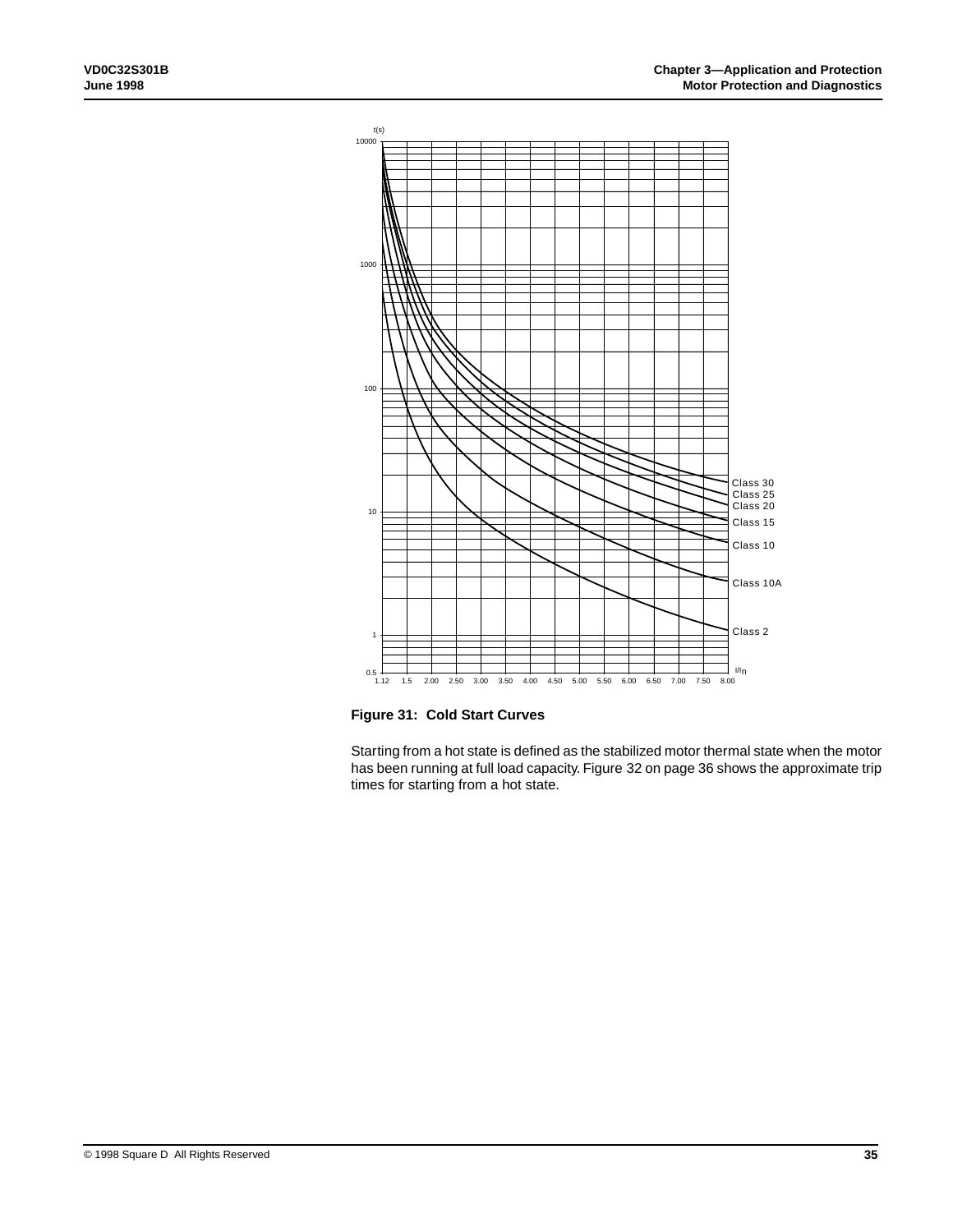

**Figure 31: Cold Start Curves**

Starting from a hot state is defined as the stabilized motor thermal state when the motor has been running at full load capacity. Figure 32 on page 36 shows the approximate trip times for starting from a hot state.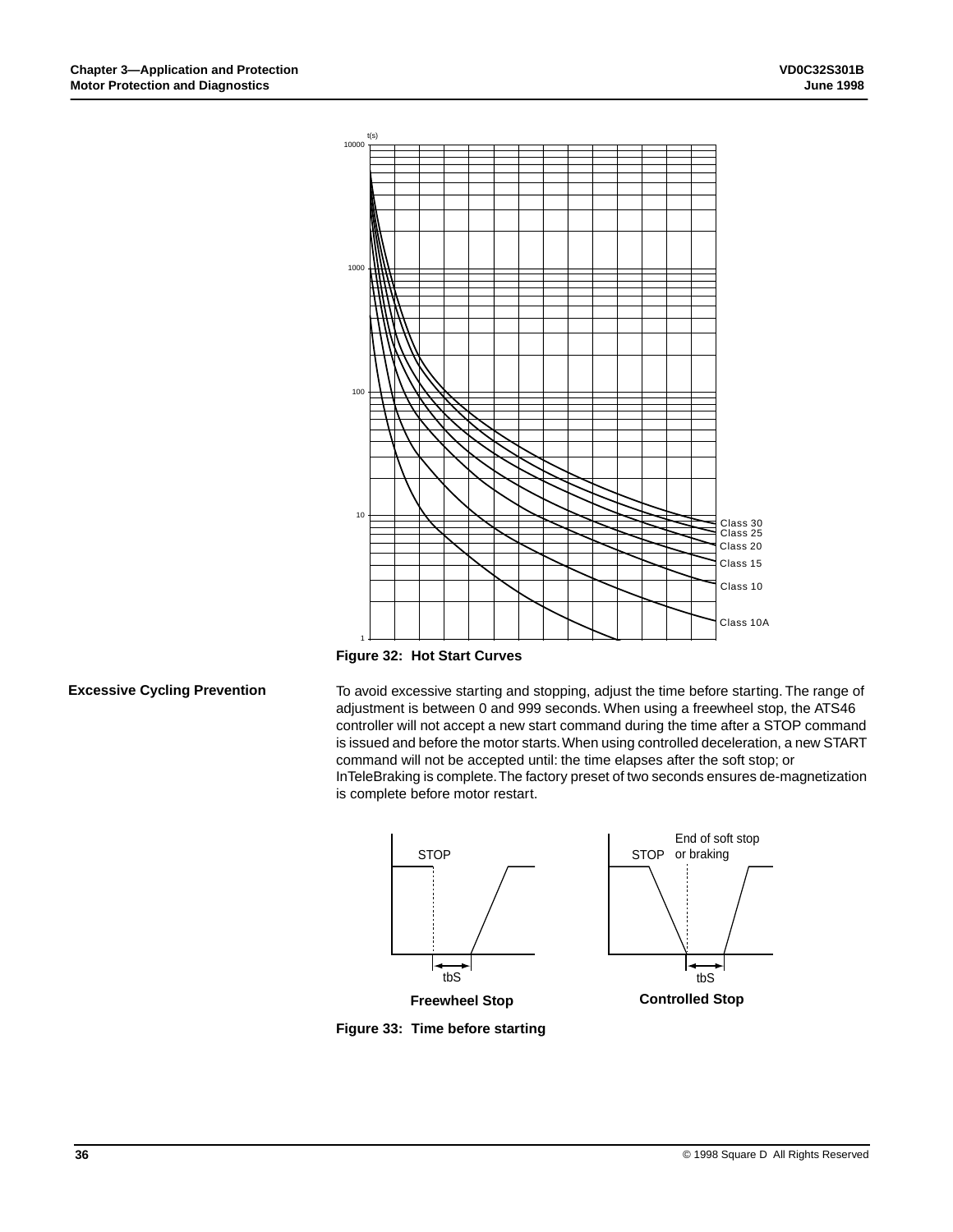

**Figure 32: Hot Start Curves**

## **Excessive Cycling Prevention**

To avoid excessive starting and stopping, adjust the time before starting. The range of adjustment is between 0 and 999 seconds. When using a freewheel stop, the ATS46 controller will not accept a new start command during the time after a STOP command is issued and before the motor starts. When using controlled deceleration, a new START command will not be accepted until: the time elapses after the soft stop; or InTeleBraking is complete. The factory preset of two seconds ensures de-magnetization is complete before motor restart.



**Figure 33: Time before starting**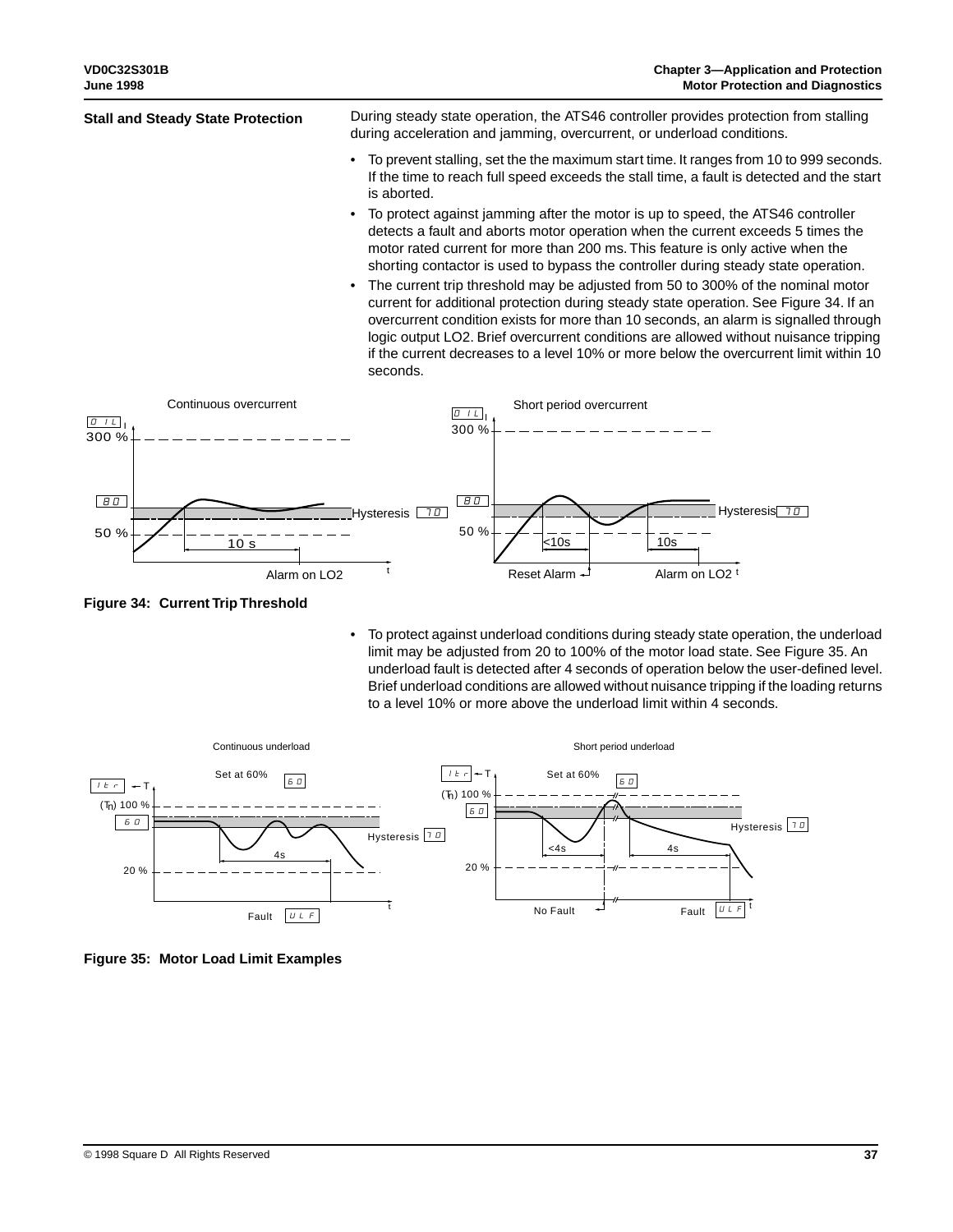- To prevent stalling, set the the maximum start time. It ranges from 10 to 999 seconds. If the time to reach full speed exceeds the stall time, a fault is detected and the start is aborted.
- To protect against jamming after the motor is up to speed, the ATS46 controller detects a fault and aborts motor operation when the current exceeds 5 times the motor rated current for more than 200 ms. This feature is only active when the shorting contactor is used to bypass the controller during steady state operation.
- The current trip threshold may be adjusted from 50 to 300% of the nominal motor current for additional protection during steady state operation. See Figure 34. If an overcurrent condition exists for more than 10 seconds, an alarm is signalled through logic output LO2. Brief overcurrent conditions are allowed without nuisance tripping if the current decreases to a level 10% or more below the overcurrent limit within 10 seconds.



**Figure 34: Current Trip Threshold**

• To protect against underload conditions during steady state operation, the underload limit may be adjusted from 20 to 100% of the motor load state. See Figure 35. An underload fault is detected after 4 seconds of operation below the user-defined level. Brief underload conditions are allowed without nuisance tripping if the loading returns to a level 10% or more above the underload limit within 4 seconds.



**Figure 35: Motor Load Limit Examples**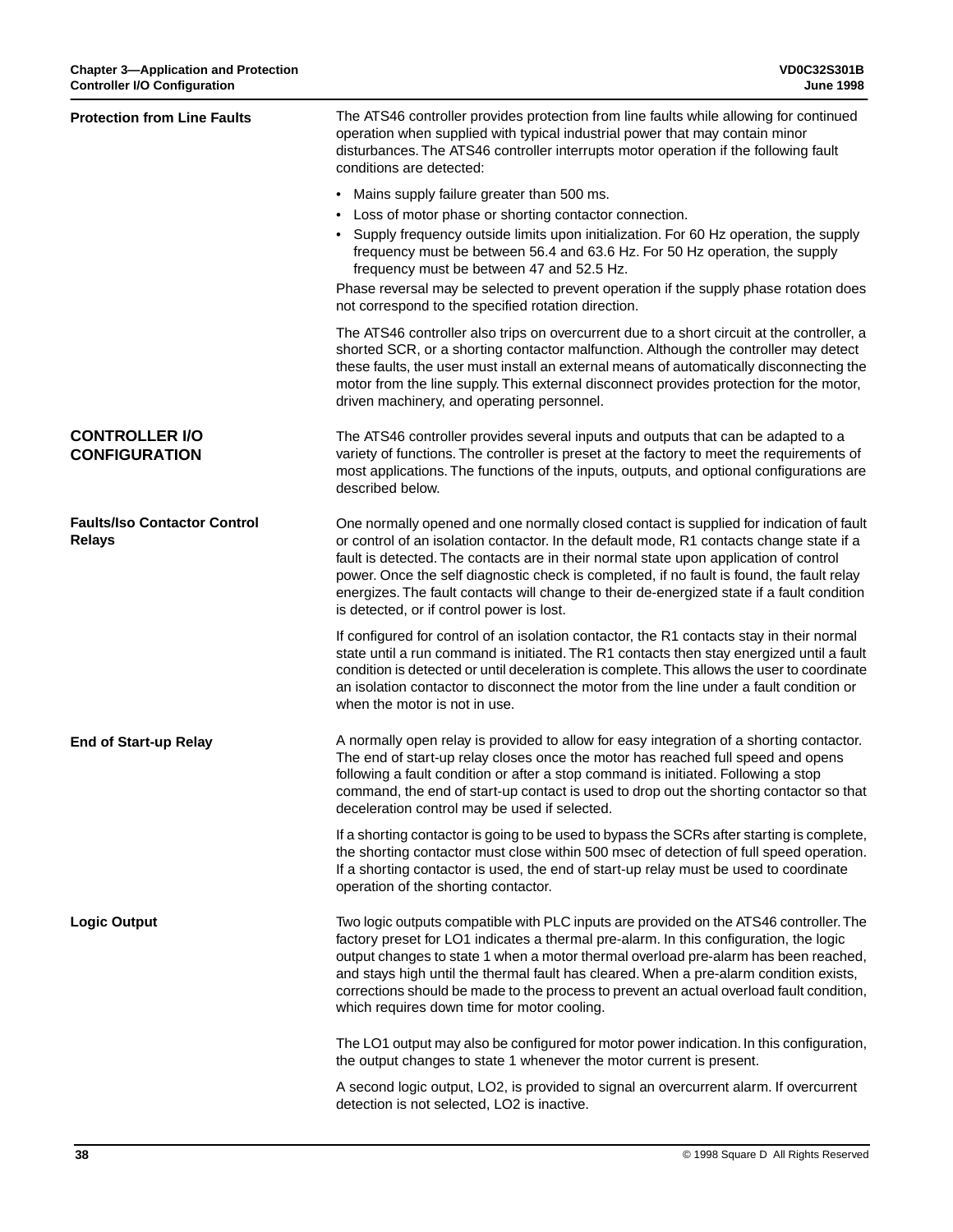| <b>Protection from Line Faults</b>                   | The ATS46 controller provides protection from line faults while allowing for continued<br>operation when supplied with typical industrial power that may contain minor<br>disturbances. The ATS46 controller interrupts motor operation if the following fault<br>conditions are detected:                                                                                                                                                                                                                           |
|------------------------------------------------------|----------------------------------------------------------------------------------------------------------------------------------------------------------------------------------------------------------------------------------------------------------------------------------------------------------------------------------------------------------------------------------------------------------------------------------------------------------------------------------------------------------------------|
|                                                      | • Mains supply failure greater than 500 ms.                                                                                                                                                                                                                                                                                                                                                                                                                                                                          |
|                                                      | • Loss of motor phase or shorting contactor connection.                                                                                                                                                                                                                                                                                                                                                                                                                                                              |
|                                                      | • Supply frequency outside limits upon initialization. For 60 Hz operation, the supply<br>frequency must be between 56.4 and 63.6 Hz. For 50 Hz operation, the supply<br>frequency must be between 47 and 52.5 Hz.                                                                                                                                                                                                                                                                                                   |
|                                                      | Phase reversal may be selected to prevent operation if the supply phase rotation does<br>not correspond to the specified rotation direction.                                                                                                                                                                                                                                                                                                                                                                         |
|                                                      | The ATS46 controller also trips on overcurrent due to a short circuit at the controller, a<br>shorted SCR, or a shorting contactor malfunction. Although the controller may detect<br>these faults, the user must install an external means of automatically disconnecting the<br>motor from the line supply. This external disconnect provides protection for the motor,<br>driven machinery, and operating personnel.                                                                                              |
| <b>CONTROLLER I/O</b><br><b>CONFIGURATION</b>        | The ATS46 controller provides several inputs and outputs that can be adapted to a<br>variety of functions. The controller is preset at the factory to meet the requirements of<br>most applications. The functions of the inputs, outputs, and optional configurations are<br>described below.                                                                                                                                                                                                                       |
| <b>Faults/Iso Contactor Control</b><br><b>Relays</b> | One normally opened and one normally closed contact is supplied for indication of fault<br>or control of an isolation contactor. In the default mode, R1 contacts change state if a<br>fault is detected. The contacts are in their normal state upon application of control<br>power. Once the self diagnostic check is completed, if no fault is found, the fault relay<br>energizes. The fault contacts will change to their de-energized state if a fault condition<br>is detected, or if control power is lost. |
|                                                      | If configured for control of an isolation contactor, the R1 contacts stay in their normal<br>state until a run command is initiated. The R1 contacts then stay energized until a fault<br>condition is detected or until deceleration is complete. This allows the user to coordinate<br>an isolation contactor to disconnect the motor from the line under a fault condition or<br>when the motor is not in use.                                                                                                    |
| <b>End of Start-up Relay</b>                         | A normally open relay is provided to allow for easy integration of a shorting contactor.<br>The end of start-up relay closes once the motor has reached full speed and opens<br>following a fault condition or after a stop command is initiated. Following a stop<br>command, the end of start-up contact is used to drop out the shorting contactor so that<br>deceleration control may be used if selected.                                                                                                       |
|                                                      | If a shorting contactor is going to be used to bypass the SCRs after starting is complete,<br>the shorting contactor must close within 500 msec of detection of full speed operation.<br>If a shorting contactor is used, the end of start-up relay must be used to coordinate<br>operation of the shorting contactor.                                                                                                                                                                                               |
| <b>Logic Output</b>                                  | Two logic outputs compatible with PLC inputs are provided on the ATS46 controller. The<br>factory preset for LO1 indicates a thermal pre-alarm. In this configuration, the logic<br>output changes to state 1 when a motor thermal overload pre-alarm has been reached,<br>and stays high until the thermal fault has cleared. When a pre-alarm condition exists,<br>corrections should be made to the process to prevent an actual overload fault condition,<br>which requires down time for motor cooling.         |
|                                                      | The LO1 output may also be configured for motor power indication. In this configuration,<br>the output changes to state 1 whenever the motor current is present.                                                                                                                                                                                                                                                                                                                                                     |
|                                                      | A second logic output, LO2, is provided to signal an overcurrent alarm. If overcurrent<br>detection is not selected, LO2 is inactive.                                                                                                                                                                                                                                                                                                                                                                                |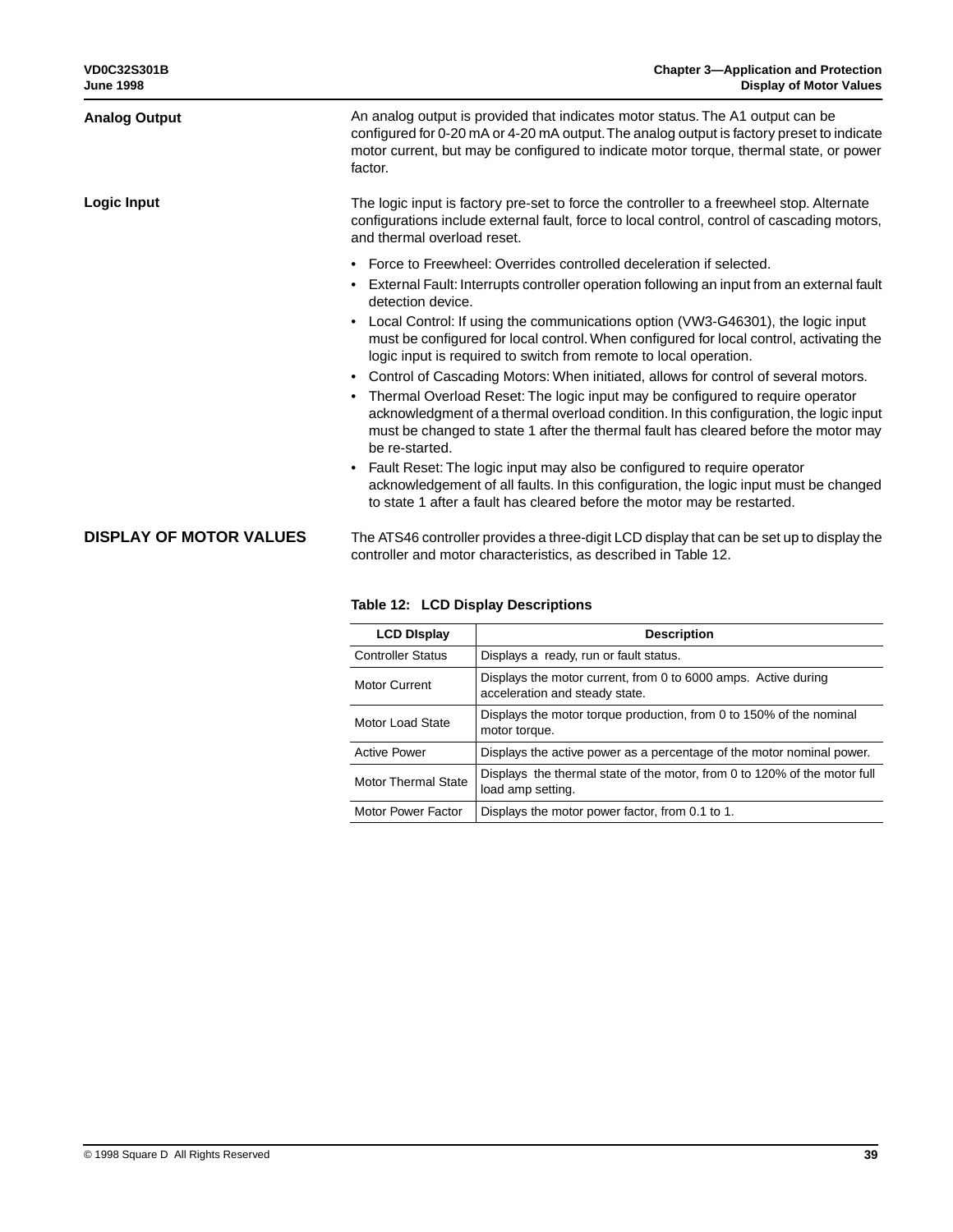| <b>Analog Output</b>           | An analog output is provided that indicates motor status. The A1 output can be<br>configured for 0-20 mA or 4-20 mA output. The analog output is factory preset to indicate<br>motor current, but may be configured to indicate motor torque, thermal state, or power<br>factor. |
|--------------------------------|----------------------------------------------------------------------------------------------------------------------------------------------------------------------------------------------------------------------------------------------------------------------------------|
| Logic Input                    | The logic input is factory pre-set to force the controller to a freewheel stop. Alternate<br>configurations include external fault, force to local control, control of cascading motors,<br>and thermal overload reset.                                                          |
|                                | • Force to Freewheel: Overrides controlled deceleration if selected.<br>• External Fault: Interrupts controller operation following an input from an external fault                                                                                                              |
|                                | detection device.<br>Local Control: If using the communications option (VW3-G46301), the logic input<br>must be configured for local control. When configured for local control, activating the<br>logic input is required to switch from remote to local operation.             |
|                                | • Control of Cascading Motors: When initiated, allows for control of several motors.                                                                                                                                                                                             |
|                                | Thermal Overload Reset: The logic input may be configured to require operator<br>acknowledgment of a thermal overload condition. In this configuration, the logic input<br>must be changed to state 1 after the thermal fault has cleared before the motor may<br>be re-started. |
|                                | Fault Reset: The logic input may also be configured to require operator<br>$\bullet$<br>acknowledgement of all faults. In this configuration, the logic input must be changed<br>to state 1 after a fault has cleared before the motor may be restarted.                         |
| <b>DISPLAY OF MOTOR VALUES</b> | The ATS46 controller provides a three-digit LCD display that can be set up to display the<br>controller and motor characteristics, as described in Table 12.                                                                                                                     |

| <b>LCD Display</b>         | <b>Description</b>                                                                               |
|----------------------------|--------------------------------------------------------------------------------------------------|
| <b>Controller Status</b>   | Displays a ready, run or fault status.                                                           |
| Motor Current              | Displays the motor current, from 0 to 6000 amps. Active during<br>acceleration and steady state. |
| Motor Load State           | Displays the motor torque production, from 0 to 150% of the nominal<br>motor torque.             |
| <b>Active Power</b>        | Displays the active power as a percentage of the motor nominal power.                            |
| <b>Motor Thermal State</b> | Displays the thermal state of the motor, from 0 to 120% of the motor full<br>load amp setting.   |
| Motor Power Factor         | Displays the motor power factor, from 0.1 to 1.                                                  |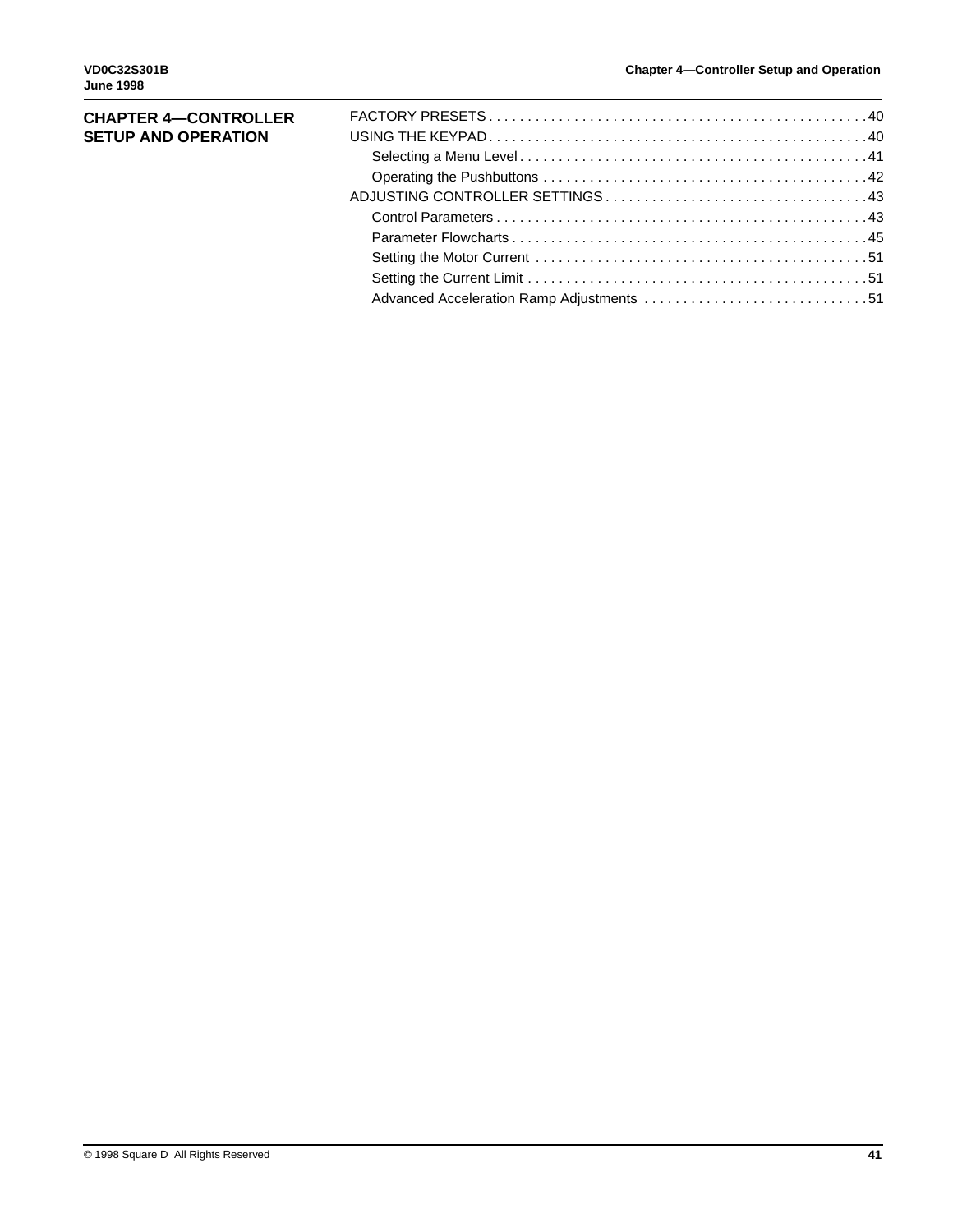| <b>CHAPTER 4-CONTROLLER</b> |  |
|-----------------------------|--|
| <b>SETUP AND OPERATION</b>  |  |
|                             |  |
|                             |  |
|                             |  |
|                             |  |
|                             |  |
|                             |  |
|                             |  |
|                             |  |
|                             |  |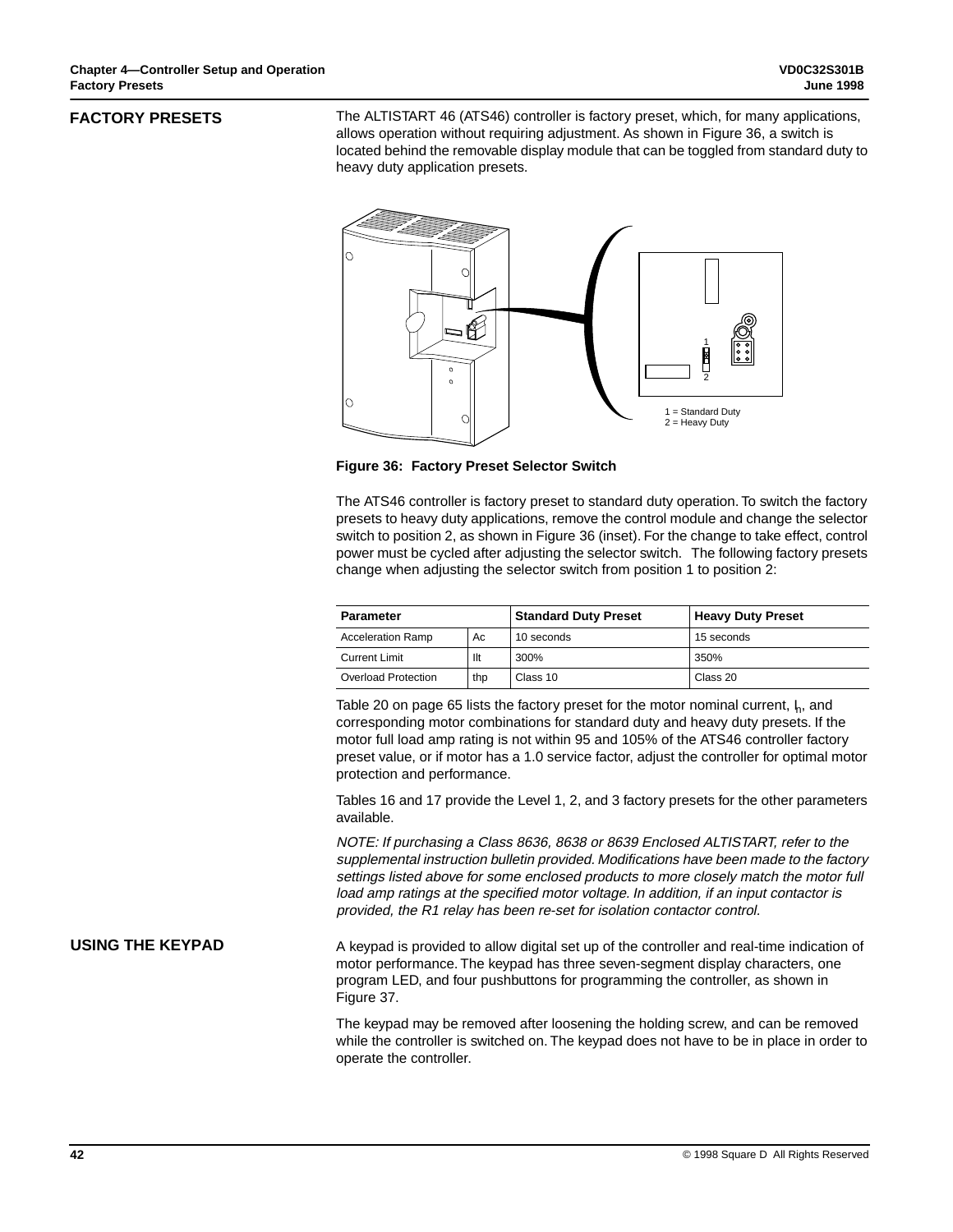## **FACTORY PRESETS**

The ALTISTART 46 (ATS46) controller is factory preset, which, for many applications, allows operation without requiring adjustment. As shown in Figure 36, a switch is located behind the removable display module that can be toggled from standard duty to heavy duty application presets.



**Figure 36: Factory Preset Selector Switch**

The ATS46 controller is factory preset to standard duty operation. To switch the factory presets to heavy duty applications, remove the control module and change the selector switch to position 2, as shown in Figure 36 (inset). For the change to take effect, control power must be cycled after adjusting the selector switch. The following factory presets change when adjusting the selector switch from position 1 to position 2:

| <b>Parameter</b>         |     | <b>Standard Duty Preset</b> | <b>Heavy Duty Preset</b> |
|--------------------------|-----|-----------------------------|--------------------------|
| <b>Acceleration Ramp</b> | Ac  | 10 seconds                  | 15 seconds               |
| <b>Current Limit</b>     | llt | 300%                        | 350%                     |
| Overload Protection      | thp | Class 10                    | Class 20                 |

Table 20 on page 65 lists the factory preset for the motor nominal current,  $\mu$ , and corresponding motor combinations for standard duty and heavy duty presets. If the motor full load amp rating is not within 95 and 105% of the ATS46 controller factory preset value, or if motor has a 1.0 service factor, adjust the controller for optimal motor protection and performance.

Tables 16 and 17 provide the Level 1, 2, and 3 factory presets for the other parameters available.

NOTE: If purchasing a Class 8636, 8638 or 8639 Enclosed ALTISTART, refer to the supplemental instruction bulletin provided. Modifications have been made to the factory settings listed above for some enclosed products to more closely match the motor full load amp ratings at the specified motor voltage. In addition, if an input contactor is provided, the R1 relay has been re-set for isolation contactor control.

# **USING THE KEYPAD**

A keypad is provided to allow digital set up of the controller and real-time indication of motor performance. The keypad has three seven-segment display characters, one program LED, and four pushbuttons for programming the controller, as shown in Figure 37.

The keypad may be removed after loosening the holding screw, and can be removed while the controller is switched on. The keypad does not have to be in place in order to operate the controller.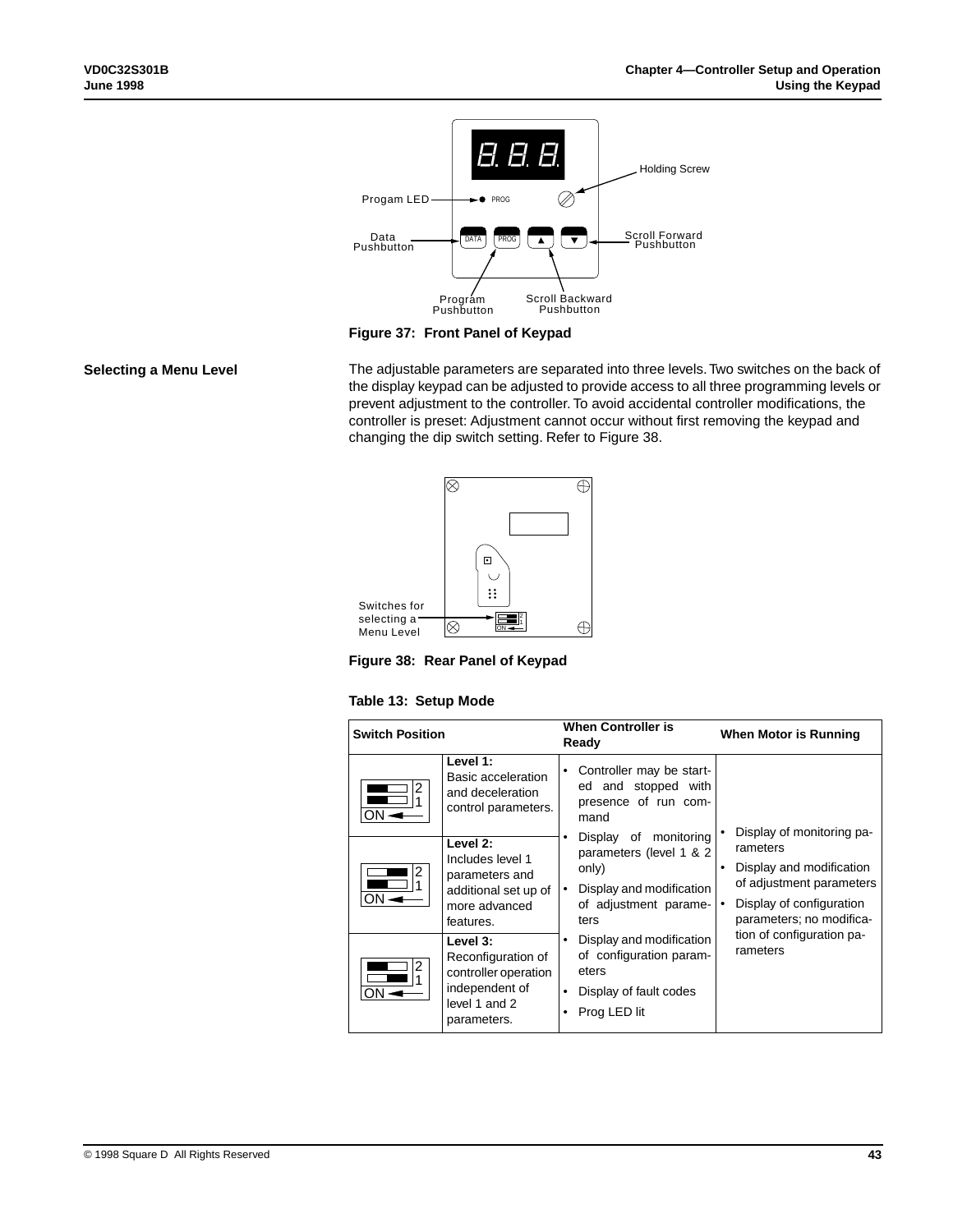

**Figure 37: Front Panel of Keypad**

## **Selecting a Menu Level**

The adjustable parameters are separated into three levels. Two switches on the back of the display keypad can be adjusted to provide access to all three programming levels or prevent adjustment to the controller. To avoid accidental controller modifications, the controller is preset: Adjustment cannot occur without first removing the keypad and changing the dip switch setting. Refer to Figure 38.





## **Table 13: Setup Mode**

| <b>Switch Position</b> |                                                                                                          |        | <b>When Controller is</b><br>Ready                                                                                     | When Motor is Running                                                                                                                                 |
|------------------------|----------------------------------------------------------------------------------------------------------|--------|------------------------------------------------------------------------------------------------------------------------|-------------------------------------------------------------------------------------------------------------------------------------------------------|
| 2<br>ON                | Level 1:<br>Basic acceleration<br>and deceleration<br>control parameters.                                | ٠      | Controller may be start-<br>ed and stopped with<br>presence of run com-<br>mand                                        |                                                                                                                                                       |
| 2<br>ON.               | Level 2:<br>Includes level 1<br>parameters and<br>additional set up of<br>more advanced<br>features.     | ٠      | Display of monitoring<br>parameters (level 1 & 2<br>only)<br>Display and modification<br>of adjustment parame-<br>ters | Display of monitoring pa-<br>rameters<br>Display and modification<br>of adjustment parameters<br>Display of configuration<br>parameters; no modifica- |
| 2<br>ON.               | Level 3:<br>Reconfiguration of<br>controller operation<br>independent of<br>level 1 and 2<br>parameters. | ٠<br>٠ | Display and modification<br>of configuration param-<br>eters<br>Display of fault codes<br>Prog LED lit                 | tion of configuration pa-<br>rameters                                                                                                                 |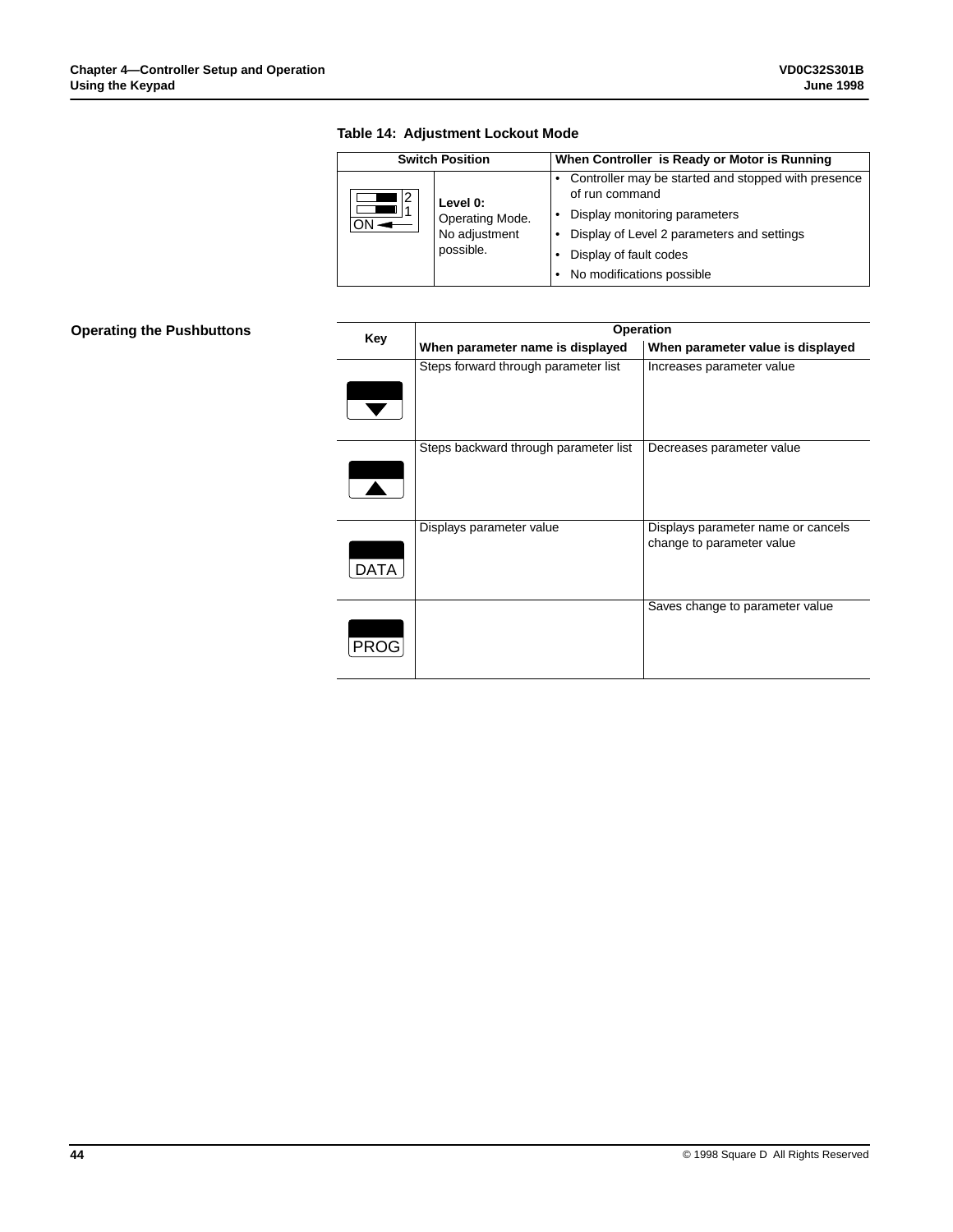|                                               | <b>Switch Position</b>        | When Controller is Ready or Motor is Running                          |
|-----------------------------------------------|-------------------------------|-----------------------------------------------------------------------|
| 12                                            | Level 0:                      | Controller may be started and stopped with presence<br>of run command |
| Operating Mode.<br>No adjustment<br>possible. | Display monitoring parameters |                                                                       |
|                                               |                               | Display of Level 2 parameters and settings                            |
|                                               |                               | Display of fault codes                                                |
|                                               |                               | No modifications possible                                             |

# **Table 14: Adjustment Lockout Mode**

# **Operating the Pushbuttons**

|      | Operation                             |                                                                 |  |  |  |
|------|---------------------------------------|-----------------------------------------------------------------|--|--|--|
| Key  | When parameter name is displayed      | When parameter value is displayed                               |  |  |  |
|      | Steps forward through parameter list  | Increases parameter value                                       |  |  |  |
|      | Steps backward through parameter list | Decreases parameter value                                       |  |  |  |
| DATA | Displays parameter value              | Displays parameter name or cancels<br>change to parameter value |  |  |  |
| PRC  |                                       | Saves change to parameter value                                 |  |  |  |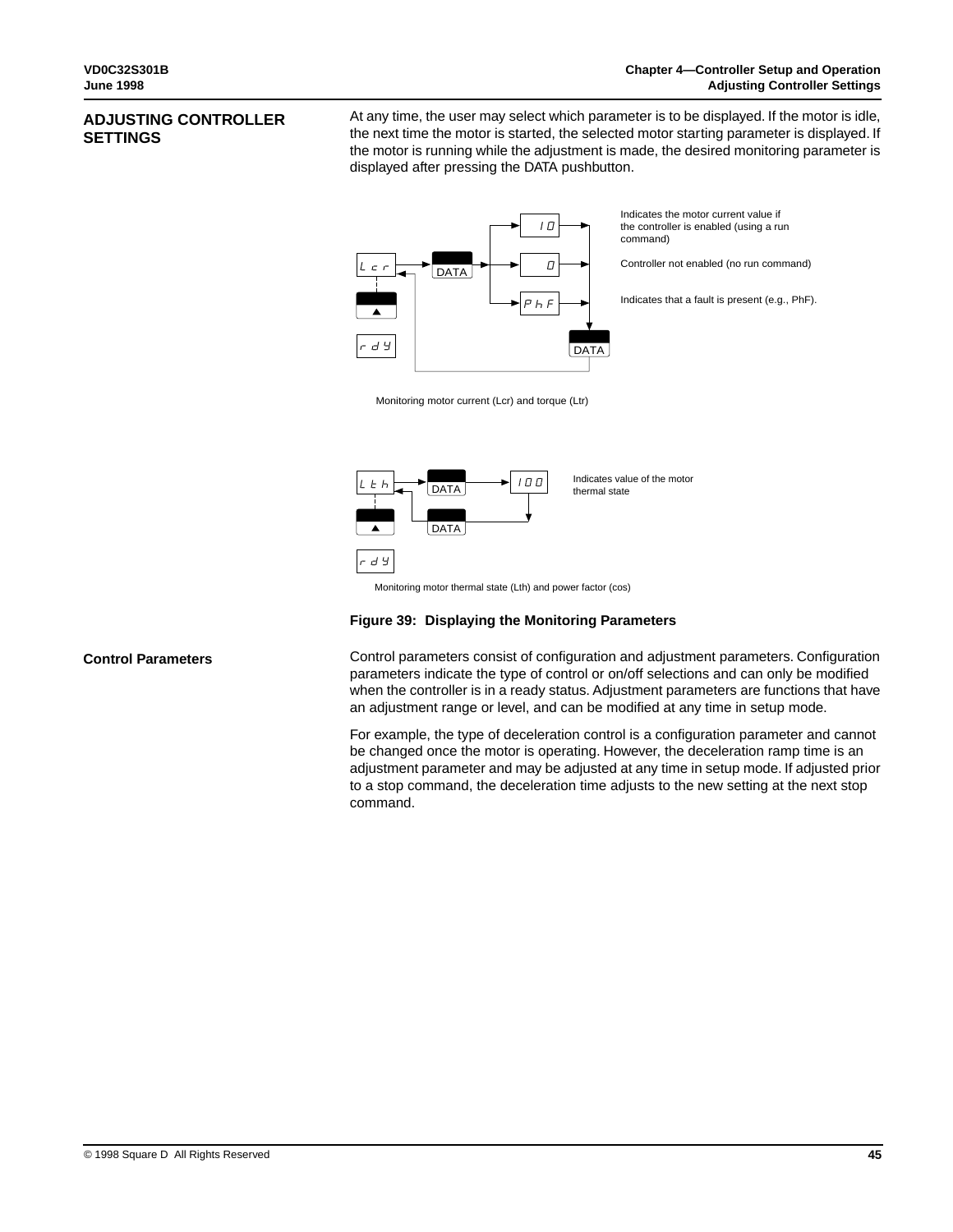# **ADJUSTING CONTROLLER SETTINGS**

At any time, the user may select which parameter is to be displayed. If the motor is idle, the next time the motor is started, the selected motor starting parameter is displayed. If the motor is running while the adjustment is made, the desired monitoring parameter is displayed after pressing the DATA pushbutton.



Monitoring motor current (Lcr) and torque (Ltr)



# **Figure 39: Displaying the Monitoring Parameters**

**Control Parameters**

Control parameters consist of configuration and adjustment parameters. Configuration parameters indicate the type of control or on/off selections and can only be modified when the controller is in a ready status. Adjustment parameters are functions that have an adjustment range or level, and can be modified at any time in setup mode.

For example, the type of deceleration control is a configuration parameter and cannot be changed once the motor is operating. However, the deceleration ramp time is an adjustment parameter and may be adjusted at any time in setup mode. If adjusted prior to a stop command, the deceleration time adjusts to the new setting at the next stop command.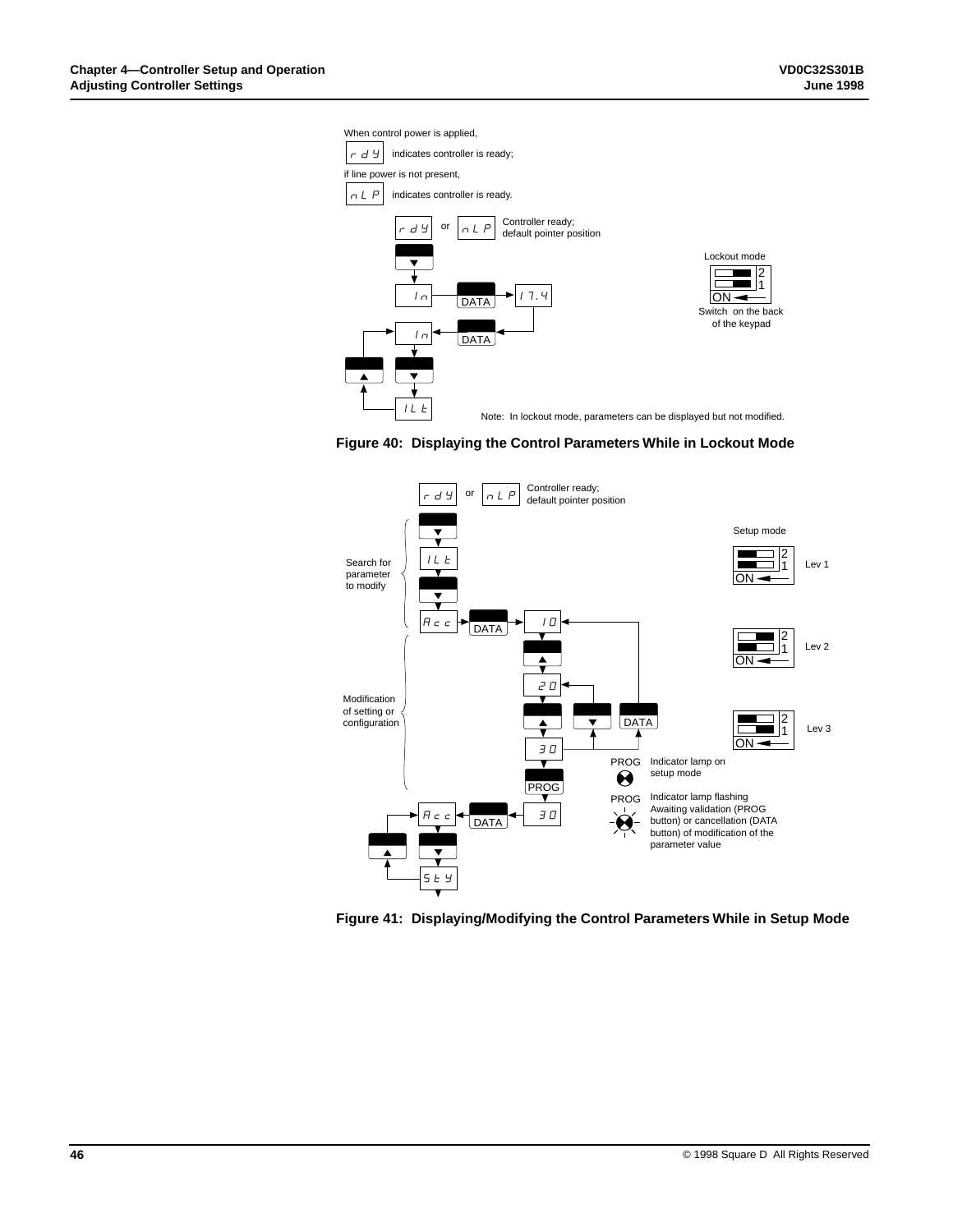When control power is applied,







**Figure 41: Displaying/Modifying the Control Parameters While in Setup Mode**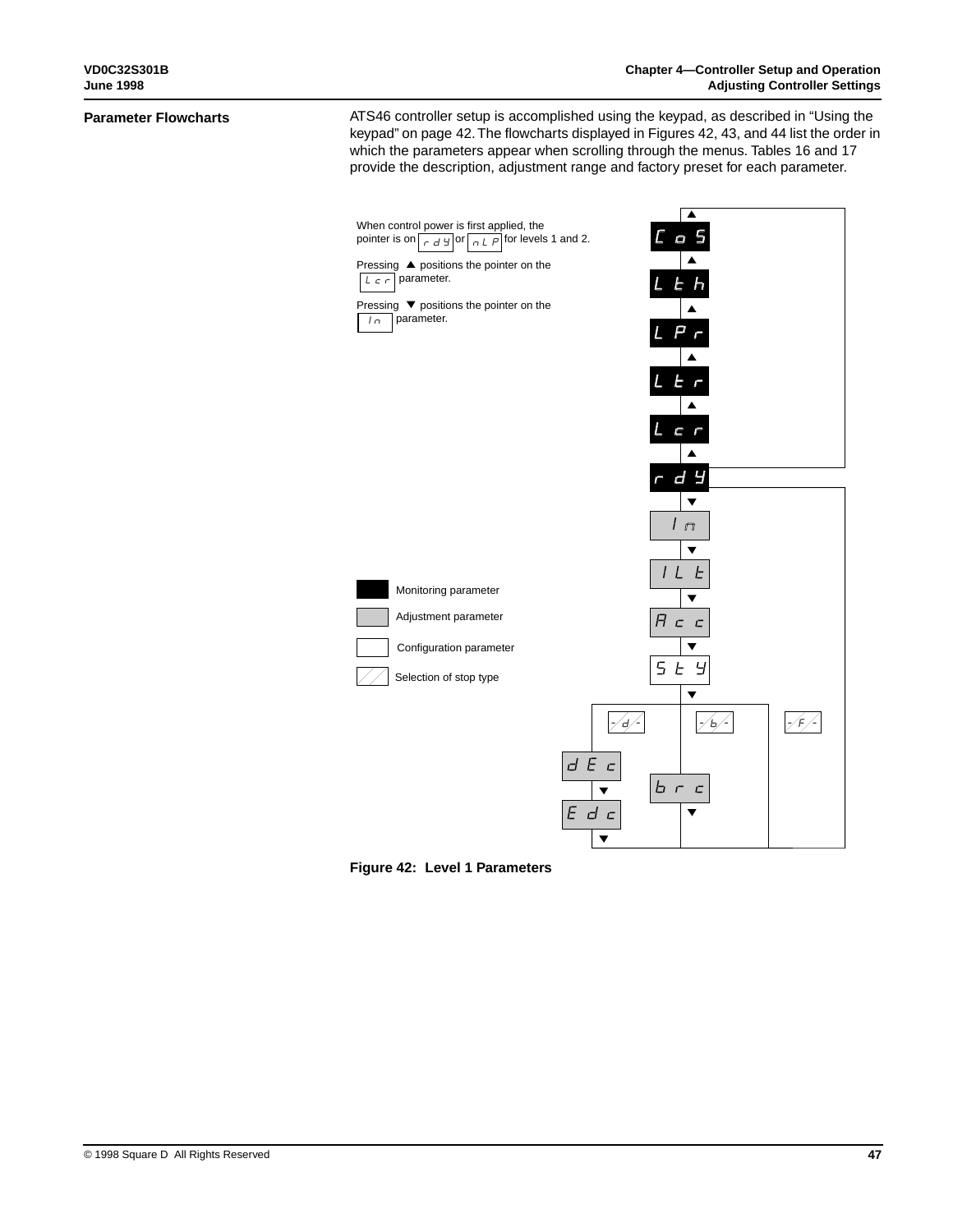#### **Parameter Flowcharts**

ATS46 controller setup is accomplished using the keypad, as described in "Using the keypad" on page 42. The flowcharts displayed in Figures 42, 43, and 44 list the order in which the parameters appear when scrolling through the menus. Tables 16 and 17 provide the description, adjustment range and factory preset for each parameter.



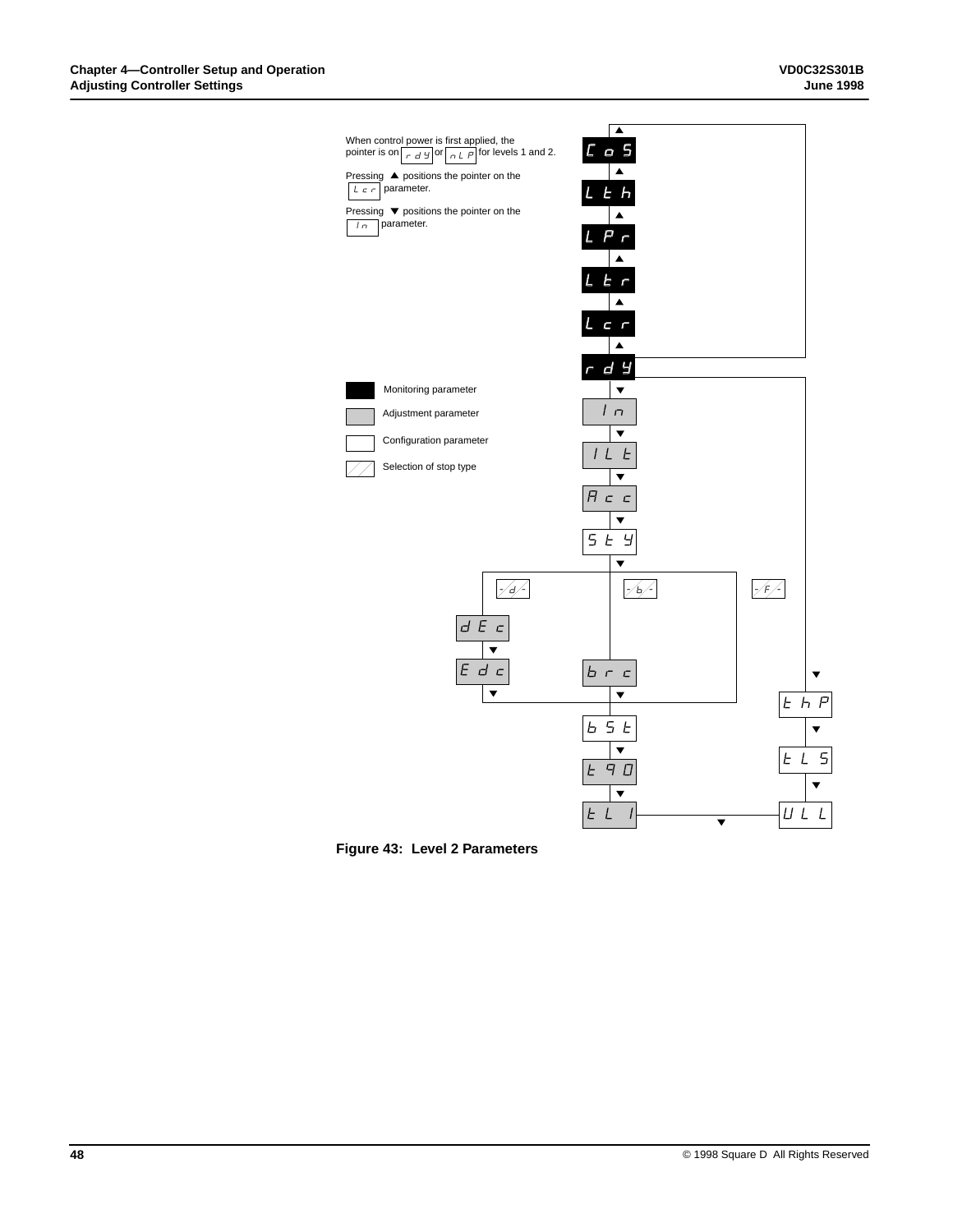

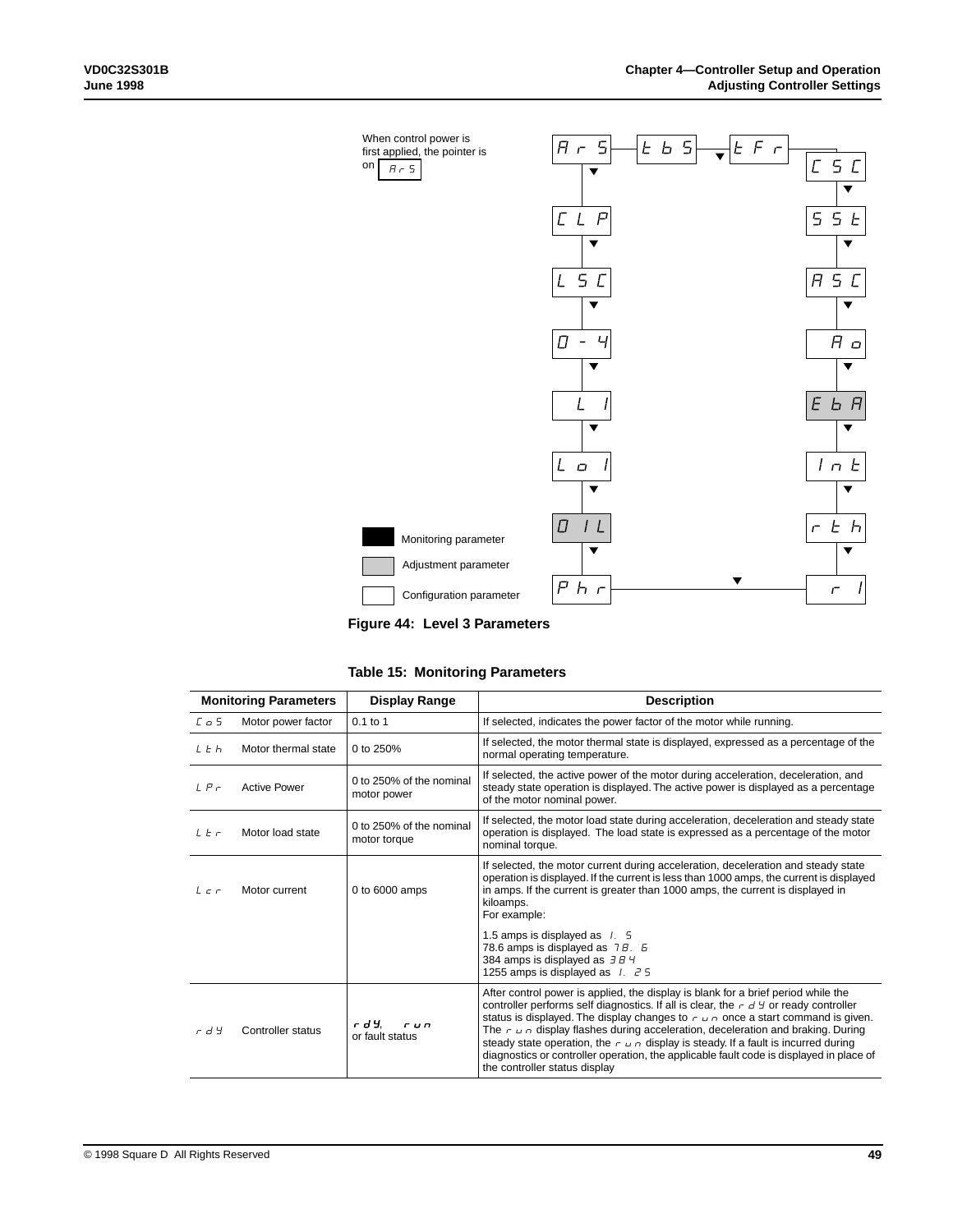

**Figure 44: Level 3 Parameters**

| Table 15: Monitoring Parameters |  |  |  |  |
|---------------------------------|--|--|--|--|
|---------------------------------|--|--|--|--|

| <b>Monitoring Parameters</b> |                     | <b>Display Range</b>                     | <b>Description</b>                                                                                                                                                                                                                                                                                                                                                                                                                                                                                                                                                                                   |
|------------------------------|---------------------|------------------------------------------|------------------------------------------------------------------------------------------------------------------------------------------------------------------------------------------------------------------------------------------------------------------------------------------------------------------------------------------------------------------------------------------------------------------------------------------------------------------------------------------------------------------------------------------------------------------------------------------------------|
| $L_{\odot}$ 5                | Motor power factor  | $0.1$ to 1                               | If selected, indicates the power factor of the motor while running.                                                                                                                                                                                                                                                                                                                                                                                                                                                                                                                                  |
| L E h                        | Motor thermal state | 0 to 250%                                | If selected, the motor thermal state is displayed, expressed as a percentage of the<br>normal operating temperature.                                                                                                                                                                                                                                                                                                                                                                                                                                                                                 |
| LP <sub>F</sub>              | <b>Active Power</b> | 0 to 250% of the nominal<br>motor power  | If selected, the active power of the motor during acceleration, deceleration, and<br>steady state operation is displayed. The active power is displayed as a percentage<br>of the motor nominal power.                                                                                                                                                                                                                                                                                                                                                                                               |
| L E r                        | Motor load state    | 0 to 250% of the nominal<br>motor torque | If selected, the motor load state during acceleration, deceleration and steady state<br>operation is displayed. The load state is expressed as a percentage of the motor<br>nominal torque.                                                                                                                                                                                                                                                                                                                                                                                                          |
| $L \subset r$                | Motor current       | 0 to 6000 amps                           | If selected, the motor current during acceleration, deceleration and steady state<br>operation is displayed. If the current is less than 1000 amps, the current is displayed<br>in amps. If the current is greater than 1000 amps, the current is displayed in<br>kiloamps.<br>For example:                                                                                                                                                                                                                                                                                                          |
|                              |                     |                                          | 1.5 amps is displayed as 1. 5<br>78.6 amps is displayed as 7 B. 5<br>384 amps is displayed as $\exists B$ 4<br>1255 amps is displayed as $1.75$                                                                                                                                                                                                                                                                                                                                                                                                                                                      |
| rdy                          | Controller status   | r d 4.<br>run<br>or fault status         | After control power is applied, the display is blank for a brief period while the<br>controller performs self diagnostics. If all is clear, the $r d H$ or ready controller<br>status is displayed. The display changes to $r \omega_0$ once a start command is given.<br>The $\epsilon$ $\mu$ $\sigma$ display flashes during acceleration, deceleration and braking. During<br>steady state operation, the $r \cup r$ display is steady. If a fault is incurred during<br>diagnostics or controller operation, the applicable fault code is displayed in place of<br>the controller status display |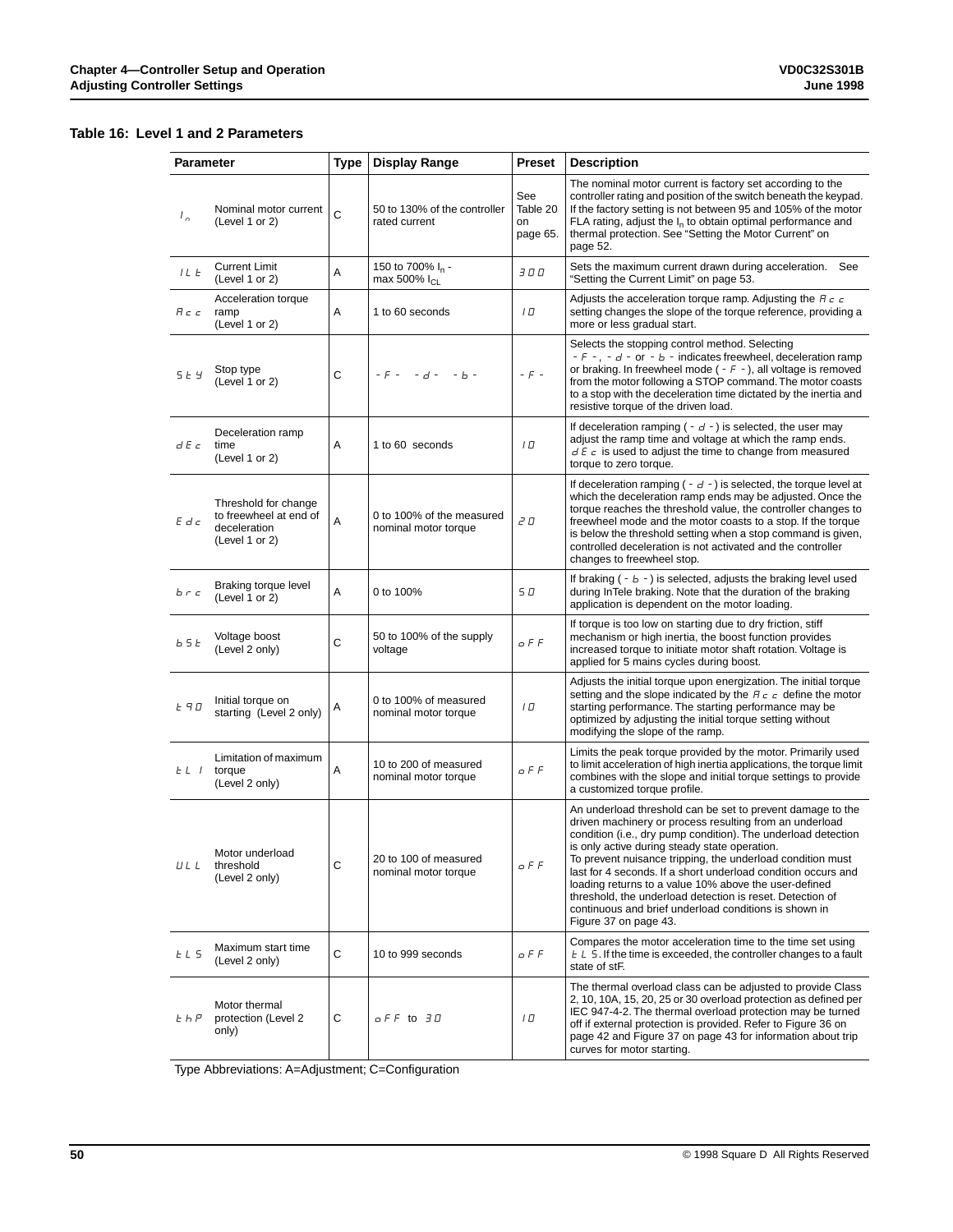# **Table 16: Level 1 and 2 Parameters**

| <b>Parameter</b> |                                                                                  | <b>Type</b> | <b>Display Range</b>                                     | <b>Preset</b>                     | <b>Description</b>                                                                                                                                                                                                                                                                                                                                                                                                                                                                                                                                                             |
|------------------|----------------------------------------------------------------------------------|-------------|----------------------------------------------------------|-----------------------------------|--------------------------------------------------------------------------------------------------------------------------------------------------------------------------------------------------------------------------------------------------------------------------------------------------------------------------------------------------------------------------------------------------------------------------------------------------------------------------------------------------------------------------------------------------------------------------------|
| $L_{\alpha}$     | Nominal motor current<br>(Level 1 or 2)                                          | C           | 50 to 130% of the controller<br>rated current            | See<br>Table 20<br>on<br>page 65. | The nominal motor current is factory set according to the<br>controller rating and position of the switch beneath the keypad.<br>If the factory setting is not between 95 and 105% of the motor<br>FLA rating, adjust the $I_n$ to obtain optimal performance and<br>thermal protection. See "Setting the Motor Current" on<br>page 52.                                                                                                                                                                                                                                        |
| ILE              | <b>Current Limit</b><br>(Level 1 or 2)                                           | Α           | 150 to 700% I <sub>n</sub> -<br>max 500% I <sub>CL</sub> | 3 O O                             | Sets the maximum current drawn during acceleration. See<br>"Setting the Current Limit" on page 53.                                                                                                                                                                                                                                                                                                                                                                                                                                                                             |
| R c c            | Acceleration torque<br>ramp<br>(Level 1 or 2)                                    | Α           | 1 to 60 seconds                                          | ם ו                               | Adjusts the acceleration torque ramp. Adjusting the $H_c c$<br>setting changes the slope of the torque reference, providing a<br>more or less gradual start.                                                                                                                                                                                                                                                                                                                                                                                                                   |
| 5 E Y            | Stop type<br>(Level 1 or 2)                                                      | С           | - F -<br>$-d -$<br>$- b -$                               | $-F -$                            | Selects the stopping control method. Selecting<br>- $F -$ , - $d -$ or - $b -$ indicates freewheel, deceleration ramp<br>or braking. In freewheel mode $(-F -)$ , all voltage is removed<br>from the motor following a STOP command. The motor coasts<br>to a stop with the deceleration time dictated by the inertia and<br>resistive torque of the driven load.                                                                                                                                                                                                              |
| d E c            | Deceleration ramp<br>time<br>(Level 1 or 2)                                      | Α           | 1 to 60 seconds                                          | 10                                | If deceleration ramping $(-d -)$ is selected, the user may<br>adjust the ramp time and voltage at which the ramp ends.<br>$dE \in \mathcal{E}$ is used to adjust the time to change from measured<br>torque to zero torque.                                                                                                                                                                                                                                                                                                                                                    |
| $E$ d $c$        | Threshold for change<br>to freewheel at end of<br>deceleration<br>(Level 1 or 2) | Α           | 0 to 100% of the measured<br>nominal motor torque        | 2 O                               | If deceleration ramping $(-d -)$ is selected, the torque level at<br>which the deceleration ramp ends may be adjusted. Once the<br>torque reaches the threshold value, the controller changes to<br>freewheel mode and the motor coasts to a stop. If the torque<br>is below the threshold setting when a stop command is given,<br>controlled deceleration is not activated and the controller<br>changes to freewheel stop.                                                                                                                                                  |
| b r c            | Braking torque level<br>(Level 1 or 2)                                           | Α           | 0 to 100%                                                | 5 O                               | If braking $(-b -)$ is selected, adjusts the braking level used<br>during InTele braking. Note that the duration of the braking<br>application is dependent on the motor loading.                                                                                                                                                                                                                                                                                                                                                                                              |
| b 5 E            | Voltage boost<br>(Level 2 only)                                                  | С           | 50 to 100% of the supply<br>voltage                      | o F F                             | If torque is too low on starting due to dry friction, stiff<br>mechanism or high inertia, the boost function provides<br>increased torque to initiate motor shaft rotation. Voltage is<br>applied for 5 mains cycles during boost.                                                                                                                                                                                                                                                                                                                                             |
| <b>E</b> ។ ០     | Initial torque on<br>starting (Level 2 only)                                     | A           | 0 to 100% of measured<br>nominal motor torque            | 10                                | Adjusts the initial torque upon energization. The initial torque<br>setting and the slope indicated by the $H_c c$ define the motor<br>starting performance. The starting performance may be<br>optimized by adjusting the initial torque setting without<br>modifying the slope of the ramp.                                                                                                                                                                                                                                                                                  |
| $E L$ $I$        | Limitation of maximum<br>torque<br>(Level 2 only)                                | Α           | 10 to 200 of measured<br>nominal motor torque            | o F F                             | Limits the peak torque provided by the motor. Primarily used<br>to limit acceleration of high inertia applications, the torque limit<br>combines with the slope and initial torque settings to provide<br>a customized torque profile.                                                                                                                                                                                                                                                                                                                                         |
| ULL              | Motor underload<br>threshold<br>(Level 2 only)                                   | С           | 20 to 100 of measured<br>nominal motor torque            | $G$ $F$ $F$                       | An underload threshold can be set to prevent damage to the<br>driven machinery or process resulting from an underload<br>condition (i.e., dry pump condition). The underload detection<br>is only active during steady state operation.<br>To prevent nuisance tripping, the underload condition must<br>last for 4 seconds. If a short underload condition occurs and<br>loading returns to a value 10% above the user-defined<br>threshold, the underload detection is reset. Detection of<br>continuous and brief underload conditions is shown in<br>Figure 37 on page 43. |
| EL 5             | Maximum start time<br>(Level 2 only)                                             | С           | 10 to 999 seconds                                        | o F F                             | Compares the motor acceleration time to the time set using<br>$E L 5$ . If the time is exceeded, the controller changes to a fault<br>state of stF.                                                                                                                                                                                                                                                                                                                                                                                                                            |
| $E$ $h$ $P$      | Motor thermal<br>protection (Level 2<br>only)                                    | С           | o F F to 30                                              | ם ו                               | The thermal overload class can be adjusted to provide Class<br>2, 10, 10A, 15, 20, 25 or 30 overload protection as defined per<br>IEC 947-4-2. The thermal overload protection may be turned<br>off if external protection is provided. Refer to Figure 36 on<br>page 42 and Figure 37 on page 43 for information about trip<br>curves for motor starting.                                                                                                                                                                                                                     |

Type Abbreviations: A=Adjustment; C=Configuration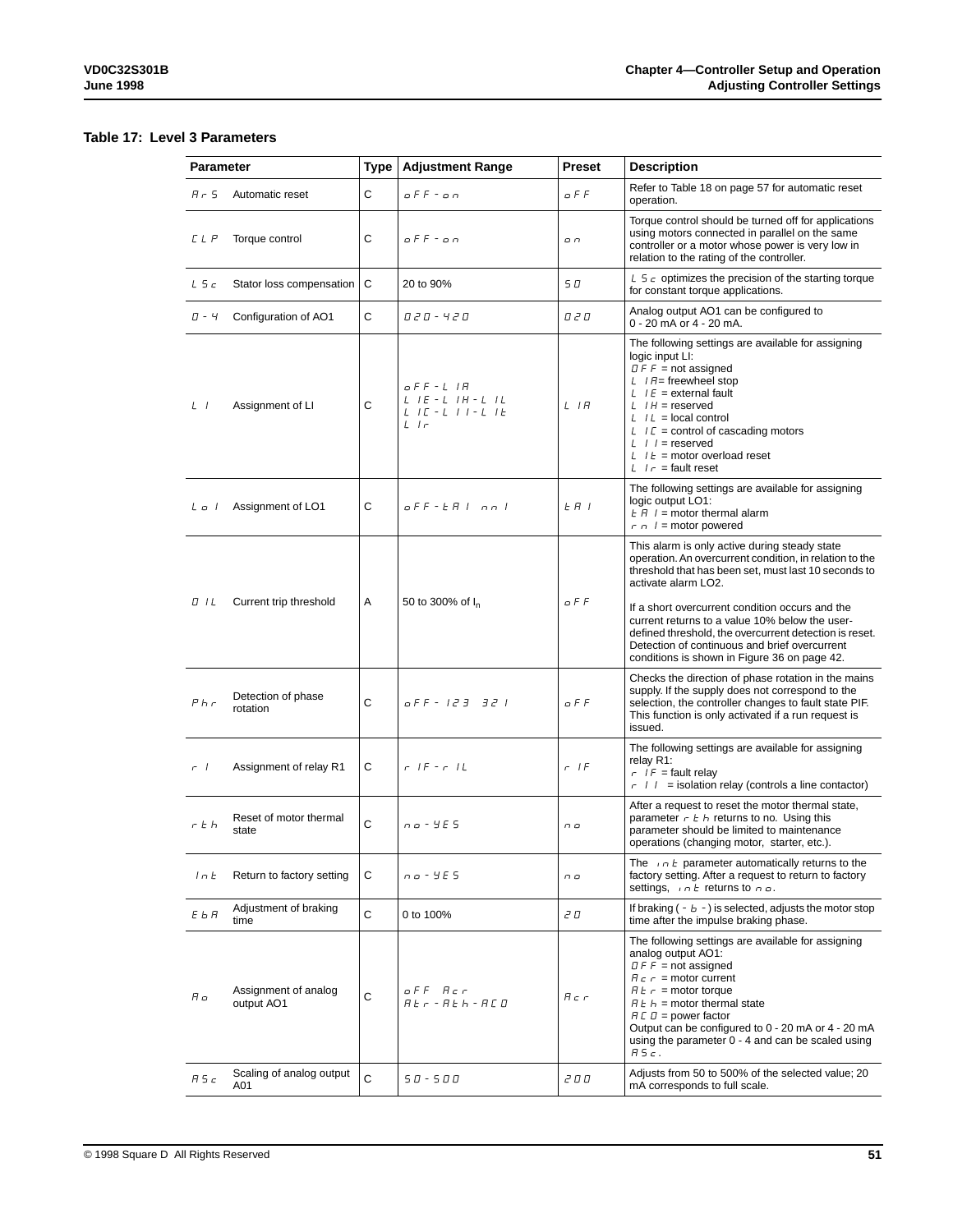# **Table 17: Level 3 Parameters**

| Parameter |                                    | Type        | <b>Adjustment Range</b>                                                                                        | <b>Preset</b> | <b>Description</b>                                                                                                                                                                                                                                                                                                                                                                                                                                      |
|-----------|------------------------------------|-------------|----------------------------------------------------------------------------------------------------------------|---------------|---------------------------------------------------------------------------------------------------------------------------------------------------------------------------------------------------------------------------------------------------------------------------------------------------------------------------------------------------------------------------------------------------------------------------------------------------------|
| $A - 5$   | Automatic reset                    | C           | o F F - o n                                                                                                    | o F F         | Refer to Table 18 on page 57 for automatic reset<br>operation.                                                                                                                                                                                                                                                                                                                                                                                          |
| C L P     | Torque control                     | C           | oFF-on                                                                                                         | ח ם           | Torque control should be turned off for applications<br>using motors connected in parallel on the same<br>controller or a motor whose power is very low in<br>relation to the rating of the controller.                                                                                                                                                                                                                                                 |
| L5c       | Stator loss compensation           | C           | 20 to 90%                                                                                                      | 5 D           | L $5c$ optimizes the precision of the starting torque<br>for constant torque applications.                                                                                                                                                                                                                                                                                                                                                              |
| $\Pi - 4$ | Configuration of AO1               | C           | 0 2 0 - 4 2 0                                                                                                  | 0 2 O         | Analog output AO1 can be configured to<br>0 - 20 mA or 4 - 20 mA.                                                                                                                                                                                                                                                                                                                                                                                       |
| $L$ $I$   | Assignment of LI                   | С           | $oFF - L$ IR<br>$L$ $I$ $E$ $ L$ $I$ $H$ $ L$ $I$ $L$<br>$L$ $I$ $C$ - $L$ $I$ $I$ - $L$ $I$ $E$<br>$L \mid r$ | L IR          | The following settings are available for assigning<br>logic input LI:<br>$D \ F F$ = not assigned<br>$L$ / $H$ = freewheel stop<br>$L$ / $E$ = external fault<br>$L$ / $H$ = reserved<br>$L \mid L =$ local control<br>$LT =$ control of cascading motors<br>$L$ / $l$ = reserved<br>$L$ $l E$ = motor overload reset<br>$L \mid r =$ fault reset                                                                                                       |
| Lo I      | Assignment of LO1                  | C           | oFF-EAInnl                                                                                                     | $E$ $H$ $I$   | The following settings are available for assigning<br>logic output LO1:<br>$E H$ / = motor thermal alarm<br>$r \nightharpoonup l$ = motor powered                                                                                                                                                                                                                                                                                                       |
| O IL      | Current trip threshold             | Α           | 50 to 300% of I <sub>n</sub>                                                                                   | o F F         | This alarm is only active during steady state<br>operation. An overcurrent condition, in relation to the<br>threshold that has been set, must last 10 seconds to<br>activate alarm LO2.<br>If a short overcurrent condition occurs and the<br>current returns to a value 10% below the user-<br>defined threshold, the overcurrent detection is reset.<br>Detection of continuous and brief overcurrent<br>conditions is shown in Figure 36 on page 42. |
| $P$ h $r$ | Detection of phase<br>rotation     | C           | o F F - 123 321                                                                                                | o F F         | Checks the direction of phase rotation in the mains<br>supply. If the supply does not correspond to the<br>selection, the controller changes to fault state PIF.<br>This function is only activated if a run request is<br>issued.                                                                                                                                                                                                                      |
| $-1$      | Assignment of relay R1             | C           | $F = IF = F = IL$                                                                                              | $r$ IF        | The following settings are available for assigning<br>relay R1:<br>$r I F$ = fault relay<br>$r \mid l$ = isolation relay (controls a line contactor)                                                                                                                                                                                                                                                                                                    |
| r t h     | Reset of motor thermal<br>state    | C           | $00 - 405$                                                                                                     | n o           | After a request to reset the motor thermal state,<br>parameter $r \nightharpoonup k$ returns to no. Using this<br>parameter should be limited to maintenance<br>operations (changing motor, starter, etc.).                                                                                                                                                                                                                                             |
| ln E      | Return to factory setting          | С           | n o - Y E S                                                                                                    | n o           | The $n \in \mathbb{R}$ parameter automatically returns to the<br>factory setting. After a request to return to factory<br>settings, $int$ returns to $n \rho$ .                                                                                                                                                                                                                                                                                         |
| ЕЬЯ       | Adjustment of braking<br>time      | $\mathsf C$ | 0 to 100%                                                                                                      | 2 O           | If braking $(-b -)$ is selected, adjusts the motor stop<br>time after the impulse braking phase.                                                                                                                                                                                                                                                                                                                                                        |
| Aο        | Assignment of analog<br>output AO1 | C           | off Acr<br>$A E r - A E h - A E B$                                                                             | $H \subset r$ | The following settings are available for assigning<br>analog output AO1:<br>$IIF \nF = not assigned$<br>$H c r$ = motor current<br>$H \, \epsilon \, r =$ motor torque<br>$H E h$ = motor thermal state<br>$H \cup D$ = power factor<br>Output can be configured to 0 - 20 mA or 4 - 20 mA<br>using the parameter 0 - 4 and can be scaled using<br>A5c.                                                                                                 |
| A5c       | Scaling of analog output<br>A01    | C           | $50 - 500$                                                                                                     | 2 O O         | Adjusts from 50 to 500% of the selected value; 20<br>mA corresponds to full scale.                                                                                                                                                                                                                                                                                                                                                                      |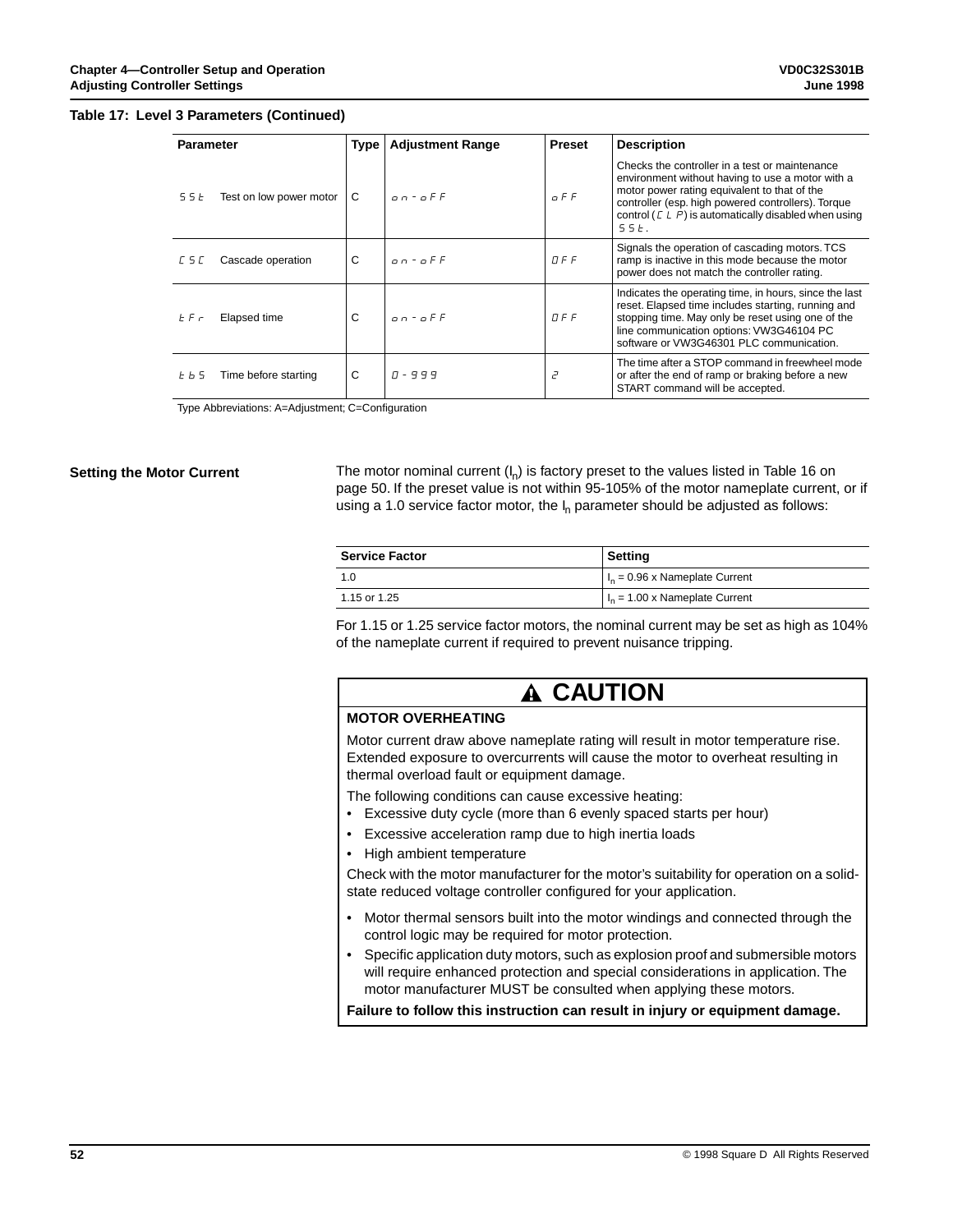#### **Table 17: Level 3 Parameters (Continued)**

| <b>Parameter</b>                | Type | <b>Adjustment Range</b> | <b>Preset</b> | <b>Description</b>                                                                                                                                                                                                                                                           |
|---------------------------------|------|-------------------------|---------------|------------------------------------------------------------------------------------------------------------------------------------------------------------------------------------------------------------------------------------------------------------------------------|
| Test on low power motor<br>55 E | C    | $0.0 - 0.5F$            | $G$ $F$ $F$   | Checks the controller in a test or maintenance<br>environment without having to use a motor with a<br>motor power rating equivalent to that of the<br>controller (esp. high powered controllers). Torque<br>control ( $E L P$ ) is automatically disabled when using<br>55E. |
| Cascade operation<br>L S L      | C    | $0.0 - 0.5F$            | $\Pi$ F F     | Signals the operation of cascading motors. TCS<br>ramp is inactive in this mode because the motor<br>power does not match the controller rating.                                                                                                                             |
| Elapsed time<br>E F r           | C    | $0.0 - 0.5F$            | TFF           | Indicates the operating time, in hours, since the last<br>reset. Elapsed time includes starting, running and<br>stopping time. May only be reset using one of the<br>line communication options: VW3G46104 PC<br>software or VW3G46301 PLC communication.                    |
| Time before starting<br>6 P S   | C    | $1 - 999$               | $\vec{c}$     | The time after a STOP command in freewheel mode<br>or after the end of ramp or braking before a new<br>START command will be accepted.                                                                                                                                       |

Type Abbreviations: A=Adjustment; C=Configuration

## **Setting the Motor Current**

The motor nominal current  $(I_n)$  is factory preset to the values listed in Table 16 on page 50. If the preset value is not within 95-105% of the motor nameplate current, or if using a 1.0 service factor motor, the  $I_n$  parameter should be adjusted as follows:

| <b>Service Factor</b> | Setting                           |
|-----------------------|-----------------------------------|
| 1.0                   | $ I_n = 0.96$ x Nameplate Current |
| 1.15 or 1.25          | $In = 1.00$ x Nameplate Current   |

For 1.15 or 1.25 service factor motors, the nominal current may be set as high as 104% of the nameplate current if required to prevent nuisance tripping.

# **MOTOR OVERHEATING** Motor current draw above nameplate rating will result in motor temperature rise. Extended exposure to overcurrents will cause the motor to overheat resulting in thermal overload fault or equipment damage. **CAUTION**

The following conditions can cause excessive heating:

- Excessive duty cycle (more than 6 evenly spaced starts per hour)
- Excessive acceleration ramp due to high inertia loads
- High ambient temperature

Check with the motor manufacturer for the motor's suitability for operation on a solidstate reduced voltage controller configured for your application.

- Motor thermal sensors built into the motor windings and connected through the control logic may be required for motor protection.
- Specific application duty motors, such as explosion proof and submersible motors will require enhanced protection and special considerations in application. The motor manufacturer MUST be consulted when applying these motors.

**Failure to follow this instruction can result in injury or equipment damage.**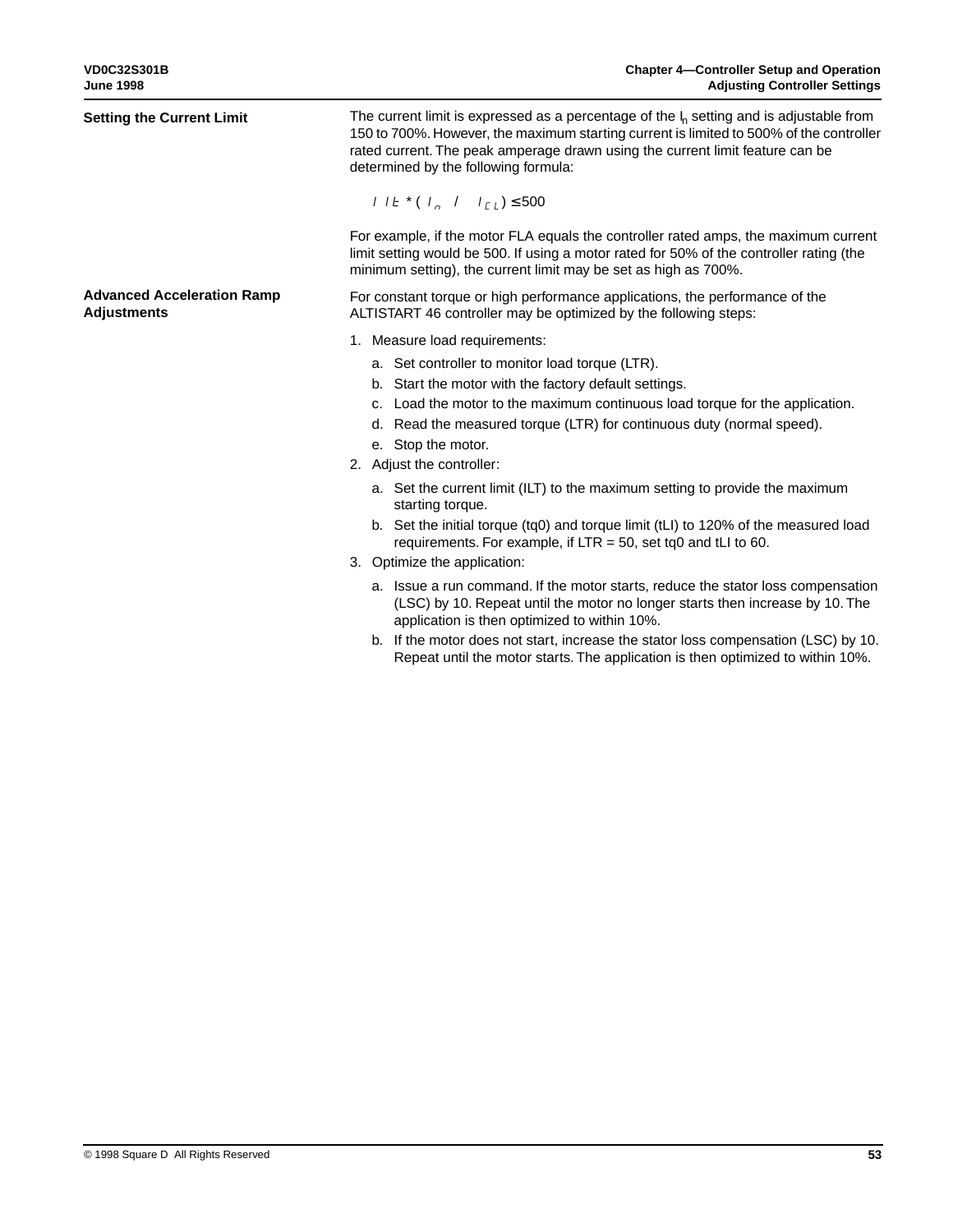| <b>Setting the Current Limit</b>                        | The current limit is expressed as a percentage of the $I_n$ setting and is adjustable from<br>150 to 700%. However, the maximum starting current is limited to 500% of the controller<br>rated current. The peak amperage drawn using the current limit feature can be<br>determined by the following formula: |  |  |
|---------------------------------------------------------|----------------------------------------------------------------------------------------------------------------------------------------------------------------------------------------------------------------------------------------------------------------------------------------------------------------|--|--|
|                                                         | $1 l E^* (l_n / l_{L}) \le 500$                                                                                                                                                                                                                                                                                |  |  |
|                                                         | For example, if the motor FLA equals the controller rated amps, the maximum current<br>limit setting would be 500. If using a motor rated for 50% of the controller rating (the<br>minimum setting), the current limit may be set as high as 700%.                                                             |  |  |
| <b>Advanced Acceleration Ramp</b><br><b>Adjustments</b> | For constant torque or high performance applications, the performance of the<br>ALTISTART 46 controller may be optimized by the following steps:                                                                                                                                                               |  |  |
|                                                         | 1. Measure load requirements:                                                                                                                                                                                                                                                                                  |  |  |
|                                                         | a. Set controller to monitor load torque (LTR).<br>b. Start the motor with the factory default settings.<br>c. Load the motor to the maximum continuous load torque for the application.<br>d. Read the measured torque (LTR) for continuous duty (normal speed).<br>e. Stop the motor.                        |  |  |
|                                                         | 2. Adjust the controller:                                                                                                                                                                                                                                                                                      |  |  |
|                                                         | a. Set the current limit (ILT) to the maximum setting to provide the maximum<br>starting torque.                                                                                                                                                                                                               |  |  |
|                                                         | b. Set the initial torque (tq0) and torque limit (tLI) to 120% of the measured load<br>requirements. For example, if $LTR = 50$ , set tq0 and tLI to 60.                                                                                                                                                       |  |  |
|                                                         | 3. Optimize the application:                                                                                                                                                                                                                                                                                   |  |  |
|                                                         | a. Issue a run command. If the motor starts, reduce the stator loss compensation<br>(LSC) by 10. Repeat until the motor no longer starts then increase by 10. The<br>application is then optimized to within 10%.                                                                                              |  |  |
|                                                         | b. If the motor does not start, increase the stator loss compensation (LSC) by 10.<br>Repeat until the motor starts. The application is then optimized to within 10%.                                                                                                                                          |  |  |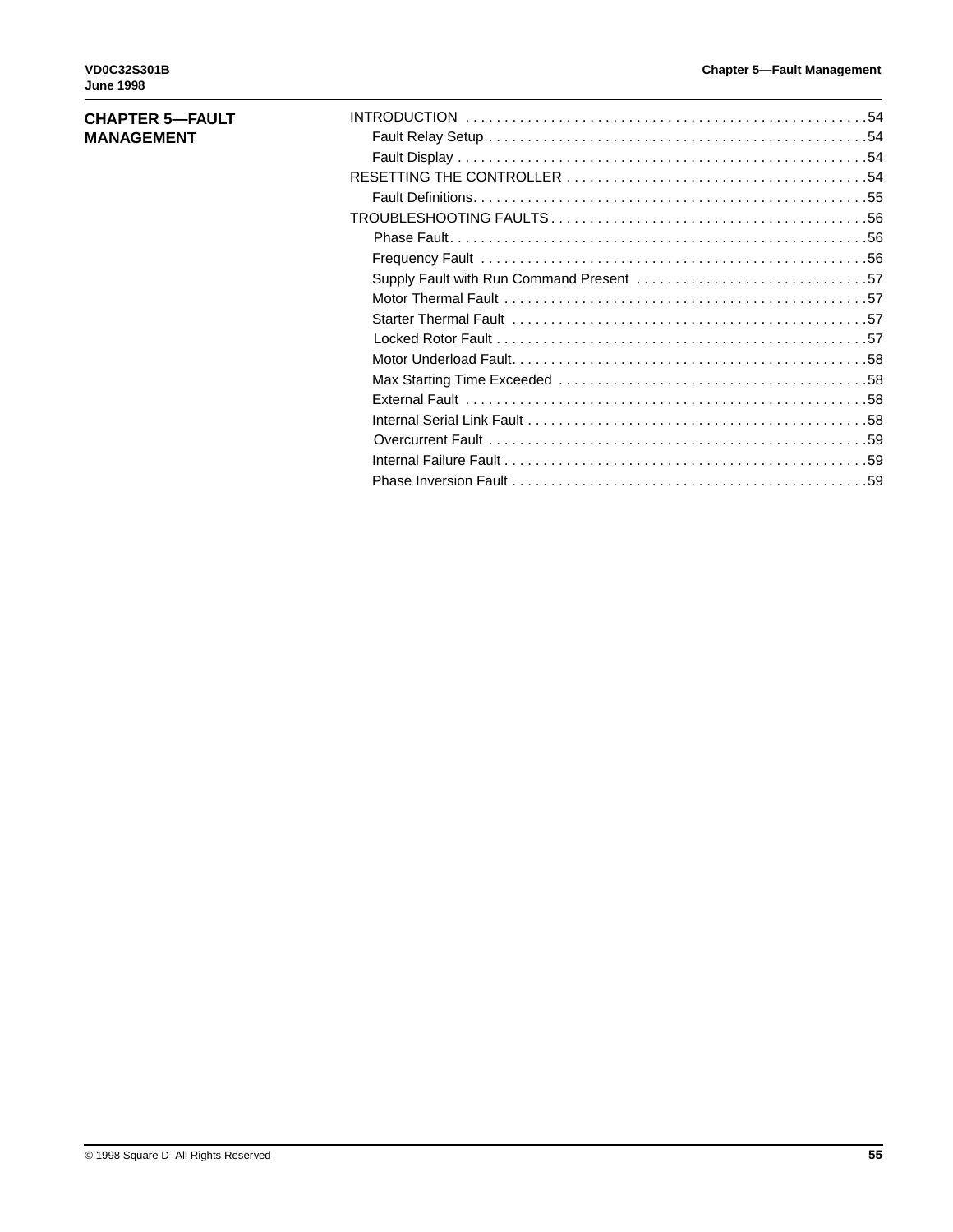# **CHAPTER 5—FAULT MANAGEMENT**

| Supply Fault with Run Command Present 57 |
|------------------------------------------|
|                                          |
|                                          |
|                                          |
|                                          |
|                                          |
|                                          |
|                                          |
|                                          |
|                                          |
|                                          |
|                                          |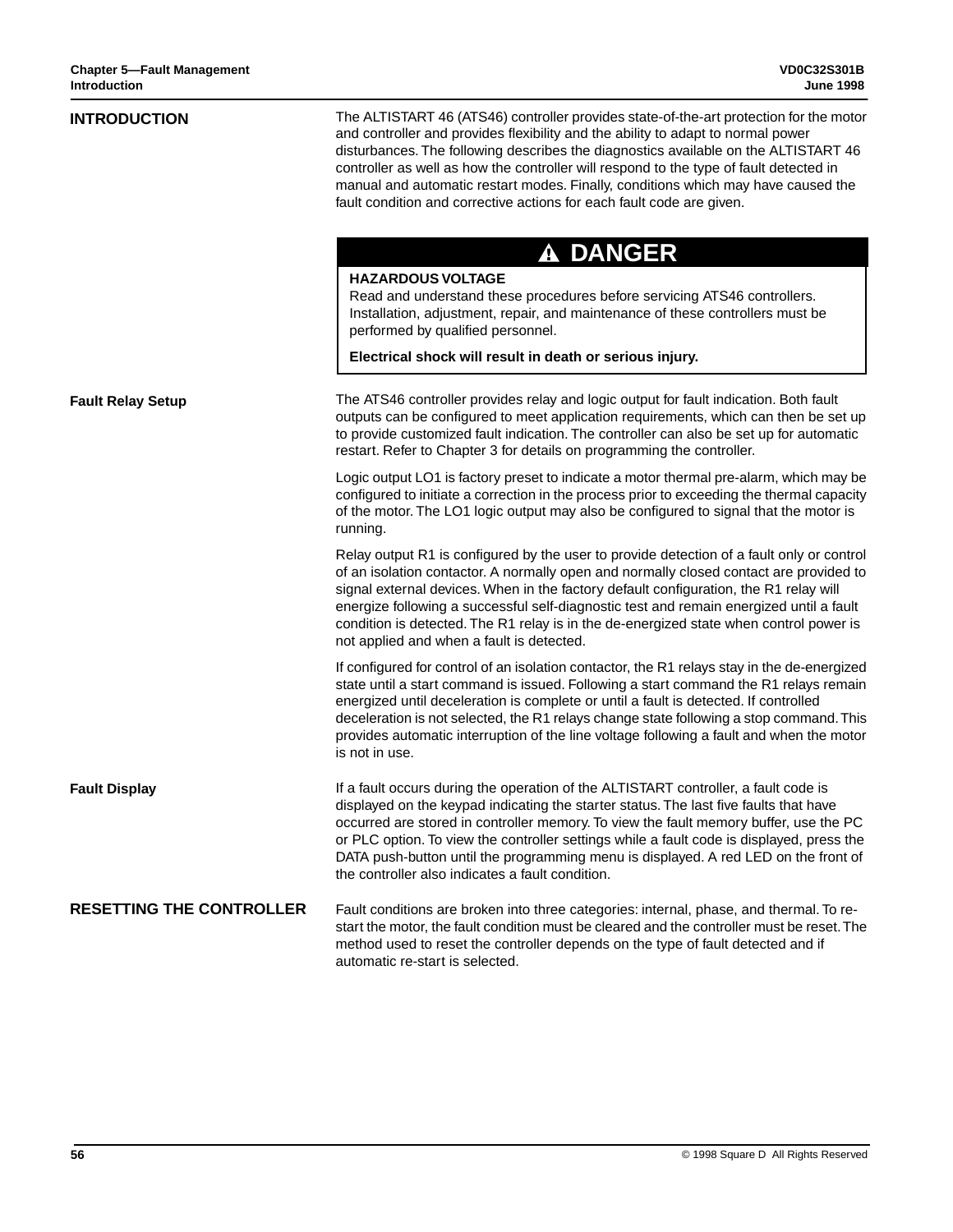| <b>INTRODUCTION</b>             | The ALTISTART 46 (ATS46) controller provides state-of-the-art protection for the motor<br>and controller and provides flexibility and the ability to adapt to normal power<br>disturbances. The following describes the diagnostics available on the ALTISTART 46<br>controller as well as how the controller will respond to the type of fault detected in<br>manual and automatic restart modes. Finally, conditions which may have caused the<br>fault condition and corrective actions for each fault code are given.<br><b>A DANGER</b><br><b>HAZARDOUS VOLTAGE</b><br>Read and understand these procedures before servicing ATS46 controllers.<br>Installation, adjustment, repair, and maintenance of these controllers must be<br>performed by qualified personnel.<br>Electrical shock will result in death or serious injury. |
|---------------------------------|-----------------------------------------------------------------------------------------------------------------------------------------------------------------------------------------------------------------------------------------------------------------------------------------------------------------------------------------------------------------------------------------------------------------------------------------------------------------------------------------------------------------------------------------------------------------------------------------------------------------------------------------------------------------------------------------------------------------------------------------------------------------------------------------------------------------------------------------|
| <b>Fault Relay Setup</b>        | The ATS46 controller provides relay and logic output for fault indication. Both fault<br>outputs can be configured to meet application requirements, which can then be set up<br>to provide customized fault indication. The controller can also be set up for automatic<br>restart. Refer to Chapter 3 for details on programming the controller.                                                                                                                                                                                                                                                                                                                                                                                                                                                                                      |
|                                 | Logic output LO1 is factory preset to indicate a motor thermal pre-alarm, which may be<br>configured to initiate a correction in the process prior to exceeding the thermal capacity<br>of the motor. The LO1 logic output may also be configured to signal that the motor is<br>running.                                                                                                                                                                                                                                                                                                                                                                                                                                                                                                                                               |
|                                 | Relay output R1 is configured by the user to provide detection of a fault only or control<br>of an isolation contactor. A normally open and normally closed contact are provided to<br>signal external devices. When in the factory default configuration, the R1 relay will<br>energize following a successful self-diagnostic test and remain energized until a fault<br>condition is detected. The R1 relay is in the de-energized state when control power is<br>not applied and when a fault is detected.                                                                                                                                                                                                                                                                                                                          |
|                                 | If configured for control of an isolation contactor, the R1 relays stay in the de-energized<br>state until a start command is issued. Following a start command the R1 relays remain<br>energized until deceleration is complete or until a fault is detected. If controlled<br>deceleration is not selected, the R1 relays change state following a stop command. This<br>provides automatic interruption of the line voltage following a fault and when the motor<br>is not in use.                                                                                                                                                                                                                                                                                                                                                   |
| <b>Fault Display</b>            | If a fault occurs during the operation of the ALTISTART controller, a fault code is<br>displayed on the keypad indicating the starter status. The last five faults that have<br>occurred are stored in controller memory. To view the fault memory buffer, use the PC<br>or PLC option. To view the controller settings while a fault code is displayed, press the<br>DATA push-button until the programming menu is displayed. A red LED on the front of<br>the controller also indicates a fault condition.                                                                                                                                                                                                                                                                                                                           |
| <b>RESETTING THE CONTROLLER</b> | Fault conditions are broken into three categories: internal, phase, and thermal. To re-<br>start the motor, the fault condition must be cleared and the controller must be reset. The<br>method used to reset the controller depends on the type of fault detected and if<br>automatic re-start is selected.                                                                                                                                                                                                                                                                                                                                                                                                                                                                                                                            |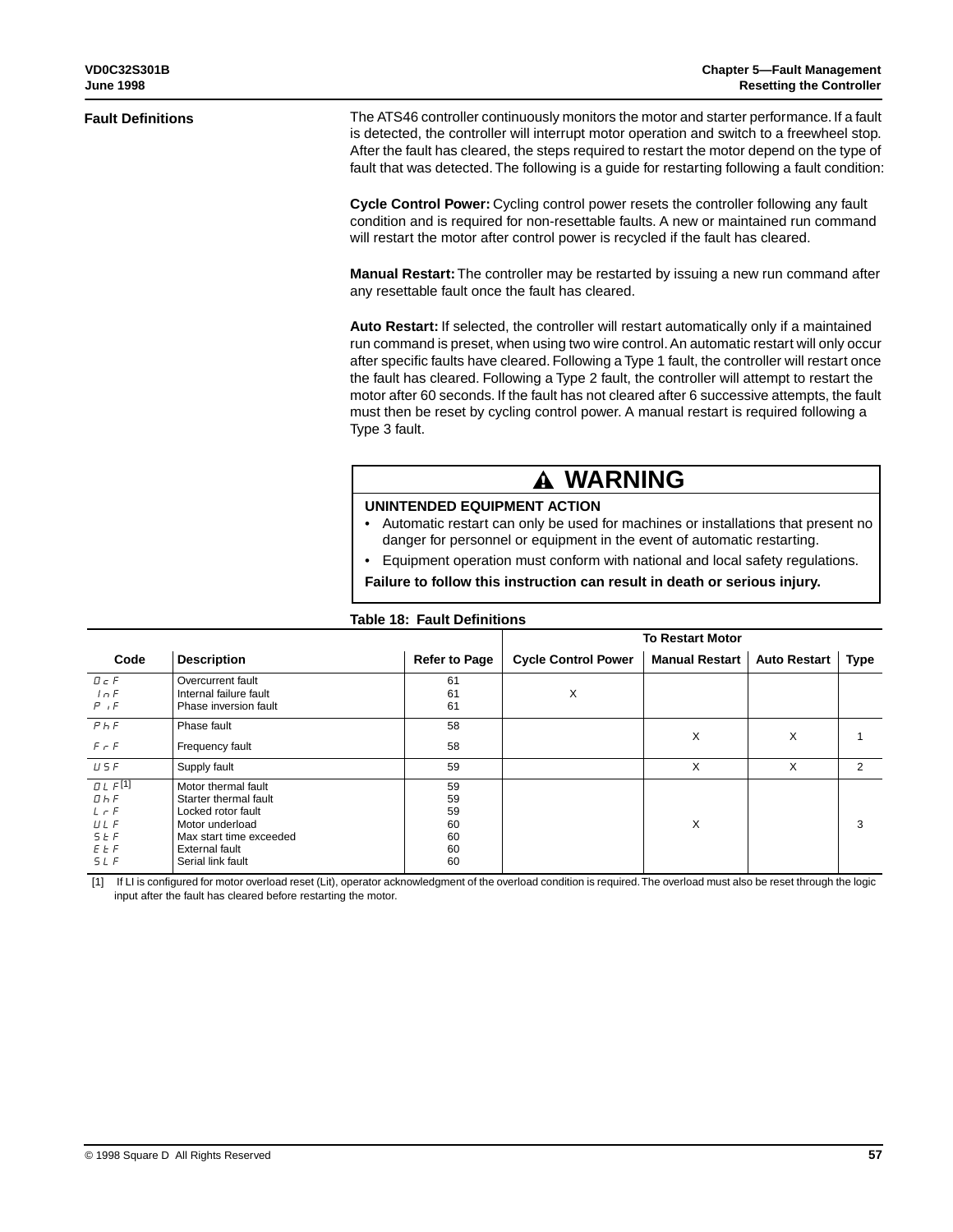#### **Fault Definitions**

The ATS46 controller continuously monitors the motor and starter performance. If a fault is detected, the controller will interrupt motor operation and switch to a freewheel stop. After the fault has cleared, the steps required to restart the motor depend on the type of fault that was detected. The following is a guide for restarting following a fault condition:

**Cycle Control Power:** Cycling control power resets the controller following any fault condition and is required for non-resettable faults. A new or maintained run command will restart the motor after control power is recycled if the fault has cleared.

**Manual Restart:** The controller may be restarted by issuing a new run command after any resettable fault once the fault has cleared.

**Auto Restart:** If selected, the controller will restart automatically only if a maintained run command is preset, when using two wire control. An automatic restart will only occur after specific faults have cleared. Following a Type 1 fault, the controller will restart once the fault has cleared. Following a Type 2 fault, the controller will attempt to restart the motor after 60 seconds. If the fault has not cleared after 6 successive attempts, the fault must then be reset by cycling control power. A manual restart is required following a Type 3 fault.

# **WARNING**

## **UNINTENDED EQUIPMENT ACTION**

- Automatic restart can only be used for machines or installations that present no danger for personnel or equipment in the event of automatic restarting.
- Equipment operation must conform with national and local safety regulations.

**Failure to follow this instruction can result in death or serious injury.**

#### **Table 18: Fault Definitions**

|                                                                                       |                                                                                                                                                                |                                        | <b>To Restart Motor</b>    |                       |                     |      |  |
|---------------------------------------------------------------------------------------|----------------------------------------------------------------------------------------------------------------------------------------------------------------|----------------------------------------|----------------------------|-----------------------|---------------------|------|--|
| Code                                                                                  | <b>Description</b>                                                                                                                                             | <b>Refer to Page</b>                   | <b>Cycle Control Power</b> | <b>Manual Restart</b> | <b>Auto Restart</b> | Type |  |
| $D \subset F$<br>ln F<br>P, F                                                         | Overcurrent fault<br>Internal failure fault<br>Phase inversion fault                                                                                           | 61<br>61<br>61                         | X                          |                       |                     |      |  |
| P <sub>h</sub> F                                                                      | Phase fault                                                                                                                                                    | 58                                     |                            |                       |                     |      |  |
| $F \cap F$                                                                            | Frequency fault                                                                                                                                                | 58                                     |                            | X                     | X                   |      |  |
| U 5 F                                                                                 | Supply fault                                                                                                                                                   | 59                                     |                            | X                     | X                   | 2    |  |
| $UL$ $F[1]$<br>$D$ <sub>h</sub> $F$<br>$LT$ F<br><b>ULF</b><br>$5E$ F<br>E E F<br>5LF | Motor thermal fault<br>Starter thermal fault<br>Locked rotor fault<br>Motor underload<br>Max start time exceeded<br><b>External fault</b><br>Serial link fault | 59<br>59<br>59<br>60<br>60<br>60<br>60 |                            | X                     |                     | 3    |  |

[1] If LI is configured for motor overload reset (Lit), operator acknowledgment of the overload condition is required. The overload must also be reset through the logic input after the fault has cleared before restarting the motor.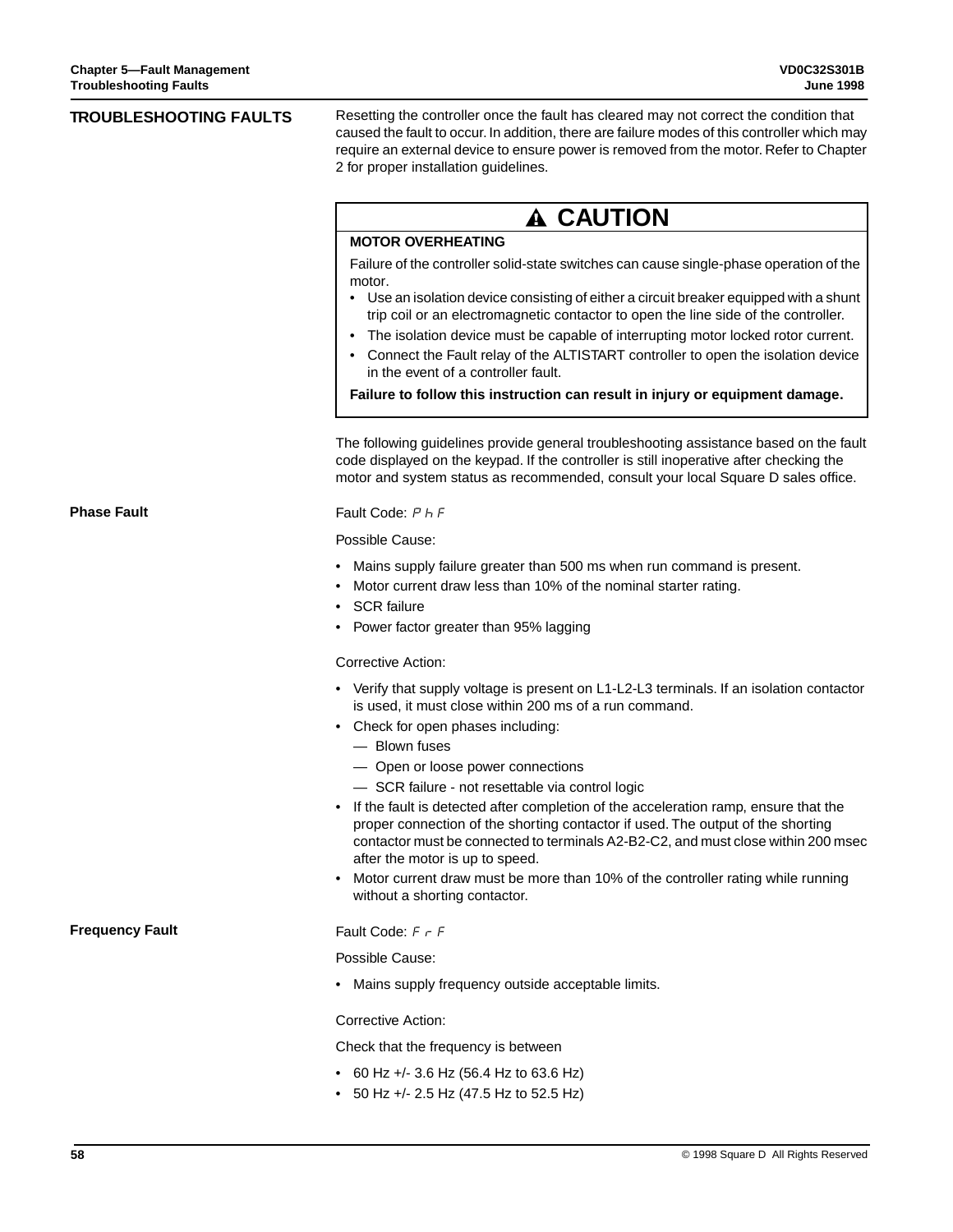| <b>TROUBLESHOOTING FAULTS</b> | Resetting the controller once the fault has cleared may not correct the condition that<br>caused the fault to occur. In addition, there are failure modes of this controller which may<br>require an external device to ensure power is removed from the motor. Refer to Chapter<br>2 for proper installation guidelines. |  |  |  |
|-------------------------------|---------------------------------------------------------------------------------------------------------------------------------------------------------------------------------------------------------------------------------------------------------------------------------------------------------------------------|--|--|--|
|                               | <b>A CAUTION</b>                                                                                                                                                                                                                                                                                                          |  |  |  |
|                               | <b>MOTOR OVERHEATING</b>                                                                                                                                                                                                                                                                                                  |  |  |  |
|                               | Failure of the controller solid-state switches can cause single-phase operation of the<br>motor.<br>Use an isolation device consisting of either a circuit breaker equipped with a shunt                                                                                                                                  |  |  |  |
|                               | trip coil or an electromagnetic contactor to open the line side of the controller.<br>The isolation device must be capable of interrupting motor locked rotor current.<br>٠                                                                                                                                               |  |  |  |
|                               | Connect the Fault relay of the ALTISTART controller to open the isolation device<br>in the event of a controller fault.                                                                                                                                                                                                   |  |  |  |
|                               | Failure to follow this instruction can result in injury or equipment damage.                                                                                                                                                                                                                                              |  |  |  |
|                               | The following guidelines provide general troubleshooting assistance based on the fault<br>code displayed on the keypad. If the controller is still inoperative after checking the<br>motor and system status as recommended, consult your local Square D sales office.                                                    |  |  |  |
| <b>Phase Fault</b>            | Fault Code: P h F                                                                                                                                                                                                                                                                                                         |  |  |  |
|                               | Possible Cause:                                                                                                                                                                                                                                                                                                           |  |  |  |
|                               | Mains supply failure greater than 500 ms when run command is present.<br>Motor current draw less than 10% of the nominal starter rating.<br><b>SCR</b> failure                                                                                                                                                            |  |  |  |
|                               | • Power factor greater than 95% lagging                                                                                                                                                                                                                                                                                   |  |  |  |
|                               | Corrective Action:                                                                                                                                                                                                                                                                                                        |  |  |  |
|                               | • Verify that supply voltage is present on L1-L2-L3 terminals. If an isolation contactor<br>is used, it must close within 200 ms of a run command.                                                                                                                                                                        |  |  |  |
|                               | • Check for open phases including:<br>- Blown fuses                                                                                                                                                                                                                                                                       |  |  |  |
|                               | - Open or loose power connections                                                                                                                                                                                                                                                                                         |  |  |  |
|                               | - SCR failure - not resettable via control logic                                                                                                                                                                                                                                                                          |  |  |  |
|                               | If the fault is detected after completion of the acceleration ramp, ensure that the<br>proper connection of the shorting contactor if used. The output of the shorting<br>contactor must be connected to terminals A2-B2-C2, and must close within 200 msec<br>after the motor is up to speed.                            |  |  |  |
|                               | Motor current draw must be more than 10% of the controller rating while running<br>$\bullet$<br>without a shorting contactor.                                                                                                                                                                                             |  |  |  |
| <b>Frequency Fault</b>        | Fault Code: F r F                                                                                                                                                                                                                                                                                                         |  |  |  |
|                               | Possible Cause:                                                                                                                                                                                                                                                                                                           |  |  |  |
|                               | Mains supply frequency outside acceptable limits.<br>$\bullet$                                                                                                                                                                                                                                                            |  |  |  |
|                               | Corrective Action:                                                                                                                                                                                                                                                                                                        |  |  |  |
|                               | Check that the frequency is between                                                                                                                                                                                                                                                                                       |  |  |  |
|                               | • 60 Hz +/- 3.6 Hz (56.4 Hz to 63.6 Hz)<br>• 50 Hz +/- 2.5 Hz (47.5 Hz to 52.5 Hz)                                                                                                                                                                                                                                        |  |  |  |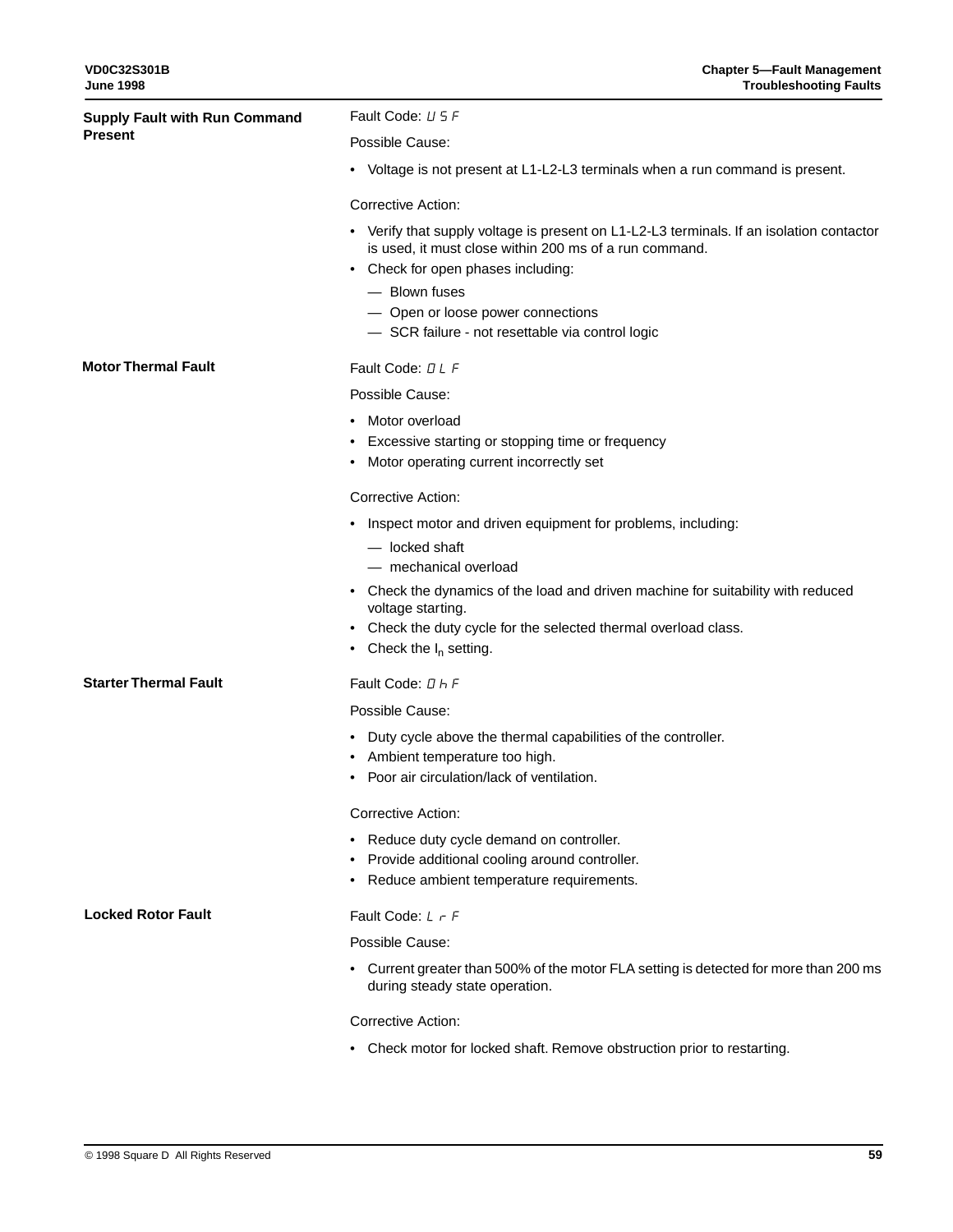| <b>Supply Fault with Run Command</b> | Fault Code: U 5 F                                                                                                                                                                        |  |  |
|--------------------------------------|------------------------------------------------------------------------------------------------------------------------------------------------------------------------------------------|--|--|
| <b>Present</b>                       | Possible Cause:                                                                                                                                                                          |  |  |
|                                      | • Voltage is not present at L1-L2-L3 terminals when a run command is present.                                                                                                            |  |  |
|                                      | <b>Corrective Action:</b>                                                                                                                                                                |  |  |
|                                      | • Verify that supply voltage is present on L1-L2-L3 terminals. If an isolation contactor<br>is used, it must close within 200 ms of a run command.<br>• Check for open phases including: |  |  |
|                                      | - Blown fuses                                                                                                                                                                            |  |  |
|                                      | - Open or loose power connections                                                                                                                                                        |  |  |
|                                      | - SCR failure - not resettable via control logic                                                                                                                                         |  |  |
| <b>Motor Thermal Fault</b>           | Fault Code: DLF                                                                                                                                                                          |  |  |
|                                      | Possible Cause:                                                                                                                                                                          |  |  |
|                                      | Motor overload<br>$\bullet$                                                                                                                                                              |  |  |
|                                      | • Excessive starting or stopping time or frequency                                                                                                                                       |  |  |
|                                      | • Motor operating current incorrectly set                                                                                                                                                |  |  |
|                                      | <b>Corrective Action:</b>                                                                                                                                                                |  |  |
|                                      | • Inspect motor and driven equipment for problems, including:                                                                                                                            |  |  |
|                                      | - locked shaft                                                                                                                                                                           |  |  |
|                                      | - mechanical overload                                                                                                                                                                    |  |  |
|                                      | • Check the dynamics of the load and driven machine for suitability with reduced<br>voltage starting.                                                                                    |  |  |
|                                      | • Check the duty cycle for the selected thermal overload class.                                                                                                                          |  |  |
|                                      | • Check the $I_n$ setting.                                                                                                                                                               |  |  |
| <b>Starter Thermal Fault</b>         | Fault Code: D h F                                                                                                                                                                        |  |  |
|                                      | Possible Cause:                                                                                                                                                                          |  |  |
|                                      | • Duty cycle above the thermal capabilities of the controller.                                                                                                                           |  |  |
|                                      | • Ambient temperature too high.                                                                                                                                                          |  |  |
|                                      | Poor air circulation/lack of ventilation.                                                                                                                                                |  |  |
|                                      | <b>Corrective Action:</b>                                                                                                                                                                |  |  |
|                                      | • Reduce duty cycle demand on controller.                                                                                                                                                |  |  |
|                                      | • Provide additional cooling around controller.                                                                                                                                          |  |  |
|                                      | • Reduce ambient temperature requirements.                                                                                                                                               |  |  |
| <b>Locked Rotor Fault</b>            | Fault Code: $L \rightharpoondown F$                                                                                                                                                      |  |  |
|                                      | Possible Cause:                                                                                                                                                                          |  |  |
|                                      | • Current greater than 500% of the motor FLA setting is detected for more than 200 ms<br>during steady state operation.                                                                  |  |  |
|                                      | Corrective Action:                                                                                                                                                                       |  |  |

• Check motor for locked shaft. Remove obstruction prior to restarting.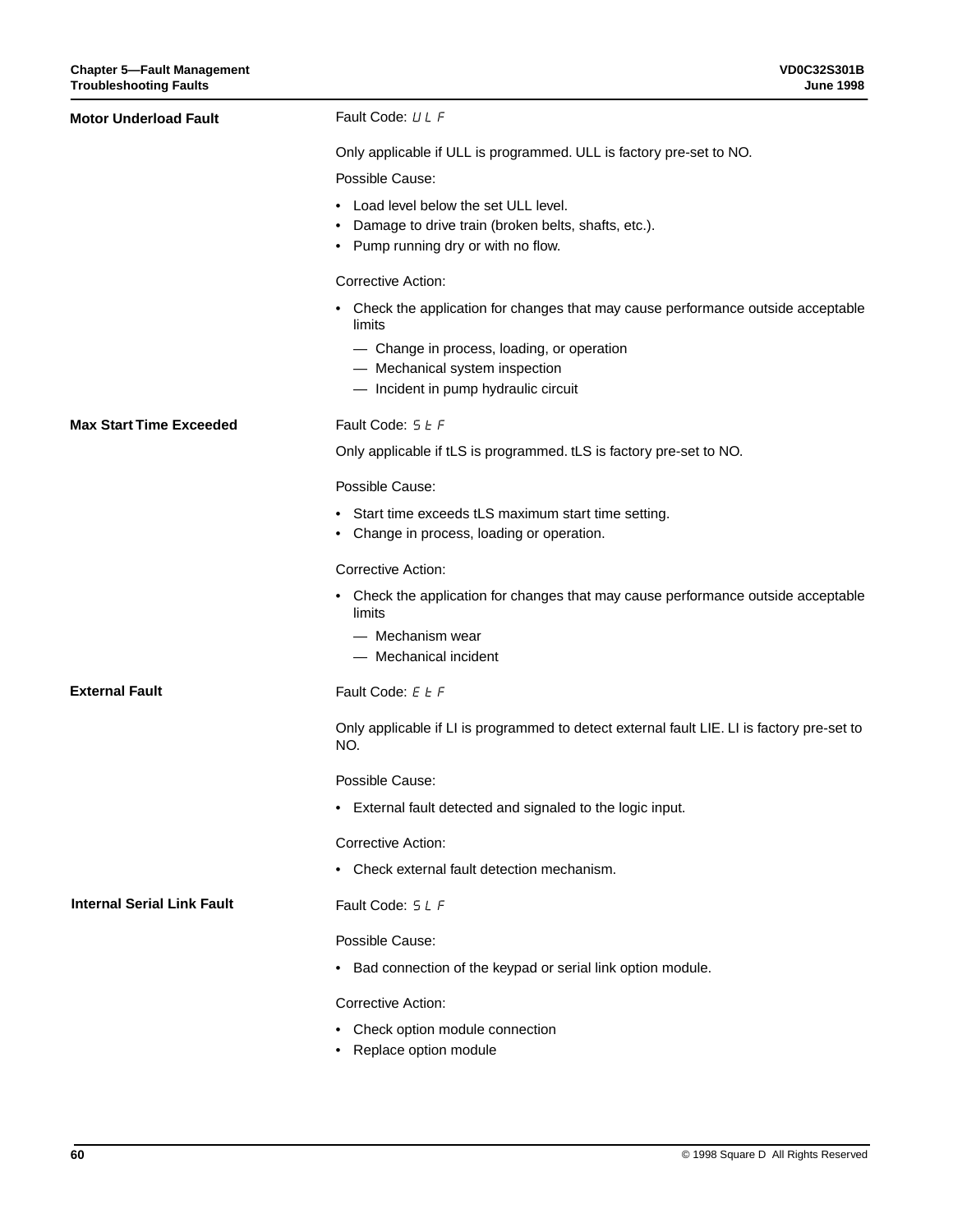| <b>Motor Underload Fault</b>      | Fault Code: LL F                                                                                                                          |
|-----------------------------------|-------------------------------------------------------------------------------------------------------------------------------------------|
|                                   | Only applicable if ULL is programmed. ULL is factory pre-set to NO.<br>Possible Cause:                                                    |
|                                   | • Load level below the set ULL level.<br>• Damage to drive train (broken belts, shafts, etc.).<br>• Pump running dry or with no flow.     |
|                                   | <b>Corrective Action:</b>                                                                                                                 |
|                                   | • Check the application for changes that may cause performance outside acceptable<br>limits<br>- Change in process, loading, or operation |
|                                   | - Mechanical system inspection<br>- Incident in pump hydraulic circuit                                                                    |
| <b>Max Start Time Exceeded</b>    | Fault Code: 5 E F                                                                                                                         |
|                                   | Only applicable if tLS is programmed. tLS is factory pre-set to NO.                                                                       |
|                                   | Possible Cause:                                                                                                                           |
|                                   | • Start time exceeds tLS maximum start time setting.<br>• Change in process, loading or operation.                                        |
|                                   | <b>Corrective Action:</b>                                                                                                                 |
|                                   | • Check the application for changes that may cause performance outside acceptable<br>limits                                               |
|                                   | — Mechanism wear<br>- Mechanical incident                                                                                                 |
| <b>External Fault</b>             | Fault Code: E L F                                                                                                                         |
|                                   | Only applicable if LI is programmed to detect external fault LIE. LI is factory pre-set to<br>NO.                                         |
|                                   | Possible Cause:                                                                                                                           |
|                                   | External fault detected and signaled to the logic input.                                                                                  |
|                                   | Corrective Action:                                                                                                                        |
|                                   | • Check external fault detection mechanism.                                                                                               |
| <b>Internal Serial Link Fault</b> | Fault Code: 5 L F                                                                                                                         |
|                                   | Possible Cause:                                                                                                                           |
|                                   | • Bad connection of the keypad or serial link option module.                                                                              |
|                                   | Corrective Action:                                                                                                                        |
|                                   | Check option module connection<br>• Replace option module                                                                                 |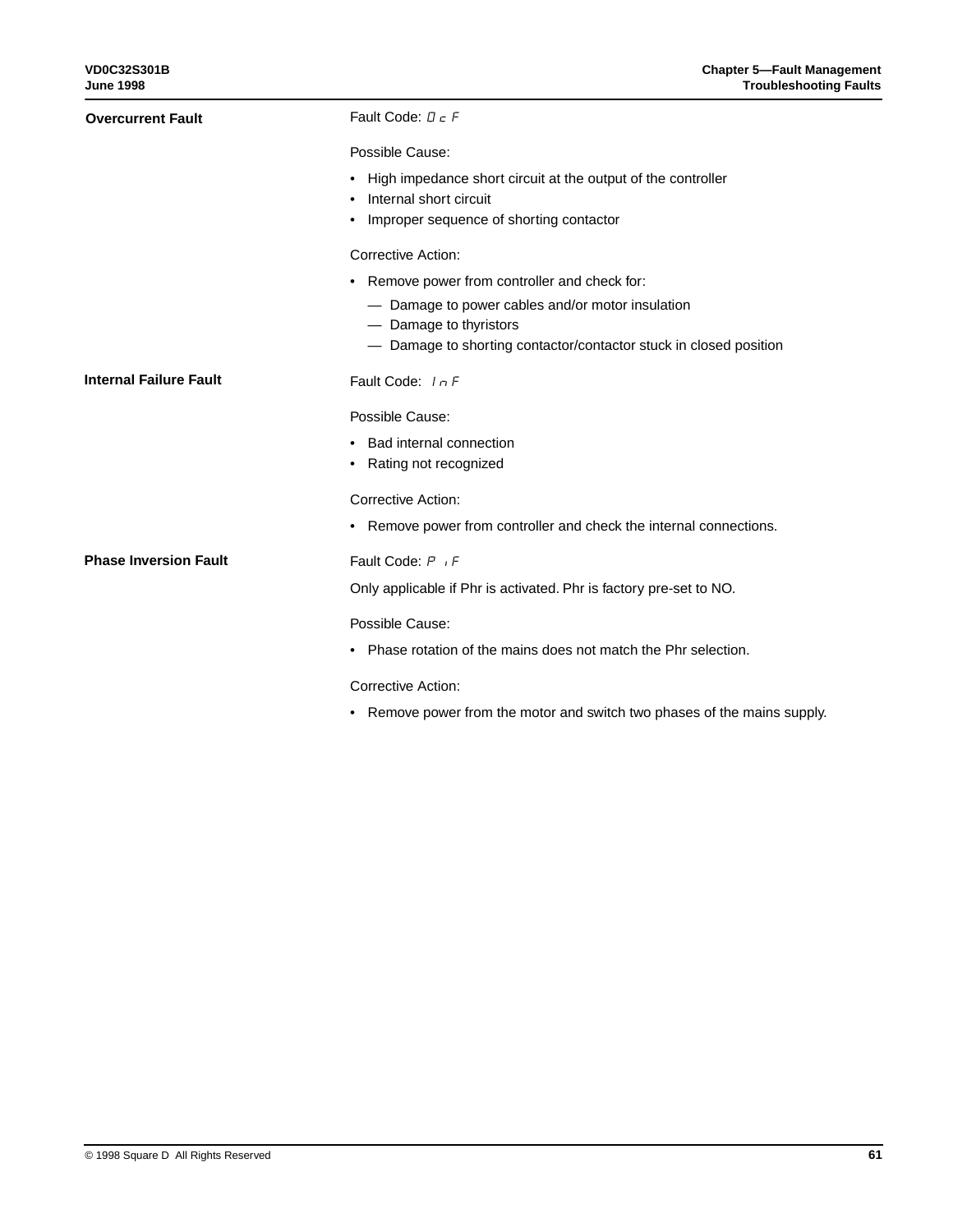| <b>Overcurrent Fault</b>      | Fault Code: $\Box$ $\in$ F                                                                 |  |  |  |
|-------------------------------|--------------------------------------------------------------------------------------------|--|--|--|
|                               | Possible Cause:                                                                            |  |  |  |
|                               | • High impedance short circuit at the output of the controller<br>• Internal short circuit |  |  |  |
|                               | • Improper sequence of shorting contactor                                                  |  |  |  |
|                               | Corrective Action:                                                                         |  |  |  |
|                               | • Remove power from controller and check for:                                              |  |  |  |
|                               | - Damage to power cables and/or motor insulation                                           |  |  |  |
|                               | - Damage to thyristors                                                                     |  |  |  |
|                               | - Damage to shorting contactor/contactor stuck in closed position                          |  |  |  |
| <b>Internal Failure Fault</b> | Fault Code: In F                                                                           |  |  |  |
|                               | Possible Cause:                                                                            |  |  |  |
|                               | • Bad internal connection                                                                  |  |  |  |
|                               | • Rating not recognized                                                                    |  |  |  |
|                               | <b>Corrective Action:</b>                                                                  |  |  |  |
|                               | • Remove power from controller and check the internal connections.                         |  |  |  |
| <b>Phase Inversion Fault</b>  | Fault Code: P <sub>I</sub> F                                                               |  |  |  |
|                               | Only applicable if Phr is activated. Phr is factory pre-set to NO.                         |  |  |  |
|                               | Possible Cause:                                                                            |  |  |  |
|                               | • Phase rotation of the mains does not match the Phr selection.                            |  |  |  |
|                               | Corrective Action:                                                                         |  |  |  |
|                               | • Remove power from the motor and switch two phases of the mains supply.                   |  |  |  |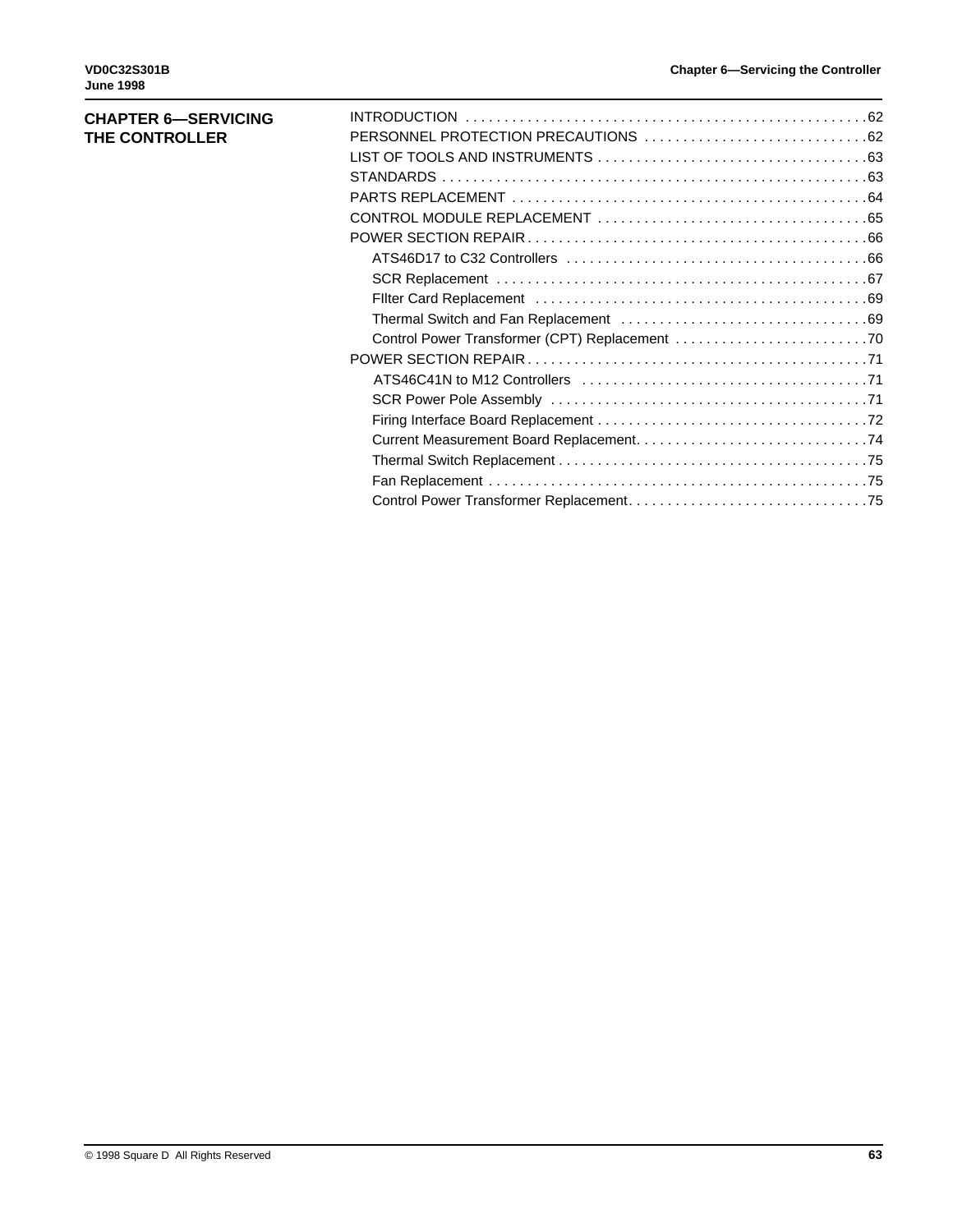| <b>CHAPTER 6-SERVICING</b> |  |
|----------------------------|--|
| THE CONTROLLER             |  |
|                            |  |
|                            |  |
|                            |  |
|                            |  |
|                            |  |
|                            |  |
|                            |  |
|                            |  |
|                            |  |
|                            |  |
|                            |  |
|                            |  |
|                            |  |
|                            |  |
|                            |  |
|                            |  |
|                            |  |
|                            |  |
|                            |  |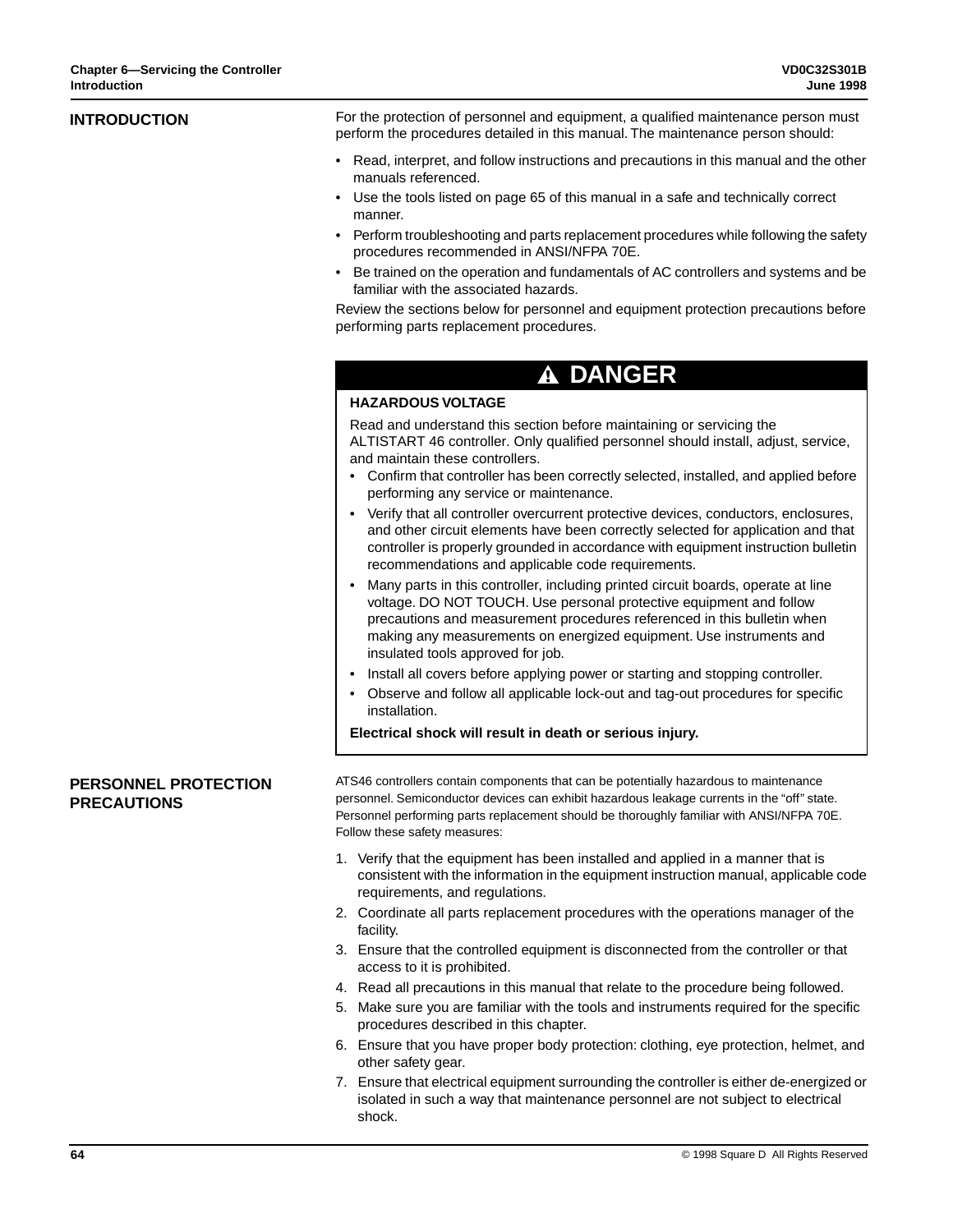| <b>INTRODUCTION</b>                               | For the protection of personnel and equipment, a qualified maintenance person must<br>perform the procedures detailed in this manual. The maintenance person should:                                                                                                                                                                           |
|---------------------------------------------------|------------------------------------------------------------------------------------------------------------------------------------------------------------------------------------------------------------------------------------------------------------------------------------------------------------------------------------------------|
|                                                   | • Read, interpret, and follow instructions and precautions in this manual and the other<br>manuals referenced.                                                                                                                                                                                                                                 |
|                                                   | Use the tools listed on page 65 of this manual in a safe and technically correct<br>manner.                                                                                                                                                                                                                                                    |
|                                                   | Perform troubleshooting and parts replacement procedures while following the safety<br>procedures recommended in ANSI/NFPA 70E.                                                                                                                                                                                                                |
|                                                   | Be trained on the operation and fundamentals of AC controllers and systems and be<br>familiar with the associated hazards.                                                                                                                                                                                                                     |
|                                                   | Review the sections below for personnel and equipment protection precautions before<br>performing parts replacement procedures.                                                                                                                                                                                                                |
|                                                   | <b>A DANGER</b>                                                                                                                                                                                                                                                                                                                                |
|                                                   | <b>HAZARDOUS VOLTAGE</b>                                                                                                                                                                                                                                                                                                                       |
|                                                   | Read and understand this section before maintaining or servicing the<br>ALTISTART 46 controller. Only qualified personnel should install, adjust, service,<br>and maintain these controllers.                                                                                                                                                  |
|                                                   | Confirm that controller has been correctly selected, installed, and applied before<br>performing any service or maintenance.                                                                                                                                                                                                                   |
|                                                   | Verify that all controller overcurrent protective devices, conductors, enclosures,<br>and other circuit elements have been correctly selected for application and that<br>controller is properly grounded in accordance with equipment instruction bulletin<br>recommendations and applicable code requirements.                               |
|                                                   | Many parts in this controller, including printed circuit boards, operate at line<br>voltage. DO NOT TOUCH. Use personal protective equipment and follow<br>precautions and measurement procedures referenced in this bulletin when<br>making any measurements on energized equipment. Use instruments and<br>insulated tools approved for job. |
|                                                   | Install all covers before applying power or starting and stopping controller.<br>Observe and follow all applicable lock-out and tag-out procedures for specific<br>installation.                                                                                                                                                               |
|                                                   | Electrical shock will result in death or serious injury.                                                                                                                                                                                                                                                                                       |
| <b>PERSONNEL PROTECTION</b><br><b>PRECAUTIONS</b> | ATS46 controllers contain components that can be potentially hazardous to maintenance<br>personnel. Semiconductor devices can exhibit hazardous leakage currents in the "off" state.<br>Personnel performing parts replacement should be thoroughly familiar with ANSI/NFPA 70E.<br>Follow these safety measures:                              |
|                                                   | 1. Verify that the equipment has been installed and applied in a manner that is<br>consistent with the information in the equipment instruction manual, applicable code<br>requirements, and regulations.                                                                                                                                      |
|                                                   | 2. Coordinate all parts replacement procedures with the operations manager of the<br>facility.                                                                                                                                                                                                                                                 |
|                                                   | 3. Ensure that the controlled equipment is disconnected from the controller or that<br>access to it is prohibited.                                                                                                                                                                                                                             |
|                                                   | 4. Read all precautions in this manual that relate to the procedure being followed.                                                                                                                                                                                                                                                            |
|                                                   | 5. Make sure you are familiar with the tools and instruments required for the specific<br>procedures described in this chapter.                                                                                                                                                                                                                |
|                                                   | 6. Ensure that you have proper body protection: clothing, eye protection, helmet, and<br>other safety gear.                                                                                                                                                                                                                                    |
|                                                   | 7. Ensure that electrical equipment surrounding the controller is either de-energized or<br>isolated in such a way that maintenance personnel are not subject to electrical                                                                                                                                                                    |

shock.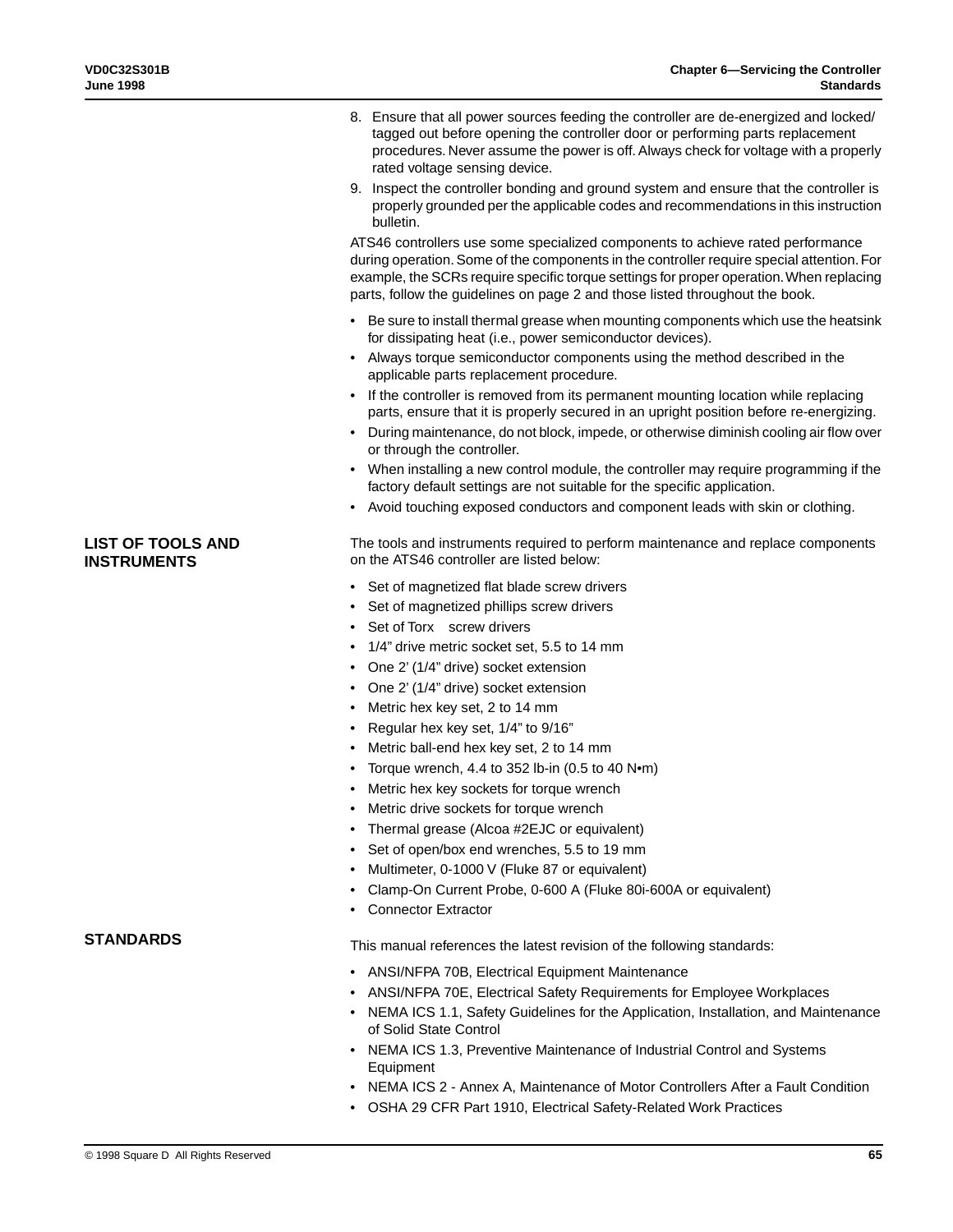- 8. Ensure that all power sources feeding the controller are de-energized and locked/ tagged out before opening the controller door or performing parts replacement procedures. Never assume the power is off. Always check for voltage with a properly rated voltage sensing device.
- 9. Inspect the controller bonding and ground system and ensure that the controller is properly grounded per the applicable codes and recommendations in this instruction bulletin.

ATS46 controllers use some specialized components to achieve rated performance during operation. Some of the components in the controller require special attention. For example, the SCRs require specific torque settings for proper operation. When replacing parts, follow the guidelines on page 2 and those listed throughout the book.

- Be sure to install thermal grease when mounting components which use the heatsink for dissipating heat (i.e., power semiconductor devices).
- Always torque semiconductor components using the method described in the applicable parts replacement procedure.
- If the controller is removed from its permanent mounting location while replacing parts, ensure that it is properly secured in an upright position before re-energizing.
- During maintenance, do not block, impede, or otherwise diminish cooling air flow over or through the controller.
- When installing a new control module, the controller may require programming if the factory default settings are not suitable for the specific application.
- Avoid touching exposed conductors and component leads with skin or clothing.

The tools and instruments required to perform maintenance and replace components on the ATS46 controller are listed below:

- Set of magnetized flat blade screw drivers
- Set of magnetized phillips screw drivers
- Set of Torx<sup>®</sup> screw drivers
- 1/4" drive metric socket set, 5.5 to 14 mm
- One 2' (1/4" drive) socket extension
- One 2' (1/4" drive) socket extension
- Metric hex key set, 2 to 14 mm
- Regular hex key set, 1/4" to 9/16"
- Metric ball-end hex key set, 2 to 14 mm
- Torque wrench, 4.4 to 352 lb-in  $(0.5 \text{ to } 40 \text{ N} \cdot \text{m})$
- Metric hex key sockets for torque wrench
- Metric drive sockets for torque wrench
- Thermal grease (Alcoa #2EJC or equivalent)
- Set of open/box end wrenches, 5.5 to 19 mm
- Multimeter, 0-1000 V (Fluke 87 or equivalent)
- Clamp-On Current Probe, 0-600 A (Fluke 80i-600A or equivalent)
- Connector Extractor

**STANDARDS**

**LIST OF TOOLS AND INSTRUMENTS**

- This manual references the latest revision of the following standards:
- ANSI/NFPA 70B, Electrical Equipment Maintenance
- ANSI/NFPA 70E, Electrical Safety Requirements for Employee Workplaces
- NEMA ICS 1.1, Safety Guidelines for the Application, Installation, and Maintenance of Solid State Control
- NEMA ICS 1.3, Preventive Maintenance of Industrial Control and Systems **Equipment**
- NEMA ICS 2 Annex A, Maintenance of Motor Controllers After a Fault Condition
- OSHA 29 CFR Part 1910, Electrical Safety-Related Work Practices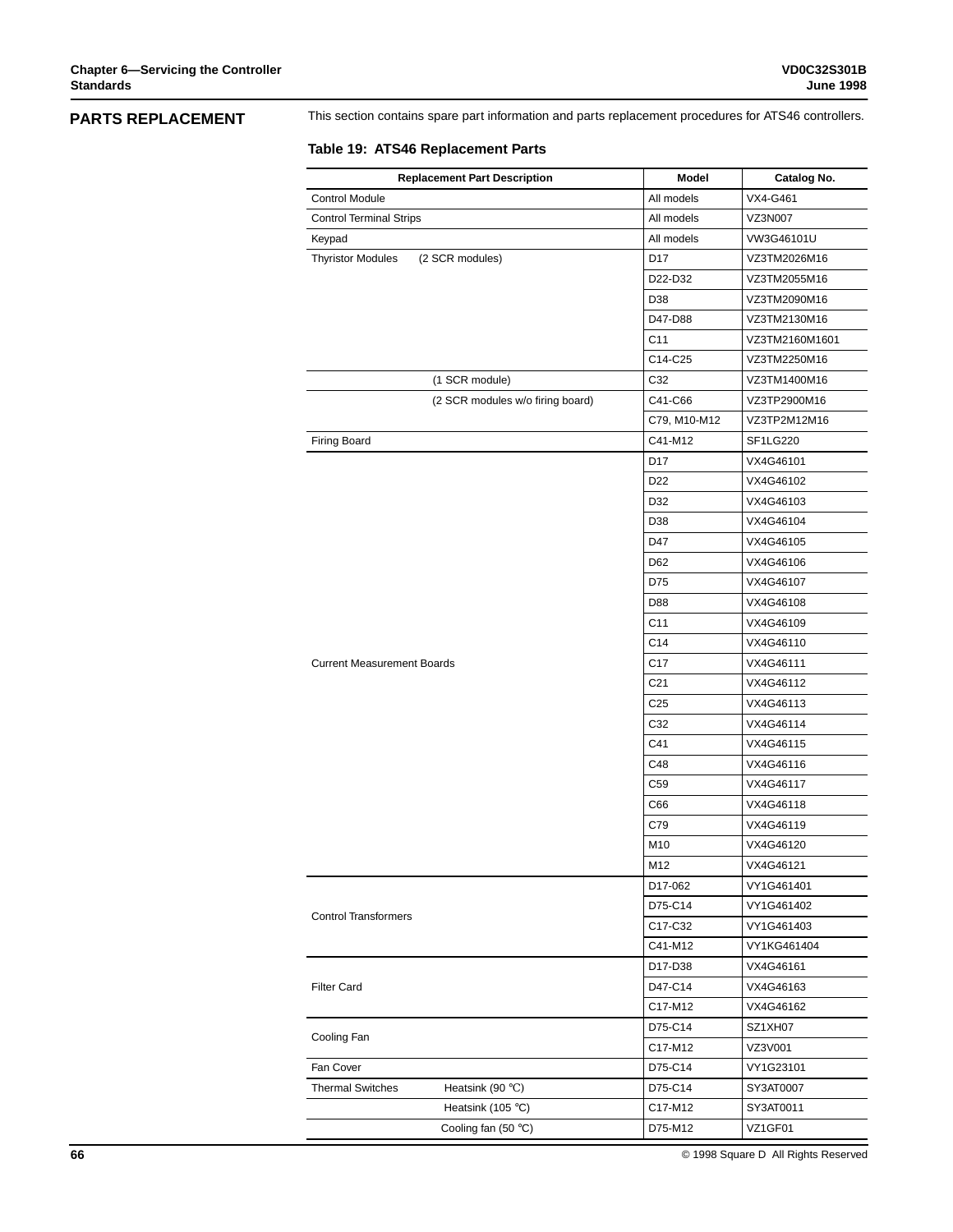# **PARTS REPLACEMENT**

This section contains spare part information and parts replacement procedures for ATS46 controllers.

## **Table 19: ATS46 Replacement Parts**

| <b>Replacement Part Description</b>            | Model           | Catalog No.    |
|------------------------------------------------|-----------------|----------------|
| <b>Control Module</b>                          | All models      | VX4-G461       |
| <b>Control Terminal Strips</b>                 | All models      | VZ3N007        |
| Keypad                                         | All models      | VW3G46101U     |
| (2 SCR modules)<br><b>Thyristor Modules</b>    | D <sub>17</sub> | VZ3TM2026M16   |
|                                                | D22-D32         | VZ3TM2055M16   |
|                                                | D38             | VZ3TM2090M16   |
|                                                | D47-D88         | VZ3TM2130M16   |
|                                                | C11             | VZ3TM2160M1601 |
|                                                | C14-C25         | VZ3TM2250M16   |
| (1 SCR module)                                 | C32             | VZ3TM1400M16   |
| (2 SCR modules w/o firing board)               | C41-C66         | VZ3TP2900M16   |
|                                                | C79, M10-M12    | VZ3TP2M12M16   |
| Firing Board                                   | C41-M12         | SF1LG220       |
|                                                | D17             | VX4G46101      |
|                                                | D <sub>22</sub> | VX4G46102      |
|                                                | D32             | VX4G46103      |
|                                                | D38             | VX4G46104      |
|                                                | D47             | VX4G46105      |
|                                                | D62             | VX4G46106      |
|                                                | D75             | VX4G46107      |
|                                                | D88             | VX4G46108      |
|                                                | C11             | VX4G46109      |
|                                                | C14             | VX4G46110      |
| <b>Current Measurement Boards</b>              | C <sub>17</sub> | VX4G46111      |
|                                                | C21             | VX4G46112      |
|                                                | C <sub>25</sub> | VX4G46113      |
|                                                | C32             | VX4G46114      |
|                                                | C41             | VX4G46115      |
|                                                | C48             | VX4G46116      |
|                                                | C59             | VX4G46117      |
|                                                | C66             | VX4G46118      |
|                                                | C79             | VX4G46119      |
|                                                | M10             | VX4G46120      |
|                                                | M12             | VX4G46121      |
|                                                | D17-062         | VY1G461401     |
|                                                | D75-C14         | VY1G461402     |
| <b>Control Transformers</b>                    | C17-C32         | VY1G461403     |
|                                                | C41-M12         | VY1KG461404    |
|                                                | D17-D38         | VX4G46161      |
| <b>Filter Card</b>                             | D47-C14         | VX4G46163      |
|                                                | C17-M12         | VX4G46162      |
|                                                | D75-C14         | SZ1XH07        |
| Cooling Fan                                    | C17-M12         | VZ3V001        |
|                                                |                 |                |
| Fan Cover                                      | D75-C14         | VY1G23101      |
| <b>Thermal Switches</b><br>Heatsink (90 $°C$ ) | D75-C14         | SY3AT0007      |
| Heatsink (105 $\degree$ C)                     | C17-M12         | SY3AT0011      |
| Cooling fan $(50 °C)$                          | D75-M12         | VZ1GF01        |

**66** © 1998 Square D All Rights Reserved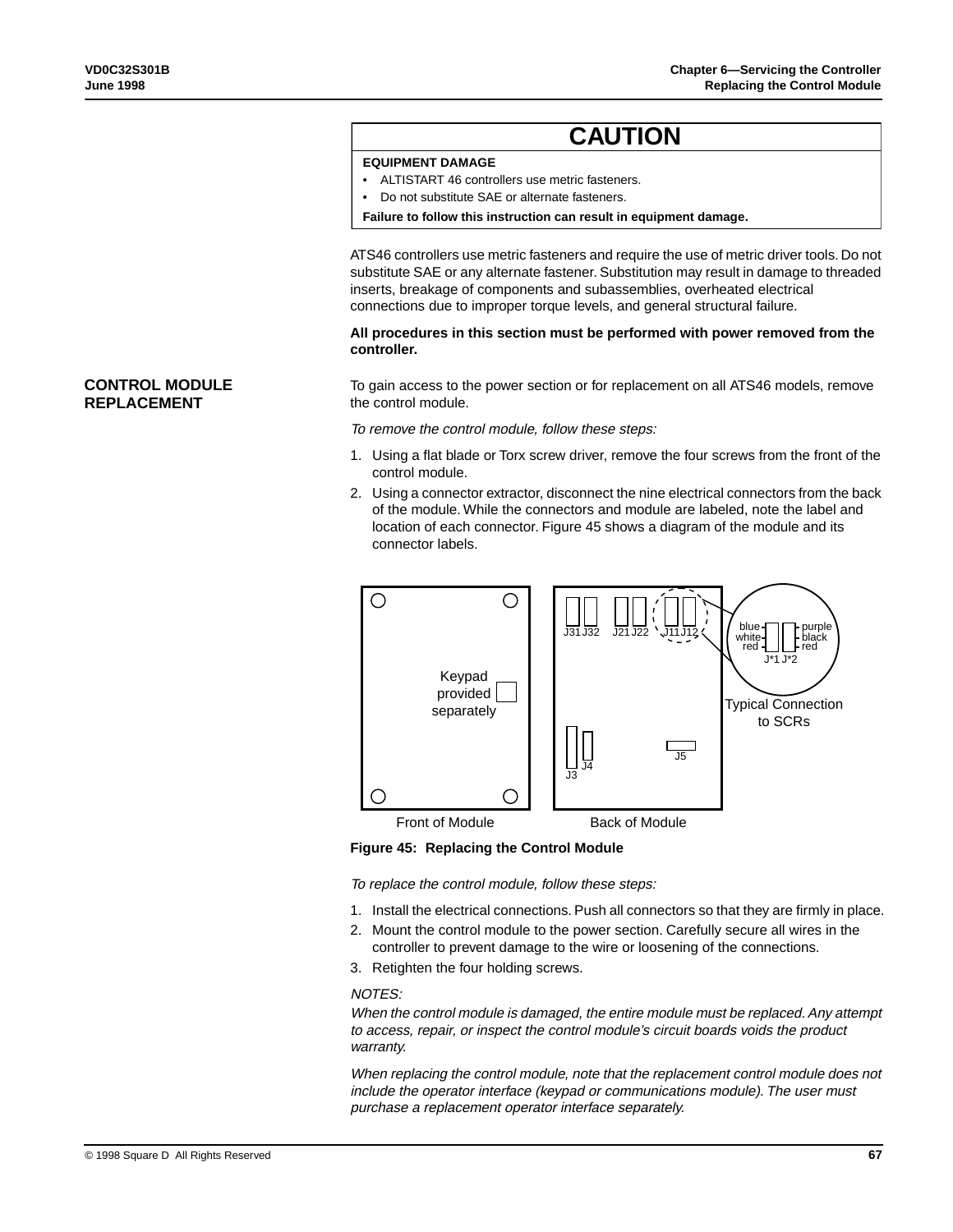# **CAUTION**

# **EQUIPMENT DAMAGE**

- ALTISTART 46 controllers use metric fasteners.
- Do not substitute SAE or alternate fasteners.

**Failure to follow this instruction can result in equipment damage.**

ATS46 controllers use metric fasteners and require the use of metric driver tools. Do not substitute SAE or any alternate fastener. Substitution may result in damage to threaded inserts, breakage of components and subassemblies, overheated electrical connections due to improper torque levels, and general structural failure.

**All procedures in this section must be performed with power removed from the controller.**

To gain access to the power section or for replacement on all ATS46 models, remove the control module.

To remove the control module, follow these steps:

- 1. Using a flat blade or Torx screw driver, remove the four screws from the front of the control module.
- 2. Using a connector extractor, disconnect the nine electrical connectors from the back of the module. While the connectors and module are labeled, note the label and location of each connector. Figure 45 shows a diagram of the module and its connector labels.



**Figure 45: Replacing the Control Module**

To replace the control module, follow these steps:

- 1. Install the electrical connections. Push all connectors so that they are firmly in place.
- 2. Mount the control module to the power section. Carefully secure all wires in the controller to prevent damage to the wire or loosening of the connections.
- 3. Retighten the four holding screws.

#### NOTES:

When the control module is damaged, the entire module must be replaced. Any attempt to access, repair, or inspect the control module's circuit boards voids the product warranty.

When replacing the control module, note that the replacement control module does not include the operator interface (keypad or communications module). The user must purchase a replacement operator interface separately.

# **CONTROL MODULE REPLACEMENT**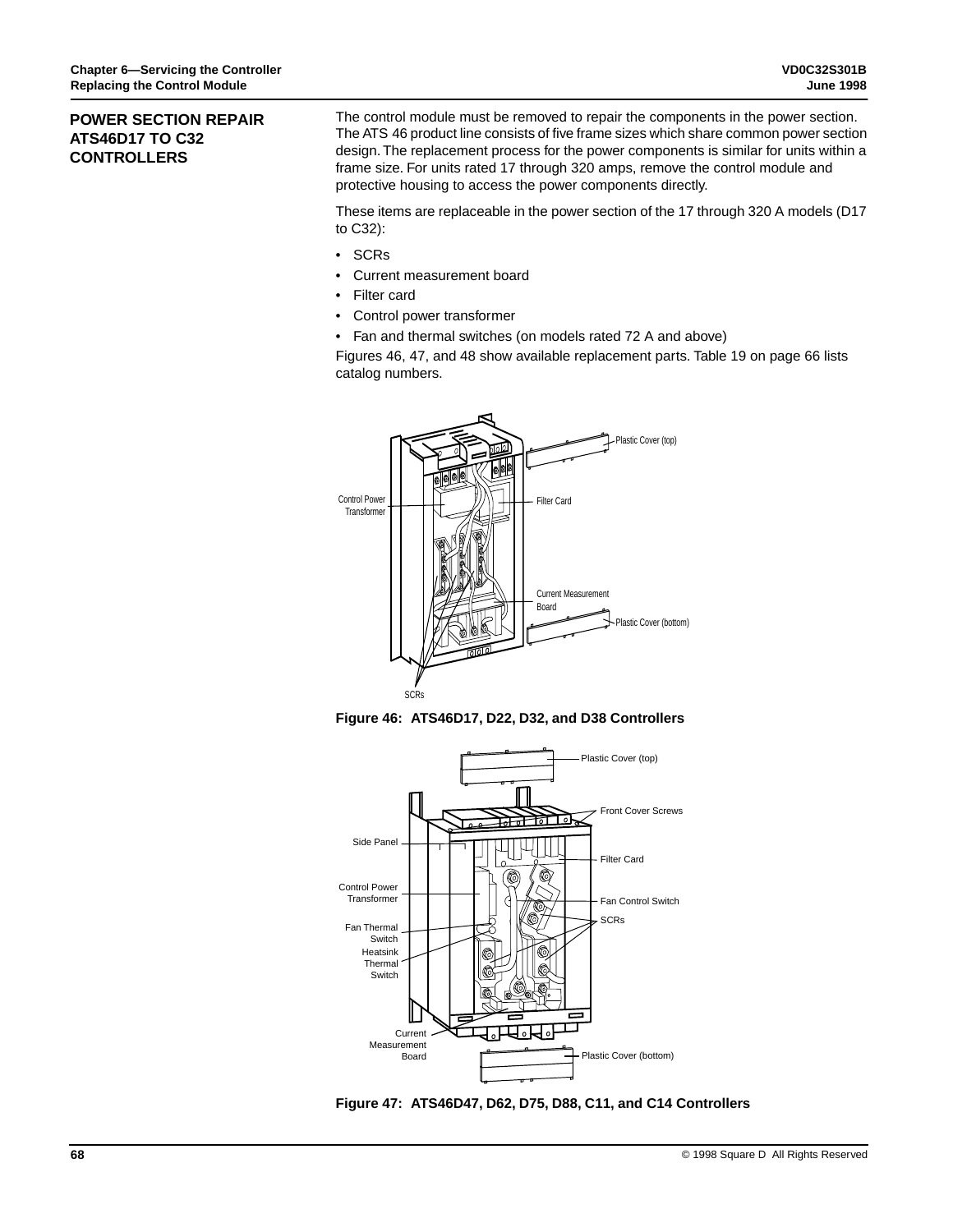## **POWER SECTION REPAIR ATS46D17 TO C32 CONTROLLERS**

The control module must be removed to repair the components in the power section. The ATS 46 product line consists of five frame sizes which share common power section design. The replacement process for the power components is similar for units within a frame size. For units rated 17 through 320 amps, remove the control module and protective housing to access the power components directly.

These items are replaceable in the power section of the 17 through 320 A models (D17 to C32):

- SCRs
- Current measurement board
- Filter card
- Control power transformer
- Fan and thermal switches (on models rated 72 A and above)

Figures 46, 47, and 48 show available replacement parts. Table 19 on page 66 lists catalog numbers.



**Figure 46: ATS46D17, D22, D32, and D38 Controllers**



**Figure 47: ATS46D47, D62, D75, D88, C11, and C14 Controllers**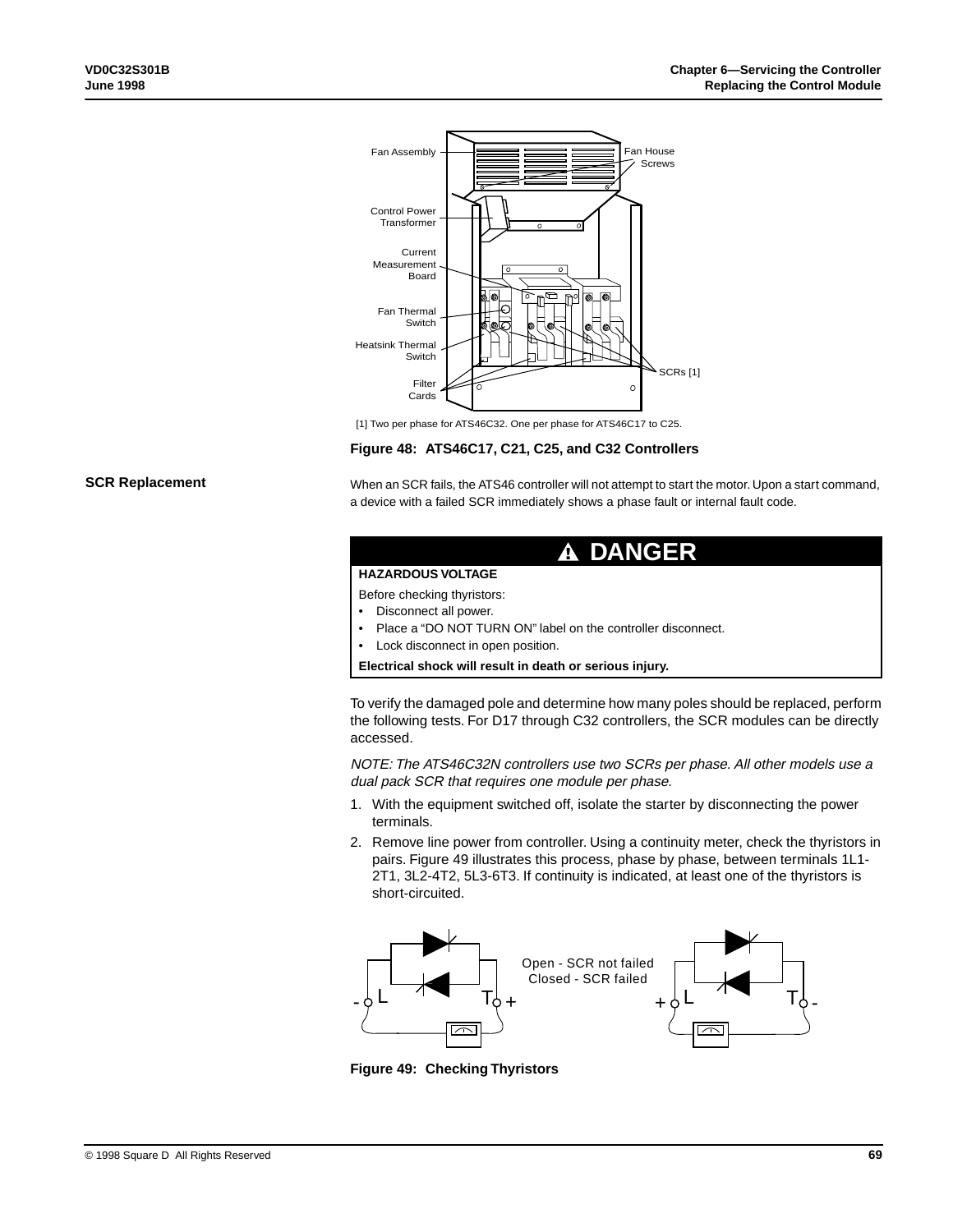

[1] Two per phase for ATS46C32. One per phase for ATS46C17 to C25.

#### **Figure 48: ATS46C17, C21, C25, and C32 Controllers**

#### **SCR Replacement**

When an SCR fails, the ATS46 controller will not attempt to start the motor. Upon a start command, a device with a failed SCR immediately shows a phase fault or internal fault code.

| A DANGER                                                                            |
|-------------------------------------------------------------------------------------|
| <b>HAZARDOUS VOLTAGE</b>                                                            |
| Before checking thyristors:                                                         |
| Disconnect all power.<br>٠                                                          |
| • Place a "DO NOT TURN ON" label on the controller disconnect.                      |
| Lock disconnect in open position.<br>٠                                              |
| Electrical shock will result in death or serious injury.                            |
| To verify the damaged pole and determine how many poles should be replaced, perform |

the following tests. For D17 through C32 controllers, the SCR modules can be directly accessed.

NOTE: The ATS46C32N controllers use two SCRs per phase. All other models use a dual pack SCR that requires one module per phase.

- 1. With the equipment switched off, isolate the starter by disconnecting the power terminals.
- 2. Remove line power from controller. Using a continuity meter, check the thyristors in pairs. Figure 49 illustrates this process, phase by phase, between terminals 1L1- 2T1, 3L2-4T2, 5L3-6T3. If continuity is indicated, at least one of the thyristors is short-circuited.



**Figure 49: Checking Thyristors**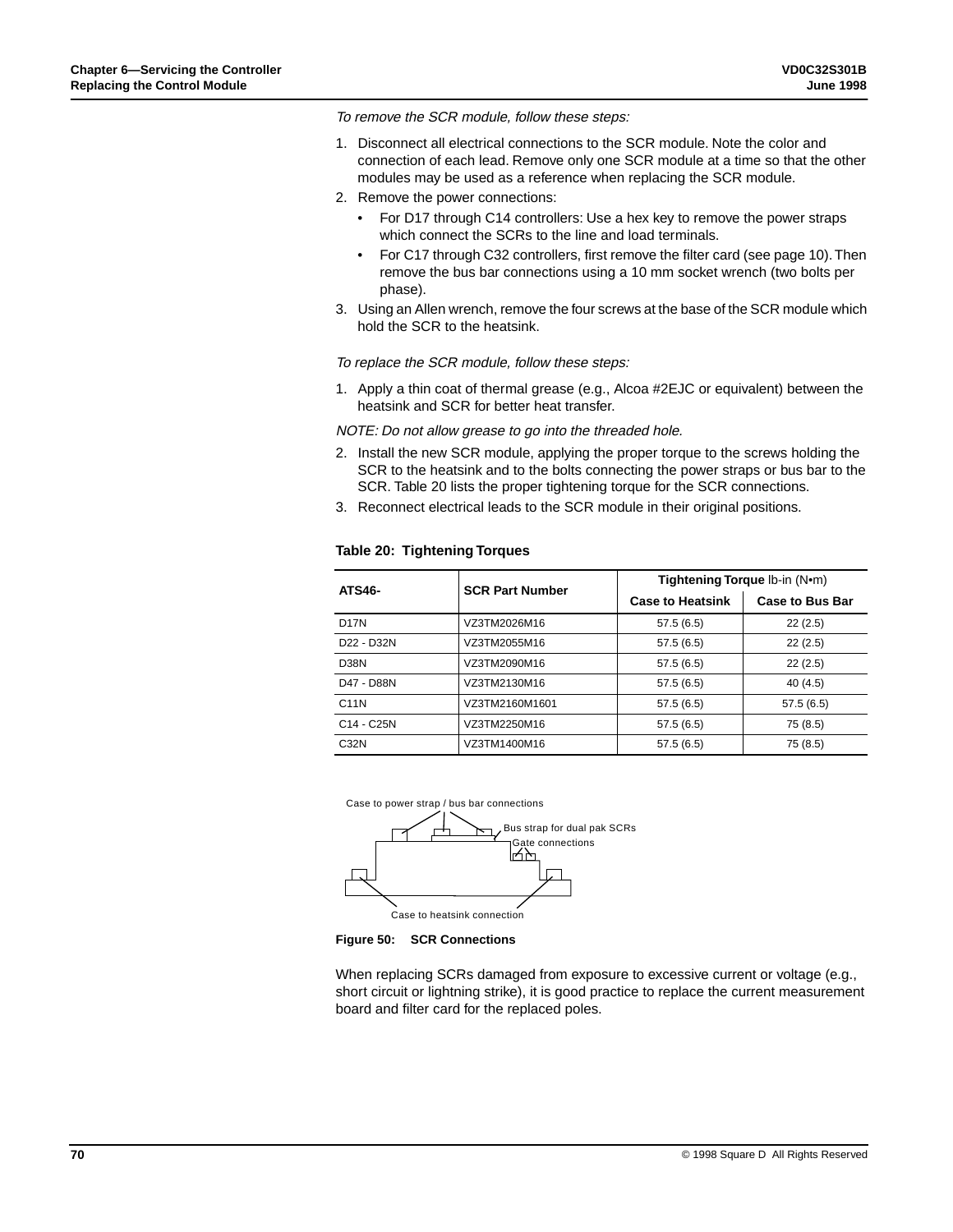To remove the SCR module, follow these steps:

- 1. Disconnect all electrical connections to the SCR module. Note the color and connection of each lead. Remove only one SCR module at a time so that the other modules may be used as a reference when replacing the SCR module.
- 2. Remove the power connections:
	- For D17 through C14 controllers: Use a hex key to remove the power straps which connect the SCRs to the line and load terminals.
	- For C17 through C32 controllers, first remove the filter card (see page 10). Then remove the bus bar connections using a 10 mm socket wrench (two bolts per phase).
- 3. Using an Allen wrench, remove the four screws at the base of the SCR module which hold the SCR to the heatsink.

To replace the SCR module, follow these steps:

1. Apply a thin coat of thermal grease (e.g., Alcoa #2EJC or equivalent) between the heatsink and SCR for better heat transfer.

NOTE: Do not allow grease to go into the threaded hole.

- 2. Install the new SCR module, applying the proper torque to the screws holding the SCR to the heatsink and to the bolts connecting the power straps or bus bar to the SCR. Table 20 lists the proper tightening torque for the SCR connections.
- 3. Reconnect electrical leads to the SCR module in their original positions.

| <b>ATS46-</b>                       | <b>SCR Part Number</b> | Tightening Torque Ib-in (Nom) |                        |  |  |
|-------------------------------------|------------------------|-------------------------------|------------------------|--|--|
|                                     |                        | <b>Case to Heatsink</b>       | <b>Case to Bus Bar</b> |  |  |
| D <sub>17</sub> N                   | VZ3TM2026M16           | 57.5(6.5)                     | 22(2.5)                |  |  |
| D <sub>22</sub> - D <sub>32</sub> N | VZ3TM2055M16           | 57.5(6.5)                     | 22(2.5)                |  |  |
| D <sub>38</sub> N                   | VZ3TM2090M16           | 57.5(6.5)                     | 22(2.5)                |  |  |
| D47 - D88N                          | VZ3TM2130M16           | 57.5(6.5)                     | 40(4.5)                |  |  |
| C <sub>11N</sub>                    | VZ3TM2160M1601         | 57.5(6.5)                     | 57.5(6.5)              |  |  |
| C <sub>14</sub> - C <sub>25</sub> N | VZ3TM2250M16           | 57.5(6.5)                     | 75 (8.5)               |  |  |
| C <sub>32N</sub>                    | VZ3TM1400M16           | 57.5(6.5)                     | 75 (8.5)               |  |  |

#### **Table 20: Tightening Torques**





When replacing SCRs damaged from exposure to excessive current or voltage (e.g., short circuit or lightning strike), it is good practice to replace the current measurement board and filter card for the replaced poles.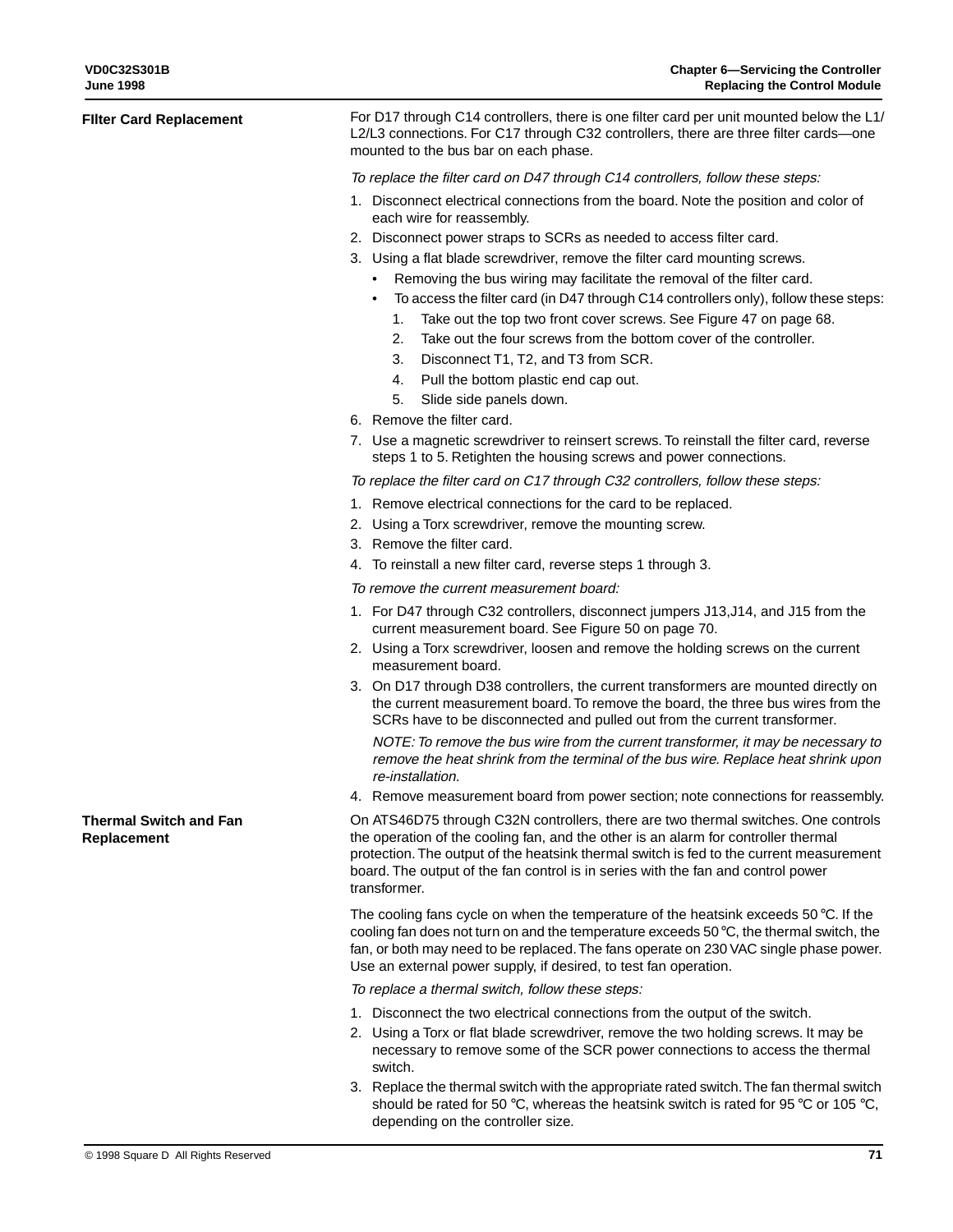| Filter Card Replacement               | For D17 through C14 controllers, there is one filter card per unit mounted below the L1/<br>L2/L3 connections. For C17 through C32 controllers, there are three filter cards-one<br>mounted to the bus bar on each phase.                                                                                                                                               |  |  |  |
|---------------------------------------|-------------------------------------------------------------------------------------------------------------------------------------------------------------------------------------------------------------------------------------------------------------------------------------------------------------------------------------------------------------------------|--|--|--|
|                                       | To replace the filter card on D47 through C14 controllers, follow these steps:                                                                                                                                                                                                                                                                                          |  |  |  |
|                                       | 1. Disconnect electrical connections from the board. Note the position and color of<br>each wire for reassembly.                                                                                                                                                                                                                                                        |  |  |  |
|                                       | 2. Disconnect power straps to SCRs as needed to access filter card.<br>3. Using a flat blade screwdriver, remove the filter card mounting screws.<br>Removing the bus wiring may facilitate the removal of the filter card.<br>$\bullet$<br>To access the filter card (in D47 through C14 controllers only), follow these steps:                                        |  |  |  |
|                                       | Take out the top two front cover screws. See Figure 47 on page 68.<br>1.<br>Take out the four screws from the bottom cover of the controller.<br>2.<br>3.<br>Disconnect T1, T2, and T3 from SCR.<br>Pull the bottom plastic end cap out.<br>4.                                                                                                                          |  |  |  |
|                                       | Slide side panels down.<br>5.                                                                                                                                                                                                                                                                                                                                           |  |  |  |
|                                       | 6. Remove the filter card.<br>7. Use a magnetic screwdriver to reinsert screws. To reinstall the filter card, reverse<br>steps 1 to 5. Retighten the housing screws and power connections.                                                                                                                                                                              |  |  |  |
|                                       | To replace the filter card on C17 through C32 controllers, follow these steps:                                                                                                                                                                                                                                                                                          |  |  |  |
|                                       | 1. Remove electrical connections for the card to be replaced.                                                                                                                                                                                                                                                                                                           |  |  |  |
|                                       | 2. Using a Torx screwdriver, remove the mounting screw.                                                                                                                                                                                                                                                                                                                 |  |  |  |
|                                       | 3. Remove the filter card.                                                                                                                                                                                                                                                                                                                                              |  |  |  |
|                                       | 4. To reinstall a new filter card, reverse steps 1 through 3.                                                                                                                                                                                                                                                                                                           |  |  |  |
|                                       | To remove the current measurement board:                                                                                                                                                                                                                                                                                                                                |  |  |  |
|                                       | 1. For D47 through C32 controllers, disconnect jumpers J13, J14, and J15 from the<br>current measurement board. See Figure 50 on page 70.                                                                                                                                                                                                                               |  |  |  |
|                                       | 2. Using a Torx screwdriver, loosen and remove the holding screws on the current<br>measurement board.                                                                                                                                                                                                                                                                  |  |  |  |
|                                       | 3. On D17 through D38 controllers, the current transformers are mounted directly on<br>the current measurement board. To remove the board, the three bus wires from the<br>SCRs have to be disconnected and pulled out from the current transformer.                                                                                                                    |  |  |  |
|                                       | NOTE: To remove the bus wire from the current transformer, it may be necessary to<br>remove the heat shrink from the terminal of the bus wire. Replace heat shrink upon<br>re-installation.                                                                                                                                                                             |  |  |  |
|                                       | 4. Remove measurement board from power section; note connections for reassembly.                                                                                                                                                                                                                                                                                        |  |  |  |
| Thermal Switch and Fan<br>Replacement | On ATS46D75 through C32N controllers, there are two thermal switches. One controls<br>the operation of the cooling fan, and the other is an alarm for controller thermal<br>protection. The output of the heatsink thermal switch is fed to the current measurement<br>board. The output of the fan control is in series with the fan and control power<br>transformer. |  |  |  |
|                                       | The cooling fans cycle on when the temperature of the heatsink exceeds 50 $\degree$ C. If the<br>cooling fan does not turn on and the temperature exceeds $50^{\circ}$ C, the thermal switch, the<br>fan, or both may need to be replaced. The fans operate on 230 VAC single phase power.<br>Use an external power supply, if desired, to test fan operation.          |  |  |  |
|                                       | To replace a thermal switch, follow these steps:                                                                                                                                                                                                                                                                                                                        |  |  |  |
|                                       | 1. Disconnect the two electrical connections from the output of the switch.<br>2. Using a Torx or flat blade screwdriver, remove the two holding screws. It may be<br>necessary to remove some of the SCR power connections to access the thermal<br>switch.                                                                                                            |  |  |  |
|                                       | 3. Replace the thermal switch with the appropriate rated switch. The fan thermal switch<br>should be rated for 50 °C, whereas the heatsink switch is rated for 95 °C or 105 °C,<br>depending on the controller size.                                                                                                                                                    |  |  |  |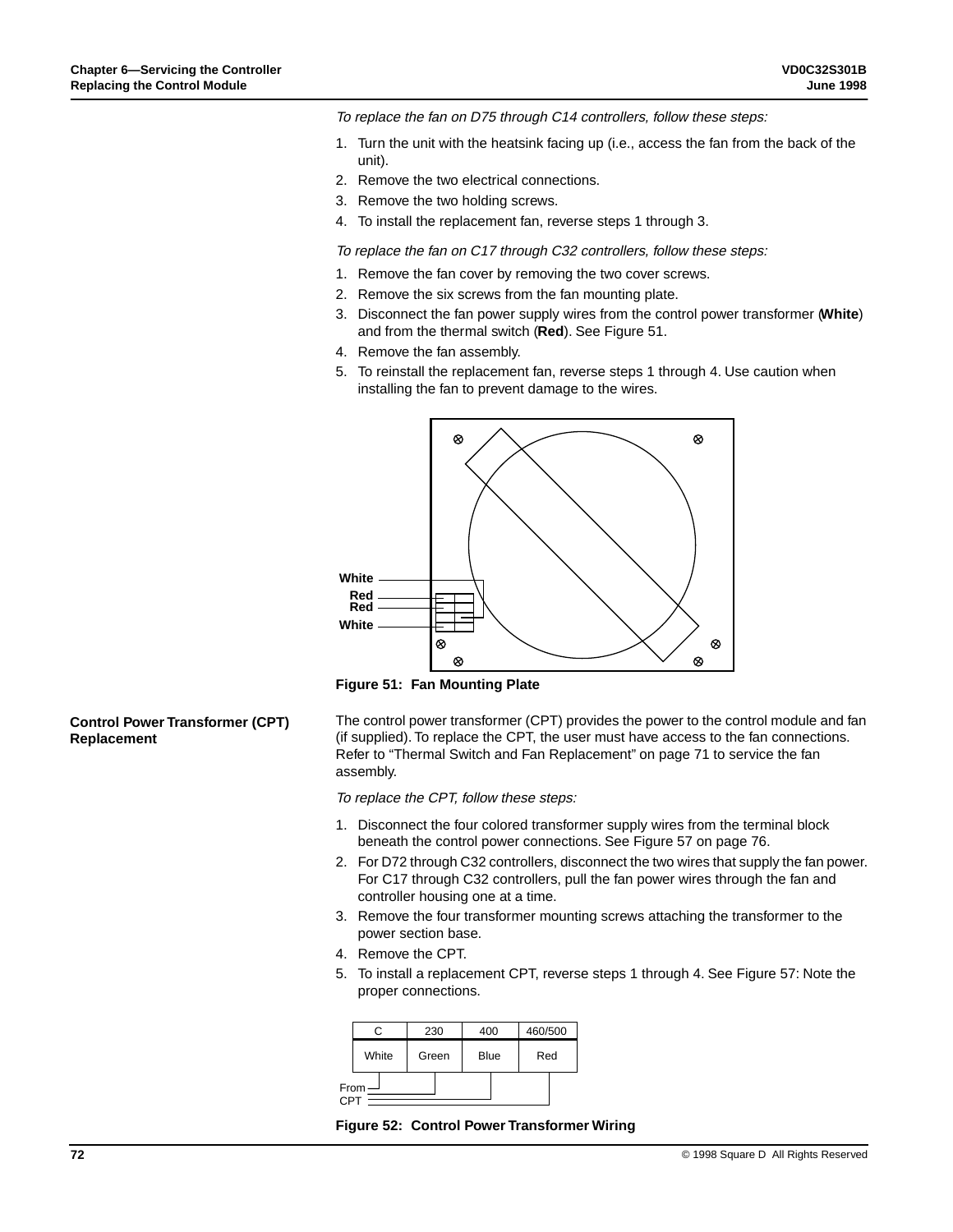To replace the fan on D75 through C14 controllers, follow these steps:

- 1. Turn the unit with the heatsink facing up (i.e., access the fan from the back of the unit).
- 2. Remove the two electrical connections.
- 3. Remove the two holding screws.
- 4. To install the replacement fan, reverse steps 1 through 3.

To replace the fan on C17 through C32 controllers, follow these steps:

- 1. Remove the fan cover by removing the two cover screws.
- 2. Remove the six screws from the fan mounting plate.
- 3. Disconnect the fan power supply wires from the control power transformer (**White**) and from the thermal switch (**Red**). See Figure 51.
- 4. Remove the fan assembly.
- 5. To reinstall the replacement fan, reverse steps 1 through 4. Use caution when installing the fan to prevent damage to the wires.





The control power transformer (CPT) provides the power to the control module and fan (if supplied). To replace the CPT, the user must have access to the fan connections. Refer to "Thermal Switch and Fan Replacement" on page 71 to service the fan assembly.

To replace the CPT, follow these steps:

- 1. Disconnect the four colored transformer supply wires from the terminal block beneath the control power connections. See Figure 57 on page 76.
- 2. For D72 through C32 controllers, disconnect the two wires that supply the fan power. For C17 through C32 controllers, pull the fan power wires through the fan and controller housing one at a time.
- 3. Remove the four transformer mounting screws attaching the transformer to the power section base.
- 4. Remove the CPT.
- 5. To install a replacement CPT, reverse steps 1 through 4. See Figure 57: Note the proper connections.

| r.    | 230                  |  | 400 |     | 460/500 |  |
|-------|----------------------|--|-----|-----|---------|--|
| White | <b>Blue</b><br>Green |  |     | Red |         |  |
| From  |                      |  |     |     |         |  |

**Figure 52: Control Power Transformer Wiring**

#### **Control Power Transformer (CPT) Replacement**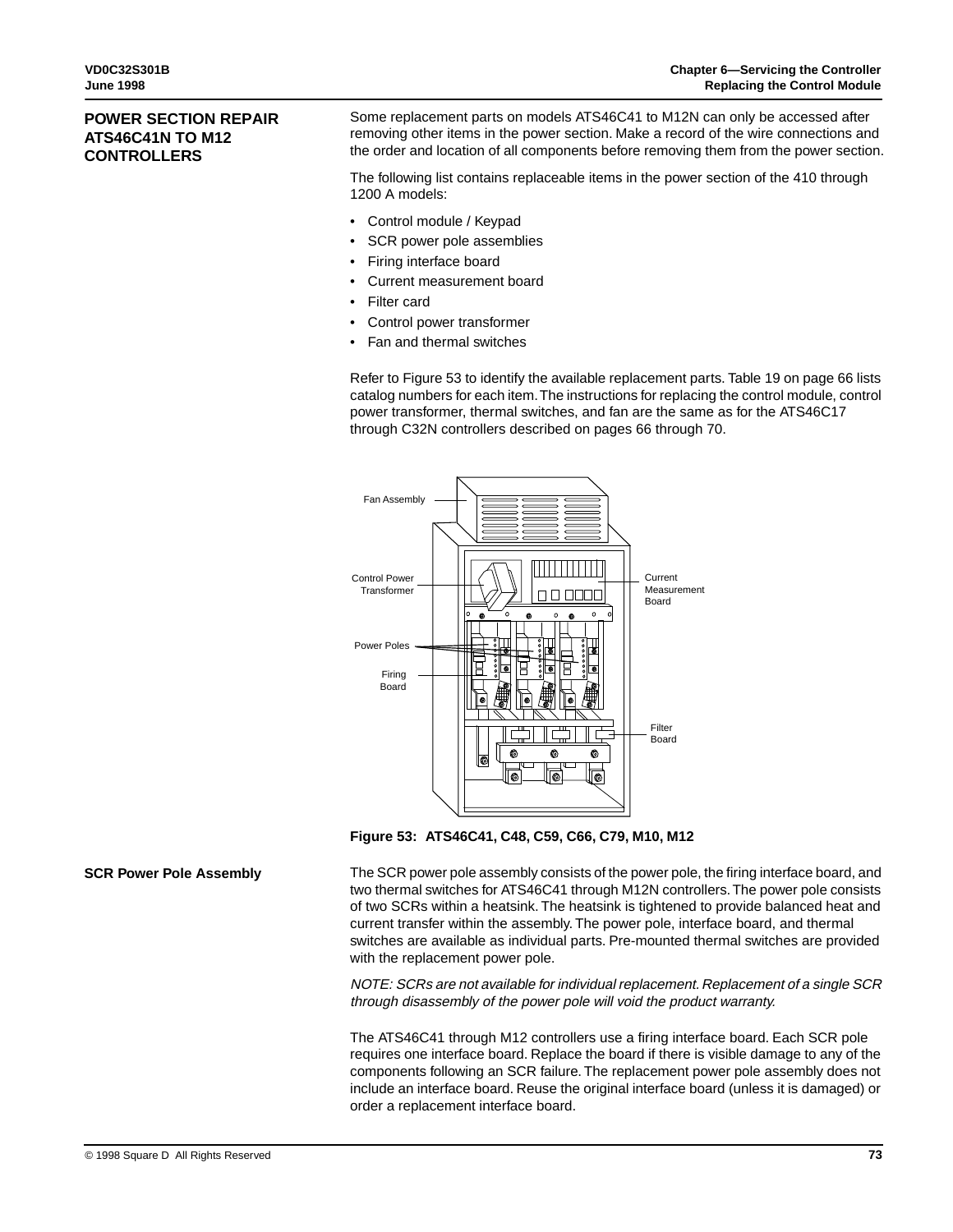## **POWER SECTION REPAIR ATS46C41N TO M12 CONTROLLERS**

Some replacement parts on models ATS46C41 to M12N can only be accessed after removing other items in the power section. Make a record of the wire connections and the order and location of all components before removing them from the power section.

The following list contains replaceable items in the power section of the 410 through 1200 A models:

- Control module / Keypad
- SCR power pole assemblies
- Firing interface board
- Current measurement board
- Filter card
- Control power transformer
- Fan and thermal switches

Refer to Figure 53 to identify the available replacement parts. Table 19 on page 66 lists catalog numbers for each item. The instructions for replacing the control module, control power transformer, thermal switches, and fan are the same as for the ATS46C17 through C32N controllers described on pages 66 through 70.



**Figure 53: ATS46C41, C48, C59, C66, C79, M10, M12**

#### **SCR Power Pole Assembly**

The SCR power pole assembly consists of the power pole, the firing interface board, and two thermal switches for ATS46C41 through M12N controllers. The power pole consists of two SCRs within a heatsink. The heatsink is tightened to provide balanced heat and current transfer within the assembly. The power pole, interface board, and thermal switches are available as individual parts. Pre-mounted thermal switches are provided with the replacement power pole.

NOTE: SCRs are not available for individual replacement. Replacement of a single SCR through disassembly of the power pole will void the product warranty.

The ATS46C41 through M12 controllers use a firing interface board. Each SCR pole requires one interface board. Replace the board if there is visible damage to any of the components following an SCR failure. The replacement power pole assembly does not include an interface board. Reuse the original interface board (unless it is damaged) or order a replacement interface board.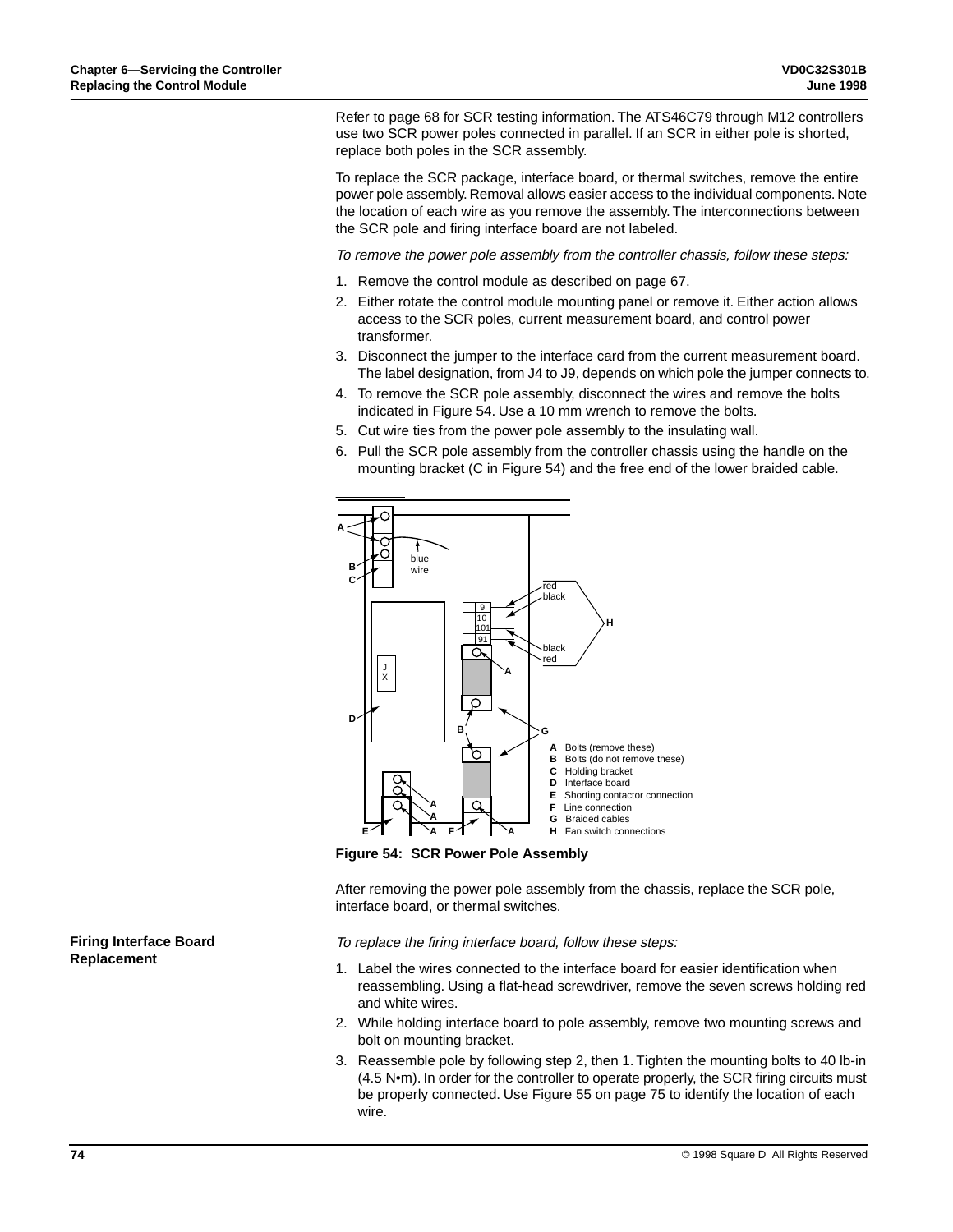Refer to page 68 for SCR testing information. The ATS46C79 through M12 controllers use two SCR power poles connected in parallel. If an SCR in either pole is shorted, replace both poles in the SCR assembly.

To replace the SCR package, interface board, or thermal switches, remove the entire power pole assembly. Removal allows easier access to the individual components. Note the location of each wire as you remove the assembly. The interconnections between the SCR pole and firing interface board are not labeled.

To remove the power pole assembly from the controller chassis, follow these steps:

- 1. Remove the control module as described on page 67.
- 2. Either rotate the control module mounting panel or remove it. Either action allows access to the SCR poles, current measurement board, and control power transformer.
- 3. Disconnect the jumper to the interface card from the current measurement board. The label designation, from J4 to J9, depends on which pole the jumper connects to.
- 4. To remove the SCR pole assembly, disconnect the wires and remove the bolts indicated in Figure 54. Use a 10 mm wrench to remove the bolts.
- 5. Cut wire ties from the power pole assembly to the insulating wall.
- 6. Pull the SCR pole assembly from the controller chassis using the handle on the mounting bracket (C in Figure 54) and the free end of the lower braided cable.



**Figure 54: SCR Power Pole Assembly**

After removing the power pole assembly from the chassis, replace the SCR pole, interface board, or thermal switches.

To replace the firing interface board, follow these steps:

- 1. Label the wires connected to the interface board for easier identification when reassembling. Using a flat-head screwdriver, remove the seven screws holding red and white wires.
- 2. While holding interface board to pole assembly, remove two mounting screws and bolt on mounting bracket.
- 3. Reassemble pole by following step 2, then 1. Tighten the mounting bolts to 40 lb-in (4.5 N•m). In order for the controller to operate properly, the SCR firing circuits must be properly connected. Use Figure 55 on page 75 to identify the location of each wire.

**Firing Interface Board Replacement**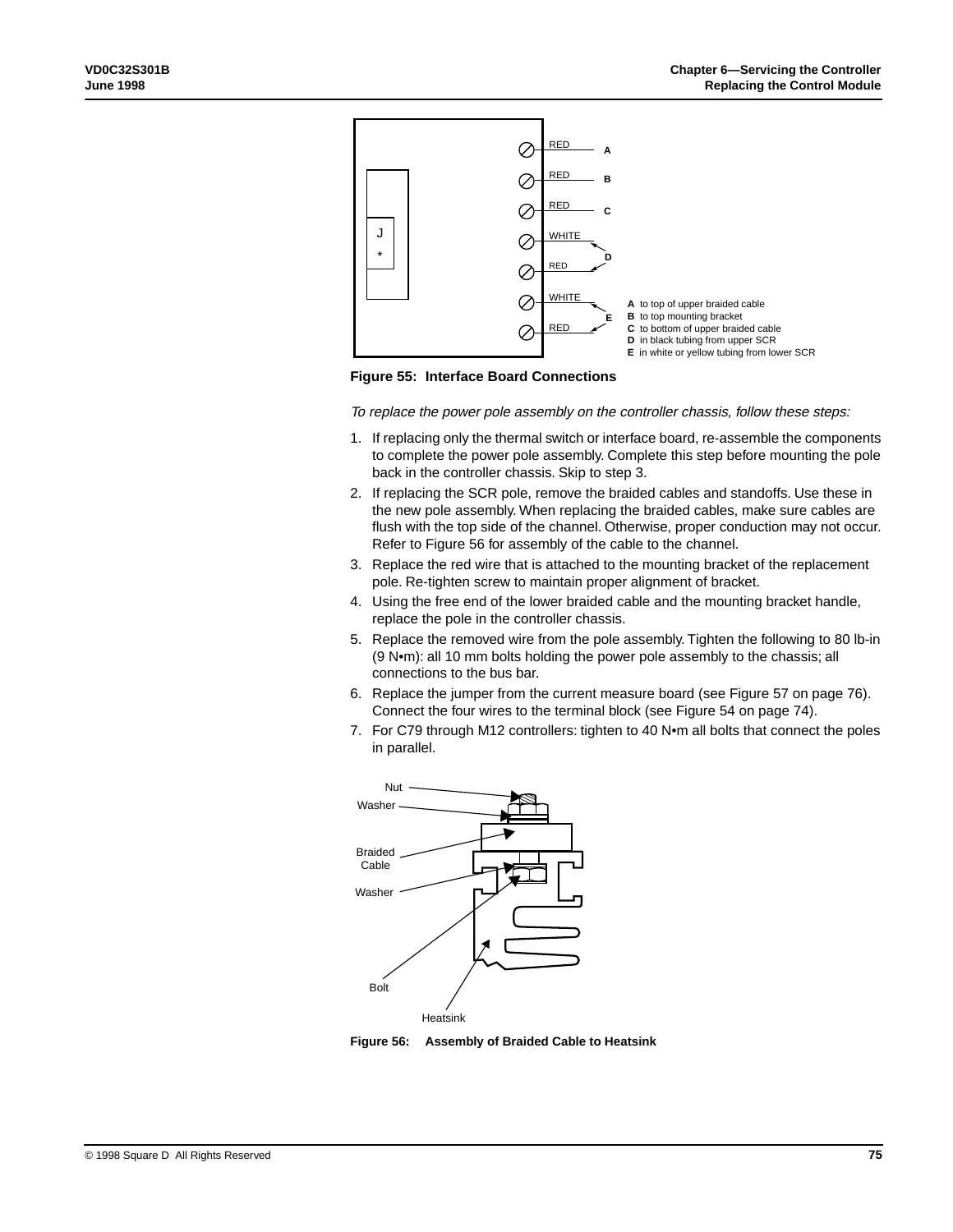

**Figure 55: Interface Board Connections**

To replace the power pole assembly on the controller chassis, follow these steps:

- 1. If replacing only the thermal switch or interface board, re-assemble the components to complete the power pole assembly. Complete this step before mounting the pole back in the controller chassis. Skip to step 3.
- 2. If replacing the SCR pole, remove the braided cables and standoffs. Use these in the new pole assembly. When replacing the braided cables, make sure cables are flush with the top side of the channel. Otherwise, proper conduction may not occur. Refer to Figure 56 for assembly of the cable to the channel.
- 3. Replace the red wire that is attached to the mounting bracket of the replacement pole. Re-tighten screw to maintain proper alignment of bracket.
- 4. Using the free end of the lower braided cable and the mounting bracket handle, replace the pole in the controller chassis.
- 5. Replace the removed wire from the pole assembly. Tighten the following to 80 lb-in (9 N•m): all 10 mm bolts holding the power pole assembly to the chassis; all connections to the bus bar.
- 6. Replace the jumper from the current measure board (see Figure 57 on page 76). Connect the four wires to the terminal block (see Figure 54 on page 74).
- 7. For C79 through M12 controllers: tighten to 40 N•m all bolts that connect the poles in parallel.



**Figure 56: Assembly of Braided Cable to Heatsink**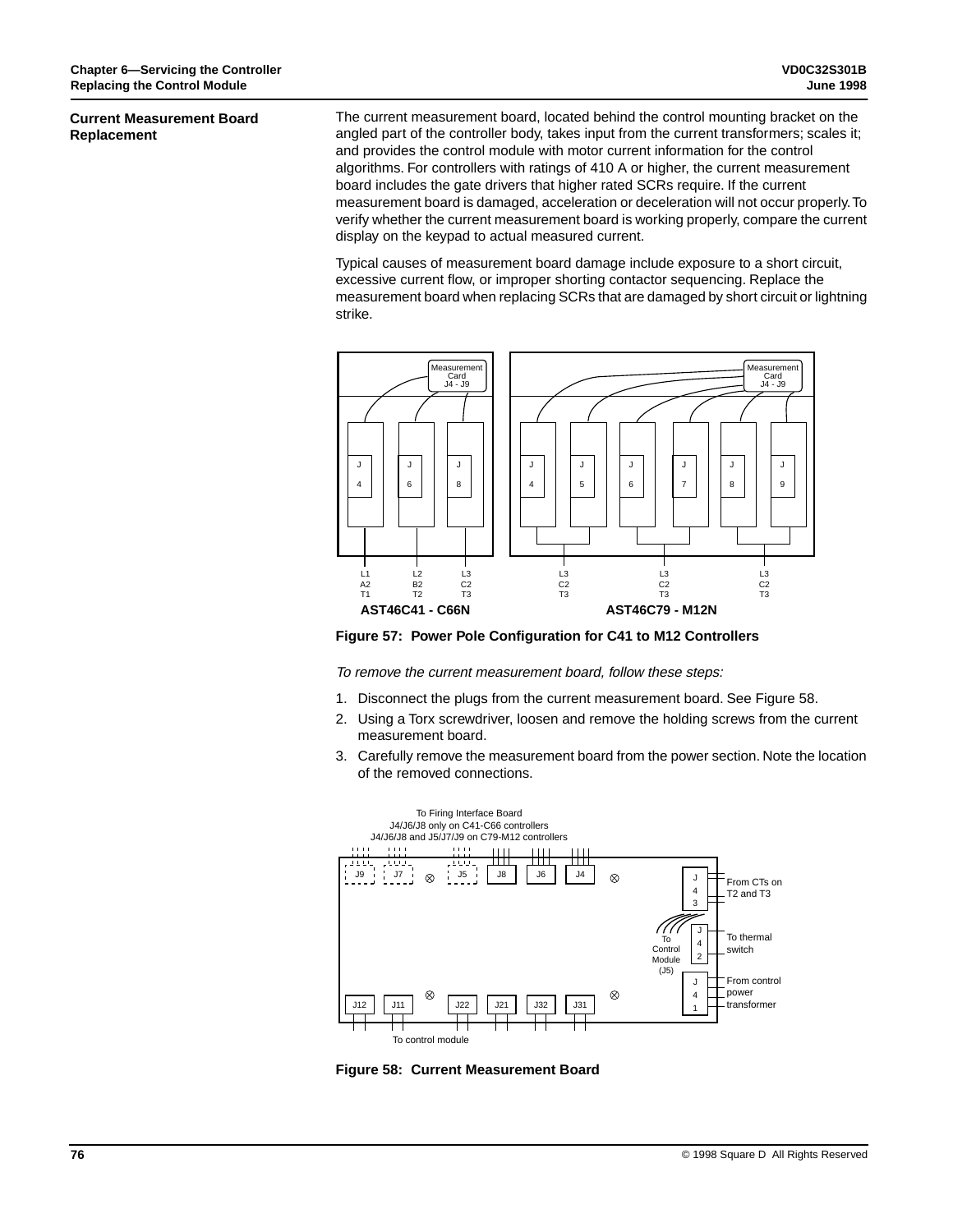#### **Current Measurement Board Replacement**

The current measurement board, located behind the control mounting bracket on the angled part of the controller body, takes input from the current transformers; scales it; and provides the control module with motor current information for the control algorithms. For controllers with ratings of 410 A or higher, the current measurement board includes the gate drivers that higher rated SCRs require. If the current measurement board is damaged, acceleration or deceleration will not occur properly. To verify whether the current measurement board is working properly, compare the current display on the keypad to actual measured current.

Typical causes of measurement board damage include exposure to a short circuit, excessive current flow, or improper shorting contactor sequencing. Replace the measurement board when replacing SCRs that are damaged by short circuit or lightning strike.



**Figure 57: Power Pole Configuration for C41 to M12 Controllers**

To remove the current measurement board, follow these steps:

- 1. Disconnect the plugs from the current measurement board. See Figure 58.
- 2. Using a Torx screwdriver, loosen and remove the holding screws from the current measurement board.
- 3. Carefully remove the measurement board from the power section. Note the location of the removed connections.



**Figure 58: Current Measurement Board**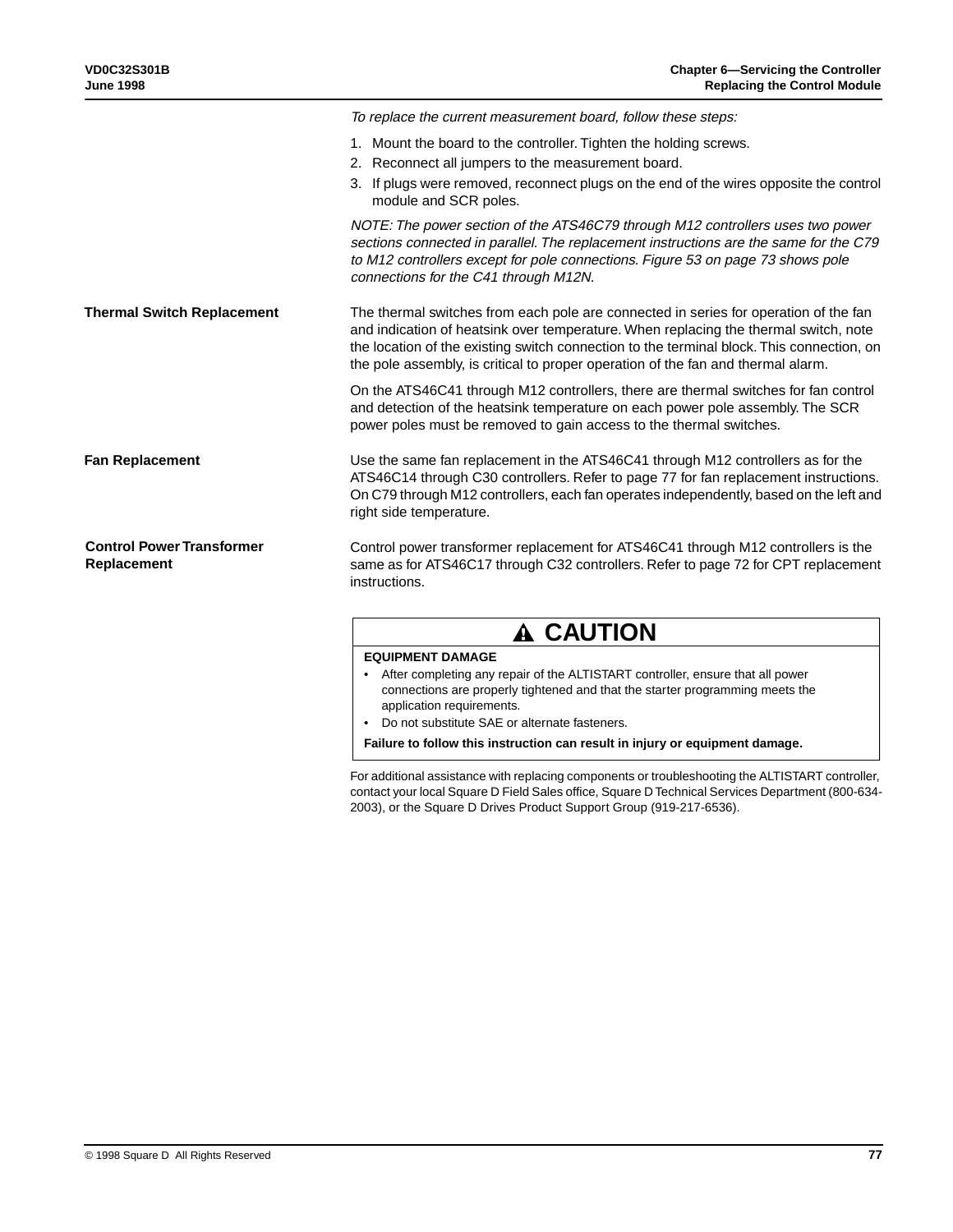|                                                 | To replace the current measurement board, follow these steps:                                                                                                                                                                                                                                                                                                 |
|-------------------------------------------------|---------------------------------------------------------------------------------------------------------------------------------------------------------------------------------------------------------------------------------------------------------------------------------------------------------------------------------------------------------------|
|                                                 | 1. Mount the board to the controller. Tighten the holding screws.<br>2. Reconnect all jumpers to the measurement board.<br>3. If plugs were removed, reconnect plugs on the end of the wires opposite the control<br>module and SCR poles.                                                                                                                    |
|                                                 | NOTE: The power section of the ATS46C79 through M12 controllers uses two power<br>sections connected in parallel. The replacement instructions are the same for the C79<br>to M12 controllers except for pole connections. Figure 53 on page 73 shows pole<br>connections for the C41 through M12N.                                                           |
| <b>Thermal Switch Replacement</b>               | The thermal switches from each pole are connected in series for operation of the fan<br>and indication of heatsink over temperature. When replacing the thermal switch, note<br>the location of the existing switch connection to the terminal block. This connection, on<br>the pole assembly, is critical to proper operation of the fan and thermal alarm. |
|                                                 | On the ATS46C41 through M12 controllers, there are thermal switches for fan control<br>and detection of the heatsink temperature on each power pole assembly. The SCR<br>power poles must be removed to gain access to the thermal switches.                                                                                                                  |
| <b>Fan Replacement</b>                          | Use the same fan replacement in the ATS46C41 through M12 controllers as for the<br>ATS46C14 through C30 controllers. Refer to page 77 for fan replacement instructions.<br>On C79 through M12 controllers, each fan operates independently, based on the left and<br>right side temperature.                                                                  |
| <b>Control Power Transformer</b><br>Replacement | Control power transformer replacement for ATS46C41 through M12 controllers is the<br>same as for ATS46C17 through C32 controllers. Refer to page 72 for CPT replacement<br>instructions.                                                                                                                                                                      |
|                                                 |                                                                                                                                                                                                                                                                                                                                                               |

# **A CAUTION**

### **EQUIPMENT DAMAGE**

- After completing any repair of the ALTISTART controller, ensure that all power connections are properly tightened and that the starter programming meets the application requirements.
- Do not substitute SAE or alternate fasteners.

**Failure to follow this instruction can result in injury or equipment damage.**

For additional assistance with replacing components or troubleshooting the ALTISTART controller, contact your local Square D Field Sales office, Square D Technical Services Department (800-634- 2003), or the Square D Drives Product Support Group (919-217-6536).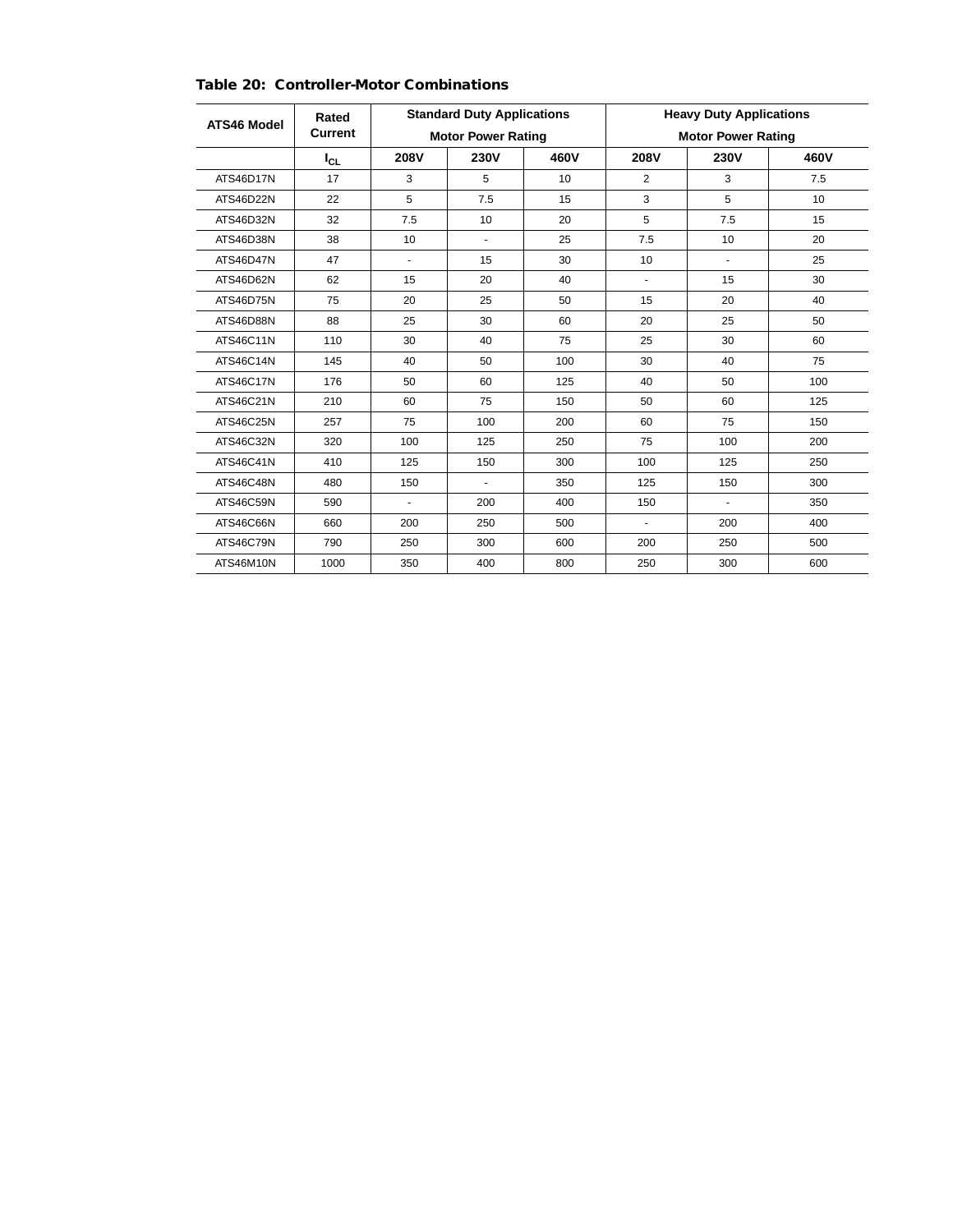| ATS46 Model | Rated    | <b>Standard Duty Applications</b> |             |      | <b>Heavy Duty Applications</b> |                |      |
|-------------|----------|-----------------------------------|-------------|------|--------------------------------|----------------|------|
|             | Current  | <b>Motor Power Rating</b>         |             |      | <b>Motor Power Rating</b>      |                |      |
|             | $I_{CL}$ | 208V                              | <b>230V</b> | 460V | 208V                           | 230V           | 460V |
| ATS46D17N   | 17       | 3                                 | 5           | 10   | $\overline{2}$                 | 3              | 7.5  |
| ATS46D22N   | 22       | 5                                 | 7.5         | 15   | 3                              | 5              | 10   |
| ATS46D32N   | 32       | 7.5                               | 10          | 20   | 5                              | 7.5            | 15   |
| ATS46D38N   | 38       | 10                                | ٠           | 25   | 7.5                            | 10             | 20   |
| ATS46D47N   | 47       | ä,                                | 15          | 30   | 10                             | ÷              | 25   |
| ATS46D62N   | 62       | 15                                | 20          | 40   | $\overline{\phantom{a}}$       | 15             | 30   |
| ATS46D75N   | 75       | 20                                | 25          | 50   | 15                             | 20             | 40   |
| ATS46D88N   | 88       | 25                                | 30          | 60   | 20                             | 25             | 50   |
| ATS46C11N   | 110      | 30                                | 40          | 75   | 25                             | 30             | 60   |
| ATS46C14N   | 145      | 40                                | 50          | 100  | 30                             | 40             | 75   |
| ATS46C17N   | 176      | 50                                | 60          | 125  | 40                             | 50             | 100  |
| ATS46C21N   | 210      | 60                                | 75          | 150  | 50                             | 60             | 125  |
| ATS46C25N   | 257      | 75                                | 100         | 200  | 60                             | 75             | 150  |
| ATS46C32N   | 320      | 100                               | 125         | 250  | 75                             | 100            | 200  |
| ATS46C41N   | 410      | 125                               | 150         | 300  | 100                            | 125            | 250  |
| ATS46C48N   | 480      | 150                               | ٠           | 350  | 125                            | 150            | 300  |
| ATS46C59N   | 590      | $\blacksquare$                    | 200         | 400  | 150                            | $\blacksquare$ | 350  |
| ATS46C66N   | 660      | 200                               | 250         | 500  | $\blacksquare$                 | 200            | 400  |
| ATS46C79N   | 790      | 250                               | 300         | 600  | 200                            | 250            | 500  |
| ATS46M10N   | 1000     | 350                               | 400         | 800  | 250                            | 300            | 600  |

## **Table 20: Controller-Motor Combinations**